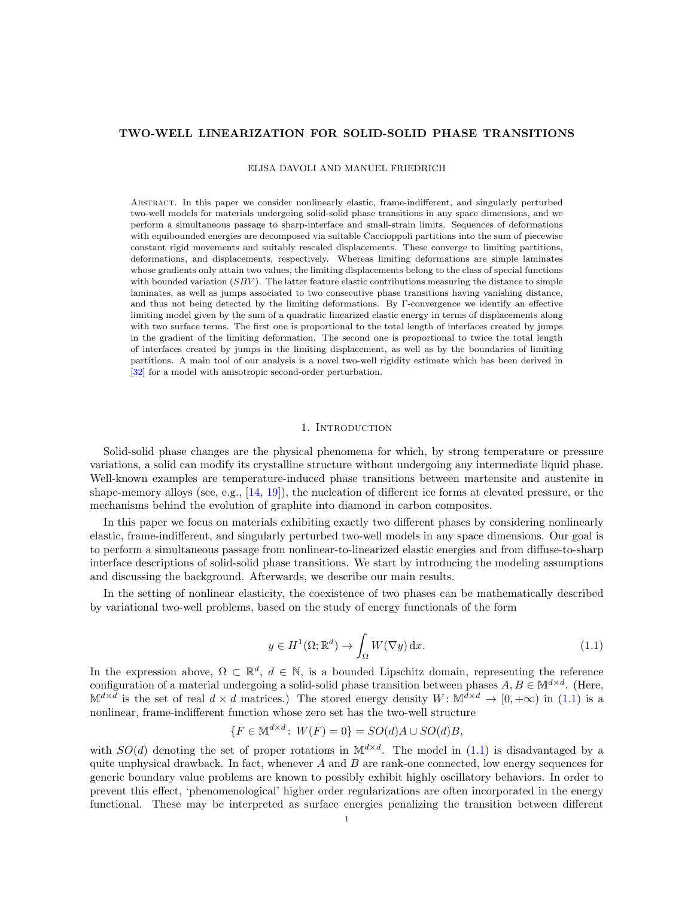# TWO-WELL LINEARIZATION FOR SOLID-SOLID PHASE TRANSITIONS

ELISA DAVOLI AND MANUEL FRIEDRICH

Abstract. In this paper we consider nonlinearly elastic, frame-indifferent, and singularly perturbed two-well models for materials undergoing solid-solid phase transitions in any space dimensions, and we perform a simultaneous passage to sharp-interface and small-strain limits. Sequences of deformations with equibounded energies are decomposed via suitable Caccioppoli partitions into the sum of piecewise constant rigid movements and suitably rescaled displacements. These converge to limiting partitions, deformations, and displacements, respectively. Whereas limiting deformations are simple laminates whose gradients only attain two values, the limiting displacements belong to the class of special functions with bounded variation  $(SBV)$ . The latter feature elastic contributions measuring the distance to simple laminates, as well as jumps associated to two consecutive phase transitions having vanishing distance, and thus not being detected by the limiting deformations. By Γ-convergence we identify an effective limiting model given by the sum of a quadratic linearized elastic energy in terms of displacements along with two surface terms. The first one is proportional to the total length of interfaces created by jumps in the gradient of the limiting deformation. The second one is proportional to twice the total length of interfaces created by jumps in the limiting displacement, as well as by the boundaries of limiting partitions. A main tool of our analysis is a novel two-well rigidity estimate which has been derived in [\[32\]](#page-62-0) for a model with anisotropic second-order perturbation.

# 1. INTRODUCTION

Solid-solid phase changes are the physical phenomena for which, by strong temperature or pressure variations, a solid can modify its crystalline structure without undergoing any intermediate liquid phase. Well-known examples are temperature-induced phase transitions between martensite and austenite in shape-memory alloys (see, e.g., [\[14,](#page-61-0) [19\]](#page-61-1)), the nucleation of different ice forms at elevated pressure, or the mechanisms behind the evolution of graphite into diamond in carbon composites.

In this paper we focus on materials exhibiting exactly two different phases by considering nonlinearly elastic, frame-indifferent, and singularly perturbed two-well models in any space dimensions. Our goal is to perform a simultaneous passage from nonlinear-to-linearized elastic energies and from diffuse-to-sharp interface descriptions of solid-solid phase transitions. We start by introducing the modeling assumptions and discussing the background. Afterwards, we describe our main results.

In the setting of nonlinear elasticity, the coexistence of two phases can be mathematically described by variational two-well problems, based on the study of energy functionals of the form

<span id="page-0-0"></span>
$$
y \in H^{1}(\Omega; \mathbb{R}^{d}) \to \int_{\Omega} W(\nabla y) dx.
$$
\n(1.1)

In the expression above,  $\Omega \subset \mathbb{R}^d$ ,  $d \in \mathbb{N}$ , is a bounded Lipschitz domain, representing the reference configuration of a material undergoing a solid-solid phase transition between phases  $A, B \in \mathbb{M}^{d \times d}$ . (Here,  $\mathbb{M}^{d\times d}$  is the set of real  $d\times d$  matrices.) The stored energy density  $W\colon \mathbb{M}^{d\times d}\to [0,+\infty)$  in  $(1.1)$  is a nonlinear, frame-indifferent function whose zero set has the two-well structure

$$
\{F \in \mathbb{M}^{d \times d} \colon W(F) = 0\} = SO(d)A \cup SO(d)B,
$$

with  $SO(d)$  denoting the set of proper rotations in  $\mathbb{M}^{d \times d}$ . The model in [\(1.1\)](#page-0-0) is disadvantaged by a quite unphysical drawback. In fact, whenever  $A$  and  $B$  are rank-one connected, low energy sequences for generic boundary value problems are known to possibly exhibit highly oscillatory behaviors. In order to prevent this effect, 'phenomenological' higher order regularizations are often incorporated in the energy functional. These may be interpreted as surface energies penalizing the transition between different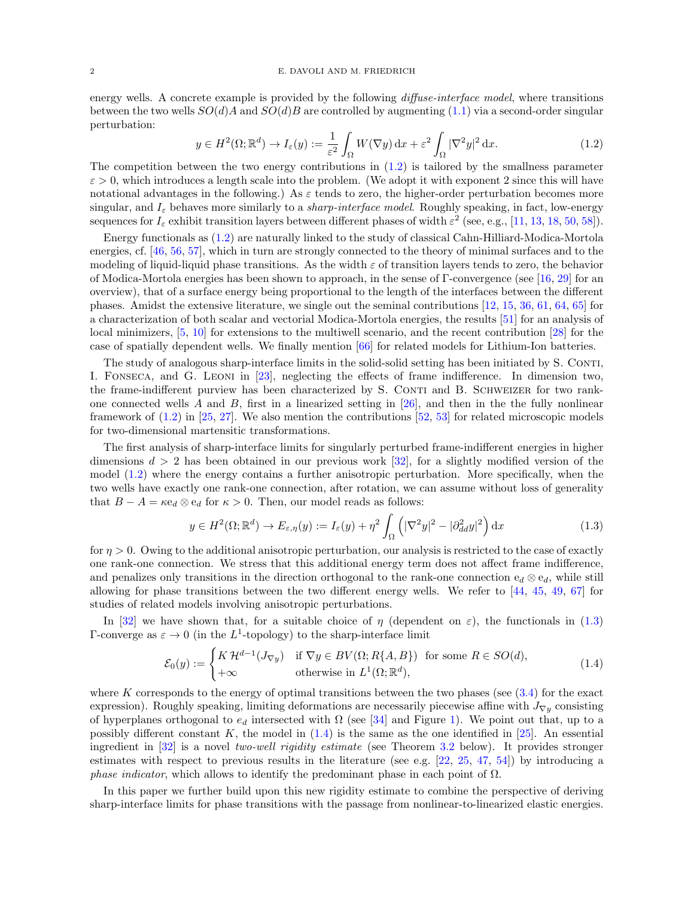energy wells. A concrete example is provided by the following *diffuse-interface model*, where transitions between the two wells  $SO(d)A$  and  $SO(d)B$  are controlled by augmenting [\(1.1\)](#page-0-0) via a second-order singular perturbation:

<span id="page-1-0"></span>
$$
y \in H^{2}(\Omega; \mathbb{R}^{d}) \to I_{\varepsilon}(y) := \frac{1}{\varepsilon^{2}} \int_{\Omega} W(\nabla y) dx + \varepsilon^{2} \int_{\Omega} |\nabla^{2} y|^{2} dx.
$$
 (1.2)

The competition between the two energy contributions in  $(1.2)$  is tailored by the smallness parameter  $\varepsilon > 0$ , which introduces a length scale into the problem. (We adopt it with exponent 2 since this will have notational advantages in the following.) As  $\varepsilon$  tends to zero, the higher-order perturbation becomes more singular, and  $I_{\varepsilon}$  behaves more similarly to a *sharp-interface model*. Roughly speaking, in fact, low-energy sequences for  $I_\varepsilon$  exhibit transition layers between different phases of width  $\varepsilon^2$  (see, e.g., [\[11,](#page-61-2) [13,](#page-61-3) [18,](#page-61-4) [50,](#page-62-1) [58\]](#page-62-2)).

Energy functionals as [\(1.2\)](#page-1-0) are naturally linked to the study of classical Cahn-Hilliard-Modica-Mortola energies, cf. [\[46,](#page-62-3) [56,](#page-62-4) [57\]](#page-62-5), which in turn are strongly connected to the theory of minimal surfaces and to the modeling of liquid-liquid phase transitions. As the width  $\varepsilon$  of transition layers tends to zero, the behavior of Modica-Mortola energies has been shown to approach, in the sense of  $\Gamma$ -convergence (see [\[16,](#page-61-5) [29\]](#page-62-6) for an overview), that of a surface energy being proportional to the length of the interfaces between the different phases. Amidst the extensive literature, we single out the seminal contributions [\[12,](#page-61-6) [15,](#page-61-7) [36,](#page-62-7) [61,](#page-63-0) [64,](#page-63-1) [65\]](#page-63-2) for a characterization of both scalar and vectorial Modica-Mortola energies, the results [\[51\]](#page-62-8) for an analysis of local minimizers, [\[5,](#page-61-8) [10\]](#page-61-9) for extensions to the multiwell scenario, and the recent contribution [\[28\]](#page-62-9) for the case of spatially dependent wells. We finally mention [\[66\]](#page-63-3) for related models for Lithium-Ion batteries.

The study of analogous sharp-interface limits in the solid-solid setting has been initiated by S. CONTI, I. Fonseca, and G. Leoni in [\[23\]](#page-61-10), neglecting the effects of frame indifference. In dimension two, the frame-indifferent purview has been characterized by S. CONTI and B. SCHWEIZER for two rank-one connected wells A and B, first in a linearized setting in [\[26\]](#page-61-11), and then in the the fully nonlinear framework of [\(1.2\)](#page-1-0) in [\[25,](#page-61-12) [27\]](#page-62-10). We also mention the contributions [\[52,](#page-62-11) [53\]](#page-62-12) for related microscopic models for two-dimensional martensitic transformations.

The first analysis of sharp-interface limits for singularly perturbed frame-indifferent energies in higher dimensions  $d > 2$  has been obtained in our previous work [\[32\]](#page-62-0), for a slightly modified version of the model [\(1.2\)](#page-1-0) where the energy contains a further anisotropic perturbation. More specifically, when the two wells have exactly one rank-one connection, after rotation, we can assume without loss of generality that  $B - A = \kappa e_d \otimes e_d$  for  $\kappa > 0$ . Then, our model reads as follows:

<span id="page-1-2"></span><span id="page-1-1"></span>
$$
y \in H^{2}(\Omega; \mathbb{R}^{d}) \to E_{\varepsilon, \eta}(y) := I_{\varepsilon}(y) + \eta^{2} \int_{\Omega} \left( |\nabla^{2} y|^{2} - |\partial_{dd}^{2} y|^{2} \right) dx \tag{1.3}
$$

for  $\eta > 0$ . Owing to the additional anisotropic perturbation, our analysis is restricted to the case of exactly one rank-one connection. We stress that this additional energy term does not affect frame indifference, and penalizes only transitions in the direction orthogonal to the rank-one connection  $e_d \otimes e_d$ , while still allowing for phase transitions between the two different energy wells. We refer to [\[44,](#page-62-13) [45,](#page-62-14) [49,](#page-62-15) [67\]](#page-63-4) for studies of related models involving anisotropic perturbations.

In [\[32\]](#page-62-0) we have shown that, for a suitable choice of  $\eta$  (dependent on  $\varepsilon$ ), the functionals in [\(1.3\)](#page-1-1) Γ-converge as  $\varepsilon \to 0$  (in the L<sup>1</sup>-topology) to the sharp-interface limit

$$
\mathcal{E}_0(y) := \begin{cases} K \mathcal{H}^{d-1}(J_{\nabla y}) & \text{if } \nabla y \in BV(\Omega; R\{A, B\}) \text{ for some } R \in SO(d), \\ +\infty & \text{otherwise in } L^1(\Omega; \mathbb{R}^d), \end{cases}
$$
(1.4)

where K corresponds to the energy of optimal transitions between the two phases (see  $(3.4)$ ) for the exact expression). Roughly speaking, limiting deformations are necessarily piecewise affine with  $J_{\nabla y}$  consisting of hyperplanes orthogonal to  $e_d$  intersected with  $\Omega$  (see [\[34\]](#page-62-16) and Figure [1\)](#page-7-0). We point out that, up to a possibly different constant K, the model in  $(1.4)$  is the same as the one identified in [\[25\]](#page-61-12). An essential ingredient in [\[32\]](#page-62-0) is a novel two-well rigidity estimate (see Theorem [3.2](#page-12-1) below). It provides stronger estimates with respect to previous results in the literature (see e.g. [\[22,](#page-61-13) [25,](#page-61-12) [47,](#page-62-17) [54\]](#page-62-18)) by introducing a *phase indicator*, which allows to identify the predominant phase in each point of  $\Omega$ .

In this paper we further build upon this new rigidity estimate to combine the perspective of deriving sharp-interface limits for phase transitions with the passage from nonlinear-to-linearized elastic energies.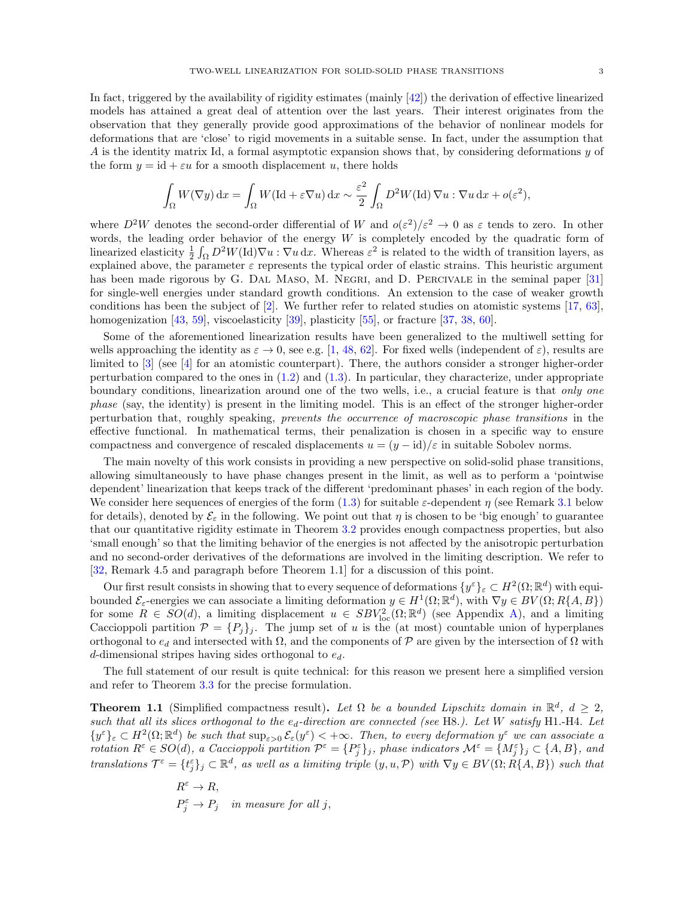In fact, triggered by the availability of rigidity estimates (mainly [\[42\]](#page-62-19)) the derivation of effective linearized models has attained a great deal of attention over the last years. Their interest originates from the observation that they generally provide good approximations of the behavior of nonlinear models for deformations that are 'close' to rigid movements in a suitable sense. In fact, under the assumption that A is the identity matrix Id, a formal asymptotic expansion shows that, by considering deformations  $y$  of the form  $y = id + \varepsilon u$  for a smooth displacement u, there holds

$$
\int_{\Omega} W(\nabla y) dx = \int_{\Omega} W(\mathrm{Id} + \varepsilon \nabla u) dx \sim \frac{\varepsilon^2}{2} \int_{\Omega} D^2 W(\mathrm{Id}) \nabla u : \nabla u dx + o(\varepsilon^2),
$$

where  $D^2W$  denotes the second-order differential of W and  $o(\varepsilon^2)/\varepsilon^2 \to 0$  as  $\varepsilon$  tends to zero. In other words, the leading order behavior of the energy  $W$  is completely encoded by the quadratic form of linearized elasticity  $\frac{1}{2} \int_{\Omega} D^2 W(\text{Id}) \nabla u$ :  $\nabla u \, dx$ . Whereas  $\varepsilon^2$  is related to the width of transition layers, as explained above, the parameter  $\varepsilon$  represents the typical order of elastic strains. This heuristic argument has been made rigorous by G. DAL MASO, M. NEGRI, and D. PERCIVALE in the seminal paper [\[31\]](#page-62-20) for single-well energies under standard growth conditions. An extension to the case of weaker growth conditions has been the subject of  $[2]$ . We further refer to related studies on atomistic systems  $[17, 63]$  $[17, 63]$ , homogenization [\[43,](#page-62-21) [59\]](#page-62-22), viscoelasticity [\[39\]](#page-62-23), plasticity [\[55\]](#page-62-24), or fracture [\[37,](#page-62-25) [38,](#page-62-26) [60\]](#page-63-6).

Some of the aforementioned linearization results have been generalized to the multiwell setting for wells approaching the identity as  $\varepsilon \to 0$ , see e.g. [\[1,](#page-61-16) [48,](#page-62-27) [62\]](#page-63-7). For fixed wells (independent of  $\varepsilon$ ), results are limited to [\[3\]](#page-61-17) (see [\[4\]](#page-61-18) for an atomistic counterpart). There, the authors consider a stronger higher-order perturbation compared to the ones in [\(1.2\)](#page-1-0) and [\(1.3\)](#page-1-1). In particular, they characterize, under appropriate boundary conditions, linearization around one of the two wells, i.e., a crucial feature is that *only one* phase (say, the identity) is present in the limiting model. This is an effect of the stronger higher-order perturbation that, roughly speaking, prevents the occurrence of macroscopic phase transitions in the effective functional. In mathematical terms, their penalization is chosen in a specific way to ensure compactness and convergence of rescaled displacements  $u = (y - \mathrm{id})/\varepsilon$  in suitable Sobolev norms.

The main novelty of this work consists in providing a new perspective on solid-solid phase transitions, allowing simultaneously to have phase changes present in the limit, as well as to perform a 'pointwise dependent' linearization that keeps track of the different 'predominant phases' in each region of the body. We consider here sequences of energies of the form  $(1.3)$  for suitable  $\varepsilon$ -dependent  $\eta$  (see Remark [3.1](#page-12-2) below for details), denoted by  $\mathcal{E}_{\varepsilon}$  in the following. We point out that  $\eta$  is chosen to be 'big enough' to guarantee that our quantitative rigidity estimate in Theorem [3.2](#page-12-1) provides enough compactness properties, but also 'small enough' so that the limiting behavior of the energies is not affected by the anisotropic perturbation and no second-order derivatives of the deformations are involved in the limiting description. We refer to [\[32,](#page-62-0) Remark 4.5 and paragraph before Theorem 1.1] for a discussion of this point.

Our first result consists in showing that to every sequence of deformations  $\{y^{\varepsilon}\}_{\varepsilon} \subset H^2(\Omega;\mathbb{R}^d)$  with equibounded  $\mathcal{E}_{\varepsilon}$ -energies we can associate a limiting deformation  $y \in H^1(\Omega;\mathbb{R}^d)$ , with  $\nabla y \in BV(\Omega; R\{A, B\})$ for some  $R \in SO(d)$ , a limiting displacement  $u \in SBV^2_{loc}(\Omega;\mathbb{R}^d)$  (see Appendix [A\)](#page-60-0), and a limiting Caccioppoli partition  $\mathcal{P} = \{P_j\}_j$ . The jump set of u is the (at most) countable union of hyperplanes orthogonal to  $e_d$  and intersected with  $\Omega$ , and the components of  $\mathcal P$  are given by the intersection of  $\Omega$  with d-dimensional stripes having sides orthogonal to  $e_d$ .

The full statement of our result is quite technical: for this reason we present here a simplified version and refer to Theorem [3.3](#page-14-0) for the precise formulation.

<span id="page-2-0"></span>**Theorem 1.1** (Simplified compactness result). Let  $\Omega$  be a bounded Lipschitz domain in  $\mathbb{R}^d$ ,  $d \geq 2$ , such that all its slices orthogonal to the  $e_d$ -direction are connected (see H8.). Let W satisfy H1.-H4. Let  $\{y^{\varepsilon}\}_{\varepsilon} \subset H^2(\Omega;\mathbb{R}^d)$  be such that  $\sup_{\varepsilon>0} \mathcal{E}_{\varepsilon}(y^{\varepsilon}) < +\infty$ . Then, to every deformation  $y^{\varepsilon}$  we can associate a rotation  $R^{\varepsilon} \in SO(d)$ , a Caccioppoli partition  $\mathcal{P}^{\varepsilon} = \{P_j^{\varepsilon}\}_j$ , phase indicators  $\mathcal{M}^{\varepsilon} = \{M_j^{\varepsilon}\}_j \subset \{A, B\}$ , and translations  $\mathcal{T}^{\varepsilon} = \{t_j^{\varepsilon}\}_j \subset \mathbb{R}^d$ , as well as a limiting triple  $(y, u, \mathcal{P})$  with  $\nabla y \in BV(\Omega; \check{R} \{A, B\})$  such that

$$
\begin{array}{l} R^\varepsilon\to R,\\ P_j^\varepsilon\to P_j\quad \textit{in measure for all $j$}, \end{array}
$$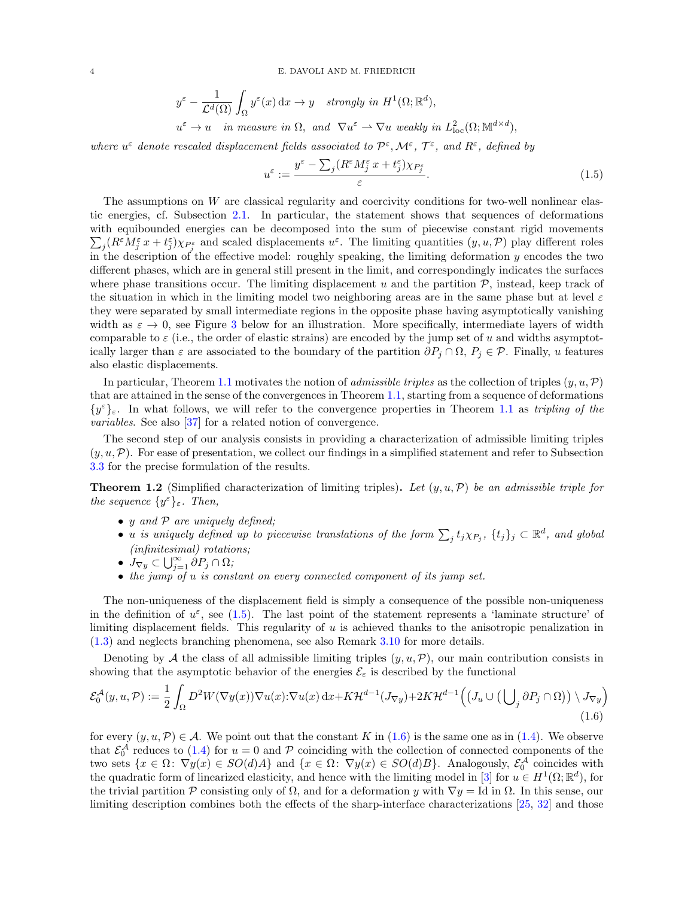4 E. DAVOLI AND M. FRIEDRICH

$$
y^{\varepsilon} - \frac{1}{\mathcal{L}^{d}(\Omega)} \int_{\Omega} y^{\varepsilon}(x) dx \to y \quad \text{strongly in } H^{1}(\Omega; \mathbb{R}^{d}),
$$
  

$$
u^{\varepsilon} \to u \quad \text{in measure in } \Omega, \text{ and } \nabla u^{\varepsilon} \to \nabla u \text{ weakly in } L^{2}_{\text{loc}}(\Omega; \mathbb{M}^{d \times d}),
$$

where  $u^{\varepsilon}$  denote rescaled displacement fields associated to  $\mathcal{P}^{\varepsilon}, \mathcal{M}^{\varepsilon}, \mathcal{T}^{\varepsilon}$ , and  $R^{\varepsilon}$ , defined by

<span id="page-3-0"></span>
$$
u^{\varepsilon} := \frac{y^{\varepsilon} - \sum_{j} (R^{\varepsilon} M^{\varepsilon}_{j} x + t^{\varepsilon}_{j}) \chi_{P^{\varepsilon}_{j}}}{\varepsilon}.
$$
\n(1.5)

The assumptions on  $W$  are classical regularity and coercivity conditions for two-well nonlinear elastic energies, cf. Subsection [2.1.](#page-5-0) In particular, the statement shows that sequences of deformations with equibounded energies can be decomposed into the sum of piecewise constant rigid movements  $\sum_j (R^{\varepsilon} M_j^{\varepsilon} x + t_j^{\varepsilon}) \chi_{P_j^{\varepsilon}}$  and scaled displacements  $u^{\varepsilon}$ . The limiting quantities  $(y, u, \mathcal{P})$  play different roles in the description of the effective model: roughly speaking, the limiting deformation y encodes the two different phases, which are in general still present in the limit, and correspondingly indicates the surfaces where phase transitions occur. The limiting displacement u and the partition  $P$ , instead, keep track of the situation in which in the limiting model two neighboring areas are in the same phase but at level  $\varepsilon$ they were separated by small intermediate regions in the opposite phase having asymptotically vanishing width as  $\varepsilon \to 0$ , see Figure [3](#page-18-0) below for an illustration. More specifically, intermediate layers of width comparable to  $\varepsilon$  (i.e., the order of elastic strains) are encoded by the jump set of u and widths asymptotically larger than  $\varepsilon$  are associated to the boundary of the partition  $\partial P_j \cap \Omega$ ,  $P_j \in \mathcal{P}$ . Finally, u features also elastic displacements.

In particular, Theorem [1.1](#page-2-0) motivates the notion of *admissible triples* as the collection of triples  $(y, u, \mathcal{P})$ that are attained in the sense of the convergences in Theorem [1.1,](#page-2-0) starting from a sequence of deformations  $\{y^{\varepsilon}\}_{\varepsilon}$ . In what follows, we will refer to the convergence properties in Theorem [1.1](#page-2-0) as tripling of the variables. See also [\[37\]](#page-62-25) for a related notion of convergence.

The second step of our analysis consists in providing a characterization of admissible limiting triples  $(y, u, \mathcal{P})$ . For ease of presentation, we collect our findings in a simplified statement and refer to Subsection [3.3](#page-16-0) for the precise formulation of the results.

<span id="page-3-2"></span>**Theorem 1.2** (Simplified characterization of limiting triples). Let  $(y, u, \mathcal{P})$  be an admissible triple for the sequence  $\{y^{\varepsilon}\}_{\varepsilon}$ . Then,

- $y$  and  $P$  are uniquely defined;
- u is uniquely defined up to piecewise translations of the form  $\sum_j t_j \chi_{P_j}$ ,  $\{t_j\}_j \subset \mathbb{R}^d$ , and global (infinitesimal) rotations;
- $\dot{J}_{\nabla y} \subset \bigcup_{j=1}^{\infty} \overline{\partial} P_j \cap \Omega;$
- <span id="page-3-1"></span>• the jump of u is constant on every connected component of its jump set.

The non-uniqueness of the displacement field is simply a consequence of the possible non-uniqueness in the definition of  $u^{\varepsilon}$ , see [\(1.5\)](#page-3-0). The last point of the statement represents a 'laminate structure' of limiting displacement fields. This regularity of u is achieved thanks to the anisotropic penalization in [\(1.3\)](#page-1-1) and neglects branching phenomena, see also Remark [3.10](#page-17-0) for more details.

Denoting by A the class of all admissible limiting triples  $(y, u, \mathcal{P})$ , our main contribution consists in showing that the asymptotic behavior of the energies  $\mathcal{E}_{\varepsilon}$  is described by the functional

$$
\mathcal{E}_0^{\mathcal{A}}(y, u, \mathcal{P}) := \frac{1}{2} \int_{\Omega} D^2 W(\nabla y(x)) \nabla u(x) \cdot \nabla u(x) \, dx + K \mathcal{H}^{d-1}(J_{\nabla y}) + 2K \mathcal{H}^{d-1} \Big( \big( J_u \cup \big( \bigcup_j \partial P_j \cap \Omega \big) \big) \setminus J_{\nabla y} \Big)
$$
\n(1.6)

for every  $(y, u, \mathcal{P}) \in \mathcal{A}$ . We point out that the constant K in [\(1.6\)](#page-3-1) is the same one as in [\(1.4\)](#page-1-2). We observe that  $\mathcal{E}_0^{\mathcal{A}}$  reduces to [\(1.4\)](#page-1-2) for  $u = 0$  and  $\mathcal{P}$  coinciding with the collection of connected components of the two sets  $\{x \in \Omega: \nabla y(x) \in SO(d)A\}$  and  $\{x \in \Omega: \nabla y(x) \in SO(d)B\}$ . Analogously,  $\mathcal{E}_0^{\mathcal{A}}$  coincides with the quadratic form of linearized elasticity, and hence with the limiting model in [\[3\]](#page-61-17) for  $u \in H^1(\Omega;\mathbb{R}^d)$ , for the trivial partition P consisting only of  $\Omega$ , and for a deformation y with  $\nabla y = \text{Id}$  in  $\Omega$ . In this sense, our limiting description combines both the effects of the sharp-interface characterizations [\[25,](#page-61-12) [32\]](#page-62-0) and those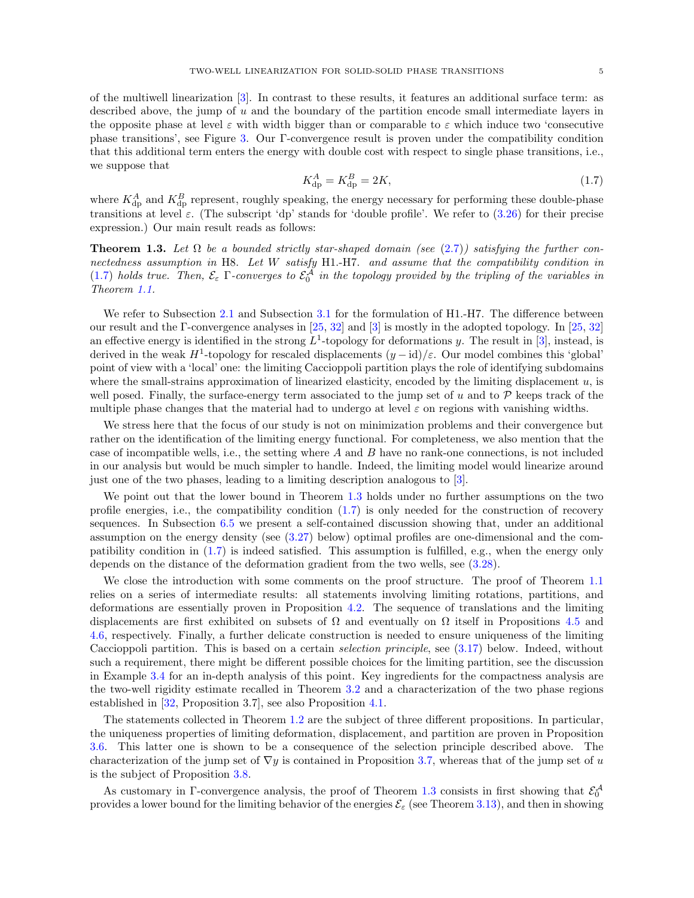of the multiwell linearization [\[3\]](#page-61-17). In contrast to these results, it features an additional surface term: as described above, the jump of  $u$  and the boundary of the partition encode small intermediate layers in the opposite phase at level  $\varepsilon$  with width bigger than or comparable to  $\varepsilon$  which induce two 'consecutive phase transitions', see Figure [3.](#page-18-0) Our Γ-convergence result is proven under the compatibility condition that this additional term enters the energy with double cost with respect to single phase transitions, i.e., we suppose that

<span id="page-4-0"></span>
$$
K_{\rm dp}^A = K_{\rm dp}^B = 2K,\tag{1.7}
$$

where  $K_{\text{dp}}^{A}$  and  $K_{\text{dp}}^{B}$  represent, roughly speaking, the energy necessary for performing these double-phase transitions at level  $\varepsilon$ . (The subscript 'dp' stands for 'double profile'. We refer to [\(3.26\)](#page-19-0) for their precise expression.) Our main result reads as follows:

<span id="page-4-1"></span>**Theorem 1.3.** Let  $\Omega$  be a bounded strictly star-shaped domain (see [\(2.7\)](#page-8-0)) satisfying the further connectedness assumption in H8. Let W satisfy H1.-H7. and assume that the compatibility condition in [\(1.7\)](#page-4-0) holds true. Then,  $\mathcal{E}_{\varepsilon}$   $\Gamma$ -converges to  $\mathcal{E}_{0}^{\mathcal{A}}$  in the topology provided by the tripling of the variables in Theorem [1.1.](#page-2-0)

We refer to Subsection [2.1](#page-5-0) and Subsection [3.1](#page-11-0) for the formulation of H1.-H7. The difference between our result and the Γ-convergence analyses in [\[25,](#page-61-12) [32\]](#page-62-0) and [\[3\]](#page-61-17) is mostly in the adopted topology. In [\[25,](#page-61-12) [32\]](#page-62-0) an effective energy is identified in the strong  $L^1$ -topology for deformations y. The result in [\[3\]](#page-61-17), instead, is derived in the weak  $H^1$ -topology for rescaled displacements  $(y - id)/\varepsilon$ . Our model combines this 'global' point of view with a 'local' one: the limiting Caccioppoli partition plays the role of identifying subdomains where the small-strains approximation of linearized elasticity, encoded by the limiting displacement  $u$ , is well posed. Finally, the surface-energy term associated to the jump set of u and to  $\mathcal P$  keeps track of the multiple phase changes that the material had to undergo at level  $\varepsilon$  on regions with vanishing widths.

We stress here that the focus of our study is not on minimization problems and their convergence but rather on the identification of the limiting energy functional. For completeness, we also mention that the case of incompatible wells, i.e., the setting where  $A$  and  $B$  have no rank-one connections, is not included in our analysis but would be much simpler to handle. Indeed, the limiting model would linearize around just one of the two phases, leading to a limiting description analogous to [\[3\]](#page-61-17).

We point out that the lower bound in Theorem [1.3](#page-4-1) holds under no further assumptions on the two profile energies, i.e., the compatibility condition [\(1.7\)](#page-4-0) is only needed for the construction of recovery sequences. In Subsection [6.5](#page-57-0) we present a self-contained discussion showing that, under an additional assumption on the energy density (see [\(3.27\)](#page-20-0) below) optimal profiles are one-dimensional and the compatibility condition in [\(1.7\)](#page-4-0) is indeed satisfied. This assumption is fulfilled, e.g., when the energy only depends on the distance of the deformation gradient from the two wells, see [\(3.28\)](#page-20-1).

We close the introduction with some comments on the proof structure. The proof of Theorem [1.1](#page-2-0) relies on a series of intermediate results: all statements involving limiting rotations, partitions, and deformations are essentially proven in Proposition [4.2.](#page-21-0) The sequence of translations and the limiting displacements are first exhibited on subsets of  $\Omega$  and eventually on  $\Omega$  itself in Propositions [4.5](#page-26-0) and [4.6,](#page-27-0) respectively. Finally, a further delicate construction is needed to ensure uniqueness of the limiting Caccioppoli partition. This is based on a certain selection principle, see [\(3.17\)](#page-14-1) below. Indeed, without such a requirement, there might be different possible choices for the limiting partition, see the discussion in Example [3.4](#page-15-0) for an in-depth analysis of this point. Key ingredients for the compactness analysis are the two-well rigidity estimate recalled in Theorem [3.2](#page-12-1) and a characterization of the two phase regions established in [\[32,](#page-62-0) Proposition 3.7], see also Proposition [4.1.](#page-21-1)

The statements collected in Theorem [1.2](#page-3-2) are the subject of three different propositions. In particular, the uniqueness properties of limiting deformation, displacement, and partition are proven in Proposition [3.6.](#page-16-1) This latter one is shown to be a consequence of the selection principle described above. The characterization of the jump set of  $\nabla y$  is contained in Proposition [3.7,](#page-17-1) whereas that of the jump set of u is the subject of Proposition [3.8.](#page-17-2)

As customary in Γ-convergence analysis, the proof of Theorem [1.3](#page-4-1) consists in first showing that  $\mathcal{E}_0^{\mathcal{A}}$ provides a lower bound for the limiting behavior of the energies  $\mathcal{E}_{\varepsilon}$  (see Theorem [3.13\)](#page-19-1), and then in showing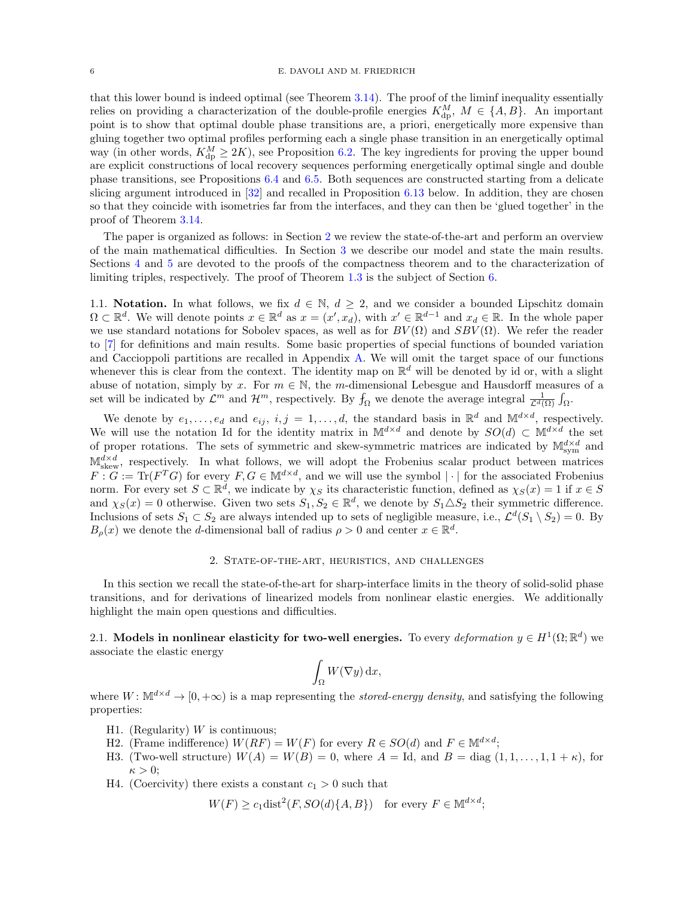#### 6 E. DAVOLI AND M. FRIEDRICH

that this lower bound is indeed optimal (see Theorem [3.14\)](#page-19-2). The proof of the liminf inequality essentially relies on providing a characterization of the double-profile energies  $K_{dp}^{M}$ ,  $M \in \{A, B\}$ . An important point is to show that optimal double phase transitions are, a priori, energetically more expensive than gluing together two optimal profiles performing each a single phase transition in an energetically optimal way (in other words,  $K_{dp}^M \ge 2K$ ), see Proposition [6.2.](#page-36-0) The key ingredients for proving the upper bound are explicit constructions of local recovery sequences performing energetically optimal single and double phase transitions, see Propositions [6.4](#page-40-0) and [6.5.](#page-41-0) Both sequences are constructed starting from a delicate slicing argument introduced in [\[32\]](#page-62-0) and recalled in Proposition [6.13](#page-54-0) below. In addition, they are chosen so that they coincide with isometries far from the interfaces, and they can then be 'glued together' in the proof of Theorem [3.14.](#page-19-2)

The paper is organized as follows: in Section [2](#page-5-1) we review the state-of-the-art and perform an overview of the main mathematical difficulties. In Section [3](#page-11-1) we describe our model and state the main results. Sections [4](#page-21-2) and [5](#page-31-0) are devoted to the proofs of the compactness theorem and to the characterization of limiting triples, respectively. The proof of Theorem [1.3](#page-4-1) is the subject of Section [6.](#page-35-0)

1.1. **Notation.** In what follows, we fix  $d \in \mathbb{N}$ ,  $d \geq 2$ , and we consider a bounded Lipschitz domain  $\Omega \subset \mathbb{R}^d$ . We will denote points  $x \in \mathbb{R}^d$  as  $x = (x', x_d)$ , with  $x' \in \mathbb{R}^{d-1}$  and  $x_d \in \mathbb{R}$ . In the whole paper we use standard notations for Sobolev spaces, as well as for  $BV(\Omega)$  and  $SBV(\Omega)$ . We refer the reader to [\[7\]](#page-61-19) for definitions and main results. Some basic properties of special functions of bounded variation and Caccioppoli partitions are recalled in Appendix [A.](#page-60-0) We will omit the target space of our functions whenever this is clear from the context. The identity map on  $\mathbb{R}^d$  will be denoted by id or, with a slight abuse of notation, simply by x. For  $m \in \mathbb{N}$ , the m-dimensional Lebesgue and Hausdorff measures of a set will be indicated by  $\mathcal{L}^m$  and  $\mathcal{H}^m$ , respectively. By  $f_{\Omega}$  we denote the average integral  $\frac{1}{\mathcal{L}^d(\Omega)} \int_{\Omega}$ .

We denote by  $e_1, \ldots, e_d$  and  $e_{ij}, i, j = 1, \ldots, d$ , the standard basis in  $\mathbb{R}^d$  and  $\mathbb{M}^{d \times d}$ , respectively. We will use the notation Id for the identity matrix in  $\mathbb{M}^{d\times d}$  and denote by  $SO(d) \subset \mathbb{M}^{d\times d}$  the set of proper rotations. The sets of symmetric and skew-symmetric matrices are indicated by  $\mathbb{M}^{d \times d}_{sym}$  and  $\mathbb{M}^{d \times d}_{\text{skew}}$ , respectively. In what follows, we will adopt the Frobenius scalar product between matrices  $F: G := \text{Tr}(F^T G)$  for every  $F, G \in M^{d \times d}$ , and we will use the symbol  $|\cdot|$  for the associated Frobenius norm. For every set  $S \subset \mathbb{R}^d$ , we indicate by  $\chi_S$  its characteristic function, defined as  $\chi_S(x) = 1$  if  $x \in S$ and  $\chi_S(x) = 0$  otherwise. Given two sets  $S_1, S_2 \in \mathbb{R}^d$ , we denote by  $S_1 \triangle S_2$  their symmetric difference. Inclusions of sets  $S_1 \subset S_2$  are always intended up to sets of negligible measure, i.e.,  $\mathcal{L}^d(S_1 \setminus S_2) = 0$ . By  $B_{\rho}(x)$  we denote the *d*-dimensional ball of radius  $\rho > 0$  and center  $x \in \mathbb{R}^d$ .

## 2. State-of-the-art, heuristics, and challenges

<span id="page-5-1"></span>In this section we recall the state-of-the-art for sharp-interface limits in the theory of solid-solid phase transitions, and for derivations of linearized models from nonlinear elastic energies. We additionally highlight the main open questions and difficulties.

<span id="page-5-0"></span>2.1. Models in nonlinear elasticity for two-well energies. To every deformation  $y \in H^1(\Omega; \mathbb{R}^d)$  we associate the elastic energy

$$
\int_{\Omega} W(\nabla y) \, \mathrm{d} x,
$$

where  $W: \mathbb{M}^{d \times d} \to [0, +\infty)$  is a map representing the *stored-energy density*, and satisfying the following properties:

- H1. (Regularity)  $W$  is continuous;
- H2. (Frame indifference)  $W(RF) = W(F)$  for every  $R \in SO(d)$  and  $F \in M^{d \times d}$ ;
- H3. (Two-well structure)  $W(A) = W(B) = 0$ , where  $A = Id$ , and  $B = diag(1, 1, \ldots, 1, 1 + \kappa)$ , for  $\kappa > 0$ ;
- H4. (Coercivity) there exists a constant  $c_1 > 0$  such that

$$
W(F) \ge c_1 \text{dist}^2(F, SO(d)\{A, B\}) \quad \text{for every } F \in \mathbb{M}^{d \times d};
$$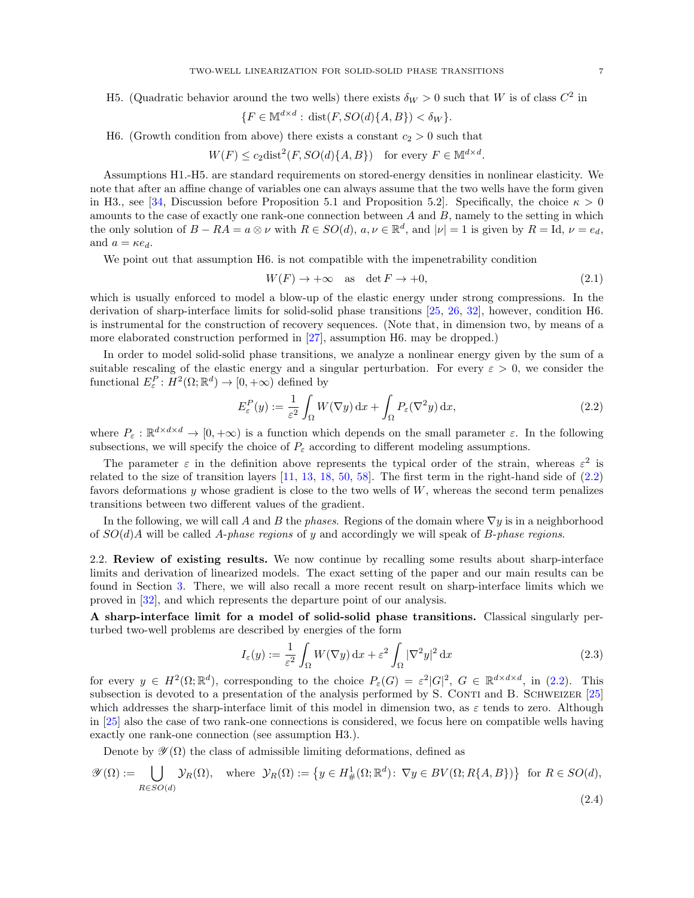H5. (Quadratic behavior around the two wells) there exists  $\delta_W > 0$  such that W is of class  $C^2$  in

$$
\{F \in \mathbb{M}^{d \times d} : \operatorname{dist}(F, SO(d)\{A, B\}) < \delta_W\}.
$$

H6. (Growth condition from above) there exists a constant  $c_2 > 0$  such that

$$
W(F) \le c_2 \text{dist}^2(F, SO(d)\{A, B\}) \quad \text{for every } F \in \mathbb{M}^{d \times d}.
$$

Assumptions H1.-H5. are standard requirements on stored-energy densities in nonlinear elasticity. We note that after an affine change of variables one can always assume that the two wells have the form given in H3., see [\[34,](#page-62-16) Discussion before Proposition 5.1 and Proposition 5.2]. Specifically, the choice  $\kappa > 0$ amounts to the case of exactly one rank-one connection between  $A$  and  $B$ , namely to the setting in which the only solution of  $B - RA = a \otimes \nu$  with  $R \in SO(d)$ ,  $a, \nu \in \mathbb{R}^d$ , and  $|\nu| = 1$  is given by  $R = Id$ ,  $\nu = e_d$ , and  $a = \kappa e_d$ .

We point out that assumption H6. is not compatible with the impenetrability condition

<span id="page-6-1"></span><span id="page-6-0"></span>
$$
W(F) \to +\infty \quad \text{as} \quad \det F \to +0,\tag{2.1}
$$

which is usually enforced to model a blow-up of the elastic energy under strong compressions. In the derivation of sharp-interface limits for solid-solid phase transitions [\[25,](#page-61-12) [26,](#page-61-11) [32\]](#page-62-0), however, condition H6. is instrumental for the construction of recovery sequences. (Note that, in dimension two, by means of a more elaborated construction performed in [\[27\]](#page-62-10), assumption H6. may be dropped.)

In order to model solid-solid phase transitions, we analyze a nonlinear energy given by the sum of a suitable rescaling of the elastic energy and a singular perturbation. For every  $\varepsilon > 0$ , we consider the functional  $E_{\varepsilon}^P: H^2(\Omega; \mathbb{R}^d) \to [0, +\infty)$  defined by

$$
E_{\varepsilon}^{P}(y) := \frac{1}{\varepsilon^{2}} \int_{\Omega} W(\nabla y) \, \mathrm{d}x + \int_{\Omega} P_{\varepsilon}(\nabla^{2} y) \, \mathrm{d}x, \tag{2.2}
$$

where  $P_{\varepsilon}: \mathbb{R}^{d \times d \times d} \to [0, +\infty)$  is a function which depends on the small parameter  $\varepsilon$ . In the following subsections, we will specify the choice of  $P_{\varepsilon}$  according to different modeling assumptions.

The parameter  $\varepsilon$  in the definition above represents the typical order of the strain, whereas  $\varepsilon^2$  is related to the size of transition layers [\[11,](#page-61-2) [13,](#page-61-3) [18,](#page-61-4) [50,](#page-62-1) [58\]](#page-62-2). The first term in the right-hand side of [\(2.2\)](#page-6-0) favors deformations y whose gradient is close to the two wells of  $W$ , whereas the second term penalizes transitions between two different values of the gradient.

In the following, we will call A and B the phases. Regions of the domain where  $\nabla y$  is in a neighborhood of  $SO(d)A$  will be called A-phase regions of y and accordingly we will speak of B-phase regions.

<span id="page-6-4"></span>2.2. Review of existing results. We now continue by recalling some results about sharp-interface limits and derivation of linearized models. The exact setting of the paper and our main results can be found in Section [3.](#page-11-1) There, we will also recall a more recent result on sharp-interface limits which we proved in [\[32\]](#page-62-0), and which represents the departure point of our analysis.

A sharp-interface limit for a model of solid-solid phase transitions. Classical singularly perturbed two-well problems are described by energies of the form

<span id="page-6-3"></span><span id="page-6-2"></span>
$$
I_{\varepsilon}(y) := \frac{1}{\varepsilon^2} \int_{\Omega} W(\nabla y) \, \mathrm{d}x + \varepsilon^2 \int_{\Omega} |\nabla^2 y|^2 \, \mathrm{d}x \tag{2.3}
$$

for every  $y \in H^2(\Omega;\mathbb{R}^d)$ , corresponding to the choice  $P_{\varepsilon}(G) = \varepsilon^2 |G|^2$ ,  $G \in \mathbb{R}^{d \times d \times d}$ , in [\(2.2\)](#page-6-0). This subsection is devoted to a presentation of the analysis performed by S. CONTI and B. SCHWEIZER  $[25]$ which addresses the sharp-interface limit of this model in dimension two, as  $\varepsilon$  tends to zero. Although in [\[25\]](#page-61-12) also the case of two rank-one connections is considered, we focus here on compatible wells having exactly one rank-one connection (see assumption H3.).

Denote by  $\mathscr{Y}(\Omega)$  the class of admissible limiting deformations, defined as

$$
\mathscr{Y}(\Omega) := \bigcup_{R \in SO(d)} \mathcal{Y}_R(\Omega), \quad \text{where} \quad \mathcal{Y}_R(\Omega) := \left\{ y \in H^1_{\#}(\Omega; \mathbb{R}^d) : \nabla y \in BV(\Omega; R\{A, B\}) \right\} \text{ for } R \in SO(d),
$$
\n(2.4)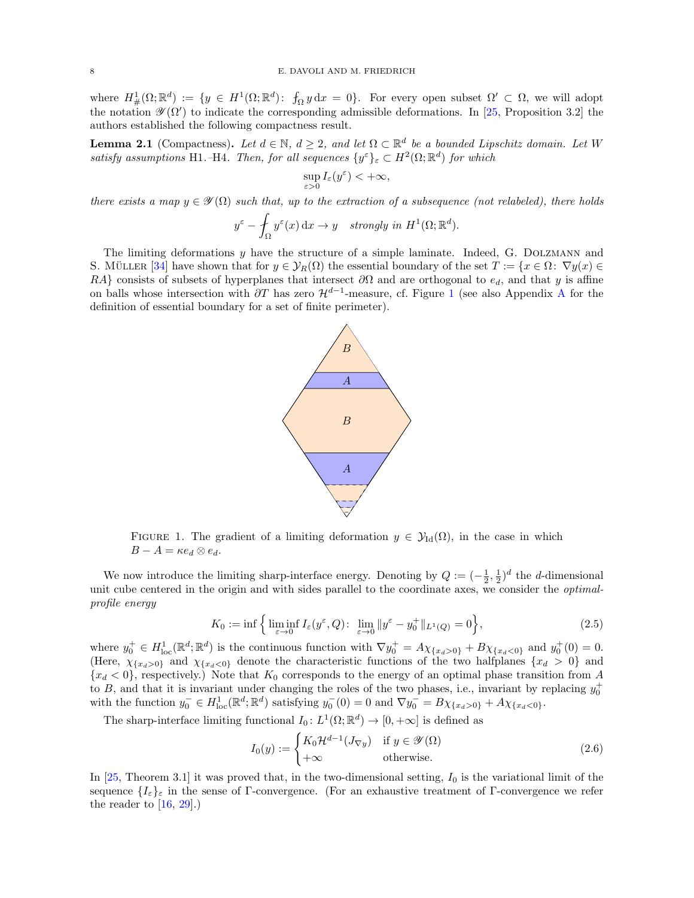where  $H^1_{\#}(\Omega;\mathbb{R}^d) := \{y \in H^1(\Omega;\mathbb{R}^d) : f_{\Omega} y \,dx = 0\}.$  For every open subset  $\Omega' \subset \Omega$ , we will adopt the notation  $\mathscr{Y}(\Omega')$  to indicate the corresponding admissible deformations. In [\[25,](#page-61-12) Proposition 3.2] the authors established the following compactness result.

<span id="page-7-1"></span>**Lemma 2.1** (Compactness). Let  $d \in \mathbb{N}$ ,  $d \geq 2$ , and let  $\Omega \subset \mathbb{R}^d$  be a bounded Lipschitz domain. Let W satisfy assumptions H1.–H4. Then, for all sequences  $\{y^{\varepsilon}\}_{\varepsilon} \subset H^2(\Omega;\mathbb{R}^d)$  for which

$$
\sup_{\varepsilon>0}I_{\varepsilon}(y^{\varepsilon})<+\infty,
$$

there exists a map  $y \in \mathscr{Y}(\Omega)$  such that, up to the extraction of a subsequence (not relabeled), there holds

$$
y^{\varepsilon} - \int_{\Omega} y^{\varepsilon}(x) dx \to y
$$
 strongly in  $H^1(\Omega; \mathbb{R}^d)$ .

<span id="page-7-0"></span>The limiting deformations y have the structure of a simple laminate. Indeed, G. DOLZMANN and S. MÜLLER [\[34\]](#page-62-16) have shown that for  $y \in \mathcal{Y}_R(\Omega)$  the essential boundary of the set  $T := \{x \in \Omega : \nabla y(x) \in \Omega\}$ RA} consists of subsets of hyperplanes that intersect  $\partial\Omega$  and are orthogonal to  $e_d$ , and that y is affine on balls whose intersection with  $\partial T$  has zero  $\mathcal{H}^{d-1}$  $\mathcal{H}^{d-1}$  $\mathcal{H}^{d-1}$ -measure, cf. Figure 1 (see also [A](#page-60-0)ppendix A for the definition of essential boundary for a set of finite perimeter).



FIGURE 1. The gradient of a limiting deformation  $y \in \mathcal{Y}_{\text{Id}}(\Omega)$ , in the case in which  $B - A = \kappa e_d \otimes e_d$ .

We now introduce the limiting sharp-interface energy. Denoting by  $Q := (-\frac{1}{2}, \frac{1}{2})^d$  the d-dimensional unit cube centered in the origin and with sides parallel to the coordinate axes, we consider the *optimal*profile energy

$$
K_0 := \inf \left\{ \liminf_{\varepsilon \to 0} I_{\varepsilon}(y^{\varepsilon}, Q) : \lim_{\varepsilon \to 0} \|y^{\varepsilon} - y_0^+\|_{L^1(Q)} = 0 \right\},\tag{2.5}
$$

where  $y_0^+ \in H^1_{loc}(\mathbb{R}^d; \mathbb{R}^d)$  is the continuous function with  $\nabla y_0^+ = A\chi_{\{x_d > 0\}} + B\chi_{\{x_d < 0\}}$  and  $y_0^+(0) = 0$ . (Here,  $\chi_{\{x_d>0\}}$  and  $\chi_{\{x_d<0\}}$  denote the characteristic functions of the two halfplanes  $\{x_d>0\}$  and  ${x_d < 0}$ , respectively.) Note that  $K_0$  corresponds to the energy of an optimal phase transition from A to B, and that it is invariant under changing the roles of the two phases, i.e., invariant by replacing  $y_0^+$  with the function  $y_0^- \in H^1_{\text{loc}}(\mathbb{R}^d; \mathbb{R}^d)$  satisfying  $y_0^-(0) = 0$  and  $\nabla y_0^- = B\chi_{\{x_d > 0\}} + A\chi_{$ 

The sharp-interface limiting functional  $I_0: L^1(\Omega; \mathbb{R}^d) \to [0, +\infty]$  is defined as

<span id="page-7-3"></span><span id="page-7-2"></span>
$$
I_0(y) := \begin{cases} K_0 \mathcal{H}^{d-1}(J_{\nabla y}) & \text{if } y \in \mathcal{Y}(\Omega) \\ +\infty & \text{otherwise.} \end{cases}
$$
 (2.6)

In [\[25,](#page-61-12) Theorem 3.1] it was proved that, in the two-dimensional setting,  $I_0$  is the variational limit of the sequence  $\{I_{\varepsilon}\}_{\varepsilon}$  in the sense of Γ-convergence. (For an exhaustive treatment of Γ-convergence we refer the reader to  $[16, 29]$  $[16, 29]$ .)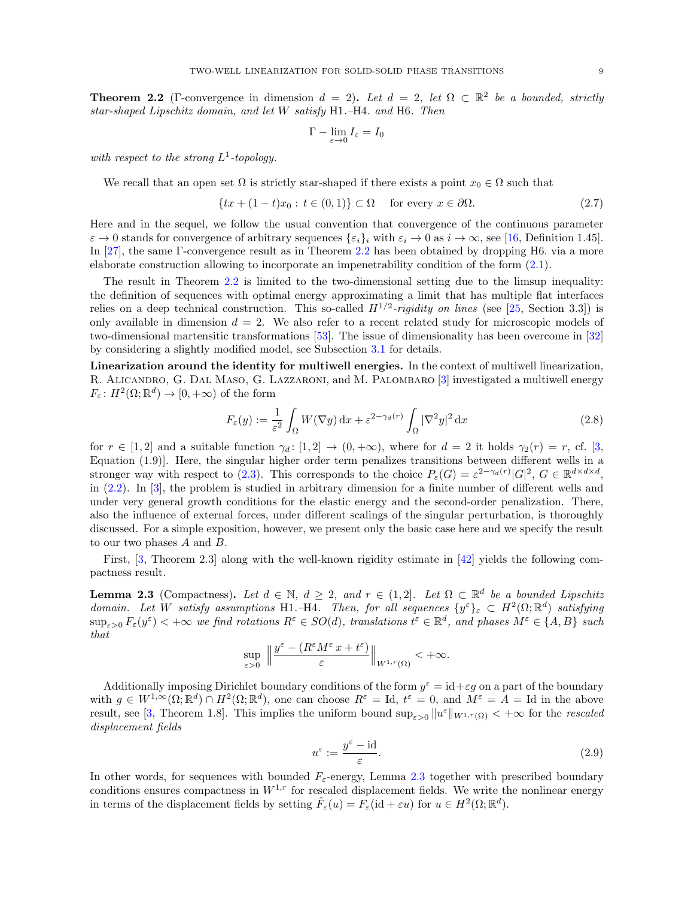<span id="page-8-1"></span>**Theorem 2.2** (Γ-convergence in dimension  $d = 2$ ). Let  $d = 2$ , let  $\Omega \subset \mathbb{R}^2$  be a bounded, strictly star-shaped Lipschitz domain, and let W satisfy H1.–H4. and H6. Then

<span id="page-8-0"></span>
$$
\Gamma-\lim_{\varepsilon\to 0}I_\varepsilon=I_0
$$

with respect to the strong  $L^1$ -topology.

We recall that an open set  $\Omega$  is strictly star-shaped if there exists a point  $x_0 \in \Omega$  such that

$$
\{tx + (1-t)x_0 : t \in (0,1)\} \subset \Omega \quad \text{for every } x \in \partial\Omega. \tag{2.7}
$$

Here and in the sequel, we follow the usual convention that convergence of the continuous parameter  $\varepsilon \to 0$  stands for convergence of arbitrary sequences  $\{\varepsilon_i\}_i$  with  $\varepsilon_i \to 0$  as  $i \to \infty$ , see [\[16,](#page-61-5) Definition 1.45]. In [\[27\]](#page-62-10), the same Γ-convergence result as in Theorem [2.2](#page-8-1) has been obtained by dropping H6. via a more elaborate construction allowing to incorporate an impenetrability condition of the form [\(2.1\)](#page-6-1).

The result in Theorem [2.2](#page-8-1) is limited to the two-dimensional setting due to the limsup inequality: the definition of sequences with optimal energy approximating a limit that has multiple flat interfaces relies on a deep technical construction. This so-called  $H^{1/2}$ -rigidity on lines (see [\[25,](#page-61-12) Section 3.3]) is only available in dimension  $d = 2$ . We also refer to a recent related study for microscopic models of two-dimensional martensitic transformations [\[53\]](#page-62-12). The issue of dimensionality has been overcome in [\[32\]](#page-62-0) by considering a slightly modified model, see Subsection [3.1](#page-11-0) for details.

Linearization around the identity for multiwell energies. In the context of multiwell linearization, R. ALICANDRO, G. DAL MASO, G. LAZZARONI, and M. PALOMBARO [\[3\]](#page-61-17) investigated a multiwell energy  $F_{\varepsilon}: H^2(\Omega; \mathbb{R}^d) \to [0, +\infty)$  of the form

<span id="page-8-3"></span>
$$
F_{\varepsilon}(y) := \frac{1}{\varepsilon^2} \int_{\Omega} W(\nabla y) \, \mathrm{d}x + \varepsilon^{2 - \gamma_d(r)} \int_{\Omega} |\nabla^2 y|^2 \, \mathrm{d}x \tag{2.8}
$$

for  $r \in [1,2]$  and a suitable function  $\gamma_d: [1,2] \to (0,+\infty)$ , where for  $d=2$  it holds  $\gamma_2(r) = r$ , cf. [\[3,](#page-61-17) Equation (1.9)]. Here, the singular higher order term penalizes transitions between different wells in a stronger way with respect to [\(2.3\)](#page-6-2). This corresponds to the choice  $P_{\varepsilon}(G) = \varepsilon^{2-\gamma_d(r)} |G|^2$ ,  $G \in \mathbb{R}^{d \times d \times d}$ , in [\(2.2\)](#page-6-0). In [\[3\]](#page-61-17), the problem is studied in arbitrary dimension for a finite number of different wells and under very general growth conditions for the elastic energy and the second-order penalization. There, also the influence of external forces, under different scalings of the singular perturbation, is thoroughly discussed. For a simple exposition, however, we present only the basic case here and we specify the result to our two phases  $A$  and  $B$ .

First, [\[3,](#page-61-17) Theorem 2.3] along with the well-known rigidity estimate in [\[42\]](#page-62-19) yields the following compactness result.

<span id="page-8-2"></span>**Lemma 2.3** (Compactness). Let  $d \in \mathbb{N}$ ,  $d \geq 2$ , and  $r \in (1, 2]$ . Let  $\Omega \subset \mathbb{R}^d$  be a bounded Lipschitz domain. Let W satisfy assumptions H1.–H4. Then, for all sequences  $\{y^{\varepsilon}\}_{\varepsilon} \subset H^2(\Omega;\mathbb{R}^d)$  satisfying  $\sup_{\varepsilon>0} F_{\varepsilon}(y^{\varepsilon}) < +\infty$  we find rotations  $R^{\varepsilon} \in SO(d)$ , translations  $t^{\varepsilon} \in \mathbb{R}^{d}$ , and phases  $M^{\varepsilon} \in \{A, B\}$  such that

$$
\sup_{\varepsilon>0}\ \Big\| \frac{y^\varepsilon- (R^\varepsilon M^\varepsilon \, x + t^\varepsilon)}{\varepsilon}\Big\|_{W^{1,r}(\Omega)} < +\infty.
$$

Additionally imposing Dirichlet boundary conditions of the form  $y^{\varepsilon} = id + \varepsilon g$  on a part of the boundary with  $g \in W^{1,\infty}(\Omega;\mathbb{R}^d) \cap H^2(\Omega;\mathbb{R}^d)$ , one can choose  $R^{\varepsilon} = \text{Id}, t^{\varepsilon} = 0$ , and  $M^{\varepsilon} = A = \text{Id}$  in the above result, see [\[3,](#page-61-17) Theorem 1.8]. This implies the uniform bound  $\sup_{\varepsilon>0} ||u^{\varepsilon}||_{W^{1,r}(\Omega)} < +\infty$  for the *rescaled* displacement fields

<span id="page-8-4"></span>
$$
u^{\varepsilon} := \frac{y^{\varepsilon} - \mathrm{id}}{\varepsilon}.\tag{2.9}
$$

In other words, for sequences with bounded  $F_{\varepsilon}$ -energy, Lemma [2.3](#page-8-2) together with prescribed boundary conditions ensures compactness in  $W^{1,r}$  for rescaled displacement fields. We write the nonlinear energy in terms of the displacement fields by setting  $\hat{F}_{\varepsilon}(u) = F_{\varepsilon}(\mathrm{id} + \varepsilon u)$  for  $u \in H^2(\Omega; \mathbb{R}^d)$ .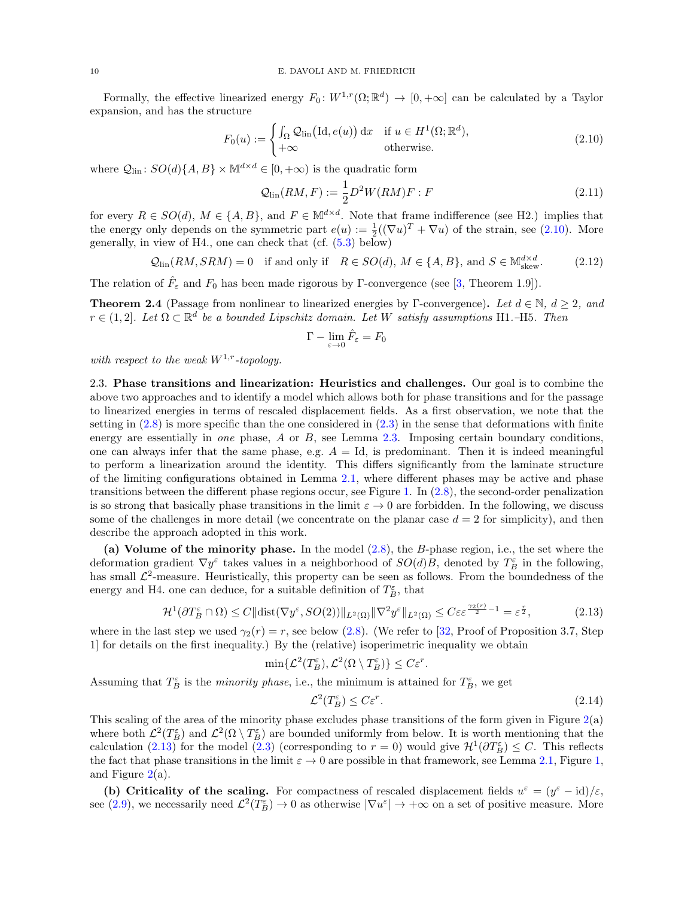Formally, the effective linearized energy  $F_0: W^{1,r}(\Omega;\mathbb{R}^d) \to [0,+\infty]$  can be calculated by a Taylor expansion, and has the structure

$$
F_0(u) := \begin{cases} \int_{\Omega} \mathcal{Q}_{\text{lin}}\big(\text{Id}, e(u)\big) \, \text{d}x & \text{if } u \in H^1(\Omega; \mathbb{R}^d), \\ +\infty & \text{otherwise.} \end{cases}
$$
\n
$$
(2.10)
$$

where  $\mathcal{Q}_{lin}$ :  $SO(d)\{A, B\} \times \mathbb{M}^{d \times d} \in [0, +\infty)$  is the quadratic form

<span id="page-9-4"></span><span id="page-9-0"></span>
$$
\mathcal{Q}_{\text{lin}}(RM, F) := \frac{1}{2} D^2 W(RM) F : F \tag{2.11}
$$

for every  $R \in SO(d)$ ,  $M \in \{A, B\}$ , and  $F \in M^{d \times d}$ . Note that frame indifference (see H2.) implies that the energy only depends on the symmetric part  $e(u) := \frac{1}{2}((\nabla u)^T + \nabla u)$  of the strain, see [\(2.10\)](#page-9-0). More generally, in view of H4., one can check that (cf. [\(5.3\)](#page-32-0) below)

$$
Q_{\text{lin}}(RM, SRM) = 0 \quad \text{if and only if} \quad R \in SO(d), M \in \{A, B\}, \text{ and } S \in \mathbb{M}^{d \times d}_{\text{skew}}.\tag{2.12}
$$

The relation of  $\hat{F}_{\varepsilon}$  and  $F_0$  has been made rigorous by Γ-convergence (see [\[3,](#page-61-17) Theorem 1.9]).

**Theorem 2.4** (Passage from nonlinear to linearized energies by Γ-convergence). Let  $d \in \mathbb{N}$ ,  $d \geq 2$ , and  $r \in (1,2]$ . Let  $\Omega \subset \mathbb{R}^d$  be a bounded Lipschitz domain. Let W satisfy assumptions H1.–H5. Then

<span id="page-9-5"></span>
$$
\Gamma-\lim_{\varepsilon\to 0}\hat{F}_\varepsilon=F_0
$$

with respect to the weak  $W^{1,r}$ -topology.

<span id="page-9-3"></span>2.3. Phase transitions and linearization: Heuristics and challenges. Our goal is to combine the above two approaches and to identify a model which allows both for phase transitions and for the passage to linearized energies in terms of rescaled displacement fields. As a first observation, we note that the setting in  $(2.8)$  is more specific than the one considered in  $(2.3)$  in the sense that deformations with finite energy are essentially in one phase,  $A$  or  $B$ , see Lemma [2.3.](#page-8-2) Imposing certain boundary conditions, one can always infer that the same phase, e.g.  $A = Id$ , is predominant. Then it is indeed meaningful to perform a linearization around the identity. This differs significantly from the laminate structure of the limiting configurations obtained in Lemma [2.1,](#page-7-1) where different phases may be active and phase transitions between the different phase regions occur, see Figure [1.](#page-7-0) In [\(2.8\)](#page-8-3), the second-order penalization is so strong that basically phase transitions in the limit  $\varepsilon \to 0$  are forbidden. In the following, we discuss some of the challenges in more detail (we concentrate on the planar case  $d = 2$  for simplicity), and then describe the approach adopted in this work.

(a) Volume of the minority phase. In the model  $(2.8)$ , the B-phase region, i.e., the set where the deformation gradient  $\nabla y^{\varepsilon}$  takes values in a neighborhood of  $SO(d)B$ , denoted by  $T^{\varepsilon}_B$  in the following, has small  $\mathcal{L}^2$ -measure. Heuristically, this property can be seen as follows. From the boundedness of the energy and H4. one can deduce, for a suitable definition of  $T_B^{\varepsilon}$ , that

$$
\mathcal{H}^1(\partial T_B^{\varepsilon} \cap \Omega) \le C \|\text{dist}(\nabla y^{\varepsilon}, SO(2))\|_{L^2(\Omega)} \|\nabla^2 y^{\varepsilon}\|_{L^2(\Omega)} \le C\varepsilon \varepsilon^{\frac{\gamma_2(r)}{2}-1} = \varepsilon^{\frac{r}{2}},\tag{2.13}
$$

where in the last step we used  $\gamma_2(r) = r$ , see below [\(2.8\)](#page-8-3). (We refer to [\[32,](#page-62-0) Proof of Proposition 3.7, Step 1] for details on the first inequality.) By the (relative) isoperimetric inequality we obtain

$$
\min\{\mathcal{L}^2(T_B^{\varepsilon}), \mathcal{L}^2(\Omega \setminus T_B^{\varepsilon})\} \le C\varepsilon^r.
$$

Assuming that  $T_B^{\varepsilon}$  is the *minority phase*, i.e., the minimum is attained for  $T_B^{\varepsilon}$ , we get

<span id="page-9-2"></span><span id="page-9-1"></span>
$$
\mathcal{L}^2(T_B^\varepsilon) \le C\varepsilon^r. \tag{2.14}
$$

This scaling of the area of the minority phase excludes phase transitions of the form given in Figure [2\(](#page-10-0)a) where both  $\mathcal{L}^2(T_B^{\varepsilon})$  and  $\mathcal{L}^2(\Omega \setminus T_B^{\varepsilon})$  are bounded uniformly from below. It is worth mentioning that the calculation [\(2.13\)](#page-9-1) for the model [\(2.3\)](#page-6-2) (corresponding to  $r = 0$ ) would give  $\mathcal{H}^1(\partial T_B^{\epsilon}) \leq C$ . This reflects the fact that phase transitions in the limit  $\varepsilon \to 0$  are possible in that framework, see Lemma [2.1,](#page-7-1) Figure [1,](#page-7-0) and Figure [2\(](#page-10-0)a).

(b) Criticality of the scaling. For compactness of rescaled displacement fields  $u^{\varepsilon} = (y^{\varepsilon} - id)/\varepsilon$ , see [\(2.9\)](#page-8-4), we necessarily need  $\mathcal{L}^2(T_B^{\varepsilon}) \to 0$  as otherwise  $|\nabla u^{\varepsilon}| \to +\infty$  on a set of positive measure. More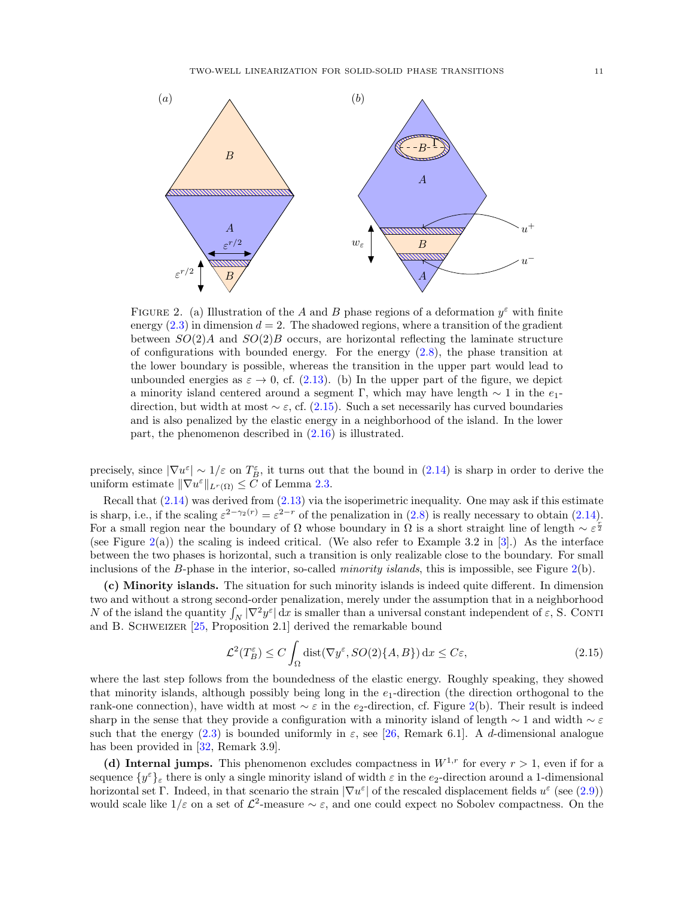<span id="page-10-0"></span>

FIGURE 2. (a) Illustration of the A and B phase regions of a deformation  $y^{\varepsilon}$  with finite energy  $(2.3)$  in dimension  $d = 2$ . The shadowed regions, where a transition of the gradient between  $SO(2)A$  and  $SO(2)B$  occurs, are horizontal reflecting the laminate structure of configurations with bounded energy. For the energy  $(2.8)$ , the phase transition at the lower boundary is possible, whereas the transition in the upper part would lead to unbounded energies as  $\varepsilon \to 0$ , cf. [\(2.13\)](#page-9-1). (b) In the upper part of the figure, we depict a minority island centered around a segment Γ, which may have length  $\sim 1$  in the  $e_1$ direction, but width at most  $\sim \varepsilon$ , cf. [\(2.15\)](#page-10-1). Such a set necessarily has curved boundaries and is also penalized by the elastic energy in a neighborhood of the island. In the lower part, the phenomenon described in [\(2.16\)](#page-11-2) is illustrated.

precisely, since  $|\nabla u^{\varepsilon}| \sim 1/\varepsilon$  on  $T_B^{\varepsilon}$ , it turns out that the bound in  $(2.14)$  is sharp in order to derive the uniform estimate  $\|\nabla u^{\varepsilon}\|_{L^r(\Omega)} \leq C$  of Lemma [2.3.](#page-8-2)

Recall that [\(2.14\)](#page-9-2) was derived from [\(2.13\)](#page-9-1) via the isoperimetric inequality. One may ask if this estimate is sharp, i.e., if the scaling  $\varepsilon^{2-\gamma_2(r)} = \varepsilon^{2-r}$  of the penalization in  $(2.8)$  is really necessary to obtain  $(2.14)$ . For a small region near the boundary of  $\Omega$  whose boundary in  $\Omega$  is a short straight line of length  $\sim \varepsilon^{\frac{r}{2}}$ (see Figure  $2(a)$  $2(a)$ ) the scaling is indeed critical. (We also refer to Example 3.2 in [\[3\]](#page-61-17).) As the interface between the two phases is horizontal, such a transition is only realizable close to the boundary. For small inclusions of the B-phase in the interior, so-called *minority islands*, this is impossible, see Figure  $2(b)$  $2(b)$ .

(c) Minority islands. The situation for such minority islands is indeed quite different. In dimension two and without a strong second-order penalization, merely under the assumption that in a neighborhood N of the island the quantity  $\int_N |\nabla^2 y^{\varepsilon}| dx$  is smaller than a universal constant independent of  $\varepsilon$ , S. CONTI and B. SCHWEIZER [\[25,](#page-61-12) Proposition 2.1] derived the remarkable bound

<span id="page-10-1"></span>
$$
\mathcal{L}^2(T_B^\varepsilon) \le C \int_{\Omega} \text{dist}(\nabla y^\varepsilon, SO(2)\{A, B\}) \, dx \le C\varepsilon,\tag{2.15}
$$

where the last step follows from the boundedness of the elastic energy. Roughly speaking, they showed that minority islands, although possibly being long in the  $e_1$ -direction (the direction orthogonal to the rank-one connection), have width at most  $\sim \varepsilon$  in the e<sub>2</sub>-direction, cf. Figure [2\(](#page-10-0)b). Their result is indeed sharp in the sense that they provide a configuration with a minority island of length  $\sim 1$  and width  $\sim \varepsilon$ such that the energy [\(2.3\)](#page-6-2) is bounded uniformly in  $\varepsilon$ , see [\[26,](#page-61-11) Remark 6.1]. A d-dimensional analogue has been provided in [\[32,](#page-62-0) Remark 3.9].

(d) Internal jumps. This phenomenon excludes compactness in  $W^{1,r}$  for every  $r > 1$ , even if for a sequence  $\{y^{\varepsilon}\}_{\varepsilon}$  there is only a single minority island of width  $\varepsilon$  in the  $e_2$ -direction around a 1-dimensional horizontal set Γ. Indeed, in that scenario the strain  $|\nabla u^{\varepsilon}|$  of the rescaled displacement fields  $u^{\varepsilon}$  (see [\(2.9\)](#page-8-4)) would scale like  $1/\varepsilon$  on a set of  $\mathcal{L}^2$ -measure  $\sim \varepsilon$ , and one could expect no Sobolev compactness. On the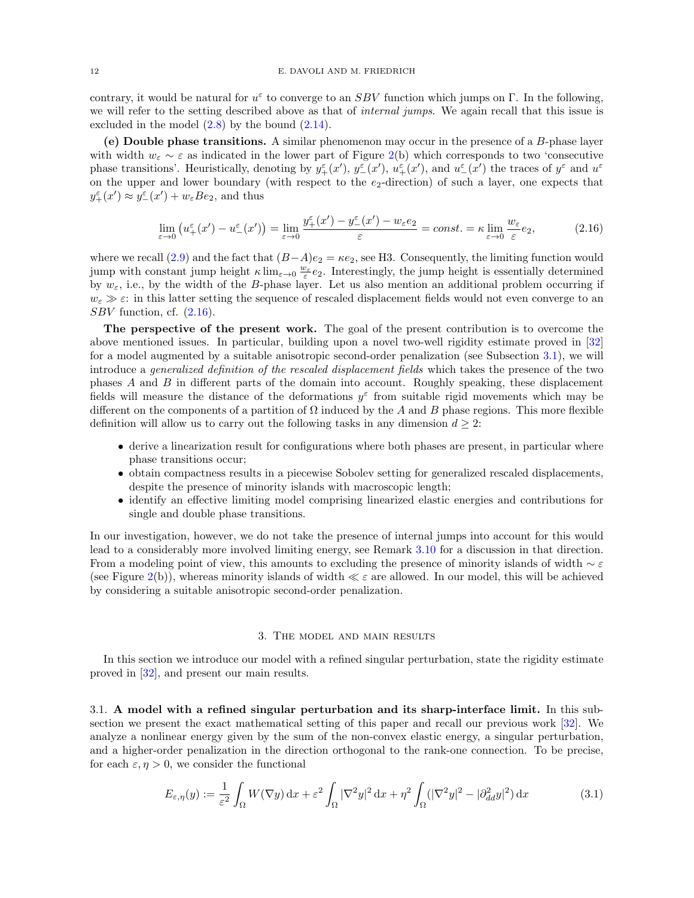contrary, it would be natural for  $u^{\varepsilon}$  to converge to an SBV function which jumps on  $\Gamma$ . In the following, we will refer to the setting described above as that of *internal jumps*. We again recall that this issue is excluded in the model  $(2.8)$  by the bound  $(2.14)$ .

(e) Double phase transitions. A similar phenomenon may occur in the presence of a B-phase layer with width  $w_{\varepsilon} \sim \varepsilon$  as indicated in the lower part of Figure [2\(](#page-10-0)b) which corresponds to two 'consecutive phase transitions'. Heuristically, denoting by  $y^{\varepsilon}_+(x')$ ,  $y^{\varepsilon}_-(x')$ ,  $u^{\varepsilon}_+(x')$ , and  $u^{\varepsilon}_-(x')$  the traces of  $y^{\varepsilon}$  and  $u^{\varepsilon}$ on the upper and lower boundary (with respect to the  $e_2$ -direction) of such a layer, one expects that  $y_{+}^{\varepsilon}(x') \approx y_{-}^{\varepsilon}(x') + w_{\varepsilon}Be_2$ , and thus

<span id="page-11-2"></span>
$$
\lim_{\varepsilon \to 0} \left( u_+^{\varepsilon}(x') - u_-^{\varepsilon}(x') \right) = \lim_{\varepsilon \to 0} \frac{y_+^{\varepsilon}(x') - y_-^{\varepsilon}(x') - w_{\varepsilon} e_2}{\varepsilon} = const. = \kappa \lim_{\varepsilon \to 0} \frac{w_{\varepsilon}}{\varepsilon} e_2,
$$
\n(2.16)

where we recall [\(2.9\)](#page-8-4) and the fact that  $(B-A)e_2 = \kappa e_2$ , see H3. Consequently, the limiting function would jump with constant jump height  $\kappa \lim_{\varepsilon \to 0} \frac{w_{\varepsilon}}{\varepsilon} e_2$ . Interestingly, the jump height is essentially determined by  $w_{\varepsilon}$ , i.e., by the width of the B-phase layer. Let us also mention an additional problem occurring if  $w_{\varepsilon} \gg \varepsilon$ : in this latter setting the sequence of rescaled displacement fields would not even converge to an  $SBV$  function, cf.  $(2.16)$ .

The perspective of the present work. The goal of the present contribution is to overcome the above mentioned issues. In particular, building upon a novel two-well rigidity estimate proved in [\[32\]](#page-62-0) for a model augmented by a suitable anisotropic second-order penalization (see Subsection [3.1\)](#page-11-0), we will introduce a generalized definition of the rescaled displacement fields which takes the presence of the two phases A and B in different parts of the domain into account. Roughly speaking, these displacement fields will measure the distance of the deformations  $y^{\varepsilon}$  from suitable rigid movements which may be different on the components of a partition of  $\Omega$  induced by the A and B phase regions. This more flexible definition will allow us to carry out the following tasks in any dimension  $d \geq 2$ :

- derive a linearization result for configurations where both phases are present, in particular where phase transitions occur;
- obtain compactness results in a piecewise Sobolev setting for generalized rescaled displacements, despite the presence of minority islands with macroscopic length;
- identify an effective limiting model comprising linearized elastic energies and contributions for single and double phase transitions.

In our investigation, however, we do not take the presence of internal jumps into account for this would lead to a considerably more involved limiting energy, see Remark [3.10](#page-17-0) for a discussion in that direction. From a modeling point of view, this amounts to excluding the presence of minority islands of width  $\sim \varepsilon$ (see Figure [2\(](#page-10-0)b)), whereas minority islands of width  $\ll \varepsilon$  are allowed. In our model, this will be achieved by considering a suitable anisotropic second-order penalization.

### <span id="page-11-3"></span>3. The model and main results

<span id="page-11-1"></span>In this section we introduce our model with a refined singular perturbation, state the rigidity estimate proved in [\[32\]](#page-62-0), and present our main results.

<span id="page-11-0"></span>3.1. A model with a refined singular perturbation and its sharp-interface limit. In this subsection we present the exact mathematical setting of this paper and recall our previous work [\[32\]](#page-62-0). We analyze a nonlinear energy given by the sum of the non-convex elastic energy, a singular perturbation, and a higher-order penalization in the direction orthogonal to the rank-one connection. To be precise, for each  $\varepsilon$ ,  $\eta > 0$ , we consider the functional

$$
E_{\varepsilon,\eta}(y) := \frac{1}{\varepsilon^2} \int_{\Omega} W(\nabla y) \, \mathrm{d}x + \varepsilon^2 \int_{\Omega} |\nabla^2 y|^2 \, \mathrm{d}x + \eta^2 \int_{\Omega} (|\nabla^2 y|^2 - |\partial^2_{dd} y|^2) \, \mathrm{d}x \tag{3.1}
$$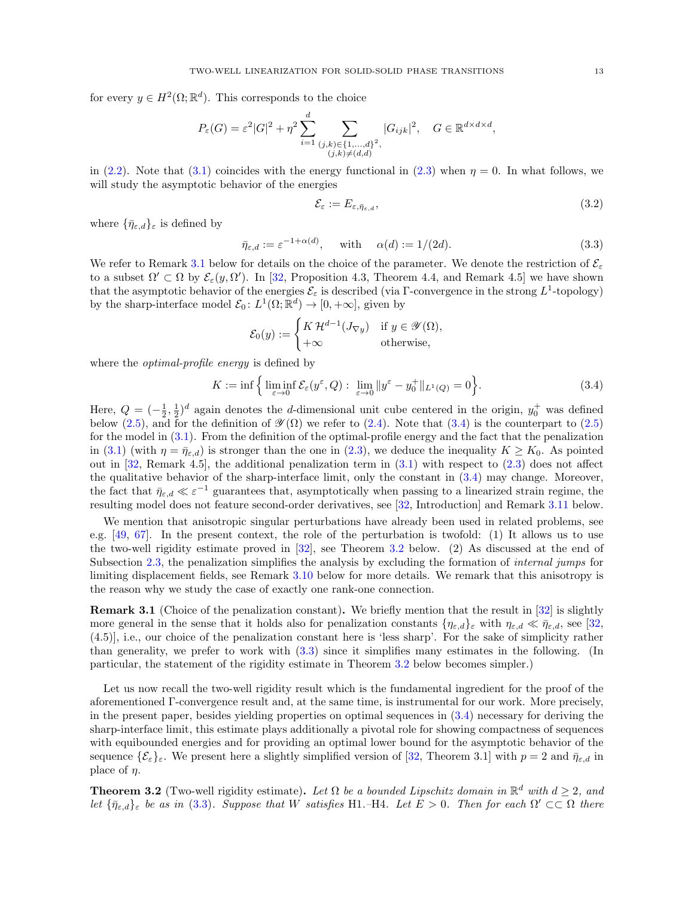for every  $y \in H^2(\Omega; \mathbb{R}^d)$ . This corresponds to the choice

$$
P_{\varepsilon}(G) = \varepsilon^2 |G|^2 + \eta^2 \sum_{i=1}^d \sum_{\substack{(j,k)\in\{1,\ldots,d\}^2,\\(j,k)\neq (d,d)}} |G_{ijk}|^2, \quad G \in \mathbb{R}^{d \times d \times d},
$$

in [\(2.2\)](#page-6-0). Note that [\(3.1\)](#page-11-3) coincides with the energy functional in [\(2.3\)](#page-6-2) when  $\eta = 0$ . In what follows, we will study the asymptotic behavior of the energies

<span id="page-12-4"></span><span id="page-12-0"></span>
$$
\mathcal{E}_{\varepsilon} := E_{\varepsilon, \bar{\eta}_{\varepsilon,d}},\tag{3.2}
$$

where  $\{\bar{\eta}_{\varepsilon,d}\}_\varepsilon$  is defined by

<span id="page-12-3"></span>
$$
\bar{\eta}_{\varepsilon,d} := \varepsilon^{-1+\alpha(d)}, \quad \text{with} \quad \alpha(d) := 1/(2d). \tag{3.3}
$$

We refer to Remark [3.1](#page-12-2) below for details on the choice of the parameter. We denote the restriction of  $\mathcal{E}_{\varepsilon}$ to a subset  $\Omega' \subset \Omega$  by  $\mathcal{E}_{\varepsilon}(y, \Omega')$ . In [\[32,](#page-62-0) Proposition 4.3, Theorem 4.4, and Remark 4.5] we have shown that the asymptotic behavior of the energies  $\mathcal{E}_{\varepsilon}$  is described (via Γ-convergence in the strong  $L^1$ -topology) by the sharp-interface model  $\mathcal{E}_0: L^1(\Omega;\mathbb{R}^d) \to [0, +\infty]$ , given by

$$
\mathcal{E}_0(y) := \begin{cases} K \mathcal{H}^{d-1}(J_{\nabla y}) & \text{if } y \in \mathcal{Y}(\Omega), \\ +\infty & \text{otherwise,} \end{cases}
$$

where the *optimal-profile energy* is defined by

$$
K := \inf \left\{ \liminf_{\varepsilon \to 0} \mathcal{E}_{\varepsilon}(y^{\varepsilon}, Q) : \lim_{\varepsilon \to 0} ||y^{\varepsilon} - y_0^+||_{L^1(Q)} = 0 \right\}.
$$
 (3.4)

Here,  $Q = \left(-\frac{1}{2}, \frac{1}{2}\right)^d$  again denotes the d-dimensional unit cube centered in the origin,  $y_0^+$  was defined below [\(2.5\)](#page-7-2), and for the definition of  $\mathscr{Y}(\Omega)$  we refer to [\(2.4\)](#page-6-3). Note that [\(3.4\)](#page-12-0) is the counterpart to (2.5) for the model in [\(3.1\)](#page-11-3). From the definition of the optimal-profile energy and the fact that the penalization in [\(3.1\)](#page-11-3) (with  $\eta = \bar{\eta}_{\varepsilon,d}$ ) is stronger than the one in [\(2.3\)](#page-6-2), we deduce the inequality  $K \geq K_0$ . As pointed out in  $[32,$  Remark 4.5], the additional penalization term in  $(3.1)$  with respect to  $(2.3)$  does not affect the qualitative behavior of the sharp-interface limit, only the constant in [\(3.4\)](#page-12-0) may change. Moreover, the fact that  $\bar{\eta}_{\varepsilon,d} \ll \varepsilon^{-1}$  guarantees that, asymptotically when passing to a linearized strain regime, the resulting model does not feature second-order derivatives, see [\[32,](#page-62-0) Introduction] and Remark [3.11](#page-19-3) below.

We mention that anisotropic singular perturbations have already been used in related problems, see e.g. [\[49,](#page-62-15) [67\]](#page-63-4). In the present context, the role of the perturbation is twofold: (1) It allows us to use the two-well rigidity estimate proved in [\[32\]](#page-62-0), see Theorem [3.2](#page-12-1) below. (2) As discussed at the end of Subsection [2.3,](#page-9-3) the penalization simplifies the analysis by excluding the formation of *internal jumps* for limiting displacement fields, see Remark [3.10](#page-17-0) below for more details. We remark that this anisotropy is the reason why we study the case of exactly one rank-one connection.

<span id="page-12-2"></span>**Remark 3.1** (Choice of the penalization constant). We briefly mention that the result in [\[32\]](#page-62-0) is slightly more general in the sense that it holds also for penalization constants  $\{\eta_{\varepsilon,d}\}_\varepsilon$  with  $\eta_{\varepsilon,d} \ll \bar{\eta}_{\varepsilon,d}$ , see [\[32,](#page-62-0) (4.5)], i.e., our choice of the penalization constant here is 'less sharp'. For the sake of simplicity rather than generality, we prefer to work with [\(3.3\)](#page-12-3) since it simplifies many estimates in the following. (In particular, the statement of the rigidity estimate in Theorem [3.2](#page-12-1) below becomes simpler.)

Let us now recall the two-well rigidity result which is the fundamental ingredient for the proof of the aforementioned Γ-convergence result and, at the same time, is instrumental for our work. More precisely, in the present paper, besides yielding properties on optimal sequences in [\(3.4\)](#page-12-0) necessary for deriving the sharp-interface limit, this estimate plays additionally a pivotal role for showing compactness of sequences with equibounded energies and for providing an optimal lower bound for the asymptotic behavior of the sequence  $\{\mathcal{E}_{\varepsilon}\}_{\varepsilon}$ . We present here a slightly simplified version of [\[32,](#page-62-0) Theorem 3.1] with  $p = 2$  and  $\bar{\eta}_{\varepsilon,d}$  in place of  $\eta$ .

<span id="page-12-1"></span>**Theorem 3.2** (Two-well rigidity estimate). Let  $\Omega$  be a bounded Lipschitz domain in  $\mathbb{R}^d$  with  $d \geq 2$ , and let  ${\{\bar{\eta}_{\varepsilon,d}\}_{\varepsilon}}$  be as in [\(3.3\)](#page-12-3). Suppose that W satisfies H1.–H4. Let  $E > 0$ . Then for each  $\Omega' \subset\subset \Omega$  there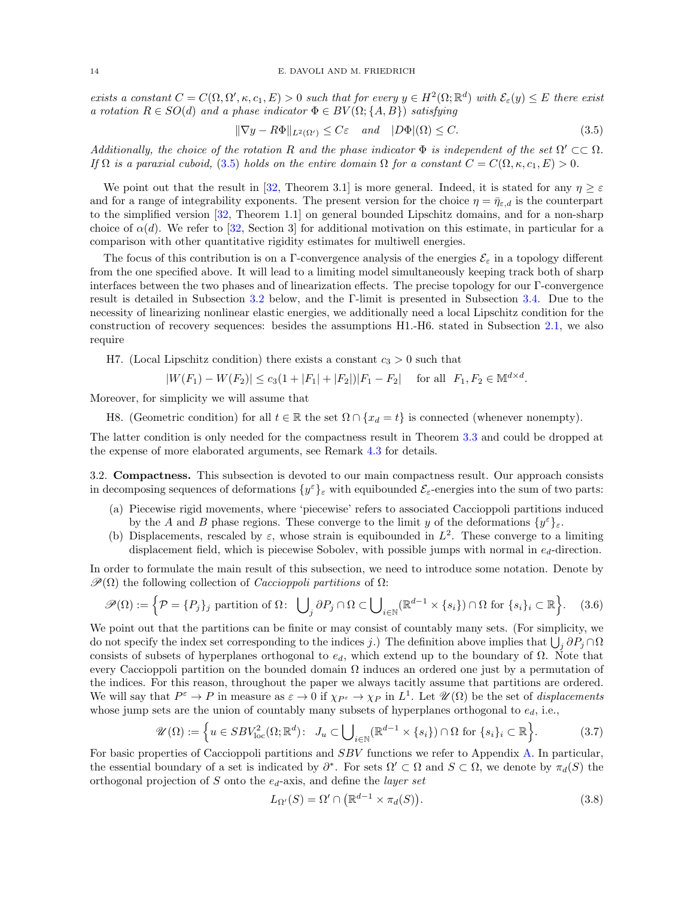exists a constant  $C = C(\Omega, \Omega', \kappa, c_1, E) > 0$  such that for every  $y \in H^2(\Omega; \mathbb{R}^d)$  with  $\mathcal{E}_{\varepsilon}(y) \leq E$  there exist a rotation  $R \in SO(d)$  and a phase indicator  $\Phi \in BV(\Omega; \{A, B\})$  satisfying

<span id="page-13-0"></span>
$$
\|\nabla y - R\Phi\|_{L^2(\Omega')} \le C\varepsilon \quad \text{and} \quad |D\Phi|(\Omega) \le C. \tag{3.5}
$$

Additionally, the choice of the rotation R and the phase indicator  $\Phi$  is independent of the set  $\Omega' \subset\subset \Omega$ . If  $\Omega$  is a paraxial cuboid, [\(3.5\)](#page-13-0) holds on the entire domain  $\Omega$  for a constant  $C = C(\Omega, \kappa, c_1, E) > 0$ .

We point out that the result in [\[32,](#page-62-0) Theorem 3.1] is more general. Indeed, it is stated for any  $\eta \geq \varepsilon$ and for a range of integrability exponents. The present version for the choice  $\eta = \bar{\eta}_{\varepsilon,d}$  is the counterpart to the simplified version [\[32,](#page-62-0) Theorem 1.1] on general bounded Lipschitz domains, and for a non-sharp choice of  $\alpha(d)$ . We refer to [\[32,](#page-62-0) Section 3] for additional motivation on this estimate, in particular for a comparison with other quantitative rigidity estimates for multiwell energies.

The focus of this contribution is on a Γ-convergence analysis of the energies  $\mathcal{E}_{\varepsilon}$  in a topology different from the one specified above. It will lead to a limiting model simultaneously keeping track both of sharp interfaces between the two phases and of linearization effects. The precise topology for our Γ-convergence result is detailed in Subsection [3.2](#page-13-1) below, and the Γ-limit is presented in Subsection [3.4.](#page-18-1) Due to the necessity of linearizing nonlinear elastic energies, we additionally need a local Lipschitz condition for the construction of recovery sequences: besides the assumptions H1.-H6. stated in Subsection [2.1,](#page-5-0) we also require

H7. (Local Lipschitz condition) there exists a constant  $c_3 > 0$  such that

$$
|W(F_1) - W(F_2)| \le c_3(1 + |F_1| + |F_2|)|F_1 - F_2| \quad \text{for all} \ \ F_1, F_2 \in \mathbb{M}^{d \times d}.
$$

Moreover, for simplicity we will assume that

H8. (Geometric condition) for all  $t \in \mathbb{R}$  the set  $\Omega \cap \{x_d = t\}$  is connected (whenever nonempty).

The latter condition is only needed for the compactness result in Theorem [3.3](#page-14-0) and could be dropped at the expense of more elaborated arguments, see Remark [4.3](#page-25-0) for details.

<span id="page-13-1"></span>3.2. Compactness. This subsection is devoted to our main compactness result. Our approach consists in decomposing sequences of deformations  $\{y^{\varepsilon}\}_{\varepsilon}$  with equibounded  $\mathcal{E}_{\varepsilon}$ -energies into the sum of two parts:

- (a) Piecewise rigid movements, where 'piecewise' refers to associated Caccioppoli partitions induced by the A and B phase regions. These converge to the limit y of the deformations  $\{y^{\varepsilon}\}_{\varepsilon}$ .
- (b) Displacements, rescaled by  $\varepsilon$ , whose strain is equibounded in  $L^2$ . These converge to a limiting displacement field, which is piecewise Sobolev, with possible jumps with normal in  $e_d$ -direction.

In order to formulate the main result of this subsection, we need to introduce some notation. Denote by  $\mathscr{P}(\Omega)$  the following collection of *Caccioppoli partitions* of  $\Omega$ :

$$
\mathscr{P}(\Omega) := \left\{ \mathcal{P} = \{P_j\}_j \text{ partition of } \Omega \colon \bigcup_j \partial P_j \cap \Omega \subset \bigcup_{i \in \mathbb{N}} (\mathbb{R}^{d-1} \times \{s_i\}) \cap \Omega \text{ for } \{s_i\}_i \subset \mathbb{R} \right\}. \tag{3.6}
$$

We point out that the partitions can be finite or may consist of countably many sets. (For simplicity, we do not specify the index set corresponding to the indices j.) The definition above implies that  $\bigcup_j \partial P_j \cap \Omega$ consists of subsets of hyperplanes orthogonal to  $e_d$ , which extend up to the boundary of  $\Omega$ . Note that every Caccioppoli partition on the bounded domain  $\Omega$  induces an ordered one just by a permutation of the indices. For this reason, throughout the paper we always tacitly assume that partitions are ordered. We will say that  $P^{\varepsilon} \to P$  in measure as  $\varepsilon \to 0$  if  $\chi_{P^{\varepsilon}} \to \chi_P$  in  $L^1$ . Let  $\mathscr{U}(\Omega)$  be the set of *displacements* whose jump sets are the union of countably many subsets of hyperplanes orthogonal to  $e_d$ , i.e.,

$$
\mathscr{U}(\Omega) := \left\{ u \in SBV_{\text{loc}}^2(\Omega; \mathbb{R}^d) \colon J_u \subset \bigcup_{i \in \mathbb{N}} (\mathbb{R}^{d-1} \times \{s_i\}) \cap \Omega \text{ for } \{s_i\}_i \subset \mathbb{R} \right\}.
$$
 (3.7)

For basic properties of Caccioppoli partitions and SBV functions we refer to Appendix [A.](#page-60-0) In particular, the essential boundary of a set is indicated by  $\partial^*$ . For sets  $\Omega' \subset \Omega$  and  $S \subset \Omega$ , we denote by  $\pi_d(S)$  the orthogonal projection of S onto the  $e_d$ -axis, and define the *layer set* 

<span id="page-13-4"></span><span id="page-13-3"></span><span id="page-13-2"></span>
$$
L_{\Omega'}(S) = \Omega' \cap \left( \mathbb{R}^{d-1} \times \pi_d(S) \right). \tag{3.8}
$$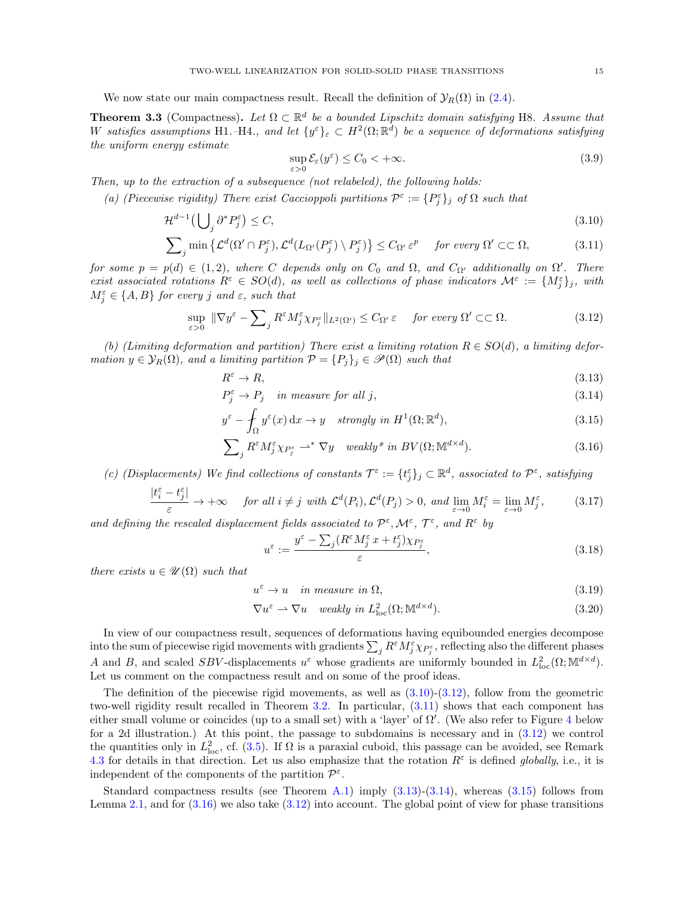We now state our main compactness result. Recall the definition of  $\mathcal{Y}_R(\Omega)$  in [\(2.4\)](#page-6-3).

<span id="page-14-0"></span>**Theorem 3.3** (Compactness). Let  $\Omega \subset \mathbb{R}^d$  be a bounded Lipschitz domain satisfying H8. Assume that W satisfies assumptions H1.–H4., and let  $\{y^{\varepsilon}\}_{\varepsilon} \subset H^2(\Omega; \mathbb{R}^d)$  be a sequence of deformations satisfying the uniform energy estimate

<span id="page-14-12"></span><span id="page-14-4"></span><span id="page-14-2"></span>
$$
\sup_{\varepsilon>0} \mathcal{E}_{\varepsilon}(y^{\varepsilon}) \le C_0 < +\infty.
$$
\n(3.9)

Then, up to the extraction of a subsequence (not relabeled), the following holds:

(a) (Piecewise rigidity) There exist Caccioppoli partitions  $\mathcal{P}^{\varepsilon} := \{P_j^{\varepsilon}\}\$  of  $\Omega$  such that

$$
\mathcal{H}^{d-1}\left(\bigcup_{j}\partial^{*}P_{j}^{\varepsilon}\right)\leq C,\tag{3.10}
$$

$$
\sum_{j} \min \left\{ \mathcal{L}^{d}(\Omega' \cap P_{j}^{\varepsilon}), \mathcal{L}^{d}(L_{\Omega'}(P_{j}^{\varepsilon}) \setminus P_{j}^{\varepsilon}) \right\} \leq C_{\Omega'} \varepsilon^{p} \quad \text{for every } \Omega' \subset\subset \Omega,
$$
 (3.11)

for some  $p = p(d) \in (1, 2)$ , where C depends only on  $C_0$  and  $\Omega$ , and  $C_{\Omega'}$  additionally on  $\Omega'$ . There exist associated rotations  $R^{\varepsilon} \in SO(d)$ , as well as collections of phase indicators  $\mathcal{M}^{\varepsilon} := \{M_j^{\varepsilon}\}_j$ , with  $M_j^{\varepsilon} \in \{A, B\}$  for every j and  $\varepsilon$ , such that

<span id="page-14-3"></span>
$$
\sup_{\varepsilon>0} \|\nabla y^{\varepsilon} - \sum_{j} R^{\varepsilon} M_{j}^{\varepsilon} \chi_{P_{j}^{\varepsilon}} \|_{L^{2}(\Omega')} \leq C_{\Omega'} \varepsilon \quad \text{for every } \Omega' \subset\subset \Omega.
$$
 (3.12)

(b) (Limiting deformation and partition) There exist a limiting rotation  $R \in SO(d)$ , a limiting deformation  $y \in \mathcal{Y}_R(\Omega)$ , and a limiting partition  $\mathcal{P} = \{P_j\}_j \in \mathcal{P}(\Omega)$  such that

<span id="page-14-5"></span>
$$
R^{\varepsilon} \to R,\tag{3.13}
$$

$$
P_j^{\varepsilon} \to P_j \quad in measure for all j,
$$
\n(3.14)

$$
y^{\varepsilon} - \int_{\Omega} y^{\varepsilon}(x) dx \to y \quad strongly \ in \ H^{1}(\Omega; \mathbb{R}^{d}), \tag{3.15}
$$

$$
\sum_{j} R^{\varepsilon} M_{j}^{\varepsilon} \chi_{P_{j}^{\varepsilon}} \rightharpoonup^{*} \nabla y \quad weakly^* \ in \ BV(\Omega; \mathbb{M}^{d \times d}). \tag{3.16}
$$

(c) (Displacements) We find collections of constants  $\mathcal{T}^{\varepsilon} := \{t_j^{\varepsilon}\}_j \subset \mathbb{R}^d$ , associated to  $\mathcal{P}^{\varepsilon}$ , satisfying

$$
\frac{|t_i^{\varepsilon} - t_j^{\varepsilon}|}{\varepsilon} \to +\infty \quad \text{for all } i \neq j \text{ with } \mathcal{L}^d(P_i), \mathcal{L}^d(P_j) > 0, \text{ and } \lim_{\varepsilon \to 0} M_i^{\varepsilon} = \lim_{\varepsilon \to 0} M_j^{\varepsilon}, \tag{3.17}
$$

and defining the rescaled displacement fields associated to  $\mathcal{P}^{\varepsilon}, \mathcal{M}^{\varepsilon}, \mathcal{T}^{\varepsilon}$ , and  $R^{\varepsilon}$  by

<span id="page-14-11"></span><span id="page-14-10"></span><span id="page-14-9"></span><span id="page-14-8"></span><span id="page-14-7"></span><span id="page-14-6"></span><span id="page-14-1"></span>
$$
u^{\varepsilon} := \frac{y^{\varepsilon} - \sum_{j} (R^{\varepsilon} M^{\varepsilon}_{j} x + t^{\varepsilon}_{j}) \chi_{P^{\varepsilon}_{j}}}{\varepsilon},
$$
\n(3.18)

there exists  $u \in \mathscr{U}(\Omega)$  such that

$$
u^{\varepsilon} \to u \quad \text{in measure in } \Omega,\tag{3.19}
$$

$$
\nabla u^{\varepsilon} \rightharpoonup \nabla u \quad weakly \ in \ L^{2}_{loc}(\Omega; \mathbb{M}^{d \times d}). \tag{3.20}
$$

In view of our compactness result, sequences of deformations having equibounded energies decompose into the sum of piecewise rigid movements with gradients  $\sum_j R^{\varepsilon} M_j^{\varepsilon} \chi_{P_j^{\varepsilon}}$ , reflecting also the different phases A and B, and scaled SBV-displacements  $u^{\varepsilon}$  whose gradients are uniformly bounded in  $L_{loc}^2(\Omega; \mathbb{M}^{d \times d})$ . Let us comment on the compactness result and on some of the proof ideas.

The definition of the piecewise rigid movements, as well as  $(3.10)-(3.12)$  $(3.10)-(3.12)$ , follow from the geometric two-well rigidity result recalled in Theorem [3.2.](#page-12-1) In particular, [\(3.11\)](#page-14-4) shows that each component has either small volume or coincides (up to a small set) with a 'layer' of  $\Omega'$ . (We also refer to Figure [4](#page-22-0) below for a 2d illustration.) At this point, the passage to subdomains is necessary and in [\(3.12\)](#page-14-3) we control the quantities only in  $L^2_{\text{loc}}$ , cf. [\(3.5\)](#page-13-0). If  $\Omega$  is a paraxial cuboid, this passage can be avoided, see Remark [4.3](#page-25-0) for details in that direction. Let us also emphasize that the rotation  $R^{\varepsilon}$  is defined globally, i.e., it is independent of the components of the partition  $\mathcal{P}^{\varepsilon}$ .

Standard compactness results (see Theorem [A.1\)](#page-60-1) imply  $(3.13)-(3.14)$  $(3.13)-(3.14)$ , whereas  $(3.15)$  follows from Lemma [2.1,](#page-7-1) and for  $(3.16)$  we also take  $(3.12)$  into account. The global point of view for phase transitions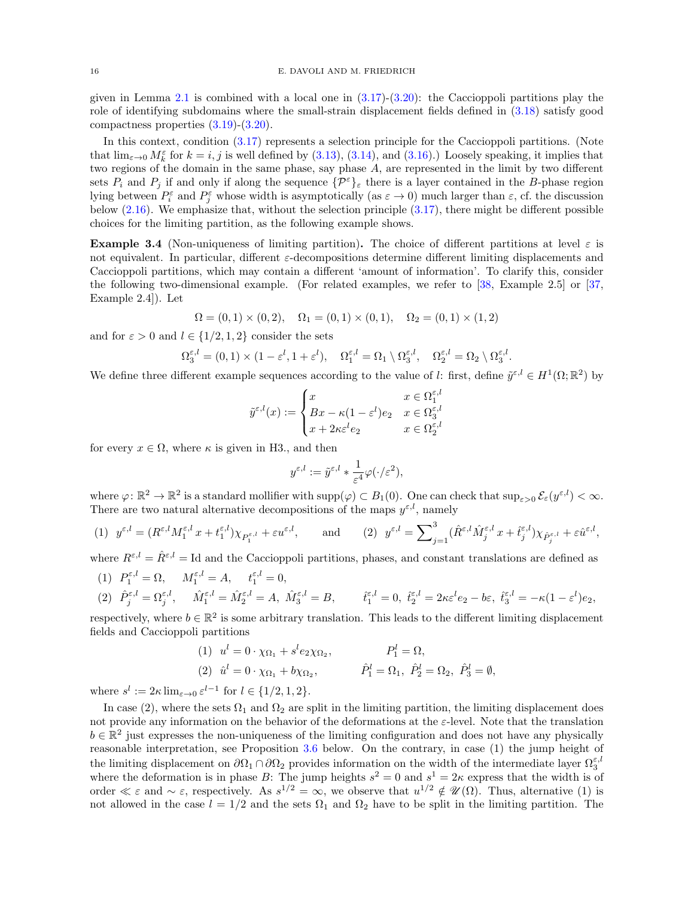given in Lemma [2.1](#page-7-1) is combined with a local one in  $(3.17)-(3.20)$  $(3.17)-(3.20)$ : the Caccioppoli partitions play the role of identifying subdomains where the small-strain displacement fields defined in [\(3.18\)](#page-14-10) satisfy good compactness properties [\(3.19\)](#page-14-11)-[\(3.20\)](#page-14-9).

In this context, condition [\(3.17\)](#page-14-1) represents a selection principle for the Caccioppoli partitions. (Note that  $\lim_{\varepsilon\to 0} M_k^{\varepsilon}$  for  $k = i, j$  is well defined by [\(3.13\)](#page-14-5), [\(3.14\)](#page-14-6), and [\(3.16\)](#page-14-8).) Loosely speaking, it implies that two regions of the domain in the same phase, say phase A, are represented in the limit by two different sets  $P_i$  and  $P_j$  if and only if along the sequence  $\{\mathcal{P}^{\varepsilon}\}_\varepsilon$  there is a layer contained in the B-phase region lying between  $P_i^{\varepsilon}$  and  $P_j^{\varepsilon}$  whose width is asymptotically (as  $\varepsilon \to 0$ ) much larger than  $\varepsilon$ , cf. the discussion below  $(2.16)$ . We emphasize that, without the selection principle  $(3.17)$ , there might be different possible choices for the limiting partition, as the following example shows.

<span id="page-15-0"></span>**Example 3.4** (Non-uniqueness of limiting partition). The choice of different partitions at level  $\varepsilon$  is not equivalent. In particular, different  $\varepsilon$ -decompositions determine different limiting displacements and Caccioppoli partitions, which may contain a different 'amount of information'. To clarify this, consider the following two-dimensional example. (For related examples, we refer to [\[38,](#page-62-26) Example 2.5] or [\[37,](#page-62-25) Example 2.4]). Let

$$
\Omega = (0,1) \times (0,2), \quad \Omega_1 = (0,1) \times (0,1), \quad \Omega_2 = (0,1) \times (1,2)
$$

and for  $\varepsilon > 0$  and  $l \in \{1/2, 1, 2\}$  consider the sets

$$
\Omega_3^{\varepsilon,l} = (0,1) \times (1 - \varepsilon^l, 1 + \varepsilon^l), \quad \Omega_1^{\varepsilon,l} = \Omega_1 \setminus \Omega_3^{\varepsilon,l}, \quad \Omega_2^{\varepsilon,l} = \Omega_2 \setminus \Omega_3^{\varepsilon,l}.
$$

We define three different example sequences according to the value of l: first, define  $\tilde{y}^{\varepsilon,l} \in H^1(\Omega;\mathbb{R}^2)$  by

$$
\tilde{y}^{\varepsilon,l}(x) := \begin{cases} x & x \in \Omega_1^{\varepsilon,l} \\ Bx - \kappa(1-\varepsilon^l)e_2 & x \in \Omega_3^{\varepsilon,l} \\ x + 2\kappa\varepsilon^l e_2 & x \in \Omega_2^{\varepsilon,l} \end{cases}
$$

for every  $x \in \Omega$ , where  $\kappa$  is given in H3., and then

$$
y^{\varepsilon,l} := \tilde{y}^{\varepsilon,l} * \frac{1}{\varepsilon^4} \varphi(\cdot/\varepsilon^2),
$$

where  $\varphi: \mathbb{R}^2 \to \mathbb{R}^2$  is a standard mollifier with  $\text{supp}(\varphi) \subset B_1(0)$ . One can check that  $\text{sup}_{\varepsilon > 0} \mathcal{E}_{\varepsilon}(y^{\varepsilon, l}) < \infty$ . There are two natural alternative decompositions of the maps  $y^{\varepsilon,l}$ , namely

(1) 
$$
y^{\varepsilon,l} = (R^{\varepsilon,l} M_1^{\varepsilon,l} x + t_1^{\varepsilon,l}) \chi_{P_1^{\varepsilon,l}} + \varepsilon u^{\varepsilon,l},
$$
 and (2)  $y^{\varepsilon,l} = \sum_{j=1}^3 (\hat{R}^{\varepsilon,l} \hat{M}_j^{\varepsilon,l} x + \hat{t}_j^{\varepsilon,l}) \chi_{\hat{P}_j^{\varepsilon,l}} + \varepsilon \hat{u}^{\varepsilon,l},$ 

where  $R^{\varepsilon,l} = \hat{R}^{\varepsilon,l} = \mathrm{Id}$  and the Caccioppoli partitions, phases, and constant translations are defined as

(1)  $P_1^{\varepsilon,l} = \Omega, \quad M_1^{\varepsilon,l} = A, \quad t_1^{\varepsilon,l} = 0,$ 

$$
(2) \quad \hat{P}_{j}^{\varepsilon,l} = \Omega_{j}^{\varepsilon,l}, \qquad \hat{M}_{1}^{\varepsilon,l} = \hat{M}_{2}^{\varepsilon,l} = A, \ \hat{M}_{3}^{\varepsilon,l} = B, \qquad \hat{t}_{1}^{\varepsilon,l} = 0, \ \hat{t}_{2}^{\varepsilon,l} = 2\kappa\varepsilon^{l}e_{2} - b\varepsilon, \ \hat{t}_{3}^{\varepsilon,l} = -\kappa(1-\varepsilon^{l})e_{2},
$$

respectively, where  $b \in \mathbb{R}^2$  is some arbitrary translation. This leads to the different limiting displacement fields and Caccioppoli partitions

(1) 
$$
u^l = 0 \cdot \chi_{\Omega_1} + s^l e_2 \chi_{\Omega_2},
$$
  $P_1^l = \Omega,$   
\n(2)  $\hat{u}^l = 0 \cdot \chi_{\Omega_1} + b \chi_{\Omega_2},$   $\hat{P}_1^l = \Omega_1, \ \hat{P}_2^l = \Omega_2, \ \hat{P}_3^l = \emptyset,$ 

where  $s^l := 2\kappa \lim_{\varepsilon \to 0} \varepsilon^{l-1}$  for  $l \in \{1/2, 1, 2\}.$ 

In case (2), where the sets  $\Omega_1$  and  $\Omega_2$  are split in the limiting partition, the limiting displacement does not provide any information on the behavior of the deformations at the  $\varepsilon$ -level. Note that the translation  $b \in \mathbb{R}^2$  just expresses the non-uniqueness of the limiting configuration and does not have any physically reasonable interpretation, see Proposition [3.6](#page-16-1) below. On the contrary, in case (1) the jump height of the limiting displacement on  $\partial\Omega_1 \cap \partial\Omega_2$  provides information on the width of the intermediate layer  $\Omega_3^{\varepsilon, l}$ where the deformation is in phase B: The jump heights  $s^2 = 0$  and  $s^1 = 2\kappa$  express that the width is of order  $\ll \varepsilon$  and  $\sim \varepsilon$ , respectively. As  $s^{1/2} = \infty$ , we observe that  $u^{1/2} \notin \mathcal{U}(\Omega)$ . Thus, alternative (1) is not allowed in the case  $l = 1/2$  and the sets  $\Omega_1$  and  $\Omega_2$  have to be split in the limiting partition. The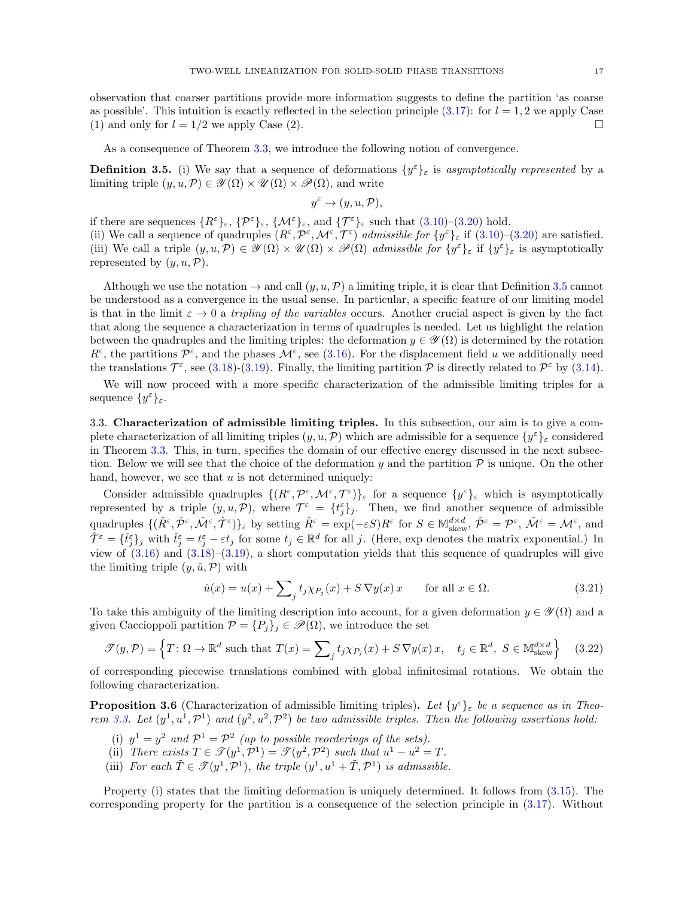observation that coarser partitions provide more information suggests to define the partition 'as coarse as possible'. This intuition is exactly reflected in the selection principle  $(3.17)$ : for  $l = 1, 2$  we apply Case (1) and only for  $l = 1/2$  we apply Case (2).

As a consequence of Theorem [3.3,](#page-14-0) we introduce the following notion of convergence.

<span id="page-16-2"></span>**Definition 3.5.** (i) We say that a sequence of deformations  $\{y^{\varepsilon}\}_{\varepsilon}$  is asymptotically represented by a limiting triple  $(y, u, \mathcal{P}) \in \mathscr{Y}(\Omega) \times \mathscr{U}(\Omega) \times \mathscr{P}(\Omega)$ , and write

$$
y^{\varepsilon} \to (y, u, \mathcal{P}),
$$

if there are sequences  $\{R^{\varepsilon}\}_{\varepsilon}, \{\mathcal{P}^{\varepsilon}\}_{\varepsilon}, \{\mathcal{M}^{\varepsilon}\}_{\varepsilon}$ , and  $\{\mathcal{T}^{\varepsilon}\}_{\varepsilon}$  such that  $(3.10)-(3.20)$  $(3.10)-(3.20)$  hold. (ii) We call a sequence of quadruples  $(R^{\varepsilon}, \mathcal{P}^{\varepsilon}, \mathcal{M}^{\varepsilon}, \mathcal{T}^{\varepsilon})$  admissible for  $\{y^{\varepsilon}\}_{\varepsilon}$  if  $(3.10)-(3.20)$  $(3.10)-(3.20)$  are satisfied. (iii) We call a triple  $(y, u, \mathcal{P}) \in \mathcal{Y}(\Omega) \times \mathcal{U}(\Omega) \times \mathcal{P}(\Omega)$  admissible for  $\{y^{\varepsilon}\}_{\varepsilon}$  if  $\{y^{\varepsilon}\}_{\varepsilon}$  is asymptotically represented by  $(y, u, \mathcal{P})$ .

Although we use the notation  $\to$  and call  $(y, u, \mathcal{P})$  a limiting triple, it is clear that Definition [3.5](#page-16-2) cannot be understood as a convergence in the usual sense. In particular, a specific feature of our limiting model is that in the limit  $\varepsilon \to 0$  a *tripling of the variables* occurs. Another crucial aspect is given by the fact that along the sequence a characterization in terms of quadruples is needed. Let us highlight the relation between the quadruples and the limiting triples: the deformation  $y \in \mathscr{Y}(\Omega)$  is determined by the rotation  $R^{\varepsilon}$ , the partitions  $\mathcal{P}^{\varepsilon}$ , and the phases  $\mathcal{M}^{\varepsilon}$ , see [\(3.16\)](#page-14-8). For the displacement field u we additionally need the translations  $\mathcal{T}^{\varepsilon}$ , see [\(3.18\)](#page-14-10)-[\(3.19\)](#page-14-11). Finally, the limiting partition  $\mathcal{P}$  is directly related to  $\mathcal{P}^{\varepsilon}$  by [\(3.14\)](#page-14-6).

We will now proceed with a more specific characterization of the admissible limiting triples for a sequence  $\{y^{\varepsilon}\}_{\varepsilon}$ .

<span id="page-16-0"></span>3.3. Characterization of admissible limiting triples. In this subsection, our aim is to give a complete characterization of all limiting triples  $(y, u, \mathcal{P})$  which are admissible for a sequence  $\{y^{\varepsilon}\}_{\varepsilon}$  considered in Theorem [3.3.](#page-14-0) This, in turn, specifies the domain of our effective energy discussed in the next subsection. Below we will see that the choice of the deformation y and the partition  $P$  is unique. On the other hand, however, we see that  $u$  is not determined uniquely:

Consider admissible quadruples  $\{(R^{\varepsilon},P^{\varepsilon},\mathcal{M}^{\varepsilon},\mathcal{T}^{\varepsilon})\}_{\varepsilon}$  for a sequence  $\{y^{\varepsilon}\}_{\varepsilon}$  which is asymptotically represented by a triple  $(y, u, \mathcal{P})$ , where  $\mathcal{T}^{\varepsilon} = {\{t_j^{\varepsilon}\}_j}$ . Then, we find another sequence of admissible quadruples  $\{(\hat{R}^{\varepsilon}, \hat{\mathcal{P}}^{\varepsilon}, \hat{\mathcal{M}}^{\varepsilon}, \hat{\mathcal{T}}^{\varepsilon})\}_{\varepsilon}$  by setting  $\hat{R}^{\varepsilon} = \exp(-\varepsilon S)R^{\varepsilon}$  for  $S \in \mathbb{M}^{d \times d}_{\text{skew}}, \hat{\mathcal{P}}^{\varepsilon} = \mathcal{P}^{\varepsilon}, \hat{\mathcal{M}}^{\varepsilon} = \mathcal{M}^{\varepsilon}$ , and  $\hat{\mathcal{T}}^{\varepsilon} = \{\hat{t}^{\varepsilon}_j\}_j$  with  $\hat{t}^{\varepsilon}_j = t^{\varepsilon}_j - \varepsilon t_j$  for some  $t_j \in \mathbb{R}^d$  for all j. (Here, exp denotes the matrix exponential.) In view of  $(3.16)$  and  $(3.18)$ – $(3.19)$ , a short computation yields that this sequence of quadruples will give the limiting triple  $(y, \hat{u}, \mathcal{P})$  with

<span id="page-16-4"></span><span id="page-16-3"></span>
$$
\hat{u}(x) = u(x) + \sum_{j} t_j \chi_{P_j}(x) + S \nabla y(x) x \quad \text{for all } x \in \Omega.
$$
\n(3.21)

To take this ambiguity of the limiting description into account, for a given deformation  $y \in \mathscr{Y}(\Omega)$  and a given Caccioppoli partition  $\mathcal{P} = \{P_j\}_j \in \mathcal{P}(\Omega)$ , we introduce the set

$$
\mathcal{F}(y,\mathcal{P}) = \left\{ T : \Omega \to \mathbb{R}^d \text{ such that } T(x) = \sum_j t_j \chi_{P_j}(x) + S \nabla y(x) \, x, \quad t_j \in \mathbb{R}^d, \ S \in \mathbb{M}^{d \times d}_{\text{skew}} \right\} \tag{3.22}
$$

of corresponding piecewise translations combined with global infinitesimal rotations. We obtain the following characterization.

<span id="page-16-1"></span>**Proposition 3.6** (Characterization of admissible limiting triples). Let  $\{y^{\varepsilon}\}_{\varepsilon}$  be a sequence as in Theo-rem [3.3.](#page-14-0) Let  $(y^1, u^1, \mathcal{P}^1)$  and  $(y^2, u^2, \mathcal{P}^2)$  be two admissible triples. Then the following assertions hold:

- (i)  $y^1 = y^2$  and  $\mathcal{P}^1 = \mathcal{P}^2$  (up to possible reorderings of the sets).
- (ii) There exists  $T \in \mathcal{T}(y^1, \mathcal{P}^1) = \mathcal{T}(y^2, \mathcal{P}^2)$  such that  $u^1 u^2 = T$ .
- (iii) For each  $\tilde{T} \in \mathcal{T}(y^1, \mathcal{P}^1)$ , the triple  $(y^1, u^1 + \tilde{T}, \mathcal{P}^1)$  is admissible.

Property (i) states that the limiting deformation is uniquely determined. It follows from  $(3.15)$ . The corresponding property for the partition is a consequence of the selection principle in [\(3.17\)](#page-14-1). Without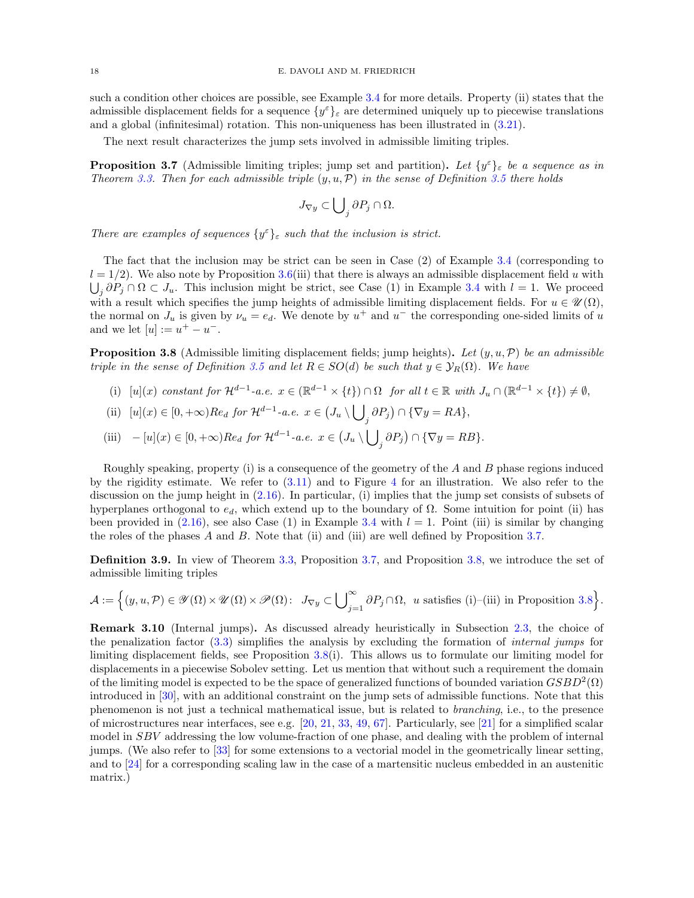such a condition other choices are possible, see Example [3.4](#page-15-0) for more details. Property (ii) states that the admissible displacement fields for a sequence  $\{y^{\varepsilon}\}_{\varepsilon}$  are determined uniquely up to piecewise translations and a global (infinitesimal) rotation. This non-uniqueness has been illustrated in [\(3.21\)](#page-16-3).

The next result characterizes the jump sets involved in admissible limiting triples.

<span id="page-17-1"></span>**Proposition 3.7** (Admissible limiting triples; jump set and partition). Let  $\{y^{\varepsilon}\}_{\varepsilon}$  be a sequence as in Theorem [3.3.](#page-14-0) Then for each admissible triple  $(y, u, \mathcal{P})$  in the sense of Definition [3.5](#page-16-2) there holds

$$
J_{\nabla y} \subset \bigcup\nolimits_j \partial P_j \cap \Omega.
$$

There are examples of sequences  $\{y^{\varepsilon}\}_{\varepsilon}$  such that the inclusion is strict.

The fact that the inclusion may be strict can be seen in Case (2) of Example [3.4](#page-15-0) (corresponding to  $l = 1/2$ ). We also note by Proposition [3.6\(](#page-16-1)iii) that there is always an admissible displacement field u with  $\bigcup_j \partial P_j \cap \Omega \subset J_u$ . This inclusion might be strict, see Case (1) in Example [3.4](#page-15-0) with  $l = 1$ . We proceed with a result which specifies the jump heights of admissible limiting displacement fields. For  $u \in \mathcal{U}(\Omega)$ , the normal on  $J_u$  is given by  $\nu_u = e_d$ . We denote by  $u^+$  and  $u^-$  the corresponding one-sided limits of u and we let  $[u] := u^+ - u^-$ .

<span id="page-17-2"></span>**Proposition 3.8** (Admissible limiting displacement fields; jump heights). Let  $(y, u, \mathcal{P})$  be an admissible triple in the sense of Definition [3.5](#page-16-2) and let  $R \in SO(d)$  be such that  $y \in \mathcal{Y}_R(\Omega)$ . We have

(i) 
$$
[u](x)
$$
 constant for  $\mathcal{H}^{d-1}$ -a.e.  $x \in (\mathbb{R}^{d-1} \times \{t\}) \cap \Omega$  for all  $t \in \mathbb{R}$  with  $J_u \cap (\mathbb{R}^{d-1} \times \{t\}) \neq \emptyset$ ,

(ii) 
$$
[u](x) \in [0, +\infty)Re_d
$$
 for  $\mathcal{H}^{d-1}$ -a.e.  $x \in (J_u \setminus \bigcup_j \partial P_j) \cap {\nabla y = RA},$ 

(iii) 
$$
- [u](x) \in [0, +\infty) \text{Re}_d \text{ for } \mathcal{H}^{d-1} \text{-a.e. } x \in (J_u \setminus \bigcup_j \partial P_j) \cap \{\nabla y = RB\}.
$$

Roughly speaking, property (i) is a consequence of the geometry of the A and B phase regions induced by the rigidity estimate. We refer to  $(3.11)$  and to Figure [4](#page-22-0) for an illustration. We also refer to the discussion on the jump height in [\(2.16\)](#page-11-2). In particular, (i) implies that the jump set consists of subsets of hyperplanes orthogonal to  $e_d$ , which extend up to the boundary of  $\Omega$ . Some intuition for point (ii) has been provided in  $(2.16)$ , see also Case  $(1)$  in Example [3.4](#page-15-0) with  $l = 1$ . Point (iii) is similar by changing the roles of the phases A and B. Note that (ii) and (iii) are well defined by Proposition [3.7.](#page-17-1)

<span id="page-17-3"></span>Definition 3.9. In view of Theorem [3.3,](#page-14-0) Proposition [3.7,](#page-17-1) and Proposition [3.8,](#page-17-2) we introduce the set of admissible limiting triples

$$
\mathcal{A}:=\Big\{(y,u,\mathcal{P})\in \mathscr{Y}(\Omega)\times \mathscr{U}(\Omega)\times \mathscr{P}(\Omega)\colon \ J_{\nabla y}\subset \bigcup\nolimits_{j=1}^\infty \partial P_j\cap \Omega, \ \ u \ \text{satisfies (i)–(iii) in Proposition 3.8}\Big\}.
$$

<span id="page-17-0"></span>Remark 3.10 (Internal jumps). As discussed already heuristically in Subsection [2.3,](#page-9-3) the choice of the penalization factor [\(3.3\)](#page-12-3) simplifies the analysis by excluding the formation of internal jumps for limiting displacement fields, see Proposition [3.8\(](#page-17-2)i). This allows us to formulate our limiting model for displacements in a piecewise Sobolev setting. Let us mention that without such a requirement the domain of the limiting model is expected to be the space of generalized functions of bounded variation  $GSBD^2(\Omega)$ introduced in [\[30\]](#page-62-28), with an additional constraint on the jump sets of admissible functions. Note that this phenomenon is not just a technical mathematical issue, but is related to branching, i.e., to the presence of microstructures near interfaces, see e.g. [\[20,](#page-61-20) [21,](#page-61-21) [33,](#page-62-29) [49,](#page-62-15) [67\]](#page-63-4). Particularly, see [\[21\]](#page-61-21) for a simplified scalar model in SBV addressing the low volume-fraction of one phase, and dealing with the problem of internal jumps. (We also refer to [\[33\]](#page-62-29) for some extensions to a vectorial model in the geometrically linear setting, and to [\[24\]](#page-61-22) for a corresponding scaling law in the case of a martensitic nucleus embedded in an austenitic matrix.)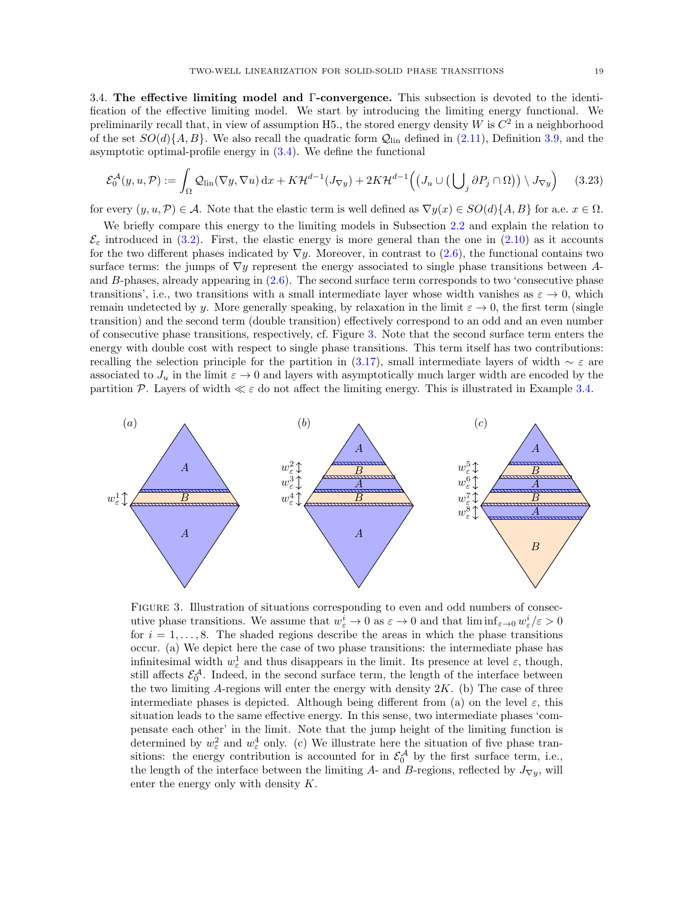<span id="page-18-1"></span>3.4. The effective limiting model and Γ-convergence. This subsection is devoted to the identification of the effective limiting model. We start by introducing the limiting energy functional. We preliminarily recall that, in view of assumption H5., the stored energy density W is  $C^2$  in a neighborhood of the set  $SO(d)$ {A, B}. We also recall the quadratic form  $Q_{lin}$  defined in [\(2.11\)](#page-9-4), Definition [3.9,](#page-17-3) and the asymptotic optimal-profile energy in  $(3.4)$ . We define the functional

<span id="page-18-2"></span>
$$
\mathcal{E}_0^{\mathcal{A}}(y, u, \mathcal{P}) := \int_{\Omega} \mathcal{Q}_{\text{lin}}(\nabla y, \nabla u) \,dx + K \mathcal{H}^{d-1}(J_{\nabla y}) + 2K \mathcal{H}^{d-1}\Big(\big(J_u \cup \big(\bigcup_j \partial P_j \cap \Omega\big)\big) \setminus J_{\nabla y}\Big) \tag{3.23}
$$

for every  $(y, u, \mathcal{P}) \in \mathcal{A}$ . Note that the elastic term is well defined as  $\nabla y(x) \in SO(d)\{A, B\}$  for a.e.  $x \in \Omega$ .

We briefly compare this energy to the limiting models in Subsection [2.2](#page-6-4) and explain the relation to  $\mathcal{E}_{\varepsilon}$  introduced in [\(3.2\)](#page-12-4). First, the elastic energy is more general than the one in [\(2.10\)](#page-9-0) as it accounts for the two different phases indicated by  $\nabla y$ . Moreover, in contrast to [\(2.6\)](#page-7-3), the functional contains two surface terms: the jumps of  $\nabla y$  represent the energy associated to single phase transitions between Aand B-phases, already appearing in [\(2.6\)](#page-7-3). The second surface term corresponds to two 'consecutive phase transitions', i.e., two transitions with a small intermediate layer whose width vanishes as  $\varepsilon \to 0$ , which remain undetected by y. More generally speaking, by relaxation in the limit  $\varepsilon \to 0$ , the first term (single transition) and the second term (double transition) effectively correspond to an odd and an even number of consecutive phase transitions, respectively, cf. Figure [3.](#page-18-0) Note that the second surface term enters the energy with double cost with respect to single phase transitions. This term itself has two contributions: recalling the selection principle for the partition in [\(3.17\)](#page-14-1), small intermediate layers of width  $\sim \varepsilon$  are associated to  $J_u$  in the limit  $\varepsilon \to 0$  and layers with asymptotically much larger width are encoded by the partition P. Layers of width  $\ll \varepsilon$  do not affect the limiting energy. This is illustrated in Example [3.4.](#page-15-0)

<span id="page-18-0"></span>

FIGURE 3. Illustration of situations corresponding to even and odd numbers of consecutive phase transitions. We assume that  $w_{\varepsilon}^i \to 0$  as  $\varepsilon \to 0$  and that  $\liminf_{\varepsilon \to 0} w_{\varepsilon}^i/\varepsilon > 0$ for  $i = 1, \ldots, 8$ . The shaded regions describe the areas in which the phase transitions occur. (a) We depict here the case of two phase transitions: the intermediate phase has infinitesimal width  $w_{\varepsilon}^1$  and thus disappears in the limit. Its presence at level  $\varepsilon$ , though, still affects  $\mathcal{E}_0^{\mathcal{A}}$ . Indeed, in the second surface term, the length of the interface between the two limiting A-regions will enter the energy with density  $2K$ . (b) The case of three intermediate phases is depicted. Although being different from (a) on the level  $\varepsilon$ , this situation leads to the same effective energy. In this sense, two intermediate phases 'compensate each other' in the limit. Note that the jump height of the limiting function is determined by  $w_{\varepsilon}^2$  and  $w_{\varepsilon}^4$  only. (c) We illustrate here the situation of five phase transitions: the energy contribution is accounted for in  $\mathcal{E}_0^{\mathcal{A}}$  by the first surface term, i.e., the length of the interface between the limiting A- and B-regions, reflected by  $J_{\nabla y}$ , will enter the energy only with density K.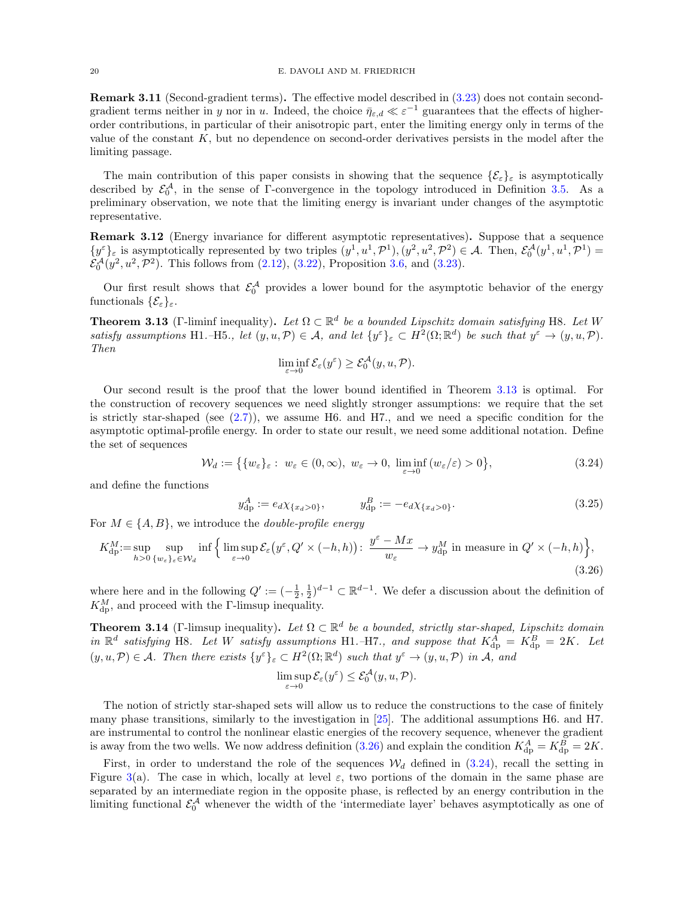<span id="page-19-3"></span>**Remark 3.11** (Second-gradient terms). The effective model described in  $(3.23)$  does not contain secondgradient terms neither in y nor in u. Indeed, the choice  $\bar{\eta}_{\varepsilon,d} \ll \varepsilon^{-1}$  guarantees that the effects of higherorder contributions, in particular of their anisotropic part, enter the limiting energy only in terms of the value of the constant  $K$ , but no dependence on second-order derivatives persists in the model after the limiting passage.

The main contribution of this paper consists in showing that the sequence  $\{\mathcal{E}_{\varepsilon}\}_{\varepsilon}$  is asymptotically described by  $\mathcal{E}_0^{\mathcal{A}}$ , in the sense of  $\Gamma$ -convergence in the topology introduced in Definition [3.5.](#page-16-2) As a preliminary observation, we note that the limiting energy is invariant under changes of the asymptotic representative.

<span id="page-19-5"></span>Remark 3.12 (Energy invariance for different asymptotic representatives). Suppose that a sequence  $\{y^{\varepsilon}\}_{\varepsilon}$  is asymptotically represented by two triples  $(y^1, u^1, \mathcal{P}^1), (y^2, u^2, \mathcal{P}^2) \in \mathcal{A}$ . Then,  $\mathcal{E}_0^{\mathcal{A}}(y^1, u^1, \mathcal{P}^1) =$  $\mathcal{E}_0^{\mathcal{A}}(y^2, u^2, \mathcal{P}^2)$ . This follows from [\(2.12\)](#page-9-5), [\(3.22\)](#page-16-4), Proposition [3.6,](#page-16-1) and [\(3.23\)](#page-18-2).

Our first result shows that  $\mathcal{E}_0^{\mathcal{A}}$  provides a lower bound for the asymptotic behavior of the energy functionals  $\{\mathcal{E}_{\varepsilon}\}_{\varepsilon}$ .

<span id="page-19-1"></span>**Theorem 3.13** (Γ-liminf inequality). Let  $\Omega \subset \mathbb{R}^d$  be a bounded Lipschitz domain satisfying H8. Let W satisfy assumptions H1.–H5., let  $(y, u, \mathcal{P}) \in \mathcal{A}$ , and let  $\{y^{\varepsilon}\}_{\varepsilon} \subset H^2(\Omega; \mathbb{R}^d)$  be such that  $y^{\varepsilon} \to (y, u, \mathcal{P})$ . Then

<span id="page-19-6"></span><span id="page-19-4"></span>
$$
\liminf_{\varepsilon \to 0} \mathcal{E}_{\varepsilon}(y^{\varepsilon}) \ge \mathcal{E}_{0}^{\mathcal{A}}(y, u, \mathcal{P}).
$$

Our second result is the proof that the lower bound identified in Theorem [3.13](#page-19-1) is optimal. For the construction of recovery sequences we need slightly stronger assumptions: we require that the set is strictly star-shaped (see  $(2.7)$ ), we assume H6. and H7., and we need a specific condition for the asymptotic optimal-profile energy. In order to state our result, we need some additional notation. Define the set of sequences

$$
\mathcal{W}_d := \left\{ \{ w_{\varepsilon} \}_{\varepsilon} : w_{\varepsilon} \in (0, \infty), \ w_{\varepsilon} \to 0, \ \liminf_{\varepsilon \to 0} (w_{\varepsilon}/\varepsilon) > 0 \right\},\tag{3.24}
$$

and define the functions

$$
y_{\rm dp}^A := e_d \chi_{\{x_d > 0\}}, \qquad y_{\rm dp}^B := -e_d \chi_{\{x_d > 0\}}.
$$
 (3.25)

For  $M \in \{A, B\}$ , we introduce the *double-profile energy* 

$$
K_{\mathrm{dp}}^M := \sup_{h>0} \sup_{\{w_{\varepsilon}\}_{\varepsilon} \in \mathcal{W}_d} \inf \left\{ \limsup_{\varepsilon \to 0} \mathcal{E}_{\varepsilon} \left( y^{\varepsilon}, Q' \times (-h, h) \right) : \frac{y^{\varepsilon} - Mx}{w_{\varepsilon}} \to y_{\mathrm{dp}}^M \text{ in measure in } Q' \times (-h, h) \right\},\tag{3.26}
$$

where here and in the following  $Q' := (-\frac{1}{2}, \frac{1}{2})^{d-1} \subset \mathbb{R}^{d-1}$ . We defer a discussion about the definition of  $K_{\text{dp}}^{M}$ , and proceed with the Γ-limsup inequality.

<span id="page-19-2"></span>**Theorem 3.14** (Γ-limsup inequality). Let  $\Omega \subset \mathbb{R}^d$  be a bounded, strictly star-shaped, Lipschitz domain in  $\mathbb{R}^d$  satisfying H8. Let W satisfy assumptions H1.–H7., and suppose that  $K_{dp}^A = K_{dp}^B = 2K$ . Let  $(y, u, \mathcal{P}) \in \mathcal{A}$ . Then there exists  $\{y^{\varepsilon}\}_{\varepsilon} \subset H^2(\Omega; \mathbb{R}^d)$  such that  $y^{\varepsilon} \to (y, u, \mathcal{P})$  in  $\mathcal{A}$ , and

<span id="page-19-0"></span>
$$
\limsup_{\varepsilon \to 0} \mathcal{E}_{\varepsilon}(y^{\varepsilon}) \le \mathcal{E}_{0}^{\mathcal{A}}(y, u, \mathcal{P}).
$$

The notion of strictly star-shaped sets will allow us to reduce the constructions to the case of finitely many phase transitions, similarly to the investigation in [\[25\]](#page-61-12). The additional assumptions H6. and H7. are instrumental to control the nonlinear elastic energies of the recovery sequence, whenever the gradient is away from the two wells. We now address definition [\(3.26\)](#page-19-0) and explain the condition  $K_{\text{dp}}^{A} = K_{\text{dp}}^{B} = 2K$ .

First, in order to understand the role of the sequences  $\mathcal{W}_d$  defined in [\(3.24\)](#page-19-4), recall the setting in Figure [3\(](#page-18-0)a). The case in which, locally at level  $\varepsilon$ , two portions of the domain in the same phase are separated by an intermediate region in the opposite phase, is reflected by an energy contribution in the limiting functional  $\mathcal{E}_0^{\mathcal{A}}$  whenever the width of the 'intermediate layer' behaves asymptotically as one of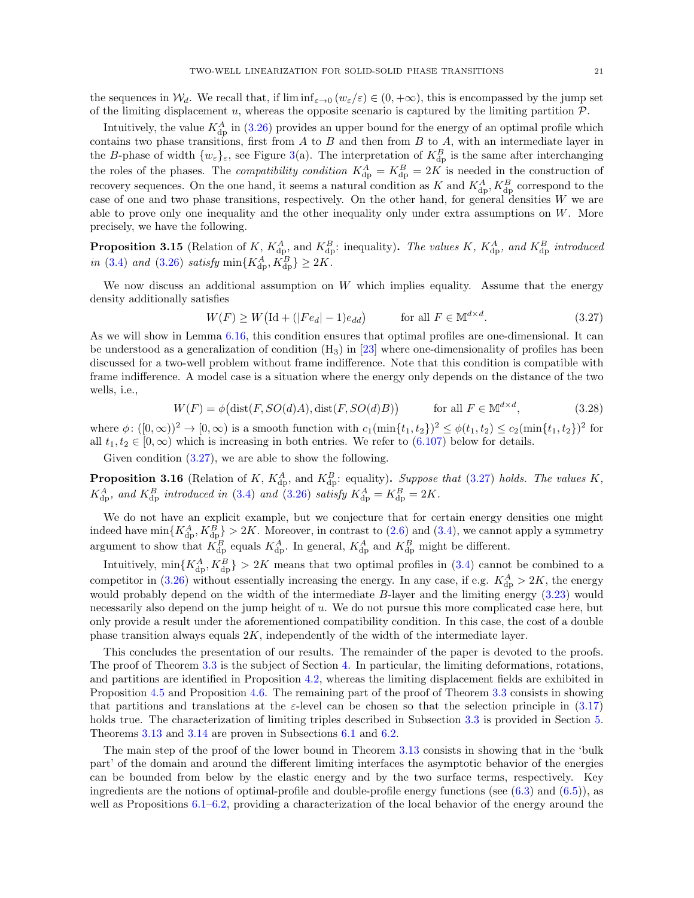the sequences in  $\mathcal{W}_d$ . We recall that, if  $\liminf_{\varepsilon\to 0} (w_\varepsilon/\varepsilon) \in (0, +\infty)$ , this is encompassed by the jump set of the limiting displacement  $u$ , whereas the opposite scenario is captured by the limiting partition  $P$ .

Intuitively, the value  $K_{\text{dp}}^A$  in [\(3.26\)](#page-19-0) provides an upper bound for the energy of an optimal profile which contains two phase transitions, first from  $A$  to  $B$  and then from  $B$  to  $A$ , with an intermediate layer in the B-phase of width  $\{w_{\varepsilon}\}_{\varepsilon}$ , see Figure [3\(](#page-18-0)a). The interpretation of  $K_{\text{dp}}^B$  is the same after interchanging the roles of the phases. The *compatibility condition*  $K_{dp}^A = K_{dp}^B = 2K$  is needed in the construction of recovery sequences. On the one hand, it seems a natural condition as K and  $K_{\text{dp}}^{A}$ ,  $K_{\text{dp}}^{B}$  correspond to the case of one and two phase transitions, respectively. On the other hand, for general densities  $W$  we are able to prove only one inequality and the other inequality only under extra assumptions on  $W$ . More precisely, we have the following.

<span id="page-20-3"></span>**Proposition 3.15** (Relation of K,  $K_{dp}^A$ , and  $K_{dp}^B$ : inequality). The values K,  $K_{dp}^A$ , and  $K_{dp}^B$  introduced in [\(3.4\)](#page-12-0) and [\(3.26\)](#page-19-0) satisfy  $\min\{K_{\text{dp}}^{A}, K_{\text{dp}}^{B}\} \ge 2K$ .

We now discuss an additional assumption on  $W$  which implies equality. Assume that the energy density additionally satisfies

<span id="page-20-1"></span><span id="page-20-0"></span>
$$
W(F) \ge W\left(\text{Id} + (|Fe_d| - 1)e_{dd}\right) \qquad \text{for all } F \in \mathbb{M}^{d \times d}.\tag{3.27}
$$

As we will show in Lemma [6.16,](#page-57-1) this condition ensures that optimal profiles are one-dimensional. It can be understood as a generalization of condition  $(H_3)$  in [\[23\]](#page-61-10) where one-dimensionality of profiles has been discussed for a two-well problem without frame indifference. Note that this condition is compatible with frame indifference. A model case is a situation where the energy only depends on the distance of the two wells, i.e.,

$$
W(F) = \phi\big(\text{dist}(F, SO(d)A), \text{dist}(F, SO(d)B)\big) \qquad \text{for all } F \in \mathbb{M}^{d \times d}, \tag{3.28}
$$

where  $\phi: ([0, \infty))^2 \to [0, \infty)$  is a smooth function with  $c_1(\min\{t_1, t_2\})^2 \leq \phi(t_1, t_2) \leq c_2(\min\{t_1, t_2\})^2$  for all  $t_1, t_2 \in [0, \infty)$  which is increasing in both entries. We refer to [\(6.107\)](#page-57-2) below for details.

Given condition [\(3.27\)](#page-20-0), we are able to show the following.

<span id="page-20-2"></span>**Proposition 3.16** (Relation of K,  $K_{dp}^A$ , and  $K_{dp}^B$ : equality). Suppose that [\(3.27\)](#page-20-0) holds. The values K,  $K_{\text{dp}}^{A}$ , and  $K_{\text{dp}}^{B}$  introduced in [\(3.4\)](#page-12-0) and [\(3.26\)](#page-19-0) satisfy  $K_{\text{dp}}^{A} = K_{\text{dp}}^{B} = 2K$ .

We do not have an explicit example, but we conjecture that for certain energy densities one might indeed have  $\min\{K_{\text{dp}}^A, K_{\text{dp}}^B\} > 2K$ . Moreover, in contrast to [\(2.6\)](#page-7-3) and [\(3.4\)](#page-12-0), we cannot apply a symmetry argument to show that  $K_{\text{dp}}^B$  equals  $K_{\text{dp}}^A$ . In general,  $K_{\text{dp}}^A$  and  $K_{\text{dp}}^B$  might be different.

Intuitively,  $\min\{K_{\text{dp}}^A, K_{\text{dp}}^B\} > 2K$  means that two optimal profiles in [\(3.4\)](#page-12-0) cannot be combined to a competitor in [\(3.26\)](#page-19-0) without essentially increasing the energy. In any case, if e.g.  $K_{\text{dp}}^{A} > 2K$ , the energy would probably depend on the width of the intermediate B-layer and the limiting energy  $(3.23)$  would necessarily also depend on the jump height of u. We do not pursue this more complicated case here, but only provide a result under the aforementioned compatibility condition. In this case, the cost of a double phase transition always equals 2K, independently of the width of the intermediate layer.

This concludes the presentation of our results. The remainder of the paper is devoted to the proofs. The proof of Theorem [3.3](#page-14-0) is the subject of Section [4.](#page-21-2) In particular, the limiting deformations, rotations, and partitions are identified in Proposition [4.2,](#page-21-0) whereas the limiting displacement fields are exhibited in Proposition [4.5](#page-26-0) and Proposition [4.6.](#page-27-0) The remaining part of the proof of Theorem [3.3](#page-14-0) consists in showing that partitions and translations at the  $\varepsilon$ -level can be chosen so that the selection principle in [\(3.17\)](#page-14-1) holds true. The characterization of limiting triples described in Subsection [3.3](#page-16-0) is provided in Section [5.](#page-31-0) Theorems [3.13](#page-19-1) and [3.14](#page-19-2) are proven in Subsections [6.1](#page-35-1) and [6.2.](#page-40-1)

The main step of the proof of the lower bound in Theorem [3.13](#page-19-1) consists in showing that in the 'bulk part' of the domain and around the different limiting interfaces the asymptotic behavior of the energies can be bounded from below by the elastic energy and by the two surface terms, respectively. Key ingredients are the notions of optimal-profile and double-profile energy functions (see [\(6.3\)](#page-35-2) and [\(6.5\)](#page-36-1)), as well as Propositions [6.1](#page-35-3)[–6.2,](#page-36-0) providing a characterization of the local behavior of the energy around the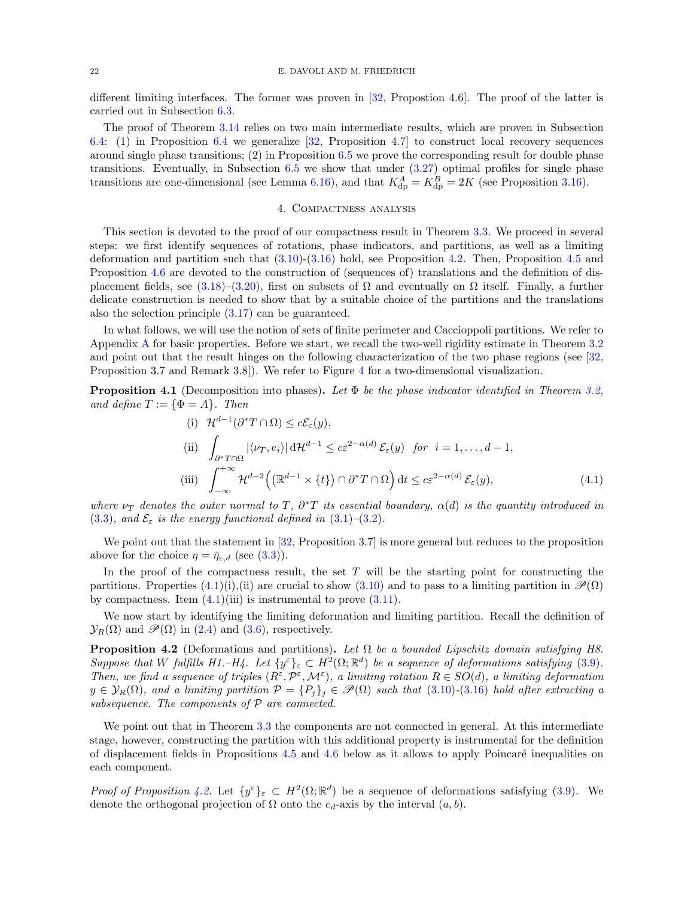different limiting interfaces. The former was proven in [\[32,](#page-62-0) Propostion 4.6]. The proof of the latter is carried out in Subsection [6.3.](#page-47-0)

The proof of Theorem [3.14](#page-19-2) relies on two main intermediate results, which are proven in Subsection [6.4:](#page-53-0) (1) in Proposition [6.4](#page-40-0) we generalize [\[32,](#page-62-0) Proposition 4.7] to construct local recovery sequences around single phase transitions;  $(2)$  in Proposition [6.5](#page-41-0) we prove the corresponding result for double phase transitions. Eventually, in Subsection [6.5](#page-57-0) we show that under [\(3.27\)](#page-20-0) optimal profiles for single phase transitions are one-dimensional (see Lemma [6.16\)](#page-57-1), and that  $K_{dp}^{A} = K_{dp}^{B} = 2K$  (see Proposition [3.16\)](#page-20-2).

# <span id="page-21-3"></span>4. Compactness analysis

<span id="page-21-2"></span>This section is devoted to the proof of our compactness result in Theorem [3.3.](#page-14-0) We proceed in several steps: we first identify sequences of rotations, phase indicators, and partitions, as well as a limiting deformation and partition such that [\(3.10\)](#page-14-2)-[\(3.16\)](#page-14-8) hold, see Proposition [4.2.](#page-21-0) Then, Proposition [4.5](#page-26-0) and Proposition [4.6](#page-27-0) are devoted to the construction of (sequences of) translations and the definition of dis-placement fields, see [\(3.18\)](#page-14-10)–[\(3.20\)](#page-14-9), first on subsets of  $\Omega$  and eventually on  $\Omega$  itself. Finally, a further delicate construction is needed to show that by a suitable choice of the partitions and the translations also the selection principle [\(3.17\)](#page-14-1) can be guaranteed.

In what follows, we will use the notion of sets of finite perimeter and Caccioppoli partitions. We refer to Appendix [A](#page-60-0) for basic properties. Before we start, we recall the two-well rigidity estimate in Theorem [3.2](#page-12-1) and point out that the result hinges on the following characterization of the two phase regions (see [\[32,](#page-62-0) Proposition 3.7 and Remark 3.8]). We refer to Figure [4](#page-22-0) for a two-dimensional visualization.

<span id="page-21-1"></span>**Proposition 4.1** (Decomposition into phases). Let  $\Phi$  be the phase indicator identified in Theorem [3.2,](#page-12-1) and define  $T := {\Phi = A}$ . Then

(i) 
$$
\mathcal{H}^{d-1}(\partial^* T \cap \Omega) \le c \mathcal{E}_{\varepsilon}(y),
$$
  
\n(ii)  $\int_{\partial^* T \cap \Omega} |\langle \nu_T, e_i \rangle| d\mathcal{H}^{d-1} \le c \varepsilon^{2-\alpha(d)} \mathcal{E}_{\varepsilon}(y) \text{ for } i = 1, ..., d-1,$   
\n(iii)  $\int_{-\infty}^{+\infty} \mathcal{H}^{d-2} \Big( \big( \mathbb{R}^{d-1} \times \{t\} \big) \cap \partial^* T \cap \Omega \Big) dt \le c \varepsilon^{2-\alpha(d)} \mathcal{E}_{\varepsilon}(y),$  (4.1)

where  $\nu_T$  denotes the outer normal to T,  $\partial^*T$  its essential boundary,  $\alpha(d)$  is the quantity introduced in [\(3.3\)](#page-12-3), and  $\mathcal{E}_{\varepsilon}$  is the energy functional defined in [\(3.1\)](#page-11-3)–[\(3.2\)](#page-12-4).

We point out that the statement in [\[32,](#page-62-0) Proposition 3.7] is more general but reduces to the proposition above for the choice  $\eta = \bar{\eta}_{\varepsilon,d}$  (see [\(3.3\)](#page-12-3)).

In the proof of the compactness result, the set  $T$  will be the starting point for constructing the partitions. Properties  $(4.1)(i)$ , (ii) are crucial to show  $(3.10)$  and to pass to a limiting partition in  $\mathscr{P}(\Omega)$ by compactness. Item  $(4.1)$ (iii) is instrumental to prove  $(3.11)$ .

We now start by identifying the limiting deformation and limiting partition. Recall the definition of  $\mathcal{Y}_R(\Omega)$  and  $\mathcal{P}(\Omega)$  in [\(2.4\)](#page-6-3) and [\(3.6\)](#page-13-2), respectively.

<span id="page-21-0"></span>**Proposition 4.2** (Deformations and partitions). Let  $\Omega$  be a bounded Lipschitz domain satisfying H8. Suppose that W fulfills H1.–H4. Let  $\{y^{\varepsilon}\}_{\varepsilon} \subset H^2(\Omega;\mathbb{R}^d)$  be a sequence of deformations satisfying [\(3.9\)](#page-14-12). Then, we find a sequence of triples  $(R^{\varepsilon}, \mathcal{P}^{\varepsilon}, \mathcal{M}^{\varepsilon})$ , a limiting rotation  $R \in SO(d)$ , a limiting deformation  $y \in \mathcal{Y}_R(\Omega)$ , and a limiting partition  $\mathcal{P} = \{P_j\}_j \in \mathcal{P}(\Omega)$  such that  $(3.10)-(3.16)$  $(3.10)-(3.16)$  $(3.10)-(3.16)$  hold after extracting a subsequence. The components of  $P$  are connected.

We point out that in Theorem [3.3](#page-14-0) the components are not connected in general. At this intermediate stage, however, constructing the partition with this additional property is instrumental for the definition of displacement fields in Propositions  $4.5$  and  $4.6$  below as it allows to apply Poincaré inequalities on each component.

Proof of Proposition [4.2.](#page-21-0) Let  $\{y^{\varepsilon}\}_{\varepsilon} \subset H^2(\Omega;\mathbb{R}^d)$  be a sequence of deformations satisfying [\(3.9\)](#page-14-12). We denote the orthogonal projection of  $\Omega$  onto the  $e_d$ -axis by the interval  $(a, b)$ .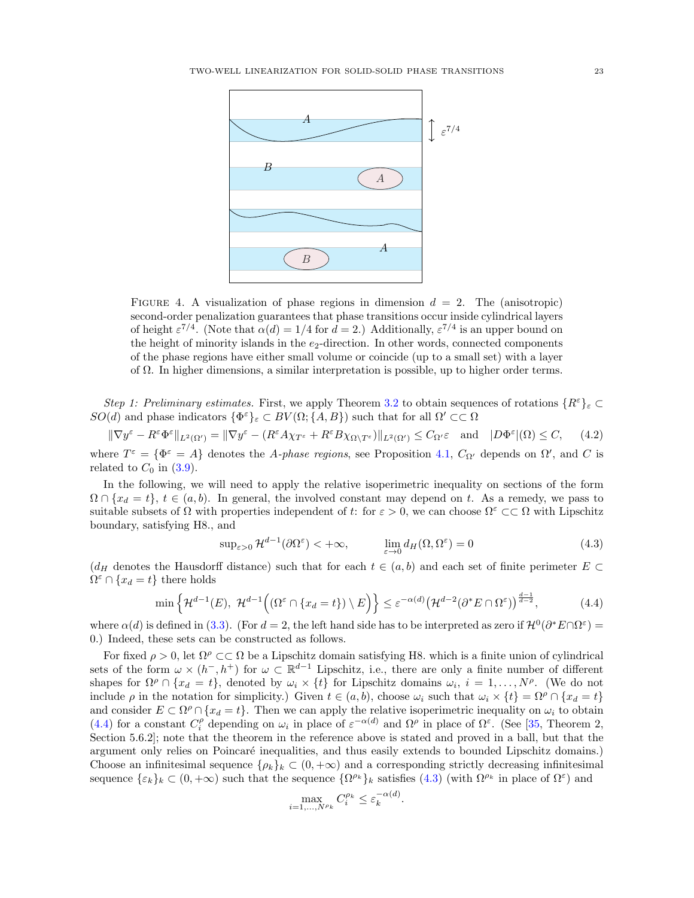<span id="page-22-0"></span>

FIGURE 4. A visualization of phase regions in dimension  $d = 2$ . The (anisotropic) second-order penalization guarantees that phase transitions occur inside cylindrical layers of height  $\varepsilon^{7/4}$ . (Note that  $\alpha(d) = 1/4$  for  $d = 2$ .) Additionally,  $\varepsilon^{7/4}$  is an upper bound on the height of minority islands in the  $e_2$ -direction. In other words, connected components of the phase regions have either small volume or coincide (up to a small set) with a layer of  $\Omega$ . In higher dimensions, a similar interpretation is possible, up to higher order terms.

Step 1: Preliminary estimates. First, we apply Theorem [3.2](#page-12-1) to obtain sequences of rotations  $\{R^{\varepsilon}\}_\varepsilon \subset$  $SO(d)$  and phase indicators  $\{\Phi^{\varepsilon}\}_{\varepsilon} \subset BV(\Omega;\{A,B\})$  such that for all  $\Omega' \subset\subset \Omega$ 

$$
\|\nabla y^{\varepsilon} - R^{\varepsilon} \Phi^{\varepsilon}\|_{L^{2}(\Omega')} = \|\nabla y^{\varepsilon} - (R^{\varepsilon} A \chi_{T^{\varepsilon}} + R^{\varepsilon} B \chi_{\Omega \setminus T^{\varepsilon}})\|_{L^{2}(\Omega')} \leq C_{\Omega'} \varepsilon \quad \text{and} \quad |D\Phi^{\varepsilon}|(\Omega) \leq C, \tag{4.2}
$$

where  $T^{\varepsilon} = {\Phi^{\varepsilon} = A}$  denotes the A-phase regions, see Proposition [4.1,](#page-21-1)  $C_{\Omega'}$  depends on  $\Omega'$ , and C is related to  $C_0$  in  $(3.9)$ .

In the following, we will need to apply the relative isoperimetric inequality on sections of the form  $\Omega \cap \{x_d = t\}, t \in (a, b)$ . In general, the involved constant may depend on t. As a remedy, we pass to suitable subsets of  $\Omega$  with properties independent of t: for  $\varepsilon > 0$ , we can choose  $\Omega^{\varepsilon} \subset \Omega$  with Lipschitz boundary, satisfying H8., and

<span id="page-22-3"></span><span id="page-22-2"></span>
$$
\sup_{\varepsilon>0} \mathcal{H}^{d-1}(\partial \Omega^{\varepsilon}) < +\infty, \qquad \lim_{\varepsilon \to 0} d_H(\Omega, \Omega^{\varepsilon}) = 0 \tag{4.3}
$$

 $(d_H$  denotes the Hausdorff distance) such that for each  $t \in (a, b)$  and each set of finite perimeter  $E \subset$  $\Omega^{\varepsilon} \cap \{x_d = t\}$  there holds

$$
\min\left\{\mathcal{H}^{d-1}(E),\ \mathcal{H}^{d-1}\Big((\Omega^{\varepsilon}\cap\{x_d=t\})\setminus E\Big)\right\} \leq \varepsilon^{-\alpha(d)}\big(\mathcal{H}^{d-2}(\partial^*E\cap\Omega^{\varepsilon})\big)^{\frac{d-1}{d-2}},\tag{4.4}
$$

where  $\alpha(d)$  is defined in [\(3.3\)](#page-12-3). (For  $d=2$ , the left hand side has to be interpreted as zero if  $\mathcal{H}^0(\partial^*E \cap \Omega^{\varepsilon})=$ 0.) Indeed, these sets can be constructed as follows.

For fixed  $\rho > 0$ , let  $\Omega^{\rho} \subset \subset \Omega$  be a Lipschitz domain satisfying H8. which is a finite union of cylindrical sets of the form  $\omega \times (h^-, h^+)$  for  $\omega \subset \mathbb{R}^{d-1}$  Lipschitz, i.e., there are only a finite number of different shapes for  $\Omega^{\rho} \cap \{x_d = t\}$ , denoted by  $\omega_i \times \{t\}$  for Lipschitz domains  $\omega_i$ ,  $i = 1, \ldots, N^{\rho}$ . (We do not include  $\rho$  in the notation for simplicity.) Given  $t \in (a, b)$ , choose  $\omega_i$  such that  $\omega_i \times \{t\} = \Omega^{\rho} \cap \{x_d = t\}$ and consider  $E \subset \Omega^{\rho} \cap \{x_d = t\}$ . Then we can apply the relative isoperimetric inequality on  $\omega_i$  to obtain [\(4.4\)](#page-22-1) for a constant  $C_i^{\rho}$  depending on  $\omega_i$  in place of  $\varepsilon^{-\alpha(d)}$  and  $\Omega^{\rho}$  in place of  $\Omega^{\varepsilon}$ . (See [\[35,](#page-62-30) Theorem 2, Section 5.6.2]; note that the theorem in the reference above is stated and proved in a ball, but that the argument only relies on Poincaré inequalities, and thus easily extends to bounded Lipschitz domains.) Choose an infinitesimal sequence  $\{\rho_k\}_k \subset (0, +\infty)$  and a corresponding strictly decreasing infinitesimal sequence  $\{\varepsilon_k\}_k \subset (0, +\infty)$  such that the sequence  $\{\Omega^{\rho_k}\}_k$  satisfies  $(4.3)$  (with  $\Omega^{\rho_k}$  in place of  $\Omega^{\varepsilon}$ ) and

<span id="page-22-1"></span>
$$
\max_{i=1,\dots,N^{\rho_k}} C_i^{\rho_k} \le \varepsilon_k^{-\alpha(d)}.
$$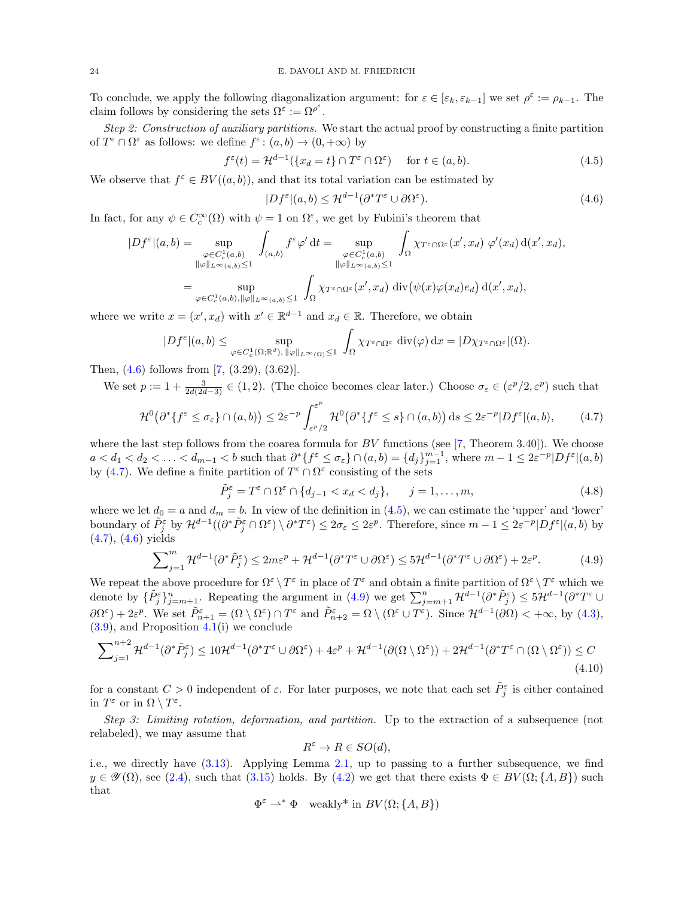To conclude, we apply the following diagonalization argument: for  $\varepsilon \in [\varepsilon_k, \varepsilon_{k-1}]$  we set  $\rho^{\varepsilon} := \rho_{k-1}$ . The claim follows by considering the sets  $\Omega^{\varepsilon} := \Omega^{\rho^{\varepsilon}}$ .

Step 2: Construction of auxiliary partitions. We start the actual proof by constructing a finite partition of  $T^{\varepsilon} \cap \Omega^{\varepsilon}$  as follows: we define  $f^{\varepsilon}$ :  $(a, b) \to (0, +\infty)$  by

$$
f^{\varepsilon}(t) = \mathcal{H}^{d-1}(\{x_d = t\} \cap T^{\varepsilon} \cap \Omega^{\varepsilon}) \quad \text{for } t \in (a, b).
$$
 (4.5)

We observe that  $f^{\varepsilon} \in BV((a, b))$ , and that its total variation can be estimated by

<span id="page-23-2"></span><span id="page-23-0"></span>
$$
|Df^{\varepsilon}|(a,b) \le \mathcal{H}^{d-1}(\partial^*T^{\varepsilon} \cup \partial \Omega^{\varepsilon}).\tag{4.6}
$$

In fact, for any  $\psi \in C_c^{\infty}(\Omega)$  with  $\psi = 1$  on  $\Omega^{\varepsilon}$ , we get by Fubini's theorem that

$$
|Df^{\varepsilon}|(a,b) = \sup_{\substack{\varphi \in C_{c}^{1}(a,b) \\ \|\varphi\|_{L^{\infty}(a,b)} \le 1}} \int_{(a,b)} f^{\varepsilon} \varphi' dt = \sup_{\substack{\varphi \in C_{c}^{1}(a,b) \\ \|\varphi\|_{L^{\infty}(a,b)} \le 1}} \int_{\Omega} \chi_{T^{\varepsilon} \cap \Omega^{\varepsilon}}(x',x_{d}) \varphi'(x_{d}) d(x',x_{d}),
$$
  

$$
= \sup_{\varphi \in C_{c}^{1}(a,b), \|\varphi\|_{L^{\infty}(a,b)} \le 1} \int_{\Omega} \chi_{T^{\varepsilon} \cap \Omega^{\varepsilon}}(x',x_{d}) d\mathrm{iv}(\psi(x)\varphi(x_{d})e_{d}) d(x',x_{d}),
$$

where we write  $x = (x', x_d)$  with  $x' \in \mathbb{R}^{d-1}$  and  $x_d \in \mathbb{R}$ . Therefore, we obtain

$$
|Df^{\varepsilon}|(a,b) \leq \sup_{\varphi \in C_c^1(\Omega;\mathbb{R}^d),\ \|\varphi\|_{L^{\infty}(\Omega)} \leq 1} \int_{\Omega} \chi_{T^{\varepsilon} \cap \Omega^{\varepsilon}} \operatorname{div}(\varphi) \,dx = |D\chi_{T^{\varepsilon} \cap \Omega^{\varepsilon}}|(\Omega).
$$

Then, [\(4.6\)](#page-23-0) follows from [\[7,](#page-61-19) (3.29), (3.62)].

We set  $p := 1 + \frac{3}{2d(2d-3)} \in (1,2)$ . (The choice becomes clear later.) Choose  $\sigma_{\varepsilon} \in (\varepsilon^p/2, \varepsilon^p)$  such that

$$
\mathcal{H}^0(\partial^* \{ f^\varepsilon \le \sigma_\varepsilon \} \cap (a, b)) \le 2\varepsilon^{-p} \int_{\varepsilon^p/2}^{\varepsilon^p} \mathcal{H}^0(\partial^* \{ f^\varepsilon \le s \} \cap (a, b)) ds \le 2\varepsilon^{-p} |Df^\varepsilon|(a, b), \tag{4.7}
$$

where the last step follows from the coarea formula for  $BV$  functions (see [\[7,](#page-61-19) Theorem 3.40]). We choose  $a < d_1 < d_2 < \ldots < d_{m-1} < b$  such that  $\partial^* \{ f^{\varepsilon} \leq \sigma_{\varepsilon} \} \cap (a, b) = \{ d_j \}_{j=1}^{m-1}$ , where  $m-1 \leq 2\varepsilon^{-p}|Df^{\varepsilon}|(a, b)$ by [\(4.7\)](#page-23-1). We define a finite partition of  $T^{\varepsilon} \cap \Omega^{\varepsilon}$  consisting of the sets

<span id="page-23-5"></span><span id="page-23-1"></span>
$$
\tilde{P}_j^{\varepsilon} = T^{\varepsilon} \cap \Omega^{\varepsilon} \cap \{d_{j-1} < x_d < d_j\}, \qquad j = 1, \dots, m,\tag{4.8}
$$

where we let  $d_0 = a$  and  $d_m = b$ . In view of the definition in [\(4.5\)](#page-23-2), we can estimate the 'upper' and 'lower' boundary of  $\tilde{P}_{j}^{\varepsilon}$  by  $\mathcal{H}^{d-1}((\partial^* \tilde{P}_{j}^{\varepsilon} \cap \Omega^{\varepsilon}) \setminus \partial^* T^{\varepsilon}) \leq 2\sigma_{\varepsilon} \leq 2\varepsilon^p$ . Therefore, since  $m-1 \leq 2\varepsilon^{-p}|Df^{\varepsilon}|(a,b)$  by [\(4.7\)](#page-23-1), [\(4.6\)](#page-23-0) yields

$$
\sum_{j=1}^{m} \mathcal{H}^{d-1}(\partial^* \tilde{P}_j^{\varepsilon}) \le 2m\varepsilon^p + \mathcal{H}^{d-1}(\partial^* T^{\varepsilon} \cup \partial \Omega^{\varepsilon}) \le 5\mathcal{H}^{d-1}(\partial^* T^{\varepsilon} \cup \partial \Omega^{\varepsilon}) + 2\varepsilon^p. \tag{4.9}
$$

We repeat the above procedure for  $\Omega^{\varepsilon} \setminus T^{\varepsilon}$  in place of  $T^{\varepsilon}$  and obtain a finite partition of  $\Omega^{\varepsilon} \setminus T^{\varepsilon}$  which we denote by  $\{\tilde{P}_{j}^{\varepsilon}\}_{j=m+1}^{n}$ . Repeating the argument in  $(4.9)$  we get  $\sum_{j=m+1}^{n} \mathcal{H}^{d-1}(\partial^* \tilde{P}_{j}^{\varepsilon}) \leq 5\mathcal{H}^{d-1}(\partial^* T^{\varepsilon} \cup$  $\partial\Omega^{\varepsilon}$  + 2 $\varepsilon^{p}$ . We set  $\tilde{P}_{n+1}^{\varepsilon} = (\Omega \setminus \Omega^{\varepsilon}) \cap T^{\varepsilon}$  and  $\tilde{P}_{n+2}^{\varepsilon} = \Omega \setminus (\Omega^{\varepsilon} \cup T^{\varepsilon})$ . Since  $\mathcal{H}^{d-1}(\partial\Omega) < +\infty$ , by [\(4.3\)](#page-22-2),  $(3.9)$ , and Proposition  $4.1(i)$  $4.1(i)$  we conclude

$$
\sum_{j=1}^{n+2} \mathcal{H}^{d-1}(\partial^* \tilde{P}_j^{\varepsilon}) \le 10 \mathcal{H}^{d-1}(\partial^* T^{\varepsilon} \cup \partial \Omega^{\varepsilon}) + 4\varepsilon^p + \mathcal{H}^{d-1}(\partial(\Omega \setminus \Omega^{\varepsilon})) + 2\mathcal{H}^{d-1}(\partial^* T^{\varepsilon} \cap (\Omega \setminus \Omega^{\varepsilon})) \le C
$$
\n(4.10)

for a constant  $C > 0$  independent of  $\varepsilon$ . For later purposes, we note that each set  $\tilde{P}_j^{\varepsilon}$  is either contained in  $T^{\varepsilon}$  or in  $\Omega \setminus T^{\varepsilon}$ .

Step 3: Limiting rotation, deformation, and partition. Up to the extraction of a subsequence (not relabeled), we may assume that

<span id="page-23-4"></span><span id="page-23-3"></span>
$$
R^{\varepsilon} \to R \in SO(d),
$$

i.e., we directly have [\(3.13\)](#page-14-5). Applying Lemma [2.1,](#page-7-1) up to passing to a further subsequence, we find  $y \in \mathscr{Y}(\Omega)$ , see [\(2.4\)](#page-6-3), such that [\(3.15\)](#page-14-7) holds. By [\(4.2\)](#page-22-3) we get that there exists  $\Phi \in BV(\Omega; \{A, B\})$  such that

$$
\Phi^{\varepsilon} \rightharpoonup^* \Phi
$$
 weakly\* in  $BV(\Omega; \{A, B\})$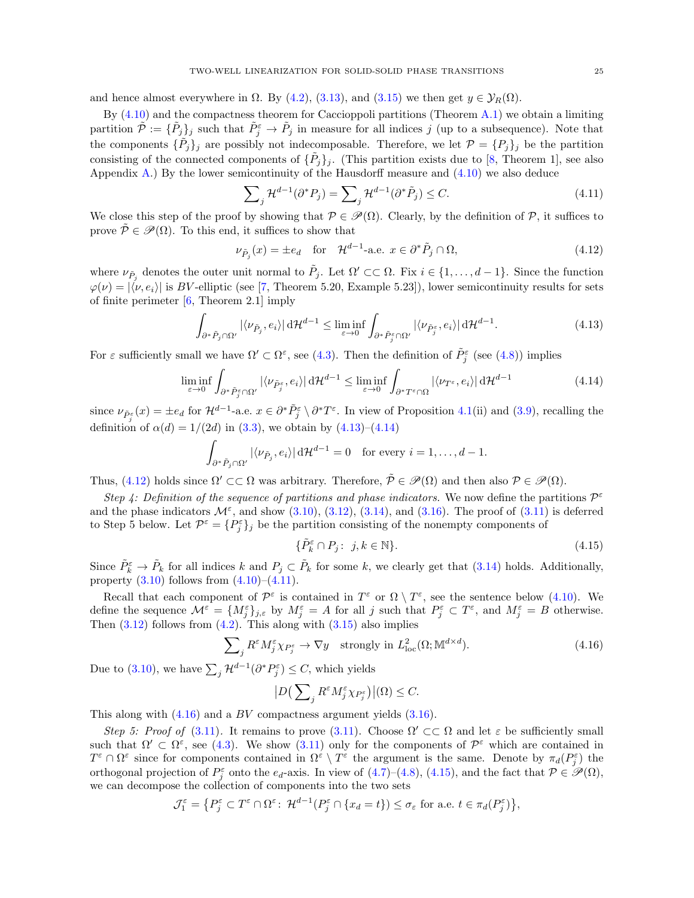and hence almost everywhere in  $\Omega$ . By [\(4.2\)](#page-22-3), [\(3.13\)](#page-14-5), and [\(3.15\)](#page-14-7) we then get  $y \in \mathcal{Y}_R(\Omega)$ .

By  $(4.10)$  and the compactness theorem for Caccioppoli partitions (Theorem [A.1\)](#page-60-1) we obtain a limiting partition  $\tilde{\mathcal{P}} := {\{\tilde{P}_j\}_j}$  such that  $\tilde{P}_j^{\varepsilon} \to \tilde{P}_j$  in measure for all indices j (up to a subsequence). Note that the components  $\{\tilde{P}_j\}_j$  are possibly not indecomposable. Therefore, we let  $\mathcal{P} = \{P_j\}_j$  be the partition consisting of the connected components of  $\{\tilde{P}_j\}_j$ . (This partition exists due to [\[8,](#page-61-23) Theorem 1], see also Appendix [A.](#page-60-2)) By the lower semicontinuity of the Hausdorff measure and  $(4.10)$  we also deduce

<span id="page-24-3"></span><span id="page-24-2"></span>
$$
\sum_{j} \mathcal{H}^{d-1}(\partial^* P_j) = \sum_{j} \mathcal{H}^{d-1}(\partial^* \tilde{P}_j) \le C. \tag{4.11}
$$

We close this step of the proof by showing that  $\mathcal{P} \in \mathcal{P}(\Omega)$ . Clearly, by the definition of P, it suffices to prove  $\tilde{\mathcal{P}} \in \mathcal{P}(\Omega)$ . To this end, it suffices to show that

<span id="page-24-0"></span>
$$
\nu_{\tilde{P}_j}(x) = \pm e_d \quad \text{for} \quad \mathcal{H}^{d-1}\text{-a.e. } x \in \partial^* \tilde{P}_j \cap \Omega,\tag{4.12}
$$

where  $\nu_{\tilde{P}_j}$  denotes the outer unit normal to  $\tilde{P}_j$ . Let  $\Omega' \subset\subset \Omega$ . Fix  $i \in \{1,\ldots,d-1\}$ . Since the function  $\varphi(\nu) = |\langle \nu, e_i \rangle|$  is BV-elliptic (see [\[7,](#page-61-19) Theorem 5.20, Example 5.23]), lower semicontinuity results for sets of finite perimeter  $[6,$  Theorem 2.1 imply

$$
\int_{\partial^*\tilde{P}_j \cap \Omega'} |\langle \nu_{\tilde{P}_j}, e_i \rangle| d\mathcal{H}^{d-1} \le \liminf_{\varepsilon \to 0} \int_{\partial^*\tilde{P}_j^{\varepsilon} \cap \Omega'} |\langle \nu_{\tilde{P}_j^{\varepsilon}}, e_i \rangle| d\mathcal{H}^{d-1}.
$$
\n(4.13)

For  $\varepsilon$  sufficiently small we have  $\Omega' \subset \Omega^{\varepsilon}$ , see [\(4.3\)](#page-22-2). Then the definition of  $\tilde{P}_{j}^{\varepsilon}$  (see [\(4.8\)](#page-23-5)) implies

$$
\liminf_{\varepsilon \to 0} \int_{\partial^* \tilde{P}_j^{\varepsilon} \cap \Omega'} |\langle \nu_{\tilde{P}_j^{\varepsilon}}, e_i \rangle| d\mathcal{H}^{d-1} \le \liminf_{\varepsilon \to 0} \int_{\partial^* T^{\varepsilon} \cap \Omega} |\langle \nu_{T^{\varepsilon}}, e_i \rangle| d\mathcal{H}^{d-1}
$$
\n(4.14)

since  $\nu_{\tilde{P}_{j}^{\varepsilon}}(x) = \pm e_d$  for  $\mathcal{H}^{d-1}$ -a.e.  $x \in \partial^* \tilde{P}_{j}^{\varepsilon} \setminus \partial^* T^{\varepsilon}$ . In view of Proposition [4.1\(](#page-21-1)ii) and [\(3.9\)](#page-14-12), recalling the definition of  $\alpha(d) = 1/(2d)$  in [\(3.3\)](#page-12-3), we obtain by [\(4.13\)](#page-24-0)–[\(4.14\)](#page-24-1)

$$
\int_{\partial^*\tilde{P}_j\cap\Omega'} |\langle \nu_{\tilde{P}_j}, e_i\rangle| d\mathcal{H}^{d-1} = 0 \text{ for every } i = 1,\ldots, d-1.
$$

Thus, [\(4.12\)](#page-24-2) holds since  $\Omega' \subset\subset \Omega$  was arbitrary. Therefore,  $\tilde{\mathcal{P}} \in \mathcal{P}(\Omega)$  and then also  $\mathcal{P} \in \mathcal{P}(\Omega)$ .

Step 4: Definition of the sequence of partitions and phase indicators. We now define the partitions  $\mathcal{P}^{\varepsilon}$ and the phase indicators  $\mathcal{M}^{\varepsilon}$ , and show  $(3.10)$ ,  $(3.12)$ ,  $(3.14)$ , and  $(3.16)$ . The proof of  $(3.11)$  is deferred to Step 5 below. Let  $\mathcal{P}^{\varepsilon} = \{P_j^{\varepsilon}\}_j$  be the partition consisting of the nonempty components of

<span id="page-24-5"></span><span id="page-24-4"></span><span id="page-24-1"></span>
$$
\{\tilde{P}_k^{\varepsilon} \cap P_j : j, k \in \mathbb{N}\}.
$$
\n(4.15)

Since  $\tilde{P}_k^{\varepsilon} \to \tilde{P}_k$  for all indices k and  $P_j \subset \tilde{P}_k$  for some k, we clearly get that [\(3.14\)](#page-14-6) holds. Additionally, property  $(3.10)$  follows from  $(4.10)$ – $(4.11)$ .

Recall that each component of  $\mathcal{P}^{\varepsilon}$  is contained in  $T^{\varepsilon}$  or  $\Omega \setminus T^{\varepsilon}$ , see the sentence below [\(4.10\)](#page-23-4). We define the sequence  $\mathcal{M}^{\varepsilon} = \{M_j^{\varepsilon}\}_{j,\varepsilon}$  by  $M_j^{\varepsilon} = A$  for all j such that  $P_j^{\varepsilon} \subset T^{\varepsilon}$ , and  $M_j^{\varepsilon} = B$  otherwise. Then  $(3.12)$  follows from  $(4.2)$ . This along with  $(3.15)$  also implies

$$
\sum_{j} R^{\varepsilon} M_{j}^{\varepsilon} \chi_{P_{j}^{\varepsilon}} \to \nabla y \quad \text{strongly in } L_{\text{loc}}^{2}(\Omega; \mathbb{M}^{d \times d}). \tag{4.16}
$$

Due to [\(3.10\)](#page-14-2), we have  $\sum_{j} \mathcal{H}^{d-1}(\partial^* P_j^{\varepsilon}) \leq C$ , which yields

$$
|D\big(\sum\nolimits_j R^\varepsilon M_j^\varepsilon \chi_{P_j^\varepsilon}\big)\big|(\Omega)\leq C.
$$

This along with  $(4.16)$  and a BV compactness argument yields  $(3.16)$ .

Step 5: Proof of [\(3.11\)](#page-14-4). It remains to prove [\(3.11\)](#page-14-4). Choose  $\Omega' \subset\subset \Omega$  and let  $\varepsilon$  be sufficiently small such that  $\Omega' \subset \Omega^{\varepsilon}$ , see [\(4.3\)](#page-22-2). We show [\(3.11\)](#page-14-4) only for the components of  $\mathcal{P}^{\varepsilon}$  which are contained in  $T^{\varepsilon} \cap \Omega^{\varepsilon}$  since for components contained in  $\Omega^{\varepsilon} \setminus T^{\varepsilon}$  the argument is the same. Denote by  $\pi_d(P_j^{\varepsilon})$  the orthogonal projection of  $P_j^{\varepsilon}$  onto the  $e_d$ -axis. In view of [\(4.7\)](#page-23-1)–[\(4.8\)](#page-23-5), [\(4.15\)](#page-24-5), and the fact that  $\mathcal{P} \in \mathscr{P}(\Omega)$ , we can decompose the collection of components into the two sets

$$
\mathcal{J}_1^{\varepsilon} = \left\{ P_j^{\varepsilon} \subset T^{\varepsilon} \cap \Omega^{\varepsilon} \colon \mathcal{H}^{d-1}(P_j^{\varepsilon} \cap \{x_d = t\}) \le \sigma_{\varepsilon} \text{ for a.e. } t \in \pi_d(P_j^{\varepsilon}) \right\},\
$$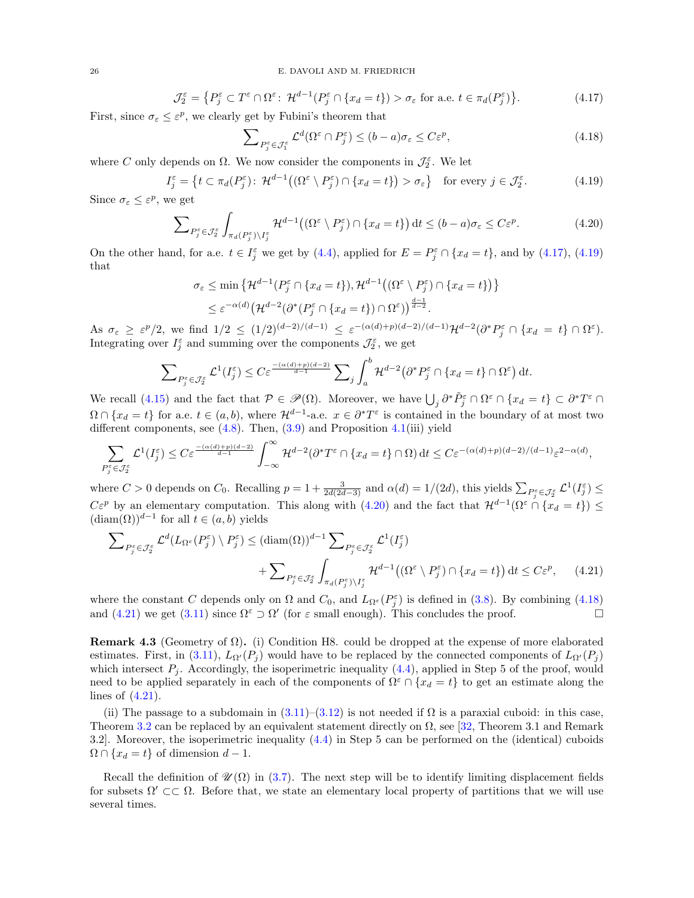$$
\mathcal{J}_2^{\varepsilon} = \left\{ P_j^{\varepsilon} \subset T^{\varepsilon} \cap \Omega^{\varepsilon} : \mathcal{H}^{d-1}(P_j^{\varepsilon} \cap \{x_d = t\}) > \sigma_{\varepsilon} \text{ for a.e. } t \in \pi_d(P_j^{\varepsilon}) \right\}.
$$
 (4.17)

First, since  $\sigma_{\varepsilon} \leq \varepsilon^p$ , we clearly get by Fubini's theorem that

<span id="page-25-4"></span><span id="page-25-3"></span><span id="page-25-2"></span><span id="page-25-1"></span>
$$
\sum_{P_j^{\varepsilon} \in \mathcal{J}_1^{\varepsilon}} \mathcal{L}^d(\Omega^{\varepsilon} \cap P_j^{\varepsilon}) \le (b - a)\sigma_{\varepsilon} \le C\varepsilon^p,\tag{4.18}
$$

where C only depends on  $\Omega$ . We now consider the components in  $\mathcal{J}_2^{\varepsilon}$ . We let

$$
I_j^{\varepsilon} = \left\{ t \subset \pi_d(P_j^{\varepsilon}) : \mathcal{H}^{d-1}\big((\Omega^{\varepsilon} \setminus P_j^{\varepsilon}) \cap \{x_d = t\}\big) > \sigma_{\varepsilon} \right\} \text{ for every } j \in \mathcal{J}_2^{\varepsilon}.
$$
 (4.19)

Since  $\sigma_{\varepsilon} \leq \varepsilon^{p}$ , we get

$$
\sum_{P_j^{\varepsilon} \in \mathcal{J}_2^{\varepsilon}} \int_{\pi_d(P_j^{\varepsilon}) \setminus I_j^{\varepsilon}} \mathcal{H}^{d-1}\big((\Omega^{\varepsilon} \setminus P_j^{\varepsilon}) \cap \{x_d = t\}\big) dt \le (b-a)\sigma_{\varepsilon} \le C\varepsilon^p. \tag{4.20}
$$

On the other hand, for a.e.  $t \in I_j^{\varepsilon}$  we get by [\(4.4\)](#page-22-1), applied for  $E = P_j^{\varepsilon} \cap \{x_d = t\}$ , and by [\(4.17\)](#page-25-1), [\(4.19\)](#page-25-2) that

$$
\sigma_{\varepsilon} \le \min \left\{ \mathcal{H}^{d-1}(P_j^{\varepsilon} \cap \{x_d = t\}), \mathcal{H}^{d-1}\big((\Omega^{\varepsilon} \setminus P_j^{\varepsilon}) \cap \{x_d = t\}\big) \right\}
$$
  

$$
\le \varepsilon^{-\alpha(d)} \big(\mathcal{H}^{d-2}(\partial^*(P_j^{\varepsilon} \cap \{x_d = t\}) \cap \Omega^{\varepsilon})\big)^{\frac{d-1}{d-2}}.
$$

As  $\sigma_{\varepsilon} \geq \varepsilon^{p}/2$ , we find  $1/2 \leq (1/2)^{(d-2)/(d-1)} \leq \varepsilon^{-(\alpha(d)+p)(d-2)/(d-1)} \mathcal{H}^{d-2}(\partial^* P_j^{\varepsilon} \cap \{x_d = t\} \cap \Omega^{\varepsilon})$ . Integrating over  $I_j^{\varepsilon}$  and summing over the components  $\mathcal{J}_2^{\varepsilon}$ , we get

<span id="page-25-5"></span>
$$
\sum_{P_j^{\varepsilon} \in \mathcal{J}_2^{\varepsilon}} \mathcal{L}^1(I_j^{\varepsilon}) \le C \varepsilon^{\frac{-(\alpha(d)+p)(d-2)}{d-1}} \sum_j \int_a^b \mathcal{H}^{d-2} (\partial^* P_j^{\varepsilon} \cap \{x_d = t\} \cap \Omega^{\varepsilon}) dt.
$$

We recall [\(4.15\)](#page-24-5) and the fact that  $\mathcal{P} \in \mathscr{P}(\Omega)$ . Moreover, we have  $\bigcup_j \partial^* \tilde{P}_j^{\varepsilon} \cap \Omega^{\varepsilon} \cap \{x_d = t\} \subset \partial^* T^{\varepsilon} \cap \Omega$  $\Omega \cap \{x_d = t\}$  for a.e.  $t \in (a, b)$ , where  $\mathcal{H}^{d-1}$ -a.e.  $x \in \partial^* T^{\varepsilon}$  is contained in the boundary of at most two different components, see  $(4.8)$ . Then,  $(3.9)$  and Proposition  $4.1(iii)$  $4.1(iii)$  yield

$$
\sum_{P_j^{\varepsilon} \in \mathcal{J}_2^{\varepsilon}} \mathcal{L}^1(I_j^{\varepsilon}) \leq C \varepsilon^{\frac{-(\alpha(d) + p)(d-2)}{d-1}} \int_{-\infty}^{\infty} \mathcal{H}^{d-2}(\partial^* T^{\varepsilon} \cap \{x_d = t\} \cap \Omega) dt \leq C \varepsilon^{-(\alpha(d) + p)(d-2)/(d-1)} \varepsilon^{2-\alpha(d)},
$$

where  $C > 0$  depends on  $C_0$ . Recalling  $p = 1 + \frac{3}{2d(2d-3)}$  and  $\alpha(d) = 1/(2d)$ , this yields  $\sum_{P_j^{\varepsilon} \in \mathcal{J}_2^{\varepsilon}} \mathcal{L}^1(I_j^{\varepsilon}) \leq$  $C\varepsilon^p$  by an elementary computation. This along with [\(4.20\)](#page-25-3) and the fact that  $\mathcal{H}^{d-1}(\Omega^{\varepsilon} \cap \{x_d = t\}) \leq$  $(\text{diam}(\Omega))^{d-1}$  for all  $t \in (a, b)$  yields

$$
\sum_{P_j^{\varepsilon} \in \mathcal{J}_2^{\varepsilon}} \mathcal{L}^d(L_{\Omega^{\varepsilon}}(P_j^{\varepsilon}) \setminus P_j^{\varepsilon}) \le (\text{diam}(\Omega))^{d-1} \sum_{P_j^{\varepsilon} \in \mathcal{J}_2^{\varepsilon}} \mathcal{L}^1(I_j^{\varepsilon}) + \sum_{P_j^{\varepsilon} \in \mathcal{J}_2^{\varepsilon}} \int_{\pi_d(P_j^{\varepsilon}) \setminus I_j^{\varepsilon}} \mathcal{H}^{d-1}((\Omega^{\varepsilon} \setminus P_j^{\varepsilon}) \cap \{x_d = t\}) dt \le C\varepsilon^p, \quad (4.21)
$$

where the constant C depends only on  $\Omega$  and  $C_0$ , and  $L_{\Omega^{\varepsilon}}(P_j^{\varepsilon})$  is defined in [\(3.8\)](#page-13-3). By combining [\(4.18\)](#page-25-4) and [\(4.21\)](#page-25-5) we get [\(3.11\)](#page-14-4) since  $\Omega^{\varepsilon} \supset \Omega'$  (for  $\varepsilon$  small enough). This concludes the proof.

<span id="page-25-0"></span>**Remark 4.3** (Geometry of  $\Omega$ ). (i) Condition H8. could be dropped at the expense of more elaborated estimates. First, in [\(3.11\)](#page-14-4),  $L_{\Omega'}(P_i)$  would have to be replaced by the connected components of  $L_{\Omega'}(P_i)$ which intersect  $P_j$ . Accordingly, the isoperimetric inequality  $(4.4)$ , applied in Step 5 of the proof, would need to be applied separately in each of the components of  $\Omega^{\varepsilon} \cap \{x_d = t\}$  to get an estimate along the lines of [\(4.21\)](#page-25-5).

(ii) The passage to a subdomain in  $(3.11)$ – $(3.12)$  is not needed if  $\Omega$  is a paraxial cuboid: in this case, Theorem [3.2](#page-12-1) can be replaced by an equivalent statement directly on  $\Omega$ , see [\[32,](#page-62-0) Theorem 3.1 and Remark 3.2]. Moreover, the isoperimetric inequality [\(4.4\)](#page-22-1) in Step 5 can be performed on the (identical) cuboids  $\Omega \cap \{x_d = t\}$  of dimension  $d-1$ .

Recall the definition of  $\mathscr{U}(\Omega)$  in [\(3.7\)](#page-13-4). The next step will be to identify limiting displacement fields for subsets  $\Omega' \subset\subset \Omega$ . Before that, we state an elementary local property of partitions that we will use several times.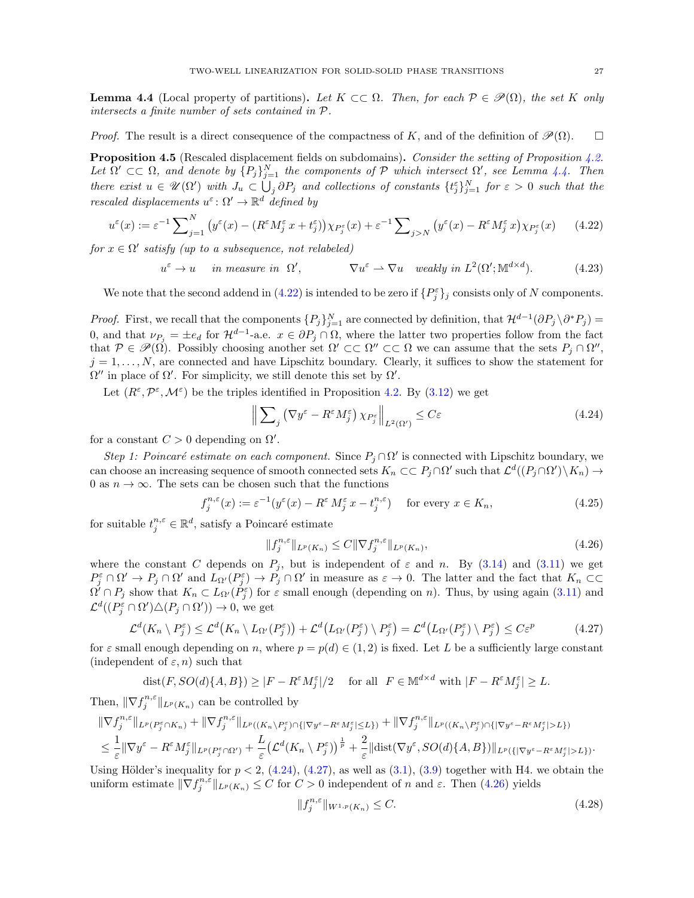<span id="page-26-1"></span>**Lemma 4.4** (Local property of partitions). Let  $K \subset\subset \Omega$ . Then, for each  $\mathcal{P} \in \mathcal{P}(\Omega)$ , the set K only intersects a finite number of sets contained in P.

*Proof.* The result is a direct consequence of the compactness of K, and of the definition of  $\mathcal{P}(\Omega)$ .  $\square$ 

<span id="page-26-0"></span>**Proposition 4.5** (Rescaled displacement fields on subdomains). Consider the setting of Proposition [4.2.](#page-21-0) Let  $\Omega' \subset\subset \Omega$ , and denote by  ${P_j}_{j=1}^N$  the components of P which intersect  $\Omega'$ , see Lemma [4.4.](#page-26-1) Then there exist  $u \in \mathscr{U}(\Omega')$  with  $J_u \subset \bigcup_j \partial P_j$  and collections of constants  $\{t_j^{\varepsilon}\}_{j=1}^N$  for  $\varepsilon > 0$  such that the rescaled displacements  $u^{\varepsilon} \colon \Omega' \to \mathbb{R}^d$  defined by

$$
u^{\varepsilon}(x) := \varepsilon^{-1} \sum_{j=1}^{N} \left( y^{\varepsilon}(x) - \left( R^{\varepsilon} M_j^{\varepsilon}(x) + t_j^{\varepsilon} \right) \right) \chi_{P_j^{\varepsilon}}(x) + \varepsilon^{-1} \sum_{j > N} \left( y^{\varepsilon}(x) - R^{\varepsilon} M_j^{\varepsilon}(x) \chi_{P_j^{\varepsilon}}(x) \right) \tag{4.22}
$$

for  $x \in \Omega'$  satisfy (up to a subsequence, not relabeled)

$$
u^{\varepsilon} \to u \quad \text{ in measure in } \Omega', \qquad \nabla u^{\varepsilon} \to \nabla u \quad weakly \text{ in } L^{2}(\Omega'; \mathbb{M}^{d \times d}). \tag{4.23}
$$

We note that the second addend in [\(4.22\)](#page-26-2) is intended to be zero if  $\{P_j^{\varepsilon}\}_j$  consists only of N components.

*Proof.* First, we recall that the components  $\{P_j\}_{j=1}^N$  are connected by definition, that  $\mathcal{H}^{d-1}(\partial P_j \setminus \partial^* P_j) =$ 0, and that  $\nu_{P_j} = \pm e_d$  for  $\mathcal{H}^{d-1}$ -a.e.  $x \in \partial P_j \cap \Omega$ , where the latter two properties follow from the fact that  $\mathcal{P} \in \mathscr{P}(\Omega)$ . Possibly choosing another set  $\Omega' \subset\subset \Omega'' \subset\subset \Omega$  we can assume that the sets  $P_j \cap \Omega''$ ,  $j = 1, \ldots, N$ , are connected and have Lipschitz boundary. Clearly, it suffices to show the statement for  $\Omega''$  in place of  $\Omega'$ . For simplicity, we still denote this set by  $\Omega'$ .

Let  $(R^{\varepsilon}, \mathcal{P}^{\varepsilon}, \mathcal{M}^{\varepsilon})$  be the triples identified in Proposition [4.2.](#page-21-0) By [\(3.12\)](#page-14-3) we get

<span id="page-26-8"></span><span id="page-26-3"></span><span id="page-26-2"></span>
$$
\left\| \sum_{j} \left( \nabla y^{\varepsilon} - R^{\varepsilon} M_{j}^{\varepsilon} \right) \chi_{P_{j}^{\varepsilon}} \right\|_{L^{2}(\Omega')} \leq C \varepsilon
$$
\n(4.24)

for a constant  $C > 0$  depending on  $\Omega'$ .

Step 1: Poincaré estimate on each component. Since  $P_j \cap \Omega'$  is connected with Lipschitz boundary, we can choose an increasing sequence of smooth connected sets  $K_n \subset\subset P_j\cap\Omega'$  such that  $\mathcal{L}^d((P_j\cap\Omega')\setminus K_n) \to$ 0 as  $n \to \infty$ . The sets can be chosen such that the functions

<span id="page-26-6"></span>
$$
f_j^{n,\varepsilon}(x) := \varepsilon^{-1}(y^{\varepsilon}(x) - R^{\varepsilon} M_j^{\varepsilon} x - t_j^{n,\varepsilon}) \quad \text{for every } x \in K_n,
$$
\n(4.25)

for suitable  $t_j^{n,\varepsilon} \in \mathbb{R}^d$ , satisfy a Poincaré estimate

<span id="page-26-5"></span>
$$
||f_j^{n,\varepsilon}||_{L^p(K_n)} \le C||\nabla f_j^{n,\varepsilon}||_{L^p(K_n)},\tag{4.26}
$$

where the constant C depends on  $P_j$ , but is independent of  $\varepsilon$  and n. By [\(3.14\)](#page-14-6) and [\(3.11\)](#page-14-4) we get  $P_j^{\varepsilon} \cap \Omega' \to P_j \cap \Omega'$  and  $L_{\Omega'}(P_j^{\varepsilon}) \to P_j \cap \Omega'$  in measure as  $\varepsilon \to 0$ . The latter and the fact that  $K_n \subset\subset$  $\Omega' \cap P_j$  show that  $K_n \subset L_{\Omega'}(P_j^{\varepsilon})$  for  $\varepsilon$  small enough (depending on n). Thus, by using again [\(3.11\)](#page-14-4) and  $\mathcal{L}^d((P_j^{\varepsilon} \cap \Omega') \triangle (P_j \cap \Omega')) \to 0$ , we get

<span id="page-26-4"></span>
$$
\mathcal{L}^d(K_n \setminus P_j^{\varepsilon}) \le \mathcal{L}^d(K_n \setminus L_{\Omega'}(P_j^{\varepsilon})) + \mathcal{L}^d(L_{\Omega'}(P_j^{\varepsilon}) \setminus P_j^{\varepsilon}) = \mathcal{L}^d(L_{\Omega'}(P_j^{\varepsilon}) \setminus P_j^{\varepsilon}) \le C\varepsilon^p
$$
\n(4.27)

for  $\varepsilon$  small enough depending on n, where  $p = p(d) \in (1, 2)$  is fixed. Let L be a sufficiently large constant (independent of  $\varepsilon$ , n) such that

 $dist(F, SO(d)\{A, B\}) \geq |F - R^{\varepsilon} M_j^{\varepsilon}|/2$  for all  $F \in M^{d \times d}$  with  $|F - R^{\varepsilon} M_j^{\varepsilon}| \geq L$ .

Then,  $\|\nabla f_j^{n,\varepsilon}\|_{L^p(K_n)}$  can be controlled by

$$
\begin{split} &\|\nabla f_j^{n,\varepsilon}\|_{L^p(P_j^\varepsilon\cap K_n)}+\|\nabla f_j^{n,\varepsilon}\|_{L^p((K_n\backslash P_j^\varepsilon)\cap\{|\nabla y^\varepsilon-R^\varepsilon M_j^\varepsilon|\leq L\})}+\|\nabla f_j^{n,\varepsilon}\|_{L^p((K_n\backslash P_j^\varepsilon)\cap\{|\nabla y^\varepsilon-R^\varepsilon M_j^\varepsilon|>L\})}\\ &\leq \frac{1}{\varepsilon}\|\nabla y^\varepsilon-R^\varepsilon M_j^\varepsilon\|_{L^p(P_j^\varepsilon\cap\Omega')}+\frac{L}{\varepsilon}\big(\mathcal{L}^d(K_n\backslash P_j^\varepsilon)\big)^\frac{1}{p}+\frac{2}{\varepsilon}\|\text{dist}(\nabla y^\varepsilon,SO(d)\{A,B\})\|_{L^p(\{|\nabla y^\varepsilon-R^\varepsilon M_j^\varepsilon|>L\})}. \end{split}
$$

Using Hölder's inequality for  $p < 2$ , [\(4.24\)](#page-26-3), [\(4.27\)](#page-26-4), as well as [\(3.1\)](#page-11-3), [\(3.9\)](#page-14-12) together with H4. we obtain the uniform estimate  $\|\nabla f_j^{n,\varepsilon}\|_{L^p(K_n)} \leq C$  for  $C > 0$  independent of n and  $\varepsilon$ . Then [\(4.26\)](#page-26-5) yields

<span id="page-26-7"></span>
$$
||f_j^{n,\varepsilon}||_{W^{1,p}(K_n)} \le C. \tag{4.28}
$$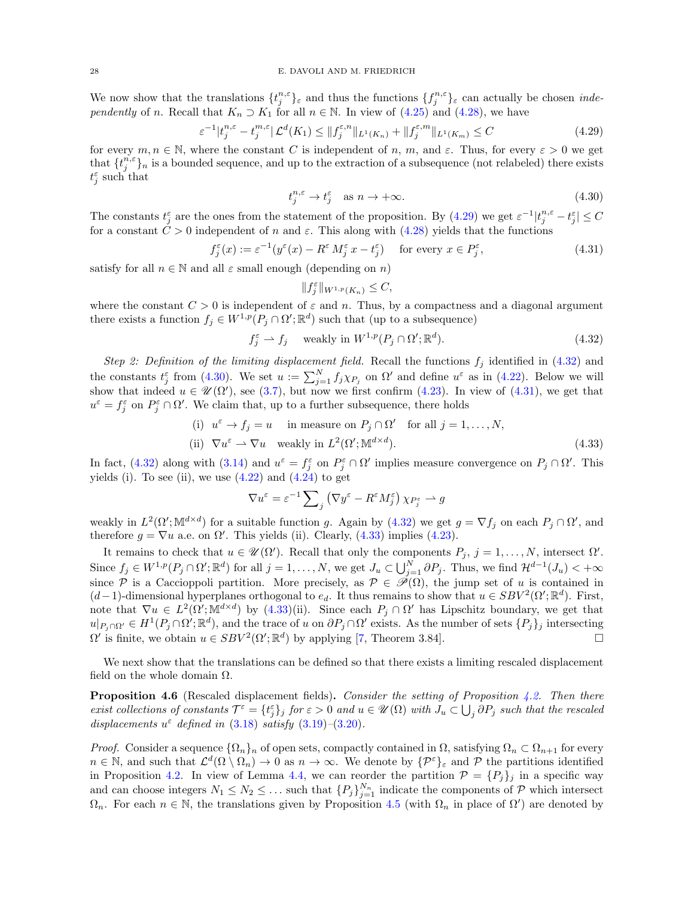We now show that the translations  $\{t_j^{n,\varepsilon}\}_\varepsilon$  and thus the functions  $\{f_j^{n,\varepsilon}\}_\varepsilon$  can actually be chosen *inde*pendently of n. Recall that  $K_n \supset K_1$  for all  $n \in \mathbb{N}$ . In view of [\(4.25\)](#page-26-6) and [\(4.28\)](#page-26-7), we have

$$
\varepsilon^{-1}|t_j^{n,\varepsilon} - t_j^{m,\varepsilon}| \mathcal{L}^d(K_1) \le ||f_j^{\varepsilon,n}||_{L^1(K_n)} + ||f_j^{\varepsilon,m}||_{L^1(K_m)} \le C \tag{4.29}
$$

for every  $m, n \in \mathbb{N}$ , where the constant C is independent of n, m, and  $\varepsilon$ . Thus, for every  $\varepsilon > 0$  we get that  $\{t_j^{n,\varepsilon}\}_n$  is a bounded sequence, and up to the extraction of a subsequence (not relabeled) there exists  $t_j^{\varepsilon}$  such that

<span id="page-27-3"></span><span id="page-27-1"></span>
$$
t_j^{n,\varepsilon} \to t_j^{\varepsilon} \quad \text{as } n \to +\infty. \tag{4.30}
$$

The constants  $t_j^{\varepsilon}$  are the ones from the statement of the proposition. By  $(4.29)$  we get  $\varepsilon^{-1}|t_j^{n,\varepsilon}-t_j^{\varepsilon}| \leq C$ for a constant  $\hat{C} > 0$  independent of n and  $\varepsilon$ . This along with [\(4.28\)](#page-26-7) yields that the functions

$$
f_j^{\varepsilon}(x) := \varepsilon^{-1}(y^{\varepsilon}(x) - R^{\varepsilon} M_j^{\varepsilon} x - t_j^{\varepsilon}) \quad \text{for every } x \in P_j^{\varepsilon}, \tag{4.31}
$$

satisfy for all  $n \in \mathbb{N}$  and all  $\varepsilon$  small enough (depending on n)

<span id="page-27-5"></span><span id="page-27-4"></span><span id="page-27-2"></span>
$$
||f_j^{\varepsilon}||_{W^{1,p}(K_n)} \leq C,
$$

where the constant  $C > 0$  is independent of  $\varepsilon$  and n. Thus, by a compactness and a diagonal argument there exists a function  $f_j \in W^{1,p}(P_j \cap \Omega'; \mathbb{R}^d)$  such that (up to a subsequence)

$$
f_j^{\varepsilon} \rightharpoonup f_j \quad \text{ weakly in } W^{1,p}(P_j \cap \Omega'; \mathbb{R}^d). \tag{4.32}
$$

Step 2: Definition of the limiting displacement field. Recall the functions  $f_i$  identified in [\(4.32\)](#page-27-2) and the constants  $t_j^{\varepsilon}$  from [\(4.30\)](#page-27-3). We set  $u := \sum_{j=1}^{N} f_j \chi_{P_j}$  on  $\Omega'$  and define  $u^{\varepsilon}$  as in [\(4.22\)](#page-26-2). Below we will show that indeed  $u \in \mathcal{U}(\Omega')$ , see [\(3.7\)](#page-13-4), but now we first confirm [\(4.23\)](#page-26-8). In view of [\(4.31\)](#page-27-4), we get that  $u^{\varepsilon} = f^{\varepsilon}_{j}$  on  $P^{\varepsilon}_{j} \cap \Omega'$ . We claim that, up to a further subsequence, there holds

(i) 
$$
u^{\varepsilon} \to f_j = u
$$
 in measure on  $P_j \cap \Omega'$  for all  $j = 1, ..., N$ ,  
\n(ii)  $\nabla u^{\varepsilon} \to \nabla u$  weakly in  $L^2(\Omega'; \mathbb{M}^{d \times d})$ . (4.33)

In fact, [\(4.32\)](#page-27-2) along with [\(3.14\)](#page-14-6) and  $u^{\varepsilon} = f_j^{\varepsilon}$  on  $P_j^{\varepsilon} \cap \Omega'$  implies measure convergence on  $P_j \cap \Omega'$ . This yields (i). To see (ii), we use  $(4.22)$  and  $(4.24)$  to get

$$
\nabla u^{\varepsilon} = \varepsilon^{-1} \sum\nolimits_j \left( \nabla y^{\varepsilon} - R^{\varepsilon} M^{\varepsilon}_j \right) \chi_{P^{\varepsilon}_j} \rightharpoonup g
$$

weakly in  $L^2(\Omega'; \mathbb{M}^{d \times d})$  for a suitable function g. Again by [\(4.32\)](#page-27-2) we get  $g = \nabla f_j$  on each  $P_j \cap \Omega'$ , and therefore  $g = \nabla u$  a.e. on  $\Omega'$ . This yields (ii). Clearly, [\(4.33\)](#page-27-5) implies [\(4.23\)](#page-26-8).

It remains to check that  $u \in \mathcal{U}(\Omega')$ . Recall that only the components  $P_j$ ,  $j = 1, ..., N$ , intersect  $\Omega'$ . Since  $f_j \in W^{1,p}(P_j \cap \Omega'; \mathbb{R}^d)$  for all  $j = 1, ..., N$ , we get  $J_u \subset \bigcup_{j=1}^N \partial P_j$ . Thus, we find  $\mathcal{H}^{d-1}(J_u) < +\infty$ since P is a Caccioppoli partition. More precisely, as  $P \in \mathscr{P}(\Omega)$ , the jump set of u is contained in  $(d-1)$ -dimensional hyperplanes orthogonal to  $e_d$ . It thus remains to show that  $u \in SBV^2(\Omega';\mathbb{R}^d)$ . First, note that  $\nabla u \in L^2(\Omega'; \mathbb{M}^{d \times d})$  by  $(4.33)(ii)$ . Since each  $P_j \cap \Omega'$  has Lipschitz boundary, we get that  $u|_{P_j \cap \Omega'} \in H^1(P_j \cap \Omega'; \mathbb{R}^d)$ , and the trace of u on  $\partial P_j \cap \Omega'$  exists. As the number of sets  $\{P_j\}_j$  intersecting  $\Omega'$  is finite, we obtain  $u \in SBV^2(\Omega';\mathbb{R}^d)$  by applying [\[7,](#page-61-19) Theorem 3.84].

We next show that the translations can be defined so that there exists a limiting rescaled displacement field on the whole domain  $\Omega$ .

<span id="page-27-0"></span>**Proposition 4.6** (Rescaled displacement fields). Consider the setting of Proposition [4.2.](#page-21-0) Then there exist collections of constants  $\mathcal{T}^{\varepsilon} = \{t_j^{\varepsilon}\}_j$  for  $\varepsilon > 0$  and  $u \in \mathscr{U}(\Omega)$  with  $J_u \subset \bigcup_j \partial P_j$  such that the rescaled displacements  $u^{\epsilon}$  defined in [\(3.18\)](#page-14-10) satisfy [\(3.19\)](#page-14-11)-[\(3.20\)](#page-14-9).

*Proof.* Consider a sequence  $\{\Omega_n\}_n$  of open sets, compactly contained in  $\Omega$ , satisfying  $\Omega_n \subset \Omega_{n+1}$  for every  $n \in \mathbb{N}$ , and such that  $\mathcal{L}^d(\Omega \setminus \Omega_n) \to 0$  as  $n \to \infty$ . We denote by  $\{\mathcal{P}^{\varepsilon}\}_\varepsilon$  and  $\mathcal{P}$  the partitions identified in Proposition [4.2.](#page-21-0) In view of Lemma [4.4,](#page-26-1) we can reorder the partition  $\mathcal{P} = \{P_j\}_j$  in a specific way and can choose integers  $N_1 \leq N_2 \leq \ldots$  such that  $\{P_j\}_{j=1}^{N_n}$  indicate the components of  $P$  which intersect  $\Omega_n$ . For each  $n \in \mathbb{N}$ , the translations given by Proposition [4.5](#page-26-0) (with  $\Omega_n$  in place of  $\Omega'$ ) are denoted by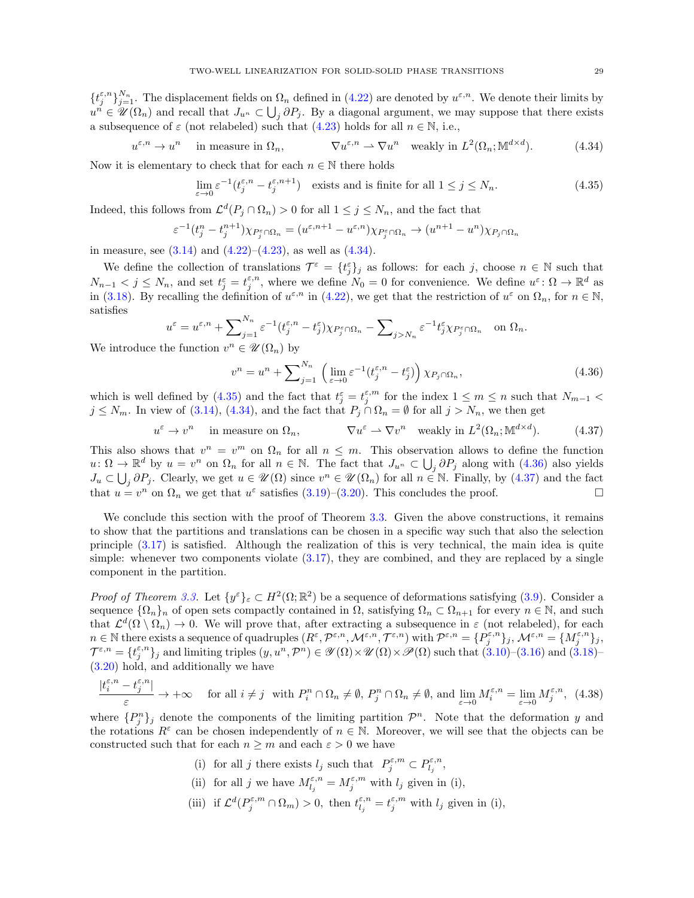$\{t_j^{\varepsilon,n}\}_{j=1}^{N_n}$ . The displacement fields on  $\Omega_n$  defined in [\(4.22\)](#page-26-2) are denoted by  $u^{\varepsilon,n}$ . We denote their limits by  $u^n \in \mathscr{U}(\Omega_n)$  and recall that  $J_{u^n} \subset \bigcup_j \partial P_j$ . By a diagonal argument, we may suppose that there exists a subsequence of  $\varepsilon$  (not relabeled) such that [\(4.23\)](#page-26-8) holds for all  $n \in \mathbb{N}$ , i.e.,

$$
u^{\varepsilon,n} \to u^n \quad \text{ in measure in } \Omega_n, \qquad \nabla u^{\varepsilon,n} \to \nabla u^n \quad \text{weakly in } L^2(\Omega_n; \mathbb{M}^{d \times d}). \tag{4.34}
$$

Now it is elementary to check that for each  $n \in \mathbb{N}$  there holds

<span id="page-28-1"></span><span id="page-28-0"></span>
$$
\lim_{\varepsilon \to 0} \varepsilon^{-1} (t_j^{\varepsilon, n} - t_j^{\varepsilon, n+1}) \quad \text{exists and is finite for all } 1 \le j \le N_n. \tag{4.35}
$$

Indeed, this follows from  $\mathcal{L}^d(P_j \cap \Omega_n) > 0$  for all  $1 \le j \le N_n$ , and the fact that

$$
\varepsilon^{-1}(t_j^n - t_j^{n+1})\chi_{P_j^{\varepsilon} \cap \Omega_n} = (u^{\varepsilon, n+1} - u^{\varepsilon, n})\chi_{P_j^{\varepsilon} \cap \Omega_n} \to (u^{n+1} - u^n)\chi_{P_j \cap \Omega_n}
$$

in measure, see  $(3.14)$  and  $(4.22)$ – $(4.23)$ , as well as  $(4.34)$ .

We define the collection of translations  $\mathcal{T}^{\varepsilon} = \{t_j^{\varepsilon}\}_j$  as follows: for each j, choose  $n \in \mathbb{N}$  such that  $N_{n-1} < j \le N_n$ , and set  $t_j^{\varepsilon} = t_j^{\varepsilon,n}$ , where we define  $N_0 = 0$  for convenience. We define  $u^{\varepsilon} \colon \Omega \to \mathbb{R}^d$  as in [\(3.18\)](#page-14-10). By recalling the definition of  $u^{\varepsilon,n}$  in [\(4.22\)](#page-26-2), we get that the restriction of  $u^{\varepsilon}$  on  $\Omega_n$ , for  $n \in \mathbb{N}$ , satisfies

$$
u^{\varepsilon} = u^{\varepsilon,n} + \sum_{j=1}^{N_n} \varepsilon^{-1} (t_j^{\varepsilon,n} - t_j^{\varepsilon}) \chi_{P_j^{\varepsilon} \cap \Omega_n} - \sum_{j > N_n} \varepsilon^{-1} t_j^{\varepsilon} \chi_{P_j^{\varepsilon} \cap \Omega_n} \quad \text{on } \Omega_n.
$$

We introduce the function  $v^n \in \mathcal{U}(\Omega_n)$  by

<span id="page-28-3"></span><span id="page-28-2"></span>
$$
v^{n} = u^{n} + \sum_{j=1}^{N_{n}} \left( \lim_{\varepsilon \to 0} \varepsilon^{-1} (t_{j}^{\varepsilon, n} - t_{j}^{\varepsilon}) \right) \chi_{P_{j} \cap \Omega_{n}}, \tag{4.36}
$$

which is well defined by [\(4.35\)](#page-28-1) and the fact that  $t_j^{\varepsilon} = t_j^{\varepsilon,m}$  for the index  $1 \leq m \leq n$  such that  $N_{m-1}$  <  $j \le N_m$ . In view of [\(3.14\)](#page-14-6), [\(4.34\)](#page-28-0), and the fact that  $P_j \cap \Omega_n = \emptyset$  for all  $j > N_n$ , we then get

> $u^{\varepsilon} \to v^n$  in measure on  $\Omega_n$ ,  $\nabla u^{\varepsilon} \to \nabla v^n$  weakly in  $L^2(\Omega_n; \mathbb{M}^{d \times d})$  $(4.37)$

This also shows that  $v^n = v^m$  on  $\Omega_n$  for all  $n \leq m$ . This observation allows to define the function  $u: \Omega \to \mathbb{R}^d$  by  $u = v^n$  on  $\Omega_n$  for all  $n \in \mathbb{N}$ . The fact that  $J_{u^n} \subset \bigcup_j \partial P_j$  along with  $(4.36)$  also yields  $J_u \subset \bigcup_j \partial P_j$ . Clearly, we get  $u \in \mathcal{U}(\Omega)$  since  $v^n \in \mathcal{U}(\Omega_n)$  for all  $n \in \mathbb{N}$ . Finally, by  $(4.37)$  and the fact that  $u = v^n$  on  $\Omega_n$  we get that  $u^{\varepsilon}$  satisfies [\(3.19\)](#page-14-11)–[\(3.20\)](#page-14-9). This concludes the proof.

We conclude this section with the proof of Theorem [3.3.](#page-14-0) Given the above constructions, it remains to show that the partitions and translations can be chosen in a specific way such that also the selection principle [\(3.17\)](#page-14-1) is satisfied. Although the realization of this is very technical, the main idea is quite simple: whenever two components violate [\(3.17\)](#page-14-1), they are combined, and they are replaced by a single component in the partition.

Proof of Theorem [3.3.](#page-14-0) Let  $\{y^{\varepsilon}\}_{\varepsilon} \subset H^2(\Omega;\mathbb{R}^2)$  be a sequence of deformations satisfying [\(3.9\)](#page-14-12). Consider a sequence  $\{\Omega_n\}_n$  of open sets compactly contained in  $\Omega$ , satisfying  $\Omega_n \subset \Omega_{n+1}$  for every  $n \in \mathbb{N}$ , and such that  $\mathcal{L}^d(\Omega \setminus \Omega_n) \to 0$ . We will prove that, after extracting a subsequence in  $\varepsilon$  (not relabeled), for each  $n \in \mathbb{N}$  there exists a sequence of quadruples  $(R^{\varepsilon}, \mathcal{P}^{\varepsilon,n}, \mathcal{M}^{\varepsilon,n}, \mathcal{T}^{\varepsilon,n})$  with  $\mathcal{P}^{\varepsilon,n} = \{P^{\varepsilon,n}_j\}_j$ ,  $\mathcal{M}^{\varepsilon,n} = \{M^{\varepsilon,n}_j\}_j$ ,  $\mathcal{T}^{\varepsilon,n} = \{t_j^{\varepsilon,n}\}_j$  and limiting triples  $(y, u^n, \mathcal{P}^n) \in \mathscr{Y}(\Omega) \times \mathscr{U}(\Omega) \times \mathscr{P}(\Omega)$  such that  $(3.10)$ – $(3.16)$  and  $(3.18)$ – [\(3.20\)](#page-14-9) hold, and additionally we have

$$
\frac{|t_i^{\varepsilon,n}-t_j^{\varepsilon,n}|}{\varepsilon}\to +\infty \quad \text{ for all } i\neq j \hspace{0.2cm} \text{ with } P_i^n\cap \Omega_n\neq \emptyset, \, P_j^n\cap \Omega_n\neq \emptyset, \text{ and } \lim_{\varepsilon\to 0}M_i^{\varepsilon,n}=\lim_{\varepsilon\to 0}M_j^{\varepsilon,n}, \ \, (4.38)
$$

where  $\{P_j^n\}_j$  denote the components of the limiting partition  $\mathcal{P}^n$ . Note that the deformation y and the rotations  $R^{\varepsilon}$  can be chosen independently of  $n \in \mathbb{N}$ . Moreover, we will see that the objects can be constructed such that for each  $n \geq m$  and each  $\varepsilon > 0$  we have

- <span id="page-28-4"></span>(i) for all j there exists  $l_j$  such that  $P_j^{\varepsilon,m} \subset P_{l_j}^{\varepsilon,n}$ ,
- (ii) for all j we have  $M_{l_j}^{\varepsilon,n} = M_j^{\varepsilon,m}$  with  $l_j$  given in (i),
- (iii) if  $\mathcal{L}^d(P_j^{\varepsilon,m} \cap \Omega_m) > 0$ , then  $t_{l_j}^{\varepsilon,n} = t_j^{\varepsilon,m}$  with  $l_j$  given in (i),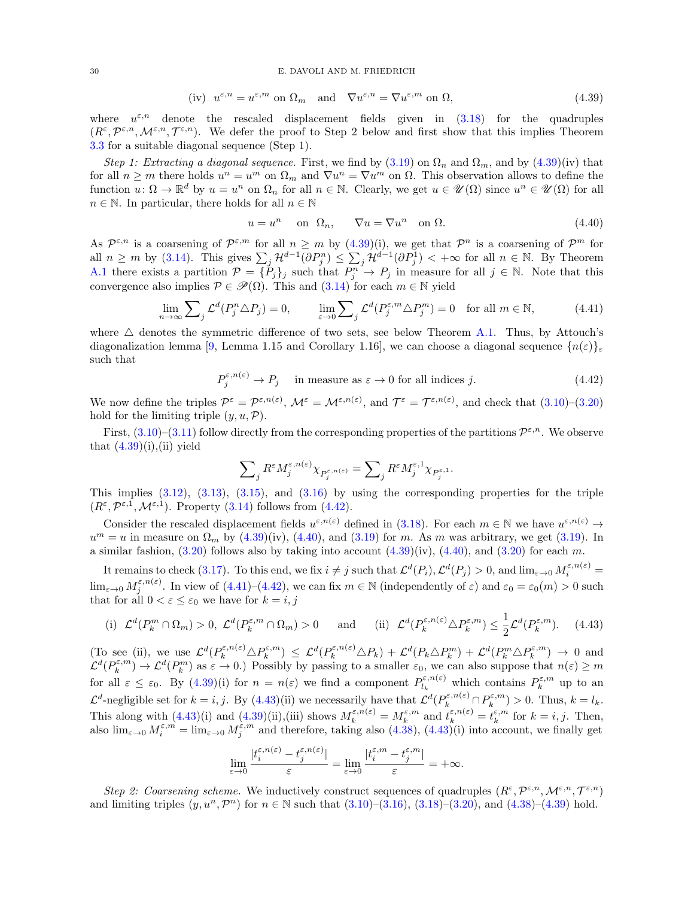#### 30 E. DAVOLI AND M. FRIEDRICH

$$
(iv) \ \ u^{\varepsilon,n} = u^{\varepsilon,m} \text{ on } \Omega_m \quad \text{and} \quad \nabla u^{\varepsilon,n} = \nabla u^{\varepsilon,m} \text{ on } \Omega,
$$
\n
$$
(4.39)
$$

where  $u^{\varepsilon,n}$  denote the rescaled displacement fields given in  $(3.18)$  for the quadruples  $(R^{\varepsilon}, \mathcal{P}^{\varepsilon,n}, \mathcal{M}^{\varepsilon,n}, \mathcal{T}^{\varepsilon,n}).$  We defer the proof to Step 2 below and first show that this implies Theorem [3.3](#page-14-0) for a suitable diagonal sequence (Step 1).

Step 1: Extracting a diagonal sequence. First, we find by  $(3.19)$  on  $\Omega_n$  and  $\Omega_m$ , and by  $(4.39)(iv)$  that for all  $n \geq m$  there holds  $u^n = u^m$  on  $\Omega_m$  and  $\nabla u^n = \nabla u^m$  on  $\Omega$ . This observation allows to define the function  $u \colon \Omega \to \mathbb{R}^d$  by  $u = u^n$  on  $\Omega_n$  for all  $n \in \mathbb{N}$ . Clearly, we get  $u \in \mathcal{U}(\Omega)$  since  $u^n \in \mathcal{U}(\Omega)$  for all  $n \in \mathbb{N}$ . In particular, there holds for all  $n \in \mathbb{N}$ 

<span id="page-29-3"></span><span id="page-29-2"></span><span id="page-29-0"></span>
$$
u = un \quad \text{on} \ \Omega_n, \qquad \nabla u = \nabla u^n \quad \text{on} \ \Omega. \tag{4.40}
$$

As  $\mathcal{P}^{\varepsilon,n}$  is a coarsening of  $\mathcal{P}^{\varepsilon,m}$  for all  $n \geq m$  by  $(4.39)(i)$ , we get that  $\mathcal{P}^n$  is a coarsening of  $\mathcal{P}^m$  for all  $n \geq m$  by [\(3.14\)](#page-14-6). This gives  $\sum_j \mathcal{H}^{d-1}(\partial P_j^n) \leq \sum_j \mathcal{H}^{d-1}(\partial P_j^1) < +\infty$  for all  $n \in \mathbb{N}$ . By Theorem [A.1](#page-60-1) there exists a partition  $\mathcal{P} = \{P_j\}_j$  such that  $P_j^n \to P_j$  in measure for all  $j \in \mathbb{N}$ . Note that this convergence also implies  $P \in \mathcal{P}(\Omega)$ . This and  $(3.14)$  for each  $m \in \mathbb{N}$  yield

$$
\lim_{n \to \infty} \sum_{j} \mathcal{L}^{d}(P_{j}^{n} \triangle P_{j}) = 0, \qquad \lim_{\varepsilon \to 0} \sum_{j} \mathcal{L}^{d}(P_{j}^{\varepsilon, m} \triangle P_{j}^{m}) = 0 \quad \text{for all } m \in \mathbb{N}, \tag{4.41}
$$

where  $\triangle$  denotes the symmetric difference of two sets, see below Theorem [A.1.](#page-60-1) Thus, by Attouch's diagonalization lemma [\[9,](#page-61-25) Lemma 1.15 and Corollary 1.16], we can choose a diagonal sequence  $\{n(\varepsilon)\}\varepsilon$ such that

$$
P_j^{\varepsilon, n(\varepsilon)} \to P_j \quad \text{ in measure as } \varepsilon \to 0 \text{ for all indices } j. \tag{4.42}
$$

We now define the triples  $\mathcal{P}^{\varepsilon} = \mathcal{P}^{\varepsilon,n(\varepsilon)}, \mathcal{M}^{\varepsilon} = \mathcal{M}^{\varepsilon,n(\varepsilon)},$  and  $\mathcal{T}^{\varepsilon} = \mathcal{T}^{\varepsilon,n(\varepsilon)},$  and check that  $(3.10)-(3.20)$  $(3.10)-(3.20)$ hold for the limiting triple  $(y, u, \mathcal{P})$ .

First,  $(3.10)$ – $(3.11)$  follow directly from the corresponding properties of the partitions  $\mathcal{P}^{\varepsilon,n}$ . We observe that  $(4.39)(i),$ (ii) yield

<span id="page-29-4"></span><span id="page-29-1"></span>
$$
\sum\nolimits_jR^\varepsilon M_j^{\varepsilon,n(\varepsilon)}\chi_{P_j^{\varepsilon,n(\varepsilon)}}=\sum\nolimits_jR^\varepsilon M_j^{\varepsilon,1}\chi_{P_j^{\varepsilon,1}}.
$$

This implies  $(3.12)$ ,  $(3.13)$ ,  $(3.15)$ , and  $(3.16)$  by using the corresponding properties for the triple  $(R^{\varepsilon}, \mathcal{P}^{\varepsilon,1}, \mathcal{M}^{\varepsilon,1})$ . Property [\(3.14\)](#page-14-6) follows from [\(4.42\)](#page-29-1).

Consider the rescaled displacement fields  $u^{\varepsilon,n(\varepsilon)}$  defined in [\(3.18\)](#page-14-10). For each  $m \in \mathbb{N}$  we have  $u^{\varepsilon,n(\varepsilon)} \to$  $u^m = u$  in measure on  $\Omega_m$  by [\(4.39\)](#page-29-0)(iv), [\(4.40\)](#page-29-2), and [\(3.19\)](#page-14-11) for m. As m was arbitrary, we get (3.19). In a similar fashion,  $(3.20)$  follows also by taking into account  $(4.39)(iv)$ ,  $(4.40)$ , and  $(3.20)$  for each m.

It remains to check [\(3.17\)](#page-14-1). To this end, we fix  $i \neq j$  such that  $\mathcal{L}^d(P_i), \mathcal{L}^d(P_j) > 0$ , and  $\lim_{\varepsilon \to 0} M_i^{\varepsilon, n(\varepsilon)} =$  $\lim_{\varepsilon\to 0} M_j^{\varepsilon,n(\varepsilon)}$ . In view of  $(4.41)-(4.42)$  $(4.41)-(4.42)$ , we can fix  $m\in\mathbb{N}$  (independently of  $\varepsilon$ ) and  $\varepsilon_0=\varepsilon_0(m)>0$  such that for all  $0 < \varepsilon \leq \varepsilon_0$  we have for  $k = i, j$ 

(i) 
$$
\mathcal{L}^d(P_k^m \cap \Omega_m) > 0
$$
,  $\mathcal{L}^d(P_k^{\varepsilon,m} \cap \Omega_m) > 0$  and (ii)  $\mathcal{L}^d(P_k^{\varepsilon,n(\varepsilon)} \triangle P_k^{\varepsilon,m}) \leq \frac{1}{2} \mathcal{L}^d(P_k^{\varepsilon,m})$ . (4.43)

(To see (ii), we use  $\mathcal{L}^d(P_k^{\varepsilon,n(\varepsilon)} \Delta P_k^{\varepsilon,m}) \leq \mathcal{L}^d(P_k^{\varepsilon,n(\varepsilon)} \Delta P_k) + \mathcal{L}^d(P_k \Delta P_k^m) + \mathcal{L}^d(P_k^m \Delta P_k^{\varepsilon,m}) \to 0$  and  $\mathcal{L}^d(P_k^{\varepsilon,m}) \to \mathcal{L}^d(P_k^m)$  as  $\varepsilon \to 0$ .) Possibly by passing to a smaller  $\varepsilon_0$ , we can also suppose that  $n(\varepsilon) \geq m$ for all  $\varepsilon \leq \varepsilon_0$ . By  $(4.39)(i)$  for  $n = n(\varepsilon)$  we find a component  $P_{l_{\kappa}}^{\varepsilon, n(\varepsilon)}$  $l_k^{\varepsilon,n(\varepsilon)}$  which contains  $P_k^{\varepsilon,m}$  up to an  $\mathcal{L}^d$ -negligible set for  $k = i, j$ . By  $(4.43)(ii)$  we necessarily have that  $\mathcal{L}^d(P_k^{\varepsilon,n(\varepsilon)} \cap P_k^{\varepsilon,m}) > 0$ . Thus,  $k = l_k$ . This along with  $(4.43)(i)$  and  $(4.39)(ii)$ ,(iii) shows  $M_k^{\varepsilon,n(\varepsilon)} = M_k^{\varepsilon,m}$  and  $t_k^{\varepsilon,n(\varepsilon)} = t_k^{\varepsilon,m}$  for  $k = i, j$ . Then, also  $\lim_{\varepsilon \to 0} M_i^{\varepsilon,m} = \lim_{\varepsilon \to 0} M_j^{\varepsilon,m}$  and therefore, taking also  $(4.38)$ ,  $(4.43)(i)$  into account, we finally get

$$
\lim_{\varepsilon \to 0} \frac{|t_i^{\varepsilon, n(\varepsilon)} - t_j^{\varepsilon, n(\varepsilon)}|}{\varepsilon} = \lim_{\varepsilon \to 0} \frac{|t_i^{\varepsilon, m} - t_j^{\varepsilon, m}|}{\varepsilon} = +\infty.
$$

Step 2: Coarsening scheme. We inductively construct sequences of quadruples  $(R^{\varepsilon}, \mathcal{P}^{\varepsilon,n}, \mathcal{M}^{\varepsilon,n}, \mathcal{T}^{\varepsilon,n})$ and limiting triples  $(y, u^n, \mathcal{P}^n)$  for  $n \in \mathbb{N}$  such that  $(3.10)$ – $(3.16)$ ,  $(3.18)$ – $(3.20)$ , and  $(4.38)$ – $(4.39)$  hold.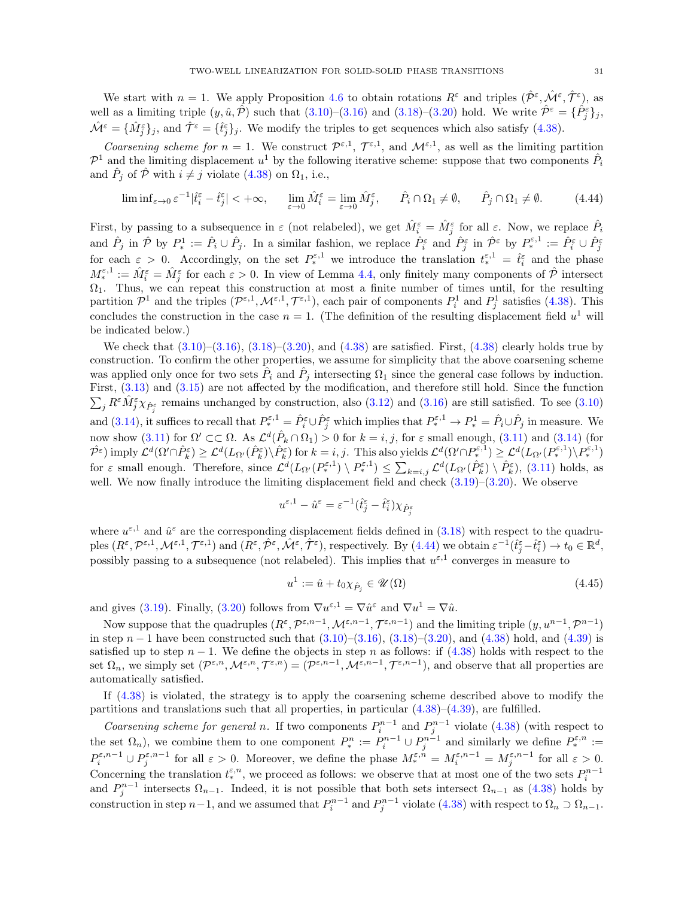We start with  $n = 1$ . We apply Proposition [4.6](#page-27-0) to obtain rotations  $R^{\varepsilon}$  and triples  $(\hat{\mathcal{P}}^{\varepsilon}, \hat{\mathcal{M}}^{\varepsilon}, \hat{\mathcal{T}}^{\varepsilon})$ , as well as a limiting triple  $(y, \hat{u}, \hat{\mathcal{P}})$  such that  $(3.10)$ – $(3.16)$  and  $(3.18)$ – $(3.20)$  hold. We write  $\hat{\mathcal{P}}^{\varepsilon} = {\hat{P}_{j}^{\varepsilon}}_{j}$ ,  $\hat{\mathcal{M}}^{\varepsilon} = {\hat{\mathcal{M}}^{\varepsilon}}_{j}$ ; and  $\hat{\mathcal{T}}^{\varepsilon} = {\hat{\mathcal{t}}^{\varepsilon}}_{j}$ , We modify the triples to get sequences which also satisfy [\(4.38\)](#page-28-4).

Coarsening scheme for  $n = 1$ . We construct  $\mathcal{P}^{\varepsilon,1}$ ,  $\mathcal{T}^{\varepsilon,1}$ , and  $\mathcal{M}^{\varepsilon,1}$ , as well as the limiting partition  $\mathcal{P}^1$  and the limiting displacement  $u^1$  by the following iterative scheme: suppose that two components  $\hat{P}_i$ and  $\hat{P}_j$  of  $\hat{\mathcal{P}}$  with  $i \neq j$  violate [\(4.38\)](#page-28-4) on  $\Omega_1$ , i.e.,

$$
\liminf_{\varepsilon \to 0} \varepsilon^{-1} |\hat{t}_i^{\varepsilon} - \hat{t}_j^{\varepsilon}| < +\infty, \qquad \lim_{\varepsilon \to 0} \hat{M}_i^{\varepsilon} = \lim_{\varepsilon \to 0} \hat{M}_j^{\varepsilon}, \qquad \hat{P}_i \cap \Omega_1 \neq \emptyset, \qquad \hat{P}_j \cap \Omega_1 \neq \emptyset. \tag{4.44}
$$

First, by passing to a subsequence in  $\varepsilon$  (not relabeled), we get  $\hat{M}_{i}^{\varepsilon} = \hat{M}_{j}^{\varepsilon}$  for all  $\varepsilon$ . Now, we replace  $\hat{P}_{i}$ and  $\hat{P}_j$  in  $\hat{\mathcal{P}}$  by  $P_*^1 := \hat{P}_i \cup \hat{P}_j$ . In a similar fashion, we replace  $\hat{P}_i^{\varepsilon}$  and  $\hat{P}_j^{\varepsilon}$  in  $\hat{\mathcal{P}}^{\varepsilon}$  by  $P_*^{\varepsilon,1} := \hat{P}_i^{\varepsilon} \cup \hat{P}_j^{\varepsilon}$ for each  $\varepsilon > 0$ . Accordingly, on the set  $P_*^{\varepsilon,1}$  we introduce the translation  $t_*^{\varepsilon,1} = \hat{t}_i^{\varepsilon}$  and the phase  $M_*^{\varepsilon,1} := \hat{M}_i^{\varepsilon} = \hat{M}_j^{\varepsilon}$  for each  $\varepsilon > 0$ . In view of Lemma [4.4,](#page-26-1) only finitely many components of  $\hat{\mathcal{P}}$  intersect  $\Omega_1$ . Thus, we can repeat this construction at most a finite number of times until, for the resulting partition  $\mathcal{P}^1$  and the triples  $(\mathcal{P}^{\varepsilon,1},\mathcal{M}^{\varepsilon,1},\mathcal{T}^{\varepsilon,1})$ , each pair of components  $P_i^1$  and  $P_j^1$  satisfies [\(4.38\)](#page-28-4). This concludes the construction in the case  $n = 1$ . (The definition of the resulting displacement field  $u^1$  will be indicated below.)

We check that  $(3.10)$ – $(3.16)$ ,  $(3.18)$ – $(3.20)$ , and  $(4.38)$  are satisfied. First,  $(4.38)$  clearly holds true by construction. To confirm the other properties, we assume for simplicity that the above coarsening scheme was applied only once for two sets  $\hat{P}_i$  and  $\hat{P}_j$  intersecting  $\Omega_1$  since the general case follows by induction. First, [\(3.13\)](#page-14-5) and [\(3.15\)](#page-14-7) are not affected by the modification, and therefore still hold. Since the function  $\sum_j R^{\varepsilon} \hat{M}^{\varepsilon}_j \hat{\chi}_{\hat{P}^{\varepsilon}_j}$  remains unchanged by construction, also [\(3.12\)](#page-14-3) and [\(3.16\)](#page-14-8) are still satisfied. To see [\(3.10\)](#page-14-2) and [\(3.14\)](#page-14-6), it suffices to recall that  $P^{\varepsilon,1}_* = \hat{P}^{\varepsilon}_i \cup \hat{P}^{\varepsilon}_j$  which implies that  $P^{\varepsilon,1}_* \to P^1_* = \hat{P}_i \cup \hat{P}_j$  in measure. We now show [\(3.11\)](#page-14-4) for  $\Omega' \subset\subset \Omega$ . As  $\mathcal{L}^d(\hat{P}_k \cap \Omega_1) > 0$  for  $k = i, j$ , for  $\varepsilon$  small enough, (3.11) and [\(3.14\)](#page-14-6) (for  $\hat{\mathcal{P}}^{\varepsilon}$ ) imply  $\mathcal{L}^d(\Omega' \cap \hat{P}_k^{\varepsilon}) \geq \mathcal{L}^d(L_{\Omega'}(\hat{P}_k^{\varepsilon}) \setminus \hat{P}_k^{\varepsilon})$  for  $k = i, j$ . This also yields  $\mathcal{L}^d(\Omega' \cap P_*^{\varepsilon,1}) \geq \mathcal{L}^d(L_{\Omega'}(P_*^{\varepsilon,1}) \setminus P_*^{\varepsilon,1})$ for  $\varepsilon$  small enough. Therefore, since  $\mathcal{L}^d(L_{\Omega'}(P_*^{\varepsilon,1}) \setminus P_*^{\varepsilon,1}) \leq \sum_{k=i,j} \mathcal{L}^d(L_{\Omega'}(\hat{P}_k^{\varepsilon}) \setminus \hat{P}_k^{\varepsilon})$ , [\(3.11\)](#page-14-4) holds, as well. We now finally introduce the limiting displacement field and check  $(3.19)$ – $(3.20)$ . We observe

<span id="page-30-0"></span>
$$
u^{\varepsilon,1}-\hat{u}^{\varepsilon}=\varepsilon^{-1}(\hat{t}^{\varepsilon}_j-\hat{t}^{\varepsilon}_i)\chi_{\hat{P}^{\varepsilon}_j}
$$

where  $u^{\varepsilon,1}$  and  $\hat{u}^{\varepsilon}$  are the corresponding displacement fields defined in [\(3.18\)](#page-14-10) with respect to the quadru- $\text{ples } (R^{\varepsilon}, \mathcal{P}^{\varepsilon,1}, \mathcal{M}^{\varepsilon,1}, \mathcal{T}^{\varepsilon,1}) \text{ and } (R^{\varepsilon}, \hat{\mathcal{P}}^{\varepsilon}, \hat{\mathcal{M}}^{\varepsilon}, \hat{\mathcal{T}}^{\varepsilon}), \text{ respectively. By (4.44) we obtain } \varepsilon^{-1} (\hat{t}^{\varepsilon}_j - \hat{t}^{\varepsilon}_i) \to t_0 \in \mathbb{R}^d,$  $\text{ples } (R^{\varepsilon}, \mathcal{P}^{\varepsilon,1}, \mathcal{M}^{\varepsilon,1}, \mathcal{T}^{\varepsilon,1}) \text{ and } (R^{\varepsilon}, \hat{\mathcal{P}}^{\varepsilon}, \hat{\mathcal{M}}^{\varepsilon}, \hat{\mathcal{T}}^{\varepsilon}), \text{ respectively. By (4.44) we obtain } \varepsilon^{-1} (\hat{t}^{\varepsilon}_j - \hat{t}^{\varepsilon}_i) \to t_0 \in \mathbb{R}^d,$  $\text{ples } (R^{\varepsilon}, \mathcal{P}^{\varepsilon,1}, \mathcal{M}^{\varepsilon,1}, \mathcal{T}^{\varepsilon,1}) \text{ and } (R^{\varepsilon}, \hat{\mathcal{P}}^{\varepsilon}, \hat{\mathcal{M}}^{\varepsilon}, \hat{\mathcal{T}}^{\varepsilon}), \text{ respectively. By (4.44) we obtain } \varepsilon^{-1} (\hat{t}^{\varepsilon}_j - \hat{t}^{\varepsilon}_i) \to t_0 \in \mathbb{R}^d,$ possibly passing to a subsequence (not relabeled). This implies that  $u^{\varepsilon,1}$  converges in measure to

<span id="page-30-1"></span>
$$
u^{1} := \hat{u} + t_{0} \chi_{\hat{P}_j} \in \mathscr{U}(\Omega)
$$
\n
$$
(4.45)
$$

and gives [\(3.19\)](#page-14-11). Finally, [\(3.20\)](#page-14-9) follows from  $\nabla u^{\varepsilon,1} = \nabla \hat{u}^{\varepsilon}$  and  $\nabla u^1 = \nabla \hat{u}$ .

Now suppose that the quadruples  $(R^{\varepsilon}, \mathcal{P}^{\varepsilon,n-1}, \mathcal{M}^{\varepsilon,n-1}, \mathcal{T}^{\varepsilon,n-1})$  and the limiting triple  $(y, u^{n-1}, \mathcal{P}^{n-1})$ in step  $n-1$  have been constructed such that  $(3.10)$ – $(3.16)$ ,  $(3.18)$ – $(3.20)$ , and  $(4.38)$  hold, and  $(4.39)$  is satisfied up to step  $n-1$ . We define the objects in step n as follows: if  $(4.38)$  holds with respect to the set  $\Omega_n$ , we simply set  $(\mathcal{P}^{\varepsilon,n},\mathcal{M}^{\varepsilon,n},\mathcal{T}^{\varepsilon,n})=(\mathcal{P}^{\varepsilon,n-1},\mathcal{M}^{\varepsilon,n-1},\mathcal{T}^{\varepsilon,n-1})$ , and observe that all properties are automatically satisfied.

If [\(4.38\)](#page-28-4) is violated, the strategy is to apply the coarsening scheme described above to modify the partitions and translations such that all properties, in particular [\(4.38\)](#page-28-4)–[\(4.39\)](#page-29-0), are fulfilled.

Coarsening scheme for general n. If two components  $P_i^{n-1}$  and  $P_j^{n-1}$  violate [\(4.38\)](#page-28-4) (with respect to the set  $\Omega_n$ ), we combine them to one component  $P_*^n := P_i^{n-1} \cup P_j^{n-1}$  and similarly we define  $P_*^{\varepsilon,n} :=$  $P_i^{\varepsilon,n-1} \cup P_j^{\varepsilon,n-1}$  for all  $\varepsilon > 0$ . Moreover, we define the phase  $M_i^{\varepsilon,n} = M_i^{\varepsilon,n-1} = M_j^{\varepsilon,n-1}$  for all  $\varepsilon > 0$ . Concerning the translation  $t_*^{\varepsilon,n}$ , we proceed as follows: we observe that at most one of the two sets  $P_i^{n-1}$ and  $P_j^{n-1}$  intersects  $\Omega_{n-1}$ . Indeed, it is not possible that both sets intersect  $\Omega_{n-1}$  as [\(4.38\)](#page-28-4) holds by construction in step  $n-1$ , and we assumed that  $P_i^{n-1}$  and  $P_j^{n-1}$  violate [\(4.38\)](#page-28-4) with respect to  $\Omega_n \supset \Omega_{n-1}$ .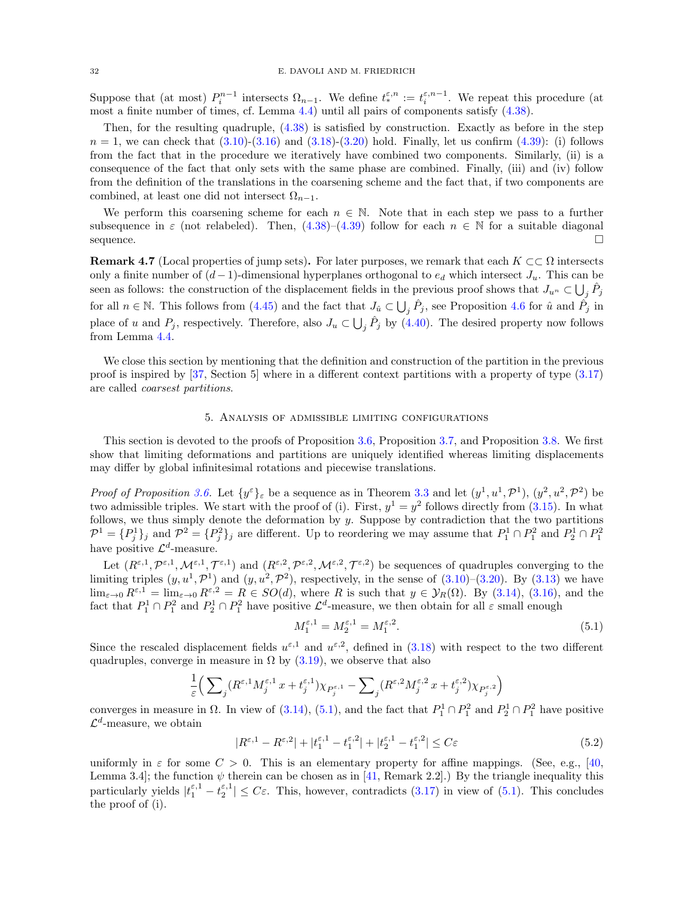Suppose that (at most)  $P_i^{n-1}$  intersects  $\Omega_{n-1}$ . We define  $t_*^{\varepsilon,n} := t_i^{\varepsilon,n-1}$ . We repeat this procedure (at most a finite number of times, cf. Lemma [4.4\)](#page-26-1) until all pairs of components satisfy [\(4.38\)](#page-28-4).

Then, for the resulting quadruple, [\(4.38\)](#page-28-4) is satisfied by construction. Exactly as before in the step  $n = 1$ , we can check that  $(3.10)$ - $(3.16)$  and  $(3.18)$ - $(3.20)$  hold. Finally, let us confirm  $(4.39)$ : (i) follows from the fact that in the procedure we iteratively have combined two components. Similarly, (ii) is a consequence of the fact that only sets with the same phase are combined. Finally, (iii) and (iv) follow from the definition of the translations in the coarsening scheme and the fact that, if two components are combined, at least one did not intersect  $\Omega_{n-1}$ .

We perform this coarsening scheme for each  $n \in \mathbb{N}$ . Note that in each step we pass to a further subsequence in  $\varepsilon$  (not relabeled). Then, [\(4.38\)](#page-28-4)–[\(4.39\)](#page-29-0) follow for each  $n \in \mathbb{N}$  for a suitable diagonal sequence.

<span id="page-31-3"></span>**Remark 4.7** (Local properties of jump sets). For later purposes, we remark that each  $K \subset\subset \Omega$  intersects only a finite number of  $(d-1)$ -dimensional hyperplanes orthogonal to  $e_d$  which intersect  $J_u$ . This can be seen as follows: the construction of the displacement fields in the previous proof shows that  $J_{u^n} \subset \bigcup_j \hat{P}_j$ for all  $n \in \mathbb{N}$ . This follows from [\(4.45\)](#page-30-1) and the fact that  $J_{\hat{u}} \subset \bigcup_j \hat{P}_j$ , see Proposition [4.6](#page-27-0) for  $\hat{u}$  and  $\hat{P}_j$  in place of u and  $P_j$ , respectively. Therefore, also  $J_u \subset \bigcup_j \hat{P}_j$  by  $(4.40)$ . The desired property now follows from Lemma [4.4.](#page-26-1)

We close this section by mentioning that the definition and construction of the partition in the previous proof is inspired by [\[37,](#page-62-25) Section 5] where in a different context partitions with a property of type [\(3.17\)](#page-14-1) are called coarsest partitions.

### 5. Analysis of admissible limiting configurations

<span id="page-31-0"></span>This section is devoted to the proofs of Proposition [3.6,](#page-16-1) Proposition [3.7,](#page-17-1) and Proposition [3.8.](#page-17-2) We first show that limiting deformations and partitions are uniquely identified whereas limiting displacements may differ by global infinitesimal rotations and piecewise translations.

*Proof of Proposition [3.6.](#page-16-1)* Let  $\{y^{\varepsilon}\}_{\varepsilon}$  be a sequence as in Theorem [3.3](#page-14-0) and let  $(y^1, u^1, \mathcal{P}^1)$ ,  $(y^2, u^2, \mathcal{P}^2)$  be two admissible triples. We start with the proof of (i). First,  $y^1 = y^2$  follows directly from [\(3.15\)](#page-14-7). In what follows, we thus simply denote the deformation by  $y$ . Suppose by contradiction that the two partitions  $\mathcal{P}^1 = \{P_j^1\}_j$  and  $\mathcal{P}^2 = \{P_j^2\}_j$  are different. Up to reordering we may assume that  $P_1^1 \cap P_1^2$  and  $P_2^1 \cap P_1^2$ have positive  $\mathcal{L}^d$ -measure.

Let  $(R^{\varepsilon,1}, \mathcal{P}^{\varepsilon,1}, \mathcal{M}^{\varepsilon,1}, \mathcal{T}^{\varepsilon,1})$  and  $(R^{\varepsilon,2}, \mathcal{P}^{\varepsilon,2}, \mathcal{M}^{\varepsilon,2}, \mathcal{T}^{\varepsilon,2})$  be sequences of quadruples converging to the limiting triples  $(y, u^1, \mathcal{P}^1)$  and  $(y, u^2, \mathcal{P}^2)$ , respectively, in the sense of  $(3.10)$ – $(3.20)$ . By  $(3.13)$  we have  $\lim_{\varepsilon\to 0} R^{\varepsilon,1} = \lim_{\varepsilon\to 0} R^{\varepsilon,2} = R \in SO(d)$ , where R is such that  $y \in \mathcal{Y}_R(\Omega)$ . By  $(3.14)$ ,  $(3.16)$ , and the fact that  $P_1^1 \cap P_1^2$  and  $P_2^1 \cap P_1^2$  have positive  $\mathcal{L}^d$ -measure, we then obtain for all  $\varepsilon$  small enough

<span id="page-31-2"></span><span id="page-31-1"></span>
$$
M_1^{\varepsilon,1} = M_2^{\varepsilon,1} = M_1^{\varepsilon,2}.
$$
\n(5.1)

Since the rescaled displacement fields  $u^{\varepsilon,1}$  and  $u^{\varepsilon,2}$ , defined in [\(3.18\)](#page-14-10) with respect to the two different quadruples, converge in measure in  $\Omega$  by [\(3.19\)](#page-14-11), we observe that also

$$
\frac{1}{\varepsilon}\Big(\sum\nolimits_j (R^{\varepsilon,1}M_j^{\varepsilon,1}\,x+t_j^{\varepsilon,1})\chi_{P_j^{\varepsilon,1}}-\sum\nolimits_j (R^{\varepsilon,2}M_j^{\varepsilon,2}\,x+t_j^{\varepsilon,2})\chi_{P_j^{\varepsilon,2}}\Big)
$$

converges in measure in  $\Omega$ . In view of [\(3.14\)](#page-14-6), [\(5.1\)](#page-31-1), and the fact that  $P_1^1 \cap P_1^2$  and  $P_2^1 \cap P_1^2$  have positive  $\mathcal{L}^d$ -measure, we obtain

$$
|R^{\varepsilon,1} - R^{\varepsilon,2}| + |t_1^{\varepsilon,1} - t_1^{\varepsilon,2}| + |t_2^{\varepsilon,1} - t_1^{\varepsilon,2}| \le C\varepsilon
$$
\n
$$
(5.2)
$$

uniformly in  $\varepsilon$  for some  $C > 0$ . This is an elementary property for affine mappings. (See, e.g., [\[40,](#page-62-31) Lemma 3.4]; the function  $\psi$  therein can be chosen as in [\[41,](#page-62-32) Remark 2.2].) By the triangle inequality this particularly yields  $|t_1^{\varepsilon,1} - t_2^{\varepsilon,1}| \leq C\varepsilon$ . This, however, contradicts [\(3.17\)](#page-14-1) in view of [\(5.1\)](#page-31-1). This concludes the proof of (i).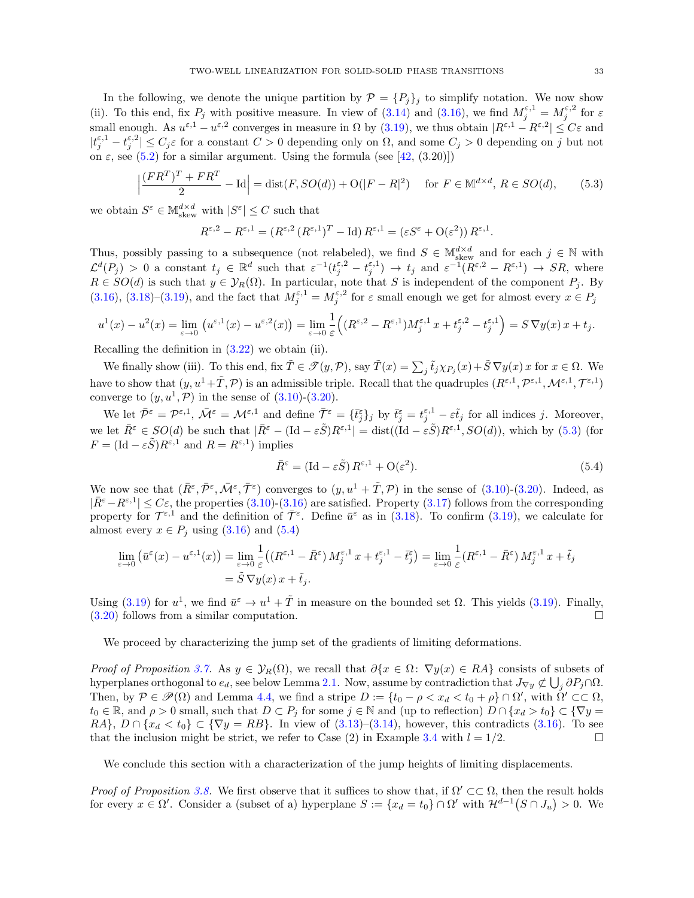In the following, we denote the unique partition by  $\mathcal{P} = \{P_j\}_j$  to simplify notation. We now show (ii). To this end, fix  $P_j$  with positive measure. In view of [\(3.14\)](#page-14-6) and [\(3.16\)](#page-14-8), we find  $M_j^{\varepsilon,1} = M_j^{\varepsilon,2}$  for  $\varepsilon$ small enough. As  $u^{\varepsilon,1} - u^{\varepsilon,2}$  converges in measure in  $\Omega$  by [\(3.19\)](#page-14-11), we thus obtain  $|R^{\varepsilon,1} - R^{\varepsilon,2}| \leq C\varepsilon$  and  $|t_j^{\varepsilon,1}-t_j^{\varepsilon,2}|\leq C_j\varepsilon$  for a constant  $C>0$  depending only on  $\Omega$ , and some  $C_j>0$  depending on j but not on  $\varepsilon$ , see [\(5.2\)](#page-31-2) for a similar argument. Using the formula (see [\[42,](#page-62-19) (3.20)])

$$
\left|\frac{(FR^T)^T + FR^T}{2} - \text{Id}\right| = \text{dist}(F, SO(d)) + \text{O}(|F - R|^2) \quad \text{for } F \in \mathbb{M}^{d \times d}, R \in SO(d), \tag{5.3}
$$

we obtain  $S^{\varepsilon} \in \mathbb{M}^{d \times d}_{\text{skew}}$  with  $|S^{\varepsilon}| \leq C$  such that

<span id="page-32-0"></span>
$$
R^{\varepsilon,2} - R^{\varepsilon,1} = (R^{\varepsilon,2} (R^{\varepsilon,1})^T - \mathrm{Id}) R^{\varepsilon,1} = (\varepsilon S^{\varepsilon} + \mathrm{O}(\varepsilon^2)) R^{\varepsilon,1}.
$$

Thus, possibly passing to a subsequence (not relabeled), we find  $S \in M_{\text{skew}}^{d \times d}$  and for each  $j \in \mathbb{N}$  with  $\mathcal{L}^d(P_j) > 0$  a constant  $t_j \in \mathbb{R}^d$  such that  $\varepsilon^{-1}(t_j^{\varepsilon,2} - t_j^{\varepsilon,1}) \to t_j$  and  $\varepsilon^{-1}(R^{\varepsilon,2} - R^{\varepsilon,1}) \to SR$ , where  $R \in SO(d)$  is such that  $y \in \mathcal{Y}_R(\Omega)$ . In particular, note that S is independent of the component  $P_j$ . By [\(3.16\)](#page-14-8), [\(3.18\)](#page-14-10)–[\(3.19\)](#page-14-11), and the fact that  $M_j^{\varepsilon,1} = M_j^{\varepsilon,2}$  for  $\varepsilon$  small enough we get for almost every  $x \in P_j$ 

$$
u^1(x) - u^2(x) = \lim_{\varepsilon \to 0} \left( u^{\varepsilon,1}(x) - u^{\varepsilon,2}(x) \right) = \lim_{\varepsilon \to 0} \frac{1}{\varepsilon} \left( (R^{\varepsilon,2} - R^{\varepsilon,1}) M_j^{\varepsilon,1}(x) + t_j^{\varepsilon,2} - t_j^{\varepsilon,1} \right) = S \nabla y(x) x + t_j.
$$

Recalling the definition in [\(3.22\)](#page-16-4) we obtain (ii).

We finally show (iii). To this end, fix  $\tilde{T} \in \mathscr{T}(y, \mathcal{P})$ , say  $\tilde{T}(x) = \sum_j \tilde{t}_j \chi_{P_j}(x) + \tilde{S} \nabla y(x) x$  for  $x \in \Omega$ . We have to show that  $(y, u^1 + \tilde{T}, \mathcal{P})$  is an admissible triple. Recall that the quadruples  $(R^{\varepsilon,1}, \mathcal{P}^{\varepsilon,1}, \mathcal{M}^{\varepsilon,1}, \mathcal{T}^{\varepsilon,1})$ converge to  $(y, u<sup>1</sup>, \mathcal{P})$  in the sense of  $(3.10)-(3.20)$  $(3.10)-(3.20)$ .

We let  $\bar{\mathcal{P}}^{\varepsilon} = \mathcal{P}^{\varepsilon,1}$ ,  $\bar{\mathcal{M}}^{\varepsilon} = \mathcal{M}^{\varepsilon,1}$  and define  $\bar{\mathcal{T}}^{\varepsilon} = {\{\bar{t}_j^{\varepsilon}\}}_j$  by  $\bar{t}_j^{\varepsilon} = t_j^{\varepsilon,1} - \varepsilon \tilde{t}_j$  for all indices j. Moreover, we let  $\bar{R}^{\varepsilon} \in SO(d)$  be such that  $|\bar{R}^{\varepsilon} - (\text{Id} - \varepsilon \tilde{S})R^{\varepsilon,1}| = \text{dist}((\text{Id} - \varepsilon \tilde{S})R^{\varepsilon,1}, SO(d)),$  which by  $(5.3)$  (for  $F = (\text{Id} - \varepsilon \tilde{S}) R^{\varepsilon,1}$  and  $R = R^{\varepsilon,1}$  implies

<span id="page-32-1"></span>
$$
\bar{R}^{\varepsilon} = (\mathrm{Id} - \varepsilon \tilde{S}) R^{\varepsilon,1} + \mathrm{O}(\varepsilon^2). \tag{5.4}
$$

We now see that  $(\bar{R}^{\varepsilon}, \bar{\mathcal{P}}^{\varepsilon}, \bar{\mathcal{M}}^{\varepsilon}, \bar{\mathcal{T}}^{\varepsilon})$  converges to  $(y, u^1 + \tilde{T}, \mathcal{P})$  in the sense of  $(3.10)-(3.20)$  $(3.10)-(3.20)$ . Indeed, as  $|\bar{R}^{\varepsilon}-R^{\varepsilon,1}|\leq C\varepsilon$ , the properties  $(3.10)-(3.16)$  $(3.10)-(3.16)$  are satisfied. Property  $(3.17)$  follows from the corresponding property for  $\mathcal{T}^{\varepsilon,1}$  and the definition of  $\bar{\mathcal{T}}^{\varepsilon}$ . Define  $\bar{u}^{\varepsilon}$  as in [\(3.18\)](#page-14-10). To confirm [\(3.19\)](#page-14-11), we calculate for almost every  $x \in P_j$  using [\(3.16\)](#page-14-8) and [\(5.4\)](#page-32-1)

$$
\lim_{\varepsilon \to 0} \left( \bar{u}^{\varepsilon}(x) - u^{\varepsilon,1}(x) \right) = \lim_{\varepsilon \to 0} \frac{1}{\varepsilon} \left( \left( R^{\varepsilon,1} - \bar{R}^{\varepsilon} \right) M_j^{\varepsilon,1} x + t_j^{\varepsilon,1} - \bar{t}_j^{\varepsilon} \right) = \lim_{\varepsilon \to 0} \frac{1}{\varepsilon} \left( R^{\varepsilon,1} - \bar{R}^{\varepsilon} \right) M_j^{\varepsilon,1} x + \tilde{t}_j
$$
\n
$$
= \tilde{S} \, \nabla y(x) \, x + \tilde{t}_j.
$$

Using [\(3.19\)](#page-14-11) for  $u^1$ , we find  $\bar{u}^{\varepsilon} \to u^1 + \tilde{T}$  in measure on the bounded set  $\Omega$ . This yields (3.19). Finally,  $(3.20)$  follows from a similar computation.

We proceed by characterizing the jump set of the gradients of limiting deformations.

*Proof of Proposition [3.7.](#page-17-1)* As  $y \in \mathcal{Y}_R(\Omega)$ , we recall that  $\partial\{x \in \Omega : \nabla y(x) \in RA\}$  consists of subsets of hyperplanes orthogonal to  $e_d$ , see below Lemma [2.1.](#page-7-1) Now, assume by contradiction that  $J_{\nabla y} \not\subset \bigcup_j \partial P_j \cap \Omega$ . Then, by  $P \in \mathscr{P}(\Omega)$  and Lemma [4.4,](#page-26-1) we find a stripe  $D := \{t_0 - \rho < x_d < t_0 + \rho\} \cap \Omega'$ , with  $\Omega' \subset\subset \Omega$ ,  $t_0 \in \mathbb{R}$ , and  $\rho > 0$  small, such that  $D \subset P_j$  for some  $j \in \mathbb{N}$  and (up to reflection)  $D \cap \{x_d > t_0\} \subset \{\nabla y =$ RA},  $D \cap \{x_d < t_0\} \subset \{\nabla y = RB\}$ . In view of [\(3.13\)](#page-14-5)–[\(3.14\)](#page-14-6), however, this contradicts [\(3.16\)](#page-14-8). To see that the inclusion might be strict, we refer to Case (2) in Example [3.4](#page-15-0) with  $l = 1/2$ .

We conclude this section with a characterization of the jump heights of limiting displacements.

Proof of Proposition [3.8.](#page-17-2) We first observe that it suffices to show that, if  $\Omega' \subset\subset \Omega$ , then the result holds for every  $x \in \Omega'$ . Consider a (subset of a) hyperplane  $S := \{x_d = t_0\} \cap \Omega'$  with  $\mathcal{H}^{d-1}(S \cap J_u) > 0$ . We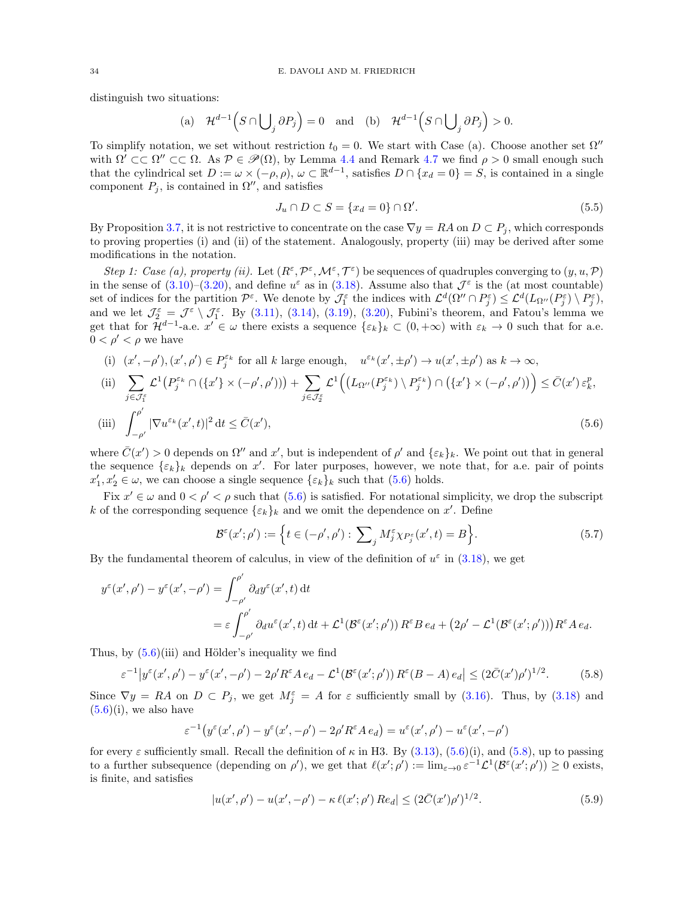distinguish two situations:

(a) 
$$
\mathcal{H}^{d-1}\left(S \cap \bigcup_{j} \partial P_{j}\right) = 0
$$
 and (b)  $\mathcal{H}^{d-1}\left(S \cap \bigcup_{j} \partial P_{j}\right) > 0$ .

To simplify notation, we set without restriction  $t_0 = 0$ . We start with Case (a). Choose another set  $\Omega''$ with  $\Omega' \subset\subset \Omega'' \subset\subset \Omega$ . As  $\mathcal{P} \in \mathcal{P}(\Omega)$ , by Lemma [4.4](#page-26-1) and Remark [4.7](#page-31-3) we find  $\rho > 0$  small enough such that the cylindrical set  $D := \omega \times (-\rho, \rho), \omega \subset \mathbb{R}^{d-1}$ , satisfies  $D \cap \{x_d = 0\} = S$ , is contained in a single component  $P_j$ , is contained in  $\Omega''$ , and satisfies

<span id="page-33-2"></span><span id="page-33-0"></span>
$$
J_u \cap D \subset S = \{x_d = 0\} \cap \Omega'.\tag{5.5}
$$

By Proposition [3.7,](#page-17-1) it is not restrictive to concentrate on the case  $\nabla y = RA$  on  $D \subset P_j$ , which corresponds to proving properties (i) and (ii) of the statement. Analogously, property (iii) may be derived after some modifications in the notation.

Step 1: Case (a), property (ii). Let  $(R^{\varepsilon}, \mathcal{P}^{\varepsilon}, \mathcal{M}^{\varepsilon}, \mathcal{T}^{\varepsilon})$  be sequences of quadruples converging to  $(y, u, \mathcal{P})$ in the sense of  $(3.10)$ – $(3.20)$ , and define  $u^{\varepsilon}$  as in  $(3.18)$ . Assume also that  $\mathcal{J}^{\varepsilon}$  is the (at most countable) set of indices for the partition  $\mathcal{P}^{\varepsilon}$ . We denote by  $\mathcal{J}_{1}^{\varepsilon}$  the indices with  $\mathcal{L}^{d}(\Omega'' \cap P_{j}^{\varepsilon}) \leq \mathcal{L}^{d}(L_{\Omega''}(P_{j}^{\varepsilon}) \setminus P_{j}^{\varepsilon}),$ and we let  $\mathcal{J}_2^{\varepsilon} = \mathcal{J}^{\varepsilon} \setminus \mathcal{J}_1^{\varepsilon}$ . By [\(3.11\)](#page-14-4), [\(3.14\)](#page-14-6), [\(3.19\)](#page-14-11), [\(3.20\)](#page-14-9), Fubini's theorem, and Fatou's lemma we get that for  $\mathcal{H}^{d-1}$ -a.e.  $x' \in \omega$  there exists a sequence  $\{\varepsilon_k\}_k \subset (0, +\infty)$  with  $\varepsilon_k \to 0$  such that for a.e.  $0 < \rho' < \rho$  we have

(i) 
$$
(x', -\rho'), (x', \rho') \in P_j^{\varepsilon_k}
$$
 for all  $k$  large enough,  $u^{\varepsilon_k}(x', \pm \rho') \to u(x', \pm \rho')$  as  $k \to \infty$ ,  
\n(ii) 
$$
\sum_{j \in \mathcal{J}_1^{\varepsilon}} \mathcal{L}^1(P_j^{\varepsilon_k} \cap (\{x'\} \times (-\rho', \rho'))) + \sum_{j \in \mathcal{J}_2^{\varepsilon}} \mathcal{L}^1((L_{\Omega''}(P_j^{\varepsilon_k}) \setminus P_j^{\varepsilon_k}) \cap (\{x'\} \times (-\rho', \rho'))) \le \bar{C}(x') \varepsilon_k^p,
$$
\n(iii) 
$$
\int_{-\rho'}^{\rho'} |\nabla u^{\varepsilon_k}(x', t)|^2 dt \le \bar{C}(x'),
$$
\n(5.6)

where  $\bar{C}(x') > 0$  depends on  $\Omega''$  and  $x'$ , but is independent of  $\rho'$  and  $\{\varepsilon_k\}_k$ . We point out that in general the sequence  $\{\varepsilon_k\}_k$  depends on x'. For later purposes, however, we note that, for a.e. pair of points  $x'_1, x'_2 \in \omega$ , we can choose a single sequence  $\{\varepsilon_k\}_k$  such that  $(5.6)$  holds.

Fix  $x' \in \omega$  and  $0 < \rho' < \rho$  such that  $(5.6)$  is satisfied. For notational simplicity, we drop the subscript k of the corresponding sequence  $\{\varepsilon_k\}_k$  and we omit the dependence on x'. Define

<span id="page-33-4"></span><span id="page-33-1"></span>
$$
\mathcal{B}^{\varepsilon}(x';\rho') := \left\{ t \in (-\rho', \rho') : \sum_{j} M^{\varepsilon}_{j} \chi_{P^{\varepsilon}_{j}}(x',t) = B \right\}.
$$
 (5.7)

By the fundamental theorem of calculus, in view of the definition of  $u^{\varepsilon}$  in [\(3.18\)](#page-14-10), we get

$$
y^{\varepsilon}(x', \rho') - y^{\varepsilon}(x', -\rho') = \int_{-\rho'}^{\rho'} \partial_d y^{\varepsilon}(x', t) dt
$$
  
=  $\varepsilon \int_{-\rho'}^{\rho'} \partial_d u^{\varepsilon}(x', t) dt + \mathcal{L}^1(\mathcal{B}^{\varepsilon}(x'; \rho')) R^{\varepsilon} B e_d + (2\rho' - \mathcal{L}^1(\mathcal{B}^{\varepsilon}(x'; \rho'))) R^{\varepsilon} A e_d.$ 

Thus, by  $(5.6)(iii)$  and Hölder's inequality we find

$$
\varepsilon^{-1}\left|y^{\varepsilon}(x',\rho') - y^{\varepsilon}(x',-\rho') - 2\rho' R^{\varepsilon} A e_d - \mathcal{L}^1(\mathcal{B}^{\varepsilon}(x';\rho')) R^{\varepsilon}(B-A) e_d\right| \leq (2\bar{C}(x')\rho')^{1/2}.
$$
 (5.8)

Since  $\nabla y = RA$  on  $D \subset P_j$ , we get  $M_j^{\varepsilon} = A$  for  $\varepsilon$  sufficiently small by [\(3.16\)](#page-14-8). Thus, by [\(3.18\)](#page-14-10) and  $(5.6)(i)$  $(5.6)(i)$ , we also have

$$
\varepsilon^{-1}\bigl(y^{\varepsilon}(x',\rho')-y^{\varepsilon}(x',-\rho')-2\rho' R^{\varepsilon}A\,e_d\bigr)=u^{\varepsilon}(x',\rho')-u^{\varepsilon}(x',-\rho')
$$

for every  $\varepsilon$  sufficiently small. Recall the definition of  $\kappa$  in H3. By [\(3.13\)](#page-14-5), [\(5.6\)](#page-33-0)(i), and [\(5.8\)](#page-33-1), up to passing to a further subsequence (depending on  $\rho'$ ), we get that  $\ell(x';\rho') := \lim_{\varepsilon \to 0} \varepsilon^{-1} \mathcal{L}^1(\mathcal{B}^{\varepsilon}(x';\rho')) \ge 0$  exists, is finite, and satisfies

<span id="page-33-3"></span>
$$
|u(x',\rho') - u(x',-\rho') - \kappa \ell(x';\rho') Re_d| \leq (2\bar{C}(x')\rho')^{1/2}.
$$
\n(5.9)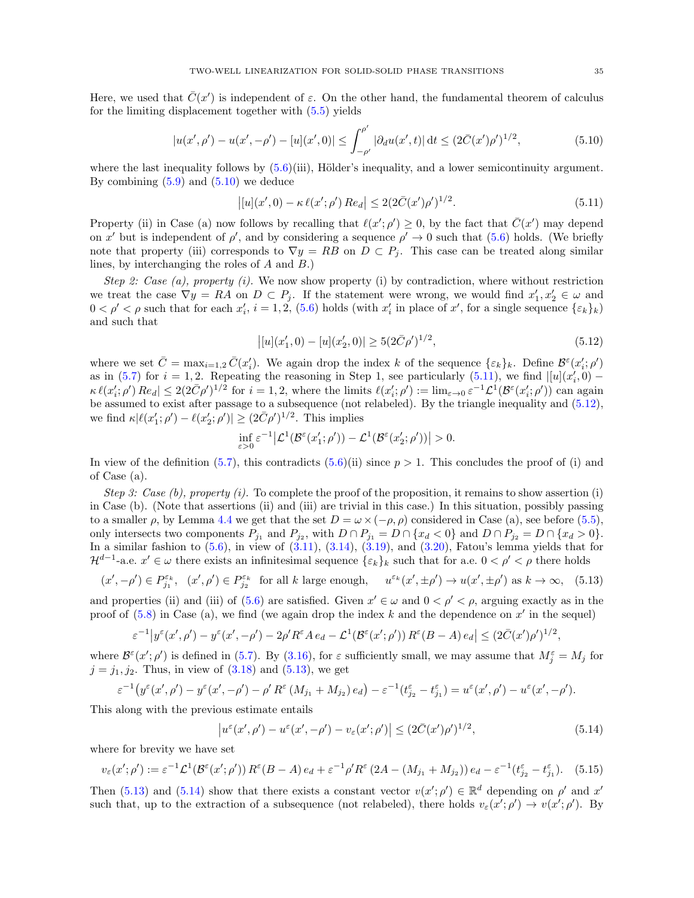Here, we used that  $\bar{C}(x')$  is independent of  $\varepsilon$ . On the other hand, the fundamental theorem of calculus for the limiting displacement together with [\(5.5\)](#page-33-2) yields

$$
|u(x',\rho') - u(x',-\rho') - [u](x',0)| \le \int_{-\rho'}^{\rho'} |\partial_d u(x',t)| dt \le (2\bar{C}(x')\rho')^{1/2},
$$
\n(5.10)

where the last inequality follows by  $(5.6)(iii)$ , Hölder's inequality, and a lower semicontinuity argument. By combining  $(5.9)$  and  $(5.10)$  we deduce

<span id="page-34-1"></span><span id="page-34-0"></span>
$$
\left| [u](x',0) - \kappa \ell(x';\rho') Re_d \right| \le 2(2\bar{C}(x')\rho')^{1/2}.
$$
\n(5.11)

Property (ii) in Case (a) now follows by recalling that  $\ell(x'; \rho') \geq 0$ , by the fact that  $\overline{C}(x')$  may depend on x' but is independent of  $\rho'$ , and by considering a sequence  $\rho' \to 0$  such that [\(5.6\)](#page-33-0) holds. (We briefly note that property (iii) corresponds to  $\nabla y = RB$  on  $D \subset P_i$ . This case can be treated along similar lines, by interchanging the roles of A and B.)

Step 2: Case (a), property (i). We now show property (i) by contradiction, where without restriction we treat the case  $\nabla y = RA$  on  $D \subset P_j$ . If the statement were wrong, we would find  $x'_1, x'_2 \in \omega$  and  $0 < \rho' < \rho$  such that for each  $x'_i$ ,  $i = 1, 2, (5.6)$  $i = 1, 2, (5.6)$  holds (with  $x'_i$  in place of  $x'$ , for a single sequence  $\{\varepsilon_k\}_k$ ) and such that

<span id="page-34-2"></span>
$$
|[u](x'_1, 0) - [u](x'_2, 0)| \ge 5(2\bar{C}\rho')^{1/2},\tag{5.12}
$$

where we set  $\bar{C} = \max_{i=1,2} \bar{C}(x_i')$ . We again drop the index k of the sequence  $\{\varepsilon_k\}_k$ . Define  $\mathcal{B}^{\varepsilon}(x_i'; \rho')$ as in [\(5.7\)](#page-33-4) for  $i = 1, 2$ . Repeating the reasoning in Step 1, see particularly [\(5.11\)](#page-34-1), we find  $\left[ [u](x_i', 0) - \right]$  $\kappa \ell(x'_i; \rho')\,Re_d \vert \leq 2(2\bar{C}\rho')^{1/2}$  for  $i = 1, 2$ , where the limits  $\ell(x'_i; \rho') := \lim_{\varepsilon \to 0} \varepsilon^{-1} \mathcal{L}^1(\mathcal{B}^{\varepsilon}(x'_i; \rho'))$  can again be assumed to exist after passage to a subsequence (not relabeled). By the triangle inequality and [\(5.12\)](#page-34-2), we find  $\kappa |\ell(x_1'; \rho') - \ell(x_2'; \rho')| \ge (2\bar{C}\rho')^{1/2}$ . This implies

<span id="page-34-3"></span>
$$
\inf_{\varepsilon>0} \varepsilon^{-1} \big| \mathcal{L}^1(\mathcal{B}^{\varepsilon}(x'_1;\rho')) - \mathcal{L}^1(\mathcal{B}^{\varepsilon}(x'_2;\rho')) \big| > 0.
$$

In view of the definition [\(5.7\)](#page-33-4), this contradicts [\(5.6\)](#page-33-0)(ii) since  $p > 1$ . This concludes the proof of (i) and of Case (a).

Step 3: Case (b), property (i). To complete the proof of the proposition, it remains to show assertion (i) in Case (b). (Note that assertions (ii) and (iii) are trivial in this case.) In this situation, possibly passing to a smaller  $\rho$ , by Lemma [4.4](#page-26-1) we get that the set  $D = \omega \times (-\rho, \rho)$  considered in Case (a), see before [\(5.5\)](#page-33-2), only intersects two components  $P_{j_1}$  and  $P_{j_2}$ , with  $D \cap P_{j_1} = D \cap \{x_d < 0\}$  and  $D \cap P_{j_2} = D \cap \{x_d > 0\}$ . In a similar fashion to  $(5.6)$ , in view of  $(3.11)$ ,  $(3.14)$ ,  $(3.19)$ , and  $(3.20)$ , Fatou's lemma yields that for  $\mathcal{H}^{d-1}$ -a.e.  $x' \in \omega$  there exists an infinitesimal sequence  $\{\varepsilon_k\}_k$  such that for a.e.  $0 < \rho' < \rho$  there holds

$$
(x', -\rho') \in P_{j_1}^{\varepsilon_k}, \quad (x', \rho') \in P_{j_2}^{\varepsilon_k} \quad \text{for all } k \text{ large enough}, \quad u^{\varepsilon_k}(x', \pm \rho') \to u(x', \pm \rho') \text{ as } k \to \infty, \tag{5.13}
$$

and properties (ii) and (iii) of [\(5.6\)](#page-33-0) are satisfied. Given  $x' \in \omega$  and  $0 < \rho' < \rho$ , arguing exactly as in the proof of  $(5.8)$  in Case (a), we find (we again drop the index k and the dependence on  $x'$  in the sequel)

$$
\varepsilon^{-1}\big|y^{\varepsilon}(x',\rho')-y^{\varepsilon}(x',-\rho')-2\rho' R^{\varepsilon} A e_d-\mathcal{L}^1(\mathcal{B}^{\varepsilon}(x';\rho')) R^{\varepsilon}(B-A) e_d\big|\leq (2\bar{C}(x')\rho')^{1/2},
$$

where  $\mathcal{B}^{\varepsilon}(x';\rho')$  is defined in [\(5.7\)](#page-33-4). By [\(3.16\)](#page-14-8), for  $\varepsilon$  sufficiently small, we may assume that  $M_j^{\varepsilon} = M_j$  for  $j = j_1, j_2$ . Thus, in view of  $(3.18)$  and  $(5.13)$ , we get

$$
\varepsilon^{-1}(y^{\varepsilon}(x',\rho') - y^{\varepsilon}(x',-\rho') - \rho' R^{\varepsilon}(M_{j_1} + M_{j_2}) e_d) - \varepsilon^{-1}(t^{\varepsilon}_{j_2} - t^{\varepsilon}_{j_1}) = u^{\varepsilon}(x',\rho') - u^{\varepsilon}(x',-\rho').
$$

This along with the previous estimate entails

<span id="page-34-5"></span><span id="page-34-4"></span>
$$
\left|u^{\varepsilon}(x',\rho') - u^{\varepsilon}(x',-\rho') - v_{\varepsilon}(x';\rho')\right| \leq (2\bar{C}(x')\rho')^{1/2},\tag{5.14}
$$

where for brevity we have set

$$
v_{\varepsilon}(x';\rho') := \varepsilon^{-1} \mathcal{L}^1(\mathcal{B}^{\varepsilon}(x';\rho')) R^{\varepsilon}(B-A) e_d + \varepsilon^{-1} \rho' R^{\varepsilon}(2A-(M_{j_1}+M_{j_2})) e_d - \varepsilon^{-1}(t_{j_2}^{\varepsilon}-t_{j_1}^{\varepsilon}).
$$
 (5.15)

Then [\(5.13\)](#page-34-3) and [\(5.14\)](#page-34-4) show that there exists a constant vector  $v(x'; \rho') \in \mathbb{R}^d$  depending on  $\rho'$  and  $x'$ such that, up to the extraction of a subsequence (not relabeled), there holds  $v_{\varepsilon}(x';\rho') \to v(x';\rho')$ . By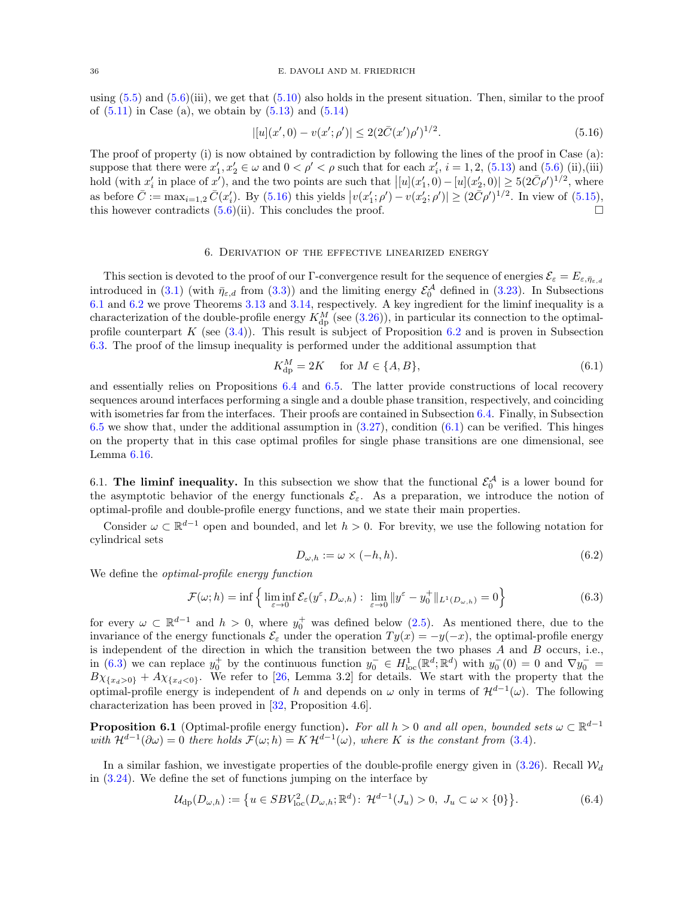using  $(5.5)$  and  $(5.6)$ (iii), we get that  $(5.10)$  also holds in the present situation. Then, similar to the proof of  $(5.11)$  in Case (a), we obtain by  $(5.13)$  and  $(5.14)$ 

<span id="page-35-4"></span>
$$
|[u](x',0) - v(x';\rho')| \le 2(2\bar{C}(x')\rho')^{1/2}.
$$
\n(5.16)

The proof of property (i) is now obtained by contradiction by following the lines of the proof in Case (a): suppose that there were  $x'_1, x'_2 \in \omega$  and  $0 < \rho' < \rho$  such that for each  $x'_i$ ,  $i = 1, 2$ , [\(5.13\)](#page-34-3) and [\(5.6\)](#page-33-0) (ii),(iii) hold (with  $x'_i$  in place of  $x'$ ), and the two points are such that  $\left| [u](x'_1,0) - [u](x'_2,0) \right| \ge 5(2\bar{C}\rho')^{1/2}$ , where as before  $\bar{C} := \max_{i=1,2} \bar{C}(x_i)$ . By [\(5.16\)](#page-35-4) this yields  $|v(x_1, \rho') - v(x_2, \rho')| \geq (2\bar{C}\rho')^{1/2}$ . In view of [\(5.15\)](#page-34-5), this however contradicts  $(5.6)(ii)$ . This concludes the proof.

# 6. Derivation of the effective linearized energy

<span id="page-35-0"></span>This section is devoted to the proof of our Γ-convergence result for the sequence of energies  $\mathcal{E}_{\varepsilon} = E_{\varepsilon, \bar{\eta}_{\varepsilon, d}}$ introduced in [\(3.1\)](#page-11-3) (with  $\bar{\eta}_{\varepsilon,d}$  from [\(3.3\)](#page-12-3)) and the limiting energy  $\mathcal{E}_0^{\mathcal{A}}$  defined in [\(3.23\)](#page-18-2). In Subsections [6.1](#page-35-1) and [6.2](#page-40-1) we prove Theorems [3.13](#page-19-1) and [3.14,](#page-19-2) respectively. A key ingredient for the liminf inequality is a characterization of the double-profile energy  $K_{\text{dp}}^{M}$  (see [\(3.26\)](#page-19-0)), in particular its connection to the optimalprofile counterpart K (see  $(3.4)$ ). This result is subject of Proposition [6.2](#page-36-0) and is proven in Subsection [6.3.](#page-47-0) The proof of the limsup inequality is performed under the additional assumption that

<span id="page-35-5"></span>
$$
K_{\rm dp}^M = 2K \quad \text{for } M \in \{A, B\},\tag{6.1}
$$

and essentially relies on Propositions [6.4](#page-40-0) and [6.5.](#page-41-0) The latter provide constructions of local recovery sequences around interfaces performing a single and a double phase transition, respectively, and coinciding with isometries far from the interfaces. Their proofs are contained in Subsection [6.4.](#page-53-0) Finally, in Subsection [6.5](#page-57-0) we show that, under the additional assumption in  $(3.27)$ , condition  $(6.1)$  can be verified. This hinges on the property that in this case optimal profiles for single phase transitions are one dimensional, see Lemma [6.16.](#page-57-1)

<span id="page-35-1"></span>6.1. The liminf inequality. In this subsection we show that the functional  $\mathcal{E}_0^{\mathcal{A}}$  is a lower bound for the asymptotic behavior of the energy functionals  $\mathcal{E}_{\varepsilon}$ . As a preparation, we introduce the notion of optimal-profile and double-profile energy functions, and we state their main properties.

Consider  $\omega \subset \mathbb{R}^{d-1}$  open and bounded, and let  $h > 0$ . For brevity, we use the following notation for cylindrical sets

<span id="page-35-7"></span><span id="page-35-6"></span><span id="page-35-2"></span>
$$
D_{\omega,h} := \omega \times (-h,h). \tag{6.2}
$$

We define the *optimal-profile energy function* 

$$
\mathcal{F}(\omega; h) = \inf \left\{ \liminf_{\varepsilon \to 0} \mathcal{E}_{\varepsilon}(y^{\varepsilon}, D_{\omega, h}) : \lim_{\varepsilon \to 0} ||y^{\varepsilon} - y_0^+||_{L^1(D_{\omega, h})} = 0 \right\}
$$
(6.3)

for every  $\omega \subset \mathbb{R}^{d-1}$  and  $h > 0$ , where  $y_0^+$  was defined below  $(2.5)$ . As mentioned there, due to the invariance of the energy functionals  $\mathcal{E}_{\varepsilon}$  under the operation  $Ty(x) = -y(-x)$ , the optimal-profile energy is independent of the direction in which the transition between the two phases  $A$  and  $B$  occurs, i.e., in [\(6.3\)](#page-35-2) we can replace  $y_0^+$  by the continuous function  $y_0^- \in H^1_{loc}(\mathbb{R}^d; \mathbb{R}^d)$  with  $y_0^-(0) = 0$  and  $\nabla y_0^ B\chi_{\{x_d>0\}} + A\chi_{\{x_d<0\}}$ . We refer to [\[26,](#page-61-11) Lemma 3.2] for details. We start with the property that the optimal-profile energy is independent of h and depends on  $\omega$  only in terms of  $\mathcal{H}^{d-1}(\omega)$ . The following characterization has been proved in [\[32,](#page-62-0) Proposition 4.6].

<span id="page-35-3"></span>**Proposition 6.1** (Optimal-profile energy function). For all  $h > 0$  and all open, bounded sets  $\omega \subset \mathbb{R}^{d-1}$ with  $\mathcal{H}^{d-1}(\partial \omega) = 0$  there holds  $\mathcal{F}(\omega; h) = K \mathcal{H}^{d-1}(\omega)$ , where K is the constant from [\(3.4\)](#page-12-0).

In a similar fashion, we investigate properties of the double-profile energy given in  $(3.26)$ . Recall  $\mathcal{W}_d$ in [\(3.24\)](#page-19-4). We define the set of functions jumping on the interface by

$$
\mathcal{U}_{dp}(D_{\omega,h}) := \{ u \in SBV_{loc}^2(D_{\omega,h}; \mathbb{R}^d) : \mathcal{H}^{d-1}(J_u) > 0, \ J_u \subset \omega \times \{0\} \}.
$$
 (6.4)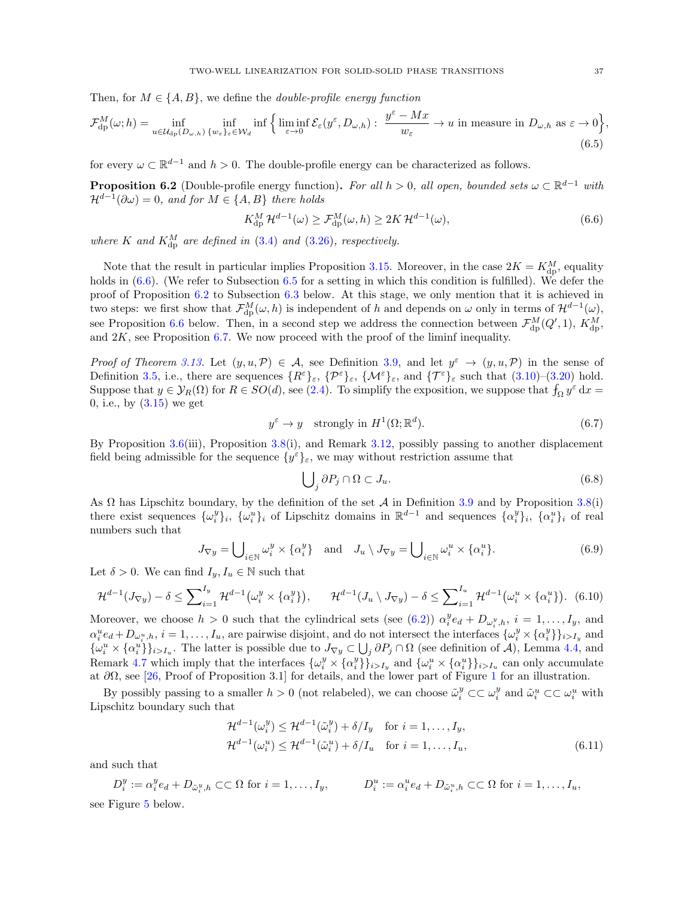Then, for  $M \in \{A, B\}$ , we define the *double-profile energy function* 

$$
\mathcal{F}_{dp}^{M}(\omega;h) = \inf_{u \in \mathcal{U}_{dp}(D_{\omega,h})} \inf_{\{w_{\varepsilon}\}_{\varepsilon} \in \mathcal{W}_{d}} \inf \left\{ \liminf_{\varepsilon \to 0} \mathcal{E}_{\varepsilon}(y^{\varepsilon}, D_{\omega,h}) : \frac{y^{\varepsilon} - Mx}{w_{\varepsilon}} \to u \text{ in measure in } D_{\omega,h} \text{ as } \varepsilon \to 0 \right\},\tag{6.5}
$$

for every  $\omega \subset \mathbb{R}^{d-1}$  and  $h > 0$ . The double-profile energy can be characterized as follows.

<span id="page-36-0"></span>**Proposition 6.2** (Double-profile energy function). For all  $h > 0$ , all open, bounded sets  $\omega \subset \mathbb{R}^{d-1}$  with  $\mathcal{H}^{d-1}(\partial \omega) = 0$ , and for  $M \in \{A, B\}$  there holds

<span id="page-36-2"></span><span id="page-36-1"></span>
$$
K_{\rm dp}^M \mathcal{H}^{d-1}(\omega) \ge \mathcal{F}_{\rm dp}^M(\omega, h) \ge 2K \mathcal{H}^{d-1}(\omega),\tag{6.6}
$$

where K and  $K_{\text{dp}}^M$  are defined in [\(3.4\)](#page-12-0) and [\(3.26\)](#page-19-0), respectively.

Note that the result in particular implies Proposition [3.15.](#page-20-3) Moreover, in the case  $2K = K_{\text{dp}}^M$ , equality holds in  $(6.6)$ . (We refer to Subsection [6.5](#page-57-0) for a setting in which this condition is fulfilled). We defer the proof of Proposition [6.2](#page-36-0) to Subsection [6.3](#page-47-0) below. At this stage, we only mention that it is achieved in two steps: we first show that  $\mathcal{F}_{dp}^{M}(\omega, h)$  is independent of h and depends on  $\omega$  only in terms of  $\mathcal{H}^{d-1}(\omega)$ , see Proposition [6.6](#page-47-1) below. Then, in a second step we address the connection between  $\mathcal{F}_{\text{dp}}^{M}(Q', 1)$ ,  $K_{\text{dp}}^{M}$ , and  $2K$ , see Proposition [6.7.](#page-47-2) We now proceed with the proof of the liminf inequality.

Proof of Theorem [3.13.](#page-19-1) Let  $(y, u, \mathcal{P}) \in \mathcal{A}$ , see Definition [3.9,](#page-17-3) and let  $y^{\varepsilon} \to (y, u, \mathcal{P})$  in the sense of Definition [3.5,](#page-16-2) i.e., there are sequences  $\{R^{\varepsilon}\}_{\varepsilon}$ ,  $\{\mathcal{P}^{\varepsilon}\}_{\varepsilon}$ ,  $\{\mathcal{M}^{\varepsilon}\}_{\varepsilon}$ , and  $\{\mathcal{T}^{\varepsilon}\}_{\varepsilon}$  such that  $(3.10)-(3.20)$  $(3.10)-(3.20)$  hold. Suppose that  $y \in \mathcal{Y}_R(\Omega)$  for  $R \in SO(d)$ , see [\(2.4\)](#page-6-3). To simplify the exposition, we suppose that  $f_\Omega y^\varepsilon dx =$ 0, i.e., by  $(3.15)$  we get

$$
y^{\varepsilon} \to y \quad \text{strongly in } H^1(\Omega; \mathbb{R}^d). \tag{6.7}
$$

By Proposition [3.6\(](#page-16-1)iii), Proposition [3.8\(](#page-17-2)i), and Remark [3.12,](#page-19-5) possibly passing to another displacement field being admissible for the sequence  $\{y^{\varepsilon}\}_{\varepsilon}$ , we may without restriction assume that

<span id="page-36-6"></span><span id="page-36-5"></span><span id="page-36-4"></span><span id="page-36-3"></span>
$$
\bigcup_{j} \partial P_j \cap \Omega \subset J_u. \tag{6.8}
$$

As  $\Omega$  has Lipschitz boundary, by the definition of the set A in Definition [3.9](#page-17-3) and by Proposition [3.8\(](#page-17-2)i) there exist sequences  $\{\omega_i^y\}_i$ ,  $\{\omega_i^u\}_i$  of Lipschitz domains in  $\mathbb{R}^{d-1}$  and sequences  $\{\alpha_i^y\}_i$ ,  $\{\alpha_i^u\}_i$  of real numbers such that

$$
J_{\nabla y} = \bigcup_{i \in \mathbb{N}} \omega_i^y \times \{\alpha_i^y\} \quad \text{and} \quad J_u \setminus J_{\nabla y} = \bigcup_{i \in \mathbb{N}} \omega_i^u \times \{\alpha_i^u\}. \tag{6.9}
$$

Let  $\delta > 0$ . We can find  $I_y, I_u \in \mathbb{N}$  such that

$$
\mathcal{H}^{d-1}(J_{\nabla y}) - \delta \le \sum_{i=1}^{I_y} \mathcal{H}^{d-1}\big(\omega_i^y \times \{\alpha_i^y\}\big), \qquad \mathcal{H}^{d-1}(J_u \setminus J_{\nabla y}) - \delta \le \sum_{i=1}^{I_u} \mathcal{H}^{d-1}\big(\omega_i^u \times \{\alpha_i^u\}\big). \tag{6.10}
$$

Moreover, we choose  $h > 0$  such that the cylindrical sets (see [\(6.2\)](#page-35-6))  $\alpha_i^y e_d + D_{\omega_i^y,h}$ ,  $i = 1,\ldots,I_y$ , and  $\alpha_i^u e_d + D_{\omega_i^u,h}, i = 1,\ldots, I_u$ , are pairwise disjoint, and do not intersect the interfaces  $\{\omega_i^y \times \{\alpha_i^y\}\}_{i>I_y}$  and  $\{\omega_i^u \times \{\alpha_i^u\}\}_{i>I_u}$ . The latter is possible due to  $J_{\nabla y} \subset \bigcup_j \partial P_j \cap \Omega$  (see definition of A), Lemma [4.4,](#page-26-1) and Remark [4.7](#page-31-3) which imply that the interfaces  $\{\omega_i^y \times \{\alpha_i^y\}\}_{i>I_y}^{\tilde{y}}$  and  $\{\omega_i^u \times \{\alpha_i^u\}\}_{i>I_u}$  can only accumulate at  $\partial\Omega$ , see [\[26,](#page-61-11) Proof of Proposition 3.[1](#page-7-0)] for details, and the lower part of Figure 1 for an illustration.

By possibly passing to a smaller  $h > 0$  (not relabeled), we can choose  $\tilde{\omega}_i^y \subset \subset \omega_i^y$  and  $\tilde{\omega}_i^u \subset \subset \omega_i^u$  with Lipschitz boundary such that

<span id="page-36-7"></span>
$$
\mathcal{H}^{d-1}(\omega_i^y) \le \mathcal{H}^{d-1}(\tilde{\omega}_i^y) + \delta/I_y \quad \text{for } i = 1, \dots, I_y,
$$
  

$$
\mathcal{H}^{d-1}(\omega_i^u) \le \mathcal{H}^{d-1}(\tilde{\omega}_i^u) + \delta/I_u \quad \text{for } i = 1, \dots, I_u,
$$
 (6.11)

and such that

$$
D_i^y := \alpha_i^y e_d + D_{\tilde{\omega}_i^y, h} \subset\subset \Omega \text{ for } i = 1, \dots, I_y, \qquad D_i^u := \alpha_i^u e_d + D_{\tilde{\omega}_i^u, h} \subset\subset \Omega \text{ for } i = 1, \dots, I_u,
$$
 see Figure 5 below.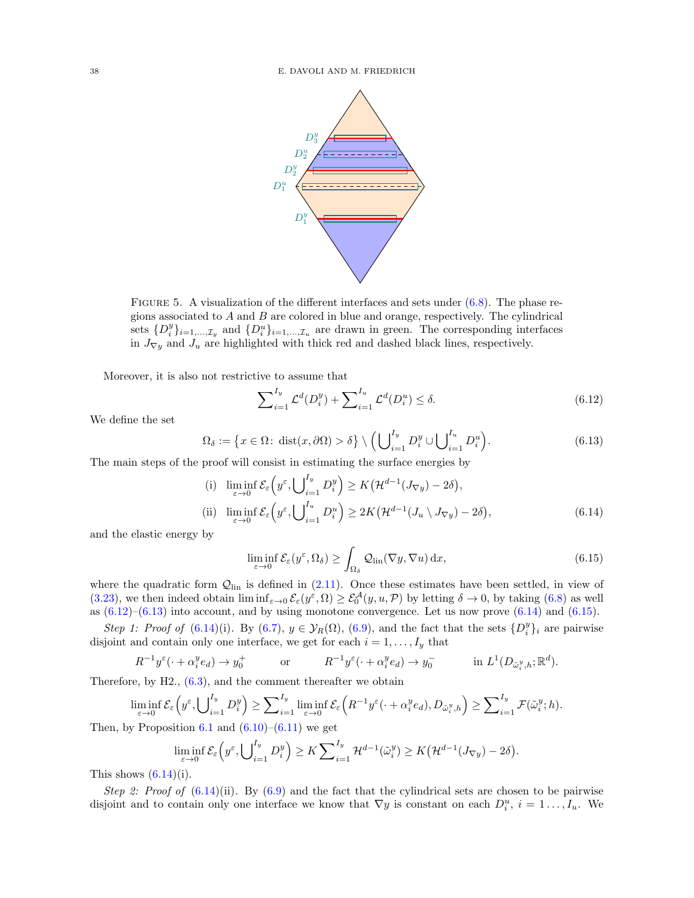<span id="page-37-0"></span>

FIGURE 5. A visualization of the different interfaces and sets under  $(6.8)$ . The phase regions associated to  $A$  and  $B$  are colored in blue and orange, respectively. The cylindrical sets  $\{D_i^y\}_{i=1,\dots,\mathcal{I}_y}$  and  $\{D_i^u\}_{i=1,\dots,\mathcal{I}_u}$  are drawn in green. The corresponding interfaces in  $J_{\nabla y}$  and  $J_u$  are highlighted with thick red and dashed black lines, respectively.

Moreover, it is also not restrictive to assume that

<span id="page-37-2"></span><span id="page-37-1"></span>
$$
\sum_{i=1}^{I_y} \mathcal{L}^d(D_i^y) + \sum_{i=1}^{I_u} \mathcal{L}^d(D_i^u) \le \delta.
$$
 (6.12)

We define the set

$$
\Omega_{\delta} := \left\{ x \in \Omega \colon \operatorname{dist}(x, \partial \Omega) > \delta \right\} \setminus \left( \bigcup_{i=1}^{I_y} D_i^y \cup \bigcup_{i=1}^{I_u} D_i^u \right). \tag{6.13}
$$

The main steps of the proof will consist in estimating the surface energies by

(i) 
$$
\liminf_{\varepsilon \to 0} \mathcal{E}_{\varepsilon} \left( y^{\varepsilon}, \bigcup_{i=1}^{I_y} D_i^y \right) \ge K \left( \mathcal{H}^{d-1} (J_{\nabla y}) - 2\delta \right),
$$
  
\n(ii) 
$$
\liminf_{\varepsilon \to 0} \mathcal{E}_{\varepsilon} \left( y^{\varepsilon}, \bigcup_{i=1}^{I_u} D_i^u \right) \ge 2K \left( \mathcal{H}^{d-1} (J_u \setminus J_{\nabla y}) - 2\delta \right),
$$
\n(6.14)

and the elastic energy by

<span id="page-37-4"></span><span id="page-37-3"></span>
$$
\liminf_{\varepsilon \to 0} \mathcal{E}_{\varepsilon}(y^{\varepsilon}, \Omega_{\delta}) \ge \int_{\Omega_{\delta}} \mathcal{Q}_{\text{lin}}(\nabla y, \nabla u) \,dx,\tag{6.15}
$$

where the quadratic form  $Q_{lin}$  is defined in  $(2.11)$ . Once these estimates have been settled, in view of [\(3.23\)](#page-18-2), we then indeed obtain  $\liminf_{\varepsilon\to 0} \mathcal{E}_{\varepsilon}(y^{\varepsilon},\Omega) \geq \mathcal{E}_{0}^{\mathcal{A}}(y,u,\mathcal{P})$  by letting  $\delta \to 0$ , by taking [\(6.8\)](#page-36-3) as well as  $(6.12)$ – $(6.13)$  into account, and by using monotone convergence. Let us now prove  $(6.14)$  and  $(6.15)$ .

Step 1: Proof of  $(6.14)(i)$  $(6.14)(i)$ . By  $(6.7)$ ,  $y \in \mathcal{Y}_R(\Omega)$ ,  $(6.9)$ , and the fact that the sets  $\{D_i^y\}_i$  are pairwise disjoint and contain only one interface, we get for each  $i = 1, \ldots, I_y$  that

$$
R^{-1}y^{\varepsilon}(\cdot + \alpha_i^y e_d) \to y_0^+ \qquad \text{or} \qquad R^{-1}y^{\varepsilon}(\cdot + \alpha_i^y e_d) \to y_0^- \qquad \text{in } L^1(D_{\tilde{\omega}_i^y,h}; \mathbb{R}^d).
$$

Therefore, by  $H2, (6.3)$  $H2, (6.3)$ , and the comment thereafter we obtain

$$
\liminf_{\varepsilon \to 0} \mathcal{E}_{\varepsilon} \left( y^{\varepsilon}, \bigcup_{i=1}^{I_y} D_i^y \right) \ge \sum_{i=1}^{I_y} \liminf_{\varepsilon \to 0} \mathcal{E}_{\varepsilon} \left( R^{-1} y^{\varepsilon} (\cdot + \alpha_i^y e_d), D_{\tilde{\omega}_i^y, h} \right) \ge \sum_{i=1}^{I_y} \mathcal{F}(\tilde{\omega}_i^y; h).
$$

Then, by Proposition [6.1](#page-35-3) and  $(6.10)$ – $(6.11)$  we get

$$
\liminf_{\varepsilon \to 0} \mathcal{E}_{\varepsilon} \left( y^{\varepsilon}, \bigcup_{i=1}^{I_y} D_i^y \right) \geq K \sum_{i=1}^{I_y} \mathcal{H}^{d-1}(\tilde{\omega}_i^y) \geq K \big( \mathcal{H}^{d-1}(J_{\nabla y}) - 2\delta \big).
$$

This shows  $(6.14)(i)$ .

Step 2: Proof of  $(6.14)(ii)$  $(6.14)(ii)$ . By  $(6.9)$  and the fact that the cylindrical sets are chosen to be pairwise disjoint and to contain only one interface we know that  $\nabla y$  is constant on each  $D_i^u$ ,  $i = 1 \ldots, I_u$ . We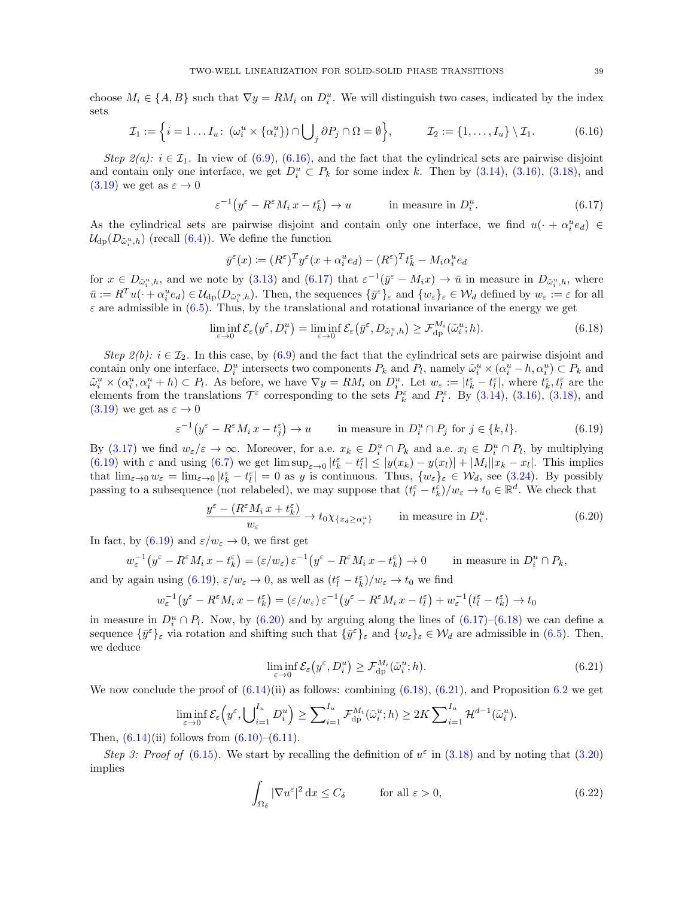choose  $M_i \in \{A, B\}$  such that  $\nabla y = RM_i$  on  $D_i^u$ . We will distinguish two cases, indicated by the index sets

$$
\mathcal{I}_1 := \left\{ i = 1 \dots I_u : \left( \omega_i^u \times \{ \alpha_i^u \} \right) \cap \bigcup_j \partial P_j \cap \Omega = \emptyset \right\}, \qquad \mathcal{I}_2 := \left\{ 1, \dots, I_u \right\} \setminus \mathcal{I}_1. \tag{6.16}
$$

Step 2(a):  $i \in \mathcal{I}_1$ . In view of [\(6.9\)](#page-36-5), [\(6.16\)](#page-38-0), and the fact that the cylindrical sets are pairwise disjoint and contain only one interface, we get  $D_i^u \subset P_k$  for some index k. Then by [\(3.14\)](#page-14-6), [\(3.16\)](#page-14-8), [\(3.18\)](#page-14-10), and  $(3.19)$  we get as  $\varepsilon \to 0$ 

<span id="page-38-0"></span>
$$
\varepsilon^{-1}\big(y^{\varepsilon} - R^{\varepsilon}M_i x - t_k^{\varepsilon}\big) \to u \qquad \text{in measure in } D_i^u. \tag{6.17}
$$

As the cylindrical sets are pairwise disjoint and contain only one interface, we find  $u(\cdot + \alpha_i^u e_d) \in$  $\mathcal{U}_{\text{dp}}(D_{\tilde{\omega}_i^u,h})$  (recall [\(6.4\)](#page-35-7)). We define the function

<span id="page-38-4"></span><span id="page-38-1"></span>
$$
\bar{y}^{\varepsilon}(x) := (R^{\varepsilon})^T y^{\varepsilon}(x + \alpha_i^u e_d) - (R^{\varepsilon})^T t_k^{\varepsilon} - M_i \alpha_i^u e_d
$$

for  $x \in D_{\tilde{\omega}_i^u,h}$ , and we note by  $(3.13)$  and  $(6.17)$  that  $\varepsilon^{-1}(\bar{y}^{\varepsilon} - M_i x) \to \bar{u}$  in measure in  $D_{\tilde{\omega}_i^u,h}$ , where  $\bar{u} := R^T u(\cdot + \alpha_i^u e_d) \in \mathcal{U}_{dp}(D_{\tilde{\omega}_i^u,h})$ . Then, the sequences  $\{\bar{y}^{\varepsilon}\}_\varepsilon$  and  $\{w_{\varepsilon}\}_\varepsilon \in \mathcal{W}_d$  defined by  $w_{\varepsilon} := \varepsilon$  for all  $\varepsilon$  are admissible in [\(6.5\)](#page-36-1). Thus, by the translational and rotational invariance of the energy we get

<span id="page-38-2"></span>
$$
\liminf_{\varepsilon \to 0} \mathcal{E}_{\varepsilon} \left( y^{\varepsilon}, D_i^u \right) = \liminf_{\varepsilon \to 0} \mathcal{E}_{\varepsilon} \left( \bar{y}^{\varepsilon}, D_{\tilde{\omega}_i^u, h} \right) \ge \mathcal{F}_{\mathrm{dp}}^{M_i}(\tilde{\omega}_i^u; h). \tag{6.18}
$$

Step 2(b):  $i \in I_2$ . In this case, by [\(6.9\)](#page-36-5) and the fact that the cylindrical sets are pairwise disjoint and contain only one interface,  $D_i^u$  intersects two components  $P_k$  and  $P_l$ , namely  $\tilde{\omega}_i^u \times (\alpha_i^u - h, \alpha_i^u) \subset P_k$  and  $\tilde{\omega}_i^u \times (\alpha_i^u, \alpha_i^u + h) \subset P_l$ . As before, we have  $\nabla y = RM_i$  on  $D_i^u$ . Let  $w_{\varepsilon} := |t_k^{\varepsilon} - t_l^{\varepsilon}|$ , where  $t_k^{\varepsilon}, t_l^{\varepsilon}$  are the elements from the translations  $\mathcal{T}^{\varepsilon}$  corresponding to the sets  $P_k^{\varepsilon}$  and  $P_l^{\varepsilon}$ . By [\(3.14\)](#page-14-6), [\(3.16\)](#page-14-8), [\(3.18\)](#page-14-10), and  $(3.19)$  we get as  $\varepsilon \to 0$ 

$$
\varepsilon^{-1}\big(y^{\varepsilon} - R^{\varepsilon}M_i x - t_j^{\varepsilon}\big) \to u \qquad \text{in measure in } D_i^u \cap P_j \text{ for } j \in \{k, l\}. \tag{6.19}
$$

By  $(3.17)$  we find  $w_{\varepsilon}/\varepsilon \to \infty$ . Moreover, for a.e.  $x_k \in D_i^u \cap P_k$  and a.e.  $x_l \in D_i^u \cap P_l$ , by multiplying [\(6.19\)](#page-38-2) with  $\varepsilon$  and using [\(6.7\)](#page-36-4) we get  $\limsup_{\varepsilon\to 0} |t_k^{\varepsilon} - t_l^{\varepsilon}| \le |y(x_k) - y(x_l)| + |M_i||x_k - x_l|$ . This implies that  $\lim_{\varepsilon \to 0} w_{\varepsilon} = \lim_{\varepsilon \to 0} |t_k^{\varepsilon} - t_l^{\varepsilon}| = 0$  as y is continuous. Thus,  $\{w_{\varepsilon}\}_{\varepsilon} \in \mathcal{W}_d$ , see [\(3.24\)](#page-19-4). By possibly passing to a subsequence (not relabeled), we may suppose that  $(t_i^{\varepsilon} - t_k^{\varepsilon})/w_{\varepsilon} \to t_0 \in \mathbb{R}^d$ . We check that

$$
\frac{y^{\varepsilon} - (R^{\varepsilon} M_i x + t_k^{\varepsilon})}{w_{\varepsilon}} \to t_0 \chi_{\{x_d \ge \alpha_i^u\}} \quad \text{in measure in } D_i^u. \tag{6.20}
$$

In fact, by [\(6.19\)](#page-38-2) and  $\varepsilon/w_{\varepsilon} \to 0$ , we first get

$$
w_{\varepsilon}^{-1}(y^{\varepsilon} - R^{\varepsilon} M_i x - t_k^{\varepsilon}) = (\varepsilon/w_{\varepsilon}) \varepsilon^{-1}(y^{\varepsilon} - R^{\varepsilon} M_i x - t_k^{\varepsilon}) \to 0 \quad \text{in measure in } D_i^u \cap P_k,
$$

and by again using [\(6.19\)](#page-38-2),  $\varepsilon/w_{\varepsilon} \to 0$ , as well as  $(t_l^{\varepsilon} - t_k^{\varepsilon})/w_{\varepsilon} \to t_0$  we find

$$
w_{\varepsilon}^{-1}(y^{\varepsilon} - R^{\varepsilon} M_i x - t_k^{\varepsilon}) = (\varepsilon/w_{\varepsilon}) \varepsilon^{-1}(y^{\varepsilon} - R^{\varepsilon} M_i x - t_l^{\varepsilon}) + w_{\varepsilon}^{-1}(t_l^{\varepsilon} - t_k^{\varepsilon}) \to t_0
$$

in measure in  $D_i^u \cap P_l$ . Now, by [\(6.20\)](#page-38-3) and by arguing along the lines of [\(6.17\)](#page-38-1)–[\(6.18\)](#page-38-4) we can define a sequence  $\{\bar{y}^{\varepsilon}\}_{\varepsilon}$  via rotation and shifting such that  $\{\bar{y}^{\varepsilon}\}_{\varepsilon}$  and  $\{w_{\varepsilon}\}_{\varepsilon} \in \mathcal{W}_d$  are admissible in [\(6.5\)](#page-36-1). Then, we deduce

<span id="page-38-5"></span><span id="page-38-3"></span>
$$
\liminf_{\varepsilon \to 0} \mathcal{E}_{\varepsilon}(y^{\varepsilon}, D_i^u) \ge \mathcal{F}_{\mathrm{dp}}^{M_i}(\tilde{\omega}_i^u; h). \tag{6.21}
$$

We now conclude the proof of  $(6.14)(ii)$  as follows: combining  $(6.18), (6.21),$  $(6.18), (6.21),$  $(6.18), (6.21),$  and Proposition [6.2](#page-36-0) we get

$$
\liminf_{\varepsilon \to 0} \mathcal{E}_{\varepsilon} \left( y^{\varepsilon}, \bigcup_{i=1}^{I_u} D_i^u \right) \ge \sum_{i=1}^{I_u} \mathcal{F}_{\mathrm{dp}}^{M_i}(\tilde{\omega}_i^u; h) \ge 2K \sum_{i=1}^{I_u} \mathcal{H}^{d-1}(\tilde{\omega}_i^u).
$$

Then,  $(6.14)$ (ii) follows from  $(6.10)$ – $(6.11)$ .

Step 3: Proof of [\(6.15\)](#page-37-4). We start by recalling the definition of  $u^{\varepsilon}$  in [\(3.18\)](#page-14-10) and by noting that [\(3.20\)](#page-14-9) implies

<span id="page-38-6"></span>
$$
\int_{\Omega_{\delta}} |\nabla u^{\varepsilon}|^2 dx \le C_{\delta} \qquad \text{for all } \varepsilon > 0,
$$
\n(6.22)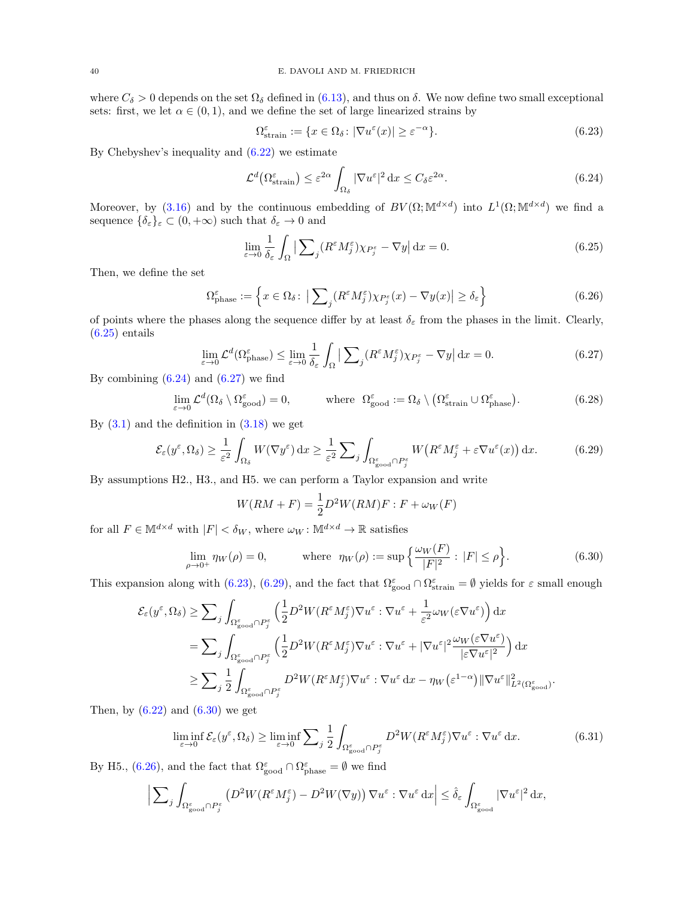where  $C_{\delta} > 0$  depends on the set  $\Omega_{\delta}$  defined in [\(6.13\)](#page-37-2), and thus on  $\delta$ . We now define two small exceptional sets: first, we let  $\alpha \in (0,1)$ , and we define the set of large linearized strains by

<span id="page-39-3"></span>
$$
\Omega_{\text{strain}}^{\varepsilon} := \{ x \in \Omega_{\delta} \colon |\nabla u^{\varepsilon}(x)| \ge \varepsilon^{-\alpha} \}. \tag{6.23}
$$

By Chebyshev's inequality and [\(6.22\)](#page-38-6) we estimate

<span id="page-39-1"></span>
$$
\mathcal{L}^d \left( \Omega_{\text{strain}}^\varepsilon \right) \le \varepsilon^{2\alpha} \int_{\Omega_\delta} |\nabla u^\varepsilon|^2 \, \mathrm{d}x \le C_\delta \varepsilon^{2\alpha}.\tag{6.24}
$$

Moreover, by [\(3.16\)](#page-14-8) and by the continuous embedding of  $BV(\Omega;\mathbb{M}^{d\times d})$  into  $L^1(\Omega;\mathbb{M}^{d\times d})$  we find a sequence  $\{\delta_{\varepsilon}\}_{\varepsilon} \subset (0, +\infty)$  such that  $\delta_{\varepsilon} \to 0$  and

<span id="page-39-6"></span><span id="page-39-0"></span>
$$
\lim_{\varepsilon \to 0} \frac{1}{\delta_{\varepsilon}} \int_{\Omega} \left| \sum_{j} (R^{\varepsilon} M^{\varepsilon}_{j}) \chi_{P^{\varepsilon}_{j}} - \nabla y \right| dx = 0.
$$
\n(6.25)

Then, we define the set

$$
\Omega_{\text{phase}}^{\varepsilon} := \left\{ x \in \Omega_{\delta} \colon \left| \sum_{j} (R^{\varepsilon} M_{j}^{\varepsilon}) \chi_{P_{j}^{\varepsilon}}(x) - \nabla y(x) \right| \ge \delta_{\varepsilon} \right\}
$$
\n(6.26)

of points where the phases along the sequence differ by at least  $\delta_{\varepsilon}$  from the phases in the limit. Clearly,  $(6.25)$  entails

<span id="page-39-2"></span>
$$
\lim_{\varepsilon \to 0} \mathcal{L}^d(\Omega_{\text{phase}}^{\varepsilon}) \le \lim_{\varepsilon \to 0} \frac{1}{\delta_{\varepsilon}} \int_{\Omega} \left| \sum_{j} (R^{\varepsilon} M_j^{\varepsilon}) \chi_{P_j^{\varepsilon}} - \nabla y \right| dx = 0.
$$
\n(6.27)

By combining  $(6.24)$  and  $(6.27)$  we find

$$
\lim_{\varepsilon \to 0} \mathcal{L}^d(\Omega_\delta \setminus \Omega_{\text{good}}^{\varepsilon}) = 0, \quad \text{where } \Omega_{\text{good}}^{\varepsilon} := \Omega_\delta \setminus (\Omega_{\text{strain}}^{\varepsilon} \cup \Omega_{\text{phase}}^{\varepsilon}). \tag{6.28}
$$

By  $(3.1)$  and the definition in  $(3.18)$  we get

$$
\mathcal{E}_{\varepsilon}(y^{\varepsilon}, \Omega_{\delta}) \ge \frac{1}{\varepsilon^{2}} \int_{\Omega_{\delta}} W(\nabla y^{\varepsilon}) dx \ge \frac{1}{\varepsilon^{2}} \sum_{j} \int_{\Omega^{\varepsilon}_{\text{good}} \cap P^{\varepsilon}_{j}} W\big(R^{\varepsilon} M^{\varepsilon}_{j} + \varepsilon \nabla u^{\varepsilon}(x)\big) dx. \tag{6.29}
$$

By assumptions H2., H3., and H5. we can perform a Taylor expansion and write

<span id="page-39-8"></span><span id="page-39-4"></span>
$$
W(RM + F) = \frac{1}{2}D^2W(RM)F : F + \omega_W(F)
$$

for all  $F \in \mathbb{M}^{d \times d}$  with  $|F| < \delta_W$ , where  $\omega_W : \mathbb{M}^{d \times d} \to \mathbb{R}$  satisfies

<span id="page-39-5"></span>
$$
\lim_{\rho \to 0^+} \eta_W(\rho) = 0, \qquad \text{where } \eta_W(\rho) := \sup \left\{ \frac{\omega_W(F)}{|F|^2} : |F| \le \rho \right\}. \tag{6.30}
$$

This expansion along with [\(6.23\)](#page-39-3), [\(6.29\)](#page-39-4), and the fact that  $\Omega_{\text{good}}^{\varepsilon} \cap \Omega_{\text{strain}}^{\varepsilon} = \emptyset$  yields for  $\varepsilon$  small enough

$$
\mathcal{E}_{\varepsilon}(y^{\varepsilon}, \Omega_{\delta}) \geq \sum_{j} \int_{\Omega_{\text{good}}^{\varepsilon} \cap P_{j}^{\varepsilon}} \left( \frac{1}{2} D^{2} W (R^{\varepsilon} M_{j}^{\varepsilon}) \nabla u^{\varepsilon} : \nabla u^{\varepsilon} + \frac{1}{\varepsilon^{2}} \omega_{W} (\varepsilon \nabla u^{\varepsilon}) \right) dx
$$
  
\n
$$
= \sum_{j} \int_{\Omega_{\text{good}}^{\varepsilon} \cap P_{j}^{\varepsilon}} \left( \frac{1}{2} D^{2} W (R^{\varepsilon} M_{j}^{\varepsilon}) \nabla u^{\varepsilon} : \nabla u^{\varepsilon} + |\nabla u^{\varepsilon}|^{2} \frac{\omega_{W} (\varepsilon \nabla u^{\varepsilon})}{|\varepsilon \nabla u^{\varepsilon}|^{2}} \right) dx
$$
  
\n
$$
\geq \sum_{j} \frac{1}{2} \int_{\Omega_{\text{good}}^{\varepsilon} \cap P_{j}^{\varepsilon}} D^{2} W (R^{\varepsilon} M_{j}^{\varepsilon}) \nabla u^{\varepsilon} : \nabla u^{\varepsilon} dx - \eta_{W} (\varepsilon^{1-\alpha}) ||\nabla u^{\varepsilon}||^{2}_{L^{2}(\Omega_{\text{good}}^{\varepsilon})}.
$$

Then, by  $(6.22)$  and  $(6.30)$  we get

<span id="page-39-7"></span>
$$
\liminf_{\varepsilon \to 0} \mathcal{E}_{\varepsilon}(y^{\varepsilon}, \Omega_{\delta}) \ge \liminf_{\varepsilon \to 0} \sum_{j} \frac{1}{2} \int_{\Omega_{\text{good}}^{\varepsilon} \cap P_{j}^{\varepsilon}} D^{2}W(R^{\varepsilon}M_{j}^{\varepsilon}) \nabla u^{\varepsilon} : \nabla u^{\varepsilon} dx. \tag{6.31}
$$

By H5., [\(6.26\)](#page-39-6), and the fact that  $\Omega_{\text{good}}^{\varepsilon} \cap \Omega_{\text{phase}}^{\varepsilon} = \emptyset$  we find

$$
\Big| \sum_{j} \int_{\Omega_{\text{good}}^{\varepsilon} \cap P_j^{\varepsilon}} \left( D^2 W (R^{\varepsilon} M_j^{\varepsilon}) - D^2 W (\nabla y) \right) \nabla u^{\varepsilon} : \nabla u^{\varepsilon} \, dx \Big| \leq \hat{\delta}_{\varepsilon} \int_{\Omega_{\text{good}}^{\varepsilon}} |\nabla u^{\varepsilon}|^2 \, dx,
$$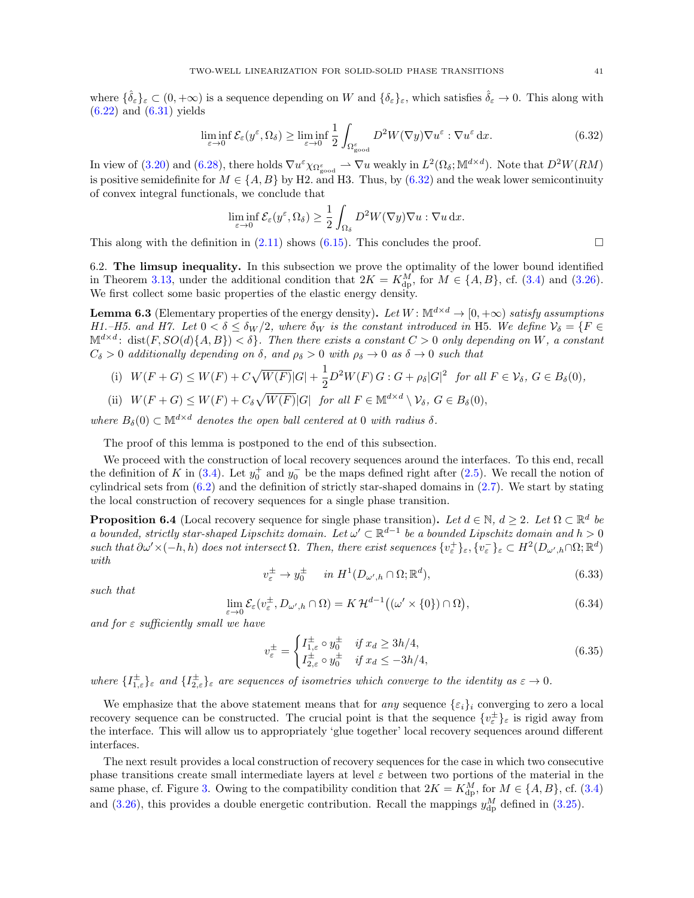where  $\{\hat{\delta}_{\varepsilon}\}_\varepsilon \subset (0, +\infty)$  is a sequence depending on W and  $\{\delta_{\varepsilon}\}_\varepsilon$ , which satisfies  $\hat{\delta}_{\varepsilon} \to 0$ . This along with  $(6.22)$  and  $(6.31)$  yields

$$
\liminf_{\varepsilon \to 0} \mathcal{E}_{\varepsilon}(y^{\varepsilon}, \Omega_{\delta}) \ge \liminf_{\varepsilon \to 0} \frac{1}{2} \int_{\Omega_{\text{good}}^{\varepsilon}} D^2 W(\nabla y) \nabla u^{\varepsilon} : \nabla u^{\varepsilon} dx. \tag{6.32}
$$

In view of [\(3.20\)](#page-14-9) and [\(6.28\)](#page-39-8), there holds  $\nabla u^{\varepsilon} \chi_{\Omega_{\text{good}}^{\varepsilon}} \rightharpoonup \nabla u$  weakly in  $L^2(\Omega_{\delta}; \mathbb{M}^{d \times d})$ . Note that  $D^2W(RM)$ is positive semidefinite for  $M \in \{A, B\}$  by H2. and H3. Thus, by [\(6.32\)](#page-40-2) and the weak lower semicontinuity of convex integral functionals, we conclude that

<span id="page-40-2"></span>
$$
\liminf_{\varepsilon \to 0} \mathcal{E}_{\varepsilon}(y^{\varepsilon}, \Omega_{\delta}) \ge \frac{1}{2} \int_{\Omega_{\delta}} D^2 W(\nabla y) \nabla u : \nabla u \, \mathrm{d}x.
$$

This along with the definition in  $(2.11)$  shows  $(6.15)$ . This concludes the proof.

<span id="page-40-1"></span>6.2. The limsup inequality. In this subsection we prove the optimality of the lower bound identified in Theorem [3.13,](#page-19-1) under the additional condition that  $2K = K_{\text{dp}}^M$ , for  $M \in \{A, B\}$ , cf. [\(3.4\)](#page-12-0) and [\(3.26\)](#page-19-0). We first collect some basic properties of the elastic energy density.

<span id="page-40-6"></span>**Lemma 6.3** (Elementary properties of the energy density). Let  $W: \mathbb{M}^{d \times d} \to [0, +\infty)$  satisfy assumptions H1.–H5. and H7. Let  $0 < \delta \le \delta_W/2$ , where  $\delta_W$  is the constant introduced in H5. We define  $\mathcal{V}_\delta = \{F \in$  $\mathbb{M}^{d\times d}$ : dist $(F, SO(d)\{A, B\}) < \delta$ . Then there exists a constant  $C > 0$  only depending on W, a constant  $C_{\delta} > 0$  additionally depending on  $\delta$ , and  $\rho_{\delta} > 0$  with  $\rho_{\delta} \to 0$  as  $\delta \to 0$  such that

(i) 
$$
W(F+G) \leq W(F) + C\sqrt{W(F)}|G| + \frac{1}{2}D^2W(F)G : G + \rho_\delta |G|^2
$$
 for all  $F \in \mathcal{V}_\delta$ ,  $G \in B_\delta(0)$ ,  
\n(ii)  $W(F+G) \leq W(F) + C_\delta \sqrt{W(F)}|G|$  for all  $F \in \mathbb{M}^{d \times d} \setminus \mathcal{V}_\delta$ ,  $G \in B_\delta(0)$ ,

(ii) 
$$
W(F+G) \leq W(F) + C_{\delta} \sqrt{W(F)}|G|
$$
 for all  $F \in \mathbb{M}^{d \times d} \setminus \mathcal{V}_{\delta}, G \in B_{\delta}(\mathcal{V}_{\delta})$ 

where  $B_\delta(0) \subset \mathbb{M}^{d \times d}$  denotes the open ball centered at 0 with radius  $\delta$ .

The proof of this lemma is postponed to the end of this subsection.

We proceed with the construction of local recovery sequences around the interfaces. To this end, recall the definition of K in [\(3.4\)](#page-12-0). Let  $y_0^+$  and  $y_0^-$  be the maps defined right after [\(2.5\)](#page-7-2). We recall the notion of cylindrical sets from [\(6.2\)](#page-35-6) and the definition of strictly star-shaped domains in [\(2.7\)](#page-8-0). We start by stating the local construction of recovery sequences for a single phase transition.

<span id="page-40-0"></span>**Proposition 6.4** (Local recovery sequence for single phase transition). Let  $d \in \mathbb{N}$ ,  $d \geq 2$ . Let  $\Omega \subset \mathbb{R}^d$  be a bounded, strictly star-shaped Lipschitz domain. Let  $\omega' \subset \mathbb{R}^{d-1}$  be a bounded Lipschitz domain and  $h > 0$ such that  $\partial \omega' \times (-h, h)$  does not intersect  $\Omega$ . Then, there exist sequences  $\{v_{\varepsilon}^+\}_{\varepsilon}, \{v_{\varepsilon}^-\}_{\varepsilon} \subset H^2(D_{\omega',h} \cap \Omega; \mathbb{R}^d)$ with

<span id="page-40-3"></span>
$$
v_{\varepsilon}^{\pm} \to y_0^{\pm} \quad \text{ in } H^1(D_{\omega',h} \cap \Omega; \mathbb{R}^d), \tag{6.33}
$$

such that

<span id="page-40-4"></span>
$$
\lim_{\varepsilon \to 0} \mathcal{E}_{\varepsilon}(v_{\varepsilon}^{\pm}, D_{\omega',h} \cap \Omega) = K \mathcal{H}^{d-1}((\omega' \times \{0\}) \cap \Omega), \tag{6.34}
$$

and for  $\varepsilon$  sufficiently small we have

<span id="page-40-5"></span>
$$
v_{\varepsilon}^{\pm} = \begin{cases} I_{1,\varepsilon}^{\pm} \circ y_0^{\pm} & \text{if } x_d \ge 3h/4, \\ I_{2,\varepsilon}^{\pm} \circ y_0^{\pm} & \text{if } x_d \le -3h/4, \end{cases}
$$
(6.35)

where  $\{I_{1,\varepsilon}^{\pm}\}_{\varepsilon}$  and  $\{I_{2,\varepsilon}^{\pm}\}_{\varepsilon}$  are sequences of isometries which converge to the identity as  $\varepsilon \to 0$ .

We emphasize that the above statement means that for any sequence  $\{\varepsilon_i\}_i$  converging to zero a local recovery sequence can be constructed. The crucial point is that the sequence  $\{v_{\varepsilon}^{\pm}\}_{\varepsilon}$  is rigid away from the interface. This will allow us to appropriately 'glue together' local recovery sequences around different interfaces.

The next result provides a local construction of recovery sequences for the case in which two consecutive phase transitions create small intermediate layers at level  $\varepsilon$  between two portions of the material in the same phase, cf. Figure [3.](#page-18-0) Owing to the compatibility condition that  $2K = K_{\text{dp}}^M$ , for  $M \in \{A, B\}$ , cf. [\(3.4\)](#page-12-0) and [\(3.26\)](#page-19-0), this provides a double energetic contribution. Recall the mappings  $y_{dp}^M$  defined in [\(3.25\)](#page-19-6).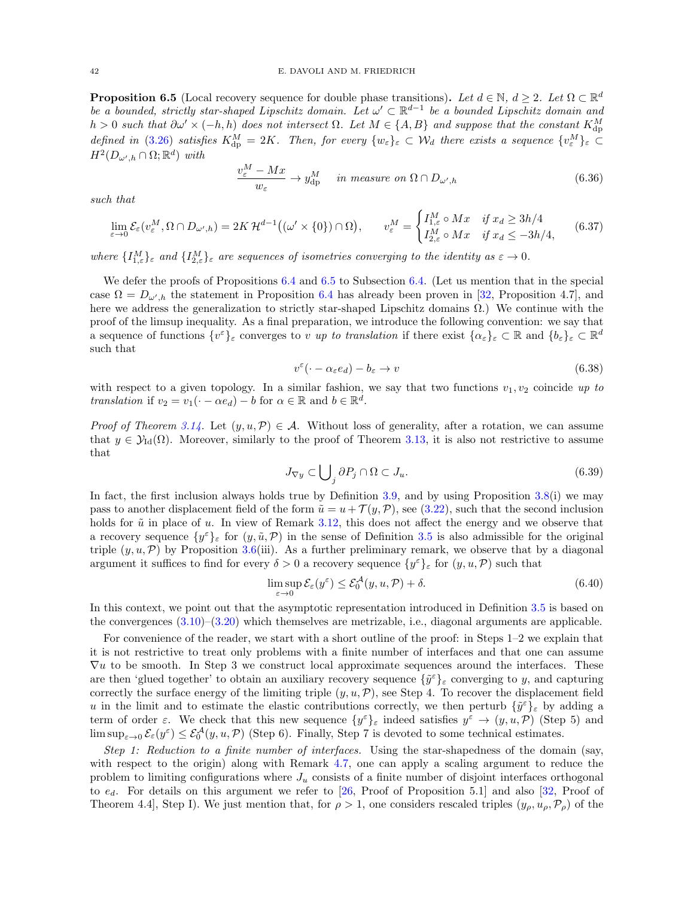<span id="page-41-0"></span>**Proposition 6.5** (Local recovery sequence for double phase transitions). Let  $d \in \mathbb{N}$ ,  $d \geq 2$ . Let  $\Omega \subset \mathbb{R}^d$ be a bounded, strictly star-shaped Lipschitz domain. Let  $\omega' \subset \mathbb{R}^{d-1}$  be a bounded Lipschitz domain and  $h > 0$  such that  $\partial \omega' \times (-h, h)$  does not intersect  $\Omega$ . Let  $M \in \{A, B\}$  and suppose that the constant  $K_{\text{dp}}^M$ defined in [\(3.26\)](#page-19-0) satisfies  $K_{dp}^M = 2K$ . Then, for every  $\{w_{\varepsilon}\}_{\varepsilon} \subset \mathcal{W}_d$  there exists a sequence  $\{v_{\varepsilon}^M\}_{\varepsilon} \subset$  $H^2(D_{\omega',h}\cap\Omega;\mathbb{R}^d)$  with

$$
\frac{v_{\varepsilon}^M - Mx}{w_{\varepsilon}} \to y_{\rm dp}^M \quad \text{ in measure on } \Omega \cap D_{\omega',h} \tag{6.36}
$$

such that

<span id="page-41-4"></span>
$$
\lim_{\varepsilon \to 0} \mathcal{E}_{\varepsilon}(v_{\varepsilon}^M, \Omega \cap D_{\omega',h}) = 2K \mathcal{H}^{d-1}((\omega' \times \{0\}) \cap \Omega), \qquad v_{\varepsilon}^M = \begin{cases} I_{1,\varepsilon}^M \circ Mx & \text{if } x_d \ge 3h/4\\ I_{2,\varepsilon}^M \circ Mx & \text{if } x_d \le -3h/4, \end{cases} \tag{6.37}
$$

where  $\{I_{1,\varepsilon}^M\}_{\varepsilon}$  and  $\{I_{2,\varepsilon}^M\}_{\varepsilon}$  are sequences of isometries converging to the identity as  $\varepsilon \to 0$ .

<span id="page-41-3"></span> $\mathbf{v}$ 

We defer the proofs of Propositions [6.4](#page-40-0) and [6.5](#page-41-0) to Subsection [6.4.](#page-53-0) (Let us mention that in the special case  $\Omega = D_{\omega',h}$  the statement in Proposition [6.4](#page-40-0) has already been proven in [\[32,](#page-62-0) Proposition 4.7], and here we address the generalization to strictly star-shaped Lipschitz domains  $\Omega$ .) We continue with the proof of the limsup inequality. As a final preparation, we introduce the following convention: we say that a sequence of functions  $\{v^{\varepsilon}\}_{\varepsilon}$  converges to v up to translation if there exist  $\{\alpha_{\varepsilon}\}_{\varepsilon} \subset \mathbb{R}$  and  $\{b_{\varepsilon}\}_{\varepsilon} \subset \mathbb{R}^d$ such that

<span id="page-41-2"></span>
$$
v^{\varepsilon}(\cdot - \alpha_{\varepsilon} e_d) - b_{\varepsilon} \to v \tag{6.38}
$$

with respect to a given topology. In a similar fashion, we say that two functions  $v_1, v_2$  coincide up to translation if  $v_2 = v_1(\cdot - \alpha e_d) - b$  for  $\alpha \in \mathbb{R}$  and  $b \in \mathbb{R}^d$ .

*Proof of Theorem [3.14.](#page-19-2)* Let  $(y, u, \mathcal{P}) \in \mathcal{A}$ . Without loss of generality, after a rotation, we can assume that  $y \in \mathcal{Y}_{\text{Id}}(\Omega)$ . Moreover, similarly to the proof of Theorem [3.13,](#page-19-1) it is also not restrictive to assume that

<span id="page-41-1"></span>
$$
J_{\nabla y} \subset \bigcup_{j} \partial P_j \cap \Omega \subset J_u. \tag{6.39}
$$

In fact, the first inclusion always holds true by Definition [3.9,](#page-17-3) and by using Proposition [3.8\(](#page-17-2)i) we may pass to another displacement field of the form  $\tilde{u} = u + \mathcal{T}(y, \mathcal{P})$ , see [\(3.22\)](#page-16-4), such that the second inclusion holds for  $\tilde{u}$  in place of u. In view of Remark [3.12,](#page-19-5) this does not affect the energy and we observe that a recovery sequence  $\{y^{\varepsilon}\}_{\varepsilon}$  for  $(y, \tilde{u}, \mathcal{P})$  in the sense of Definition [3.5](#page-16-2) is also admissible for the original triple  $(y, u, \mathcal{P})$  by Proposition [3.6\(](#page-16-1)iii). As a further preliminary remark, we observe that by a diagonal argument it suffices to find for every  $\delta > 0$  a recovery sequence  $\{y^{\varepsilon}\}_{\varepsilon}$  for  $(y, u, \mathcal{P})$  such that

<span id="page-41-5"></span>
$$
\limsup_{\varepsilon \to 0} \mathcal{E}_{\varepsilon}(y^{\varepsilon}) \le \mathcal{E}_{0}^{\mathcal{A}}(y, u, \mathcal{P}) + \delta. \tag{6.40}
$$

In this context, we point out that the asymptotic representation introduced in Definition [3.5](#page-16-2) is based on the convergences [\(3.10\)](#page-14-2)–[\(3.20\)](#page-14-9) which themselves are metrizable, i.e., diagonal arguments are applicable.

For convenience of the reader, we start with a short outline of the proof: in Steps 1–2 we explain that it is not restrictive to treat only problems with a finite number of interfaces and that one can assume  $\nabla u$  to be smooth. In Step 3 we construct local approximate sequences around the interfaces. These are then 'glued together' to obtain an auxiliary recovery sequence  $\{\tilde{y}^{\varepsilon}\}_\varepsilon$  converging to y, and capturing correctly the surface energy of the limiting triple  $(y, u, \mathcal{P})$ , see Step 4. To recover the displacement field u in the limit and to estimate the elastic contributions correctly, we then perturb  $\{\tilde{y}^{\varepsilon}\}_\varepsilon$  by adding a term of order  $\varepsilon$ . We check that this new sequence  $\{y^{\varepsilon}\}_{\varepsilon}$  indeed satisfies  $y^{\varepsilon} \to (y, u, \mathcal{P})$  (Step 5) and  $\limsup_{\varepsilon\to 0} \mathcal{E}_{\varepsilon}(y^{\varepsilon}) \leq \mathcal{E}_{0}^{\mathcal{A}}(y, u, \mathcal{P})$  (Step 6). Finally, Step 7 is devoted to some technical estimates.

Step 1: Reduction to a finite number of interfaces. Using the star-shapedness of the domain (say, with respect to the origin) along with Remark [4.7,](#page-31-3) one can apply a scaling argument to reduce the problem to limiting configurations where  $J_u$  consists of a finite number of disjoint interfaces orthogonal to  $e_d$ . For details on this argument we refer to [\[26,](#page-61-11) Proof of Proposition 5.1] and also [\[32,](#page-62-0) Proof of Theorem 4.4], Step I). We just mention that, for  $\rho > 1$ , one considers rescaled triples  $(y_\rho, u_\rho, \mathcal{P}_\rho)$  of the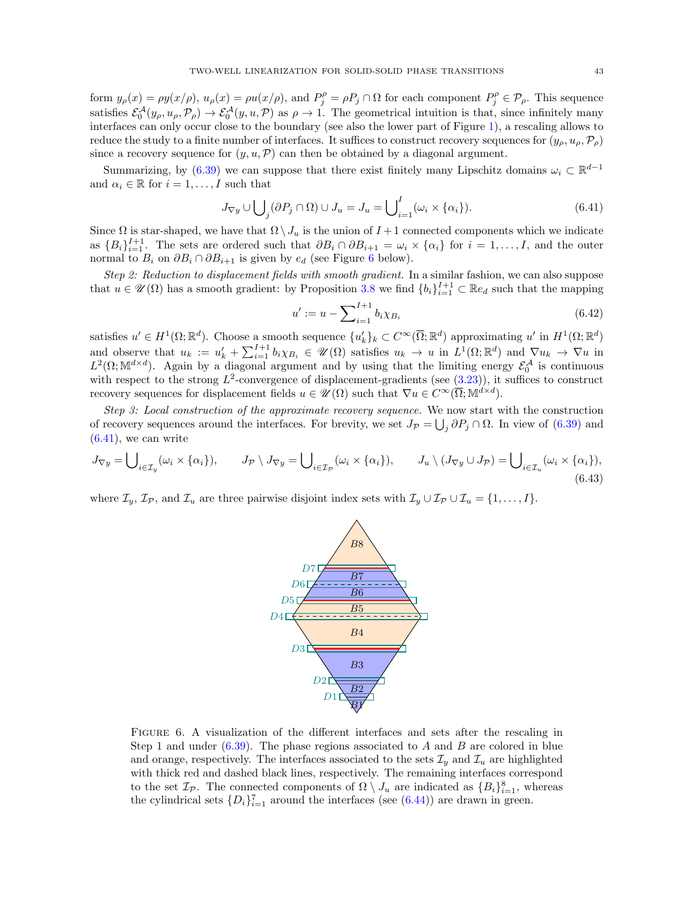form  $y_{\rho}(x) = \rho y(x/\rho)$ ,  $u_{\rho}(x) = \rho u(x/\rho)$ , and  $P_j^{\rho} = \rho P_j \cap \Omega$  for each component  $P_j^{\rho} \in \mathcal{P}_{\rho}$ . This sequence satisfies  $\mathcal{E}_0^{\mathcal{A}}(y_\rho, u_\rho, \mathcal{P}_\rho) \to \mathcal{E}_0^{\mathcal{A}}(y, u, \mathcal{P})$  as  $\rho \to 1$ . The geometrical intuition is that, since infinitely many interfaces can only occur close to the boundary (see also the lower part of Figure [1\)](#page-7-0), a rescaling allows to reduce the study to a finite number of interfaces. It suffices to construct recovery sequences for  $(y_0, u_0, \mathcal{P}_0)$ since a recovery sequence for  $(y, u, \mathcal{P})$  can then be obtained by a diagonal argument.

Summarizing, by [\(6.39\)](#page-41-1) we can suppose that there exist finitely many Lipschitz domains  $\omega_i \subset \mathbb{R}^{d-1}$ and  $\alpha_i \in \mathbb{R}$  for  $i = 1, \ldots, I$  such that

$$
J_{\nabla y} \cup \bigcup_{j} (\partial P_j \cap \Omega) \cup J_u = J_u = \bigcup_{i=1}^I (\omega_i \times \{\alpha_i\}).
$$
\n(6.41)

Since  $\Omega$  is star-shaped, we have that  $\Omega \setminus J_u$  is the union of  $I+1$  connected components which we indicate as  ${B_i}_{i=1}^{I+1}$ . The sets are ordered such that  $\partial B_i \cap \partial B_{i+1} = \omega_i \times {\alpha_i}$  for  $i = 1, \ldots, I$ , and the outer normal to  $B_i$  on  $\partial B_i \cap \partial B_{i+1}$  is given by  $e_d$  (see Figure [6](#page-42-0) below).

Step 2: Reduction to displacement fields with smooth gradient. In a similar fashion, we can also suppose that  $u \in \mathcal{U}(\Omega)$  has a smooth gradient: by Proposition [3.8](#page-17-2) we find  ${b_i}_{i=1}^{I+1} \subset \mathbb{R}e_d$  such that the mapping

<span id="page-42-2"></span><span id="page-42-1"></span>
$$
u' := u - \sum_{i=1}^{I+1} b_i \chi_{B_i}
$$
\n(6.42)

satisfies  $u' \in H^1(\Omega;\mathbb{R}^d)$ . Choose a smooth sequence  $\{u'_k\}_k \subset C^\infty(\overline{\Omega};\mathbb{R}^d)$  approximating  $u'$  in  $H^1(\Omega;\mathbb{R}^d)$ and observe that  $u_k := u'_k + \sum_{i=1}^{I+1} b_i \chi_{B_i} \in \mathcal{U}(\Omega)$  satisfies  $u_k \to u$  in  $L^1(\Omega;\mathbb{R}^d)$  and  $\nabla u_k \to \nabla u$  in  $L^2(\Omega;\mathbb{M}^{d\times d})$ . Again by a diagonal argument and by using that the limiting energy  $\mathcal{E}_0^{\mathcal{A}}$  is continuous with respect to the strong  $L^2$ -convergence of displacement-gradients (see  $(3.23)$ ), it suffices to construct recovery sequences for displacement fields  $u \in \mathscr{U}(\Omega)$  such that  $\nabla u \in C^{\infty}(\overline{\Omega}; \mathbb{M}^{d \times d})$ .

Step 3: Local construction of the approximate recovery sequence. We now start with the construction of recovery sequences around the interfaces. For brevity, we set  $J_{\mathcal{P}} = \bigcup_j \partial P_j \cap \Omega$ . In view of [\(6.39\)](#page-41-1) and  $(6.41)$ , we can write

$$
J_{\nabla y} = \bigcup_{i \in \mathcal{I}_y} (\omega_i \times \{\alpha_i\}), \qquad J_{\mathcal{P}} \setminus J_{\nabla y} = \bigcup_{i \in \mathcal{I}_{\mathcal{P}}} (\omega_i \times \{\alpha_i\}), \qquad J_u \setminus (J_{\nabla y} \cup J_{\mathcal{P}}) = \bigcup_{i \in \mathcal{I}_u} (\omega_i \times \{\alpha_i\}),
$$
(6.43)

<span id="page-42-0"></span>where  $\mathcal{I}_y, \mathcal{I}_{\mathcal{P}},$  and  $\mathcal{I}_u$  are three pairwise disjoint index sets with  $\mathcal{I}_y \cup \mathcal{I}_{\mathcal{P}} \cup \mathcal{I}_u = \{1, \ldots, I\}$ .

<span id="page-42-3"></span>

FIGURE 6. A visualization of the different interfaces and sets after the rescaling in Step 1 and under  $(6.39)$ . The phase regions associated to A and B are colored in blue and orange, respectively. The interfaces associated to the sets  $\mathcal{I}_y$  and  $\mathcal{I}_u$  are highlighted with thick red and dashed black lines, respectively. The remaining interfaces correspond to the set  $\mathcal{I}_{\mathcal{P}}$ . The connected components of  $\Omega \setminus J_u$  are indicated as  $\{B_i\}_{i=1}^8$ , whereas the cylindrical sets  $\{D_i\}_{i=1}^7$  around the interfaces (see [\(6.44\)](#page-43-0)) are drawn in green.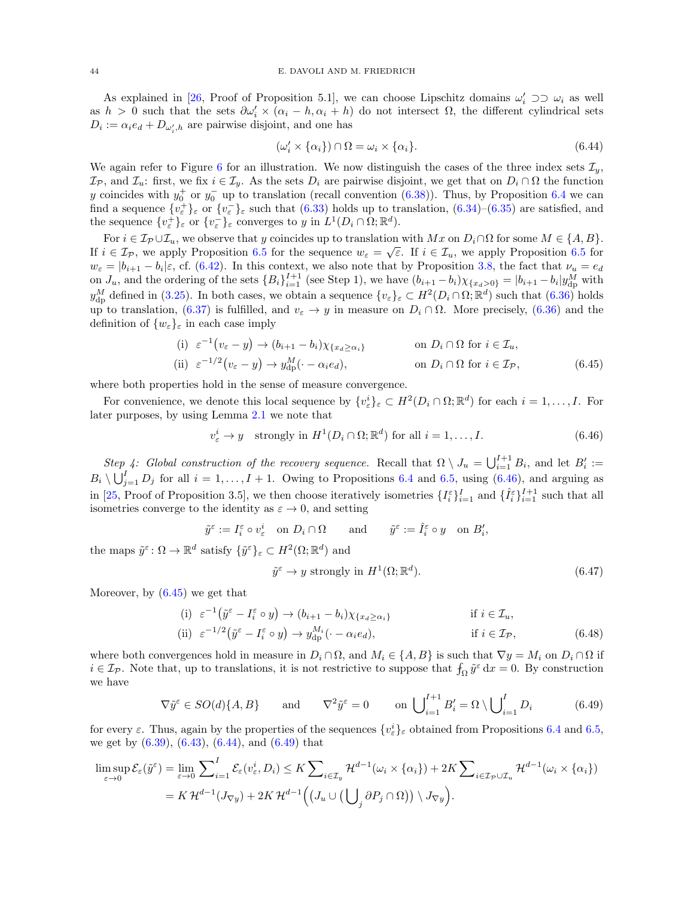As explained in [\[26,](#page-61-11) Proof of Proposition 5.1], we can choose Lipschitz domains  $\omega'_i \supset \supset \omega_i$  as well as  $h > 0$  such that the sets  $\partial \omega'_i \times (\alpha_i - h, \alpha_i + h)$  do not intersect  $\Omega$ , the different cylindrical sets  $D_i := \alpha_i e_d + D_{\omega'_i, h}$  are pairwise disjoint, and one has

<span id="page-43-2"></span><span id="page-43-0"></span>
$$
(\omega'_i \times \{\alpha_i\}) \cap \Omega = \omega_i \times \{\alpha_i\}.
$$
\n(6.44)

We again refer to Figure [6](#page-42-0) for an illustration. We now distinguish the cases of the three index sets  $\mathcal{I}_y$ ,  $\mathcal{I}_\mathcal{P}$ , and  $\mathcal{I}_u$ : first, we fix  $i \in \mathcal{I}_y$ . As the sets  $D_i$  are pairwise disjoint, we get that on  $D_i \cap \Omega$  the function y coincides with  $y_0^+$  or  $y_0^-$  up to translation (recall convention  $(6.38)$ ). Thus, by Proposition [6.4](#page-40-0) we can find a sequence  $\{v_{\varepsilon}^{+}\}_\varepsilon$  or  $\{v_{\varepsilon}^{-}\}_\varepsilon$  such that [\(6.33\)](#page-40-3) holds up to translation, [\(6.34\)](#page-40-4)–[\(6.35\)](#page-40-5) are satisfied, and the sequence  $\{v_{\varepsilon}^{+}\}_{\varepsilon}$  or  $\{v_{\varepsilon}^{-}\}_{\varepsilon}$  converges to y in  $L^{1}(D_{i} \cap \Omega; \mathbb{R}^{d})$ .

For  $i \in \mathcal{I}_{\mathcal{P}} \cup \mathcal{I}_{u}$ , we observe that y coincides up to translation with  $Mx$  on  $D_i \cap \Omega$  for some  $M \in \{A, B\}$ . If  $i \in \mathcal{I}_{\mathcal{P}}$ , we apply Proposition [6.5](#page-41-0) for the sequence  $w_{\varepsilon} = \sqrt{\varepsilon}$ . If  $i \in \mathcal{I}_u$ , we apply Proposition 6.5 for  $w_{\varepsilon} = |b_{i+1} - b_i|\varepsilon$ , cf. [\(6.42\)](#page-42-2). In this context, we also note that by Proposition [3.8,](#page-17-2) the fact that  $\nu_u = e_d$ on  $J_u$ , and the ordering of the sets  ${B_i}_{i=1}^{I+1}$  (see Step 1), we have  $(b_{i+1} - b_i)\chi_{\{x_d > 0\}} = |b_{i+1} - b_i|y_{dp}^M$  with  $y_{\rm dp}^M$  defined in [\(3.25\)](#page-19-6). In both cases, we obtain a sequence  $\{v_{\varepsilon}\}_{\varepsilon} \subset H^2(D_i \cap \Omega; \mathbb{R}^d)$  such that  $(6.36)$  holds up to translation, [\(6.37\)](#page-41-4) is fulfilled, and  $v_{\varepsilon} \to y$  in measure on  $D_i \cap \Omega$ . More precisely, [\(6.36\)](#page-41-3) and the definition of  $\{w_{\varepsilon}\}_{\varepsilon}$  in each case imply

(i) 
$$
\varepsilon^{-1}(v_{\varepsilon} - y) \to (b_{i+1} - b_i)\chi_{\{x_d \ge \alpha_i\}}
$$
 on  $D_i \cap \Omega$  for  $i \in \mathcal{I}_u$ ,  
\n(ii)  $\varepsilon^{-1/2}(v_{\varepsilon} - y) \to y_{\text{dp}}^M(\cdot - \alpha_i e_d)$ , on  $D_i \cap \Omega$  for  $i \in \mathcal{I}_p$ , (6.45)

where both properties hold in the sense of measure convergence.

For convenience, we denote this local sequence by  $\{v_{\varepsilon}^i\}_{\varepsilon} \subset H^2(D_i \cap \Omega; \mathbb{R}^d)$  for each  $i = 1, \ldots, I$ . For later purposes, by using Lemma [2.1](#page-7-1) we note that

$$
v_{\varepsilon}^{i} \to y \quad \text{strongly in } H^{1}(D_{i} \cap \Omega; \mathbb{R}^{d}) \text{ for all } i = 1, ..., I. \tag{6.46}
$$

Step 4: Global construction of the recovery sequence. Recall that  $\Omega \setminus J_u = \bigcup_{i=1}^{I+1} B_i$ , and let  $B'_i :=$  $B_i \setminus \bigcup_{j=1}^I D_j$  for all  $i = 1, ..., I + 1$ . Owing to Propositions [6.4](#page-40-0) and [6.5,](#page-41-0) using [\(6.46\)](#page-43-1), and arguing as in [\[25,](#page-61-12) Proof of Proposition 3.5], we then choose iteratively isometries  $\{I_i^{\varepsilon}\}_{i=1}^I$  and  $\{\hat{I}_i^{\varepsilon}\}_{i=1}^{I+1}$  such that all isometries converge to the identity as  $\varepsilon \to 0$ , and setting

$$
\tilde y^{\varepsilon}:=I^{\varepsilon}_i\circ v^i_{\varepsilon}\quad \text{on}\,\,D_i\cap\Omega\qquad\text{and}\qquad \tilde y^{\varepsilon}:=\hat I^{\varepsilon}_i\circ y\quad \text{on}\,\,B'_i,
$$

the maps  $\tilde{y}^{\varepsilon} \colon \Omega \to \mathbb{R}^d$  satisfy  $\{\tilde{y}^{\varepsilon}\}_{\varepsilon} \subset H^2(\Omega; \mathbb{R}^d)$  and

<span id="page-43-5"></span><span id="page-43-4"></span><span id="page-43-3"></span><span id="page-43-1"></span>
$$
\tilde{y}^{\varepsilon} \to y \text{ strongly in } H^1(\Omega; \mathbb{R}^d). \tag{6.47}
$$

Moreover, by  $(6.45)$  we get that

(i) 
$$
\varepsilon^{-1}(\tilde{y}^{\varepsilon} - I_i^{\varepsilon} \circ y) \to (b_{i+1} - b_i) \chi_{\{x_d \ge \alpha_i\}}
$$
 if  $i \in \mathcal{I}_u$ ,  
\n(ii)  $\varepsilon^{-1/2}(\tilde{y}^{\varepsilon} - I_i^{\varepsilon} \circ y) \to y_{dp}^{M_i}(\cdot - \alpha_i e_d)$ , if  $i \in \mathcal{I}_{\mathcal{P}}$ , (6.48)

where both convergences hold in measure in  $D_i \cap \Omega$ , and  $M_i \in \{A, B\}$  is such that  $\nabla y = M_i$  on  $D_i \cap \Omega$  if  $i \in \mathcal{I}_{\mathcal{P}}$ . Note that, up to translations, it is not restrictive to suppose that  $f_{\Omega} \tilde{y}^{\varepsilon} dx = 0$ . By construction we have

$$
\nabla \tilde{y}^{\varepsilon} \in SO(d)\{A, B\} \quad \text{and} \quad \nabla^2 \tilde{y}^{\varepsilon} = 0 \quad \text{on } \bigcup_{i=1}^{I+1} B_i' = \Omega \setminus \bigcup_{i=1}^{I} D_i \quad (6.49)
$$

for every  $\varepsilon$ . Thus, again by the properties of the sequences  $\{v_{\varepsilon}^{i}\}_{\varepsilon}$  obtained from Propositions [6.4](#page-40-0) and [6.5,](#page-41-0) we get by  $(6.39)$ ,  $(6.43)$ ,  $(6.44)$ , and  $(6.49)$  that

$$
\limsup_{\varepsilon \to 0} \mathcal{E}_{\varepsilon}(\tilde{y}^{\varepsilon}) = \lim_{\varepsilon \to 0} \sum_{i=1}^{I} \mathcal{E}_{\varepsilon}(v_{\varepsilon}^{i}, D_{i}) \leq K \sum_{i \in \mathcal{I}_{y}} \mathcal{H}^{d-1}(\omega_{i} \times \{\alpha_{i}\}) + 2K \sum_{i \in \mathcal{I}_{p} \cup \mathcal{I}_{u}} \mathcal{H}^{d-1}(\omega_{i} \times \{\alpha_{i}\})
$$
\n
$$
= K \mathcal{H}^{d-1}(J_{\nabla y}) + 2K \mathcal{H}^{d-1}\Big(\big(J_{u} \cup \big(\bigcup_{j} \partial P_{j} \cap \Omega\big)\big) \setminus J_{\nabla y}\Big).
$$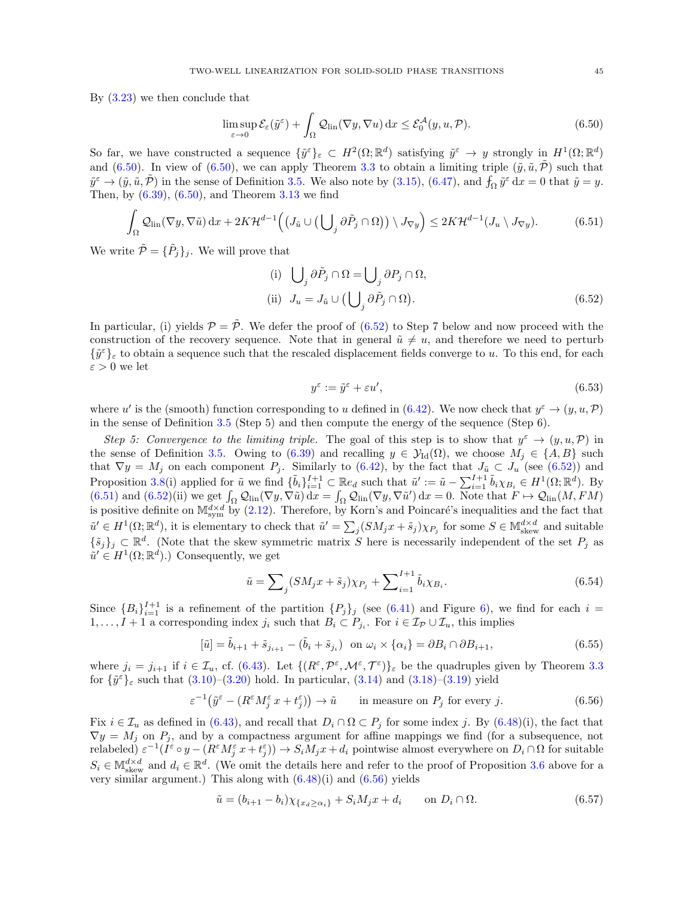By [\(3.23\)](#page-18-2) we then conclude that

$$
\limsup_{\varepsilon \to 0} \mathcal{E}_{\varepsilon}(\tilde{y}^{\varepsilon}) + \int_{\Omega} \mathcal{Q}_{\text{lin}}(\nabla y, \nabla u) \,dx \le \mathcal{E}_{0}^{\mathcal{A}}(y, u, \mathcal{P}). \tag{6.50}
$$

So far, we have constructed a sequence  $\{\tilde{y}^{\varepsilon}\}_{\varepsilon} \subset H^2(\Omega;\mathbb{R}^d)$  satisfying  $\tilde{y}^{\varepsilon} \to y$  strongly in  $H^1(\Omega;\mathbb{R}^d)$ and [\(6.50\)](#page-44-0). In view of (6.50), we can apply Theorem [3.3](#page-14-0) to obtain a limiting triple  $(\tilde{y}, \tilde{u}, \tilde{\mathcal{P}})$  such that  $\tilde{y}^{\varepsilon} \to (\tilde{y}, \tilde{u}, \tilde{\mathcal{P}})$  in the sense of Definition [3.5.](#page-16-2) We also note by [\(3.15\)](#page-14-7), [\(6.47\)](#page-43-4), and  $f_{\Omega} \tilde{y}^{\varepsilon} dx = 0$  that  $\tilde{y} = y$ . Then, by  $(6.39)$ ,  $(6.50)$ , and Theorem [3.13](#page-19-1) we find

$$
\int_{\Omega} \mathcal{Q}_{\text{lin}}(\nabla y, \nabla \tilde{u}) \, dx + 2K \mathcal{H}^{d-1} \Big( \big( J_{\tilde{u}} \cup \big( \bigcup_j \partial \tilde{P}_j \cap \Omega \big) \big) \setminus J_{\nabla y} \Big) \leq 2K \mathcal{H}^{d-1} (J_u \setminus J_{\nabla y}). \tag{6.51}
$$

We write  $\tilde{\mathcal{P}} = {\{\tilde{P}_j\}_j}$ . We will prove that

<span id="page-44-2"></span><span id="page-44-0"></span>(i) 
$$
\bigcup_{j} \partial \tilde{P}_{j} \cap \Omega = \bigcup_{j} \partial P_{j} \cap \Omega,
$$
  
\n(ii) 
$$
J_{u} = J_{\tilde{u}} \cup (\bigcup_{j} \partial \tilde{P}_{j} \cap \Omega).
$$
\n(6.52)

In particular, (i) yields  $\mathcal{P} = \tilde{\mathcal{P}}$ . We defer the proof of [\(6.52\)](#page-44-1) to Step 7 below and now proceed with the construction of the recovery sequence. Note that in general  $\tilde{u} \neq u$ , and therefore we need to perturb  $\{\tilde{y}^{\varepsilon}\}_\varepsilon$  to obtain a sequence such that the rescaled displacement fields converge to u. To this end, for each  $\varepsilon > 0$  we let

<span id="page-44-6"></span><span id="page-44-5"></span><span id="page-44-1"></span>
$$
y^{\varepsilon} := \tilde{y}^{\varepsilon} + \varepsilon u',\tag{6.53}
$$

where u' is the (smooth) function corresponding to u defined in [\(6.42\)](#page-42-2). We now check that  $y^{\varepsilon} \to (y, u, \mathcal{P})$ in the sense of Definition [3.5](#page-16-2) (Step 5) and then compute the energy of the sequence (Step 6).

Step 5: Convergence to the limiting triple. The goal of this step is to show that  $y^{\varepsilon} \to (y, u, \mathcal{P})$  in the sense of Definition [3.5.](#page-16-2) Owing to [\(6.39\)](#page-41-1) and recalling  $y \in \mathcal{Y}_{\text{Id}}(\Omega)$ , we choose  $M_i \in \{A, B\}$  such that  $\nabla y = M_j$  on each component  $P_j$ . Similarly to [\(6.42\)](#page-42-2), by the fact that  $J_{\tilde{u}} \subset J_u$  (see [\(6.52\)](#page-44-1)) and Proposition [3.8\(](#page-17-2)i) applied for  $\tilde{u}$  we find  $\{\tilde{b}_i\}_{i=1}^{I+1} \subset \mathbb{R}e_d$  such that  $\tilde{u}' := \tilde{u} - \sum_{i=1}^{I+1} \tilde{b}_i \chi_{B_i} \in H^1(\Omega; \mathbb{R}^d)$ . By  $(6.51)$  and  $(6.52)(ii)$  we get  $\int_{\Omega} \mathcal{Q}_{lin}(\nabla y, \nabla \tilde{u}) dx = \int_{\Omega} \mathcal{Q}_{lin}(\nabla y, \nabla \tilde{u}') dx = 0$ . Note that  $F \mapsto \mathcal{Q}_{lin}(M, FM)$ is positive definite on  $M_{sym}^{d \times d}$  by [\(2.12\)](#page-9-5). Therefore, by Korn's and Poincaré's inequalities and the fact that  $\tilde{u}' \in H^1(\Omega; \mathbb{R}^d)$ , it is elementary to check that  $\tilde{u}' = \sum_j (SM_j x + \tilde{s}_j) \chi_{P_j}$  for some  $S \in \mathbb{M}^{d \times d}_{skew}$  and suitable  $\{\tilde{s}_j\}_j \subset \mathbb{R}^d$ . (Note that the skew symmetric matrix S here is necessarily independent of the set  $P_j$  as  $\tilde{u}' \in H^1(\Omega; \mathbb{R}^d)$ .) Consequently, we get

<span id="page-44-4"></span><span id="page-44-3"></span>
$$
\tilde{u} = \sum_{j} (SM_j x + \tilde{s}_j) \chi_{P_j} + \sum_{i=1}^{I+1} \tilde{b}_i \chi_{B_i}.
$$
\n(6.54)

Since  ${B_i}_{i=1}^{I+1}$  is a refinement of the partition  ${P_j}_j$  (see [\(6.41\)](#page-42-1) and Figure [6\)](#page-42-0), we find for each  $i=$  $1, \ldots, I+1$  a corresponding index  $j_i$  such that  $B_i \subset P_{j_i}$ . For  $i \in I_{\mathcal{P}} \cup I_u$ , this implies

$$
[\tilde{u}] = \tilde{b}_{i+1} + \tilde{s}_{j_{i+1}} - (\tilde{b}_i + \tilde{s}_{j_i}) \quad \text{on } \omega_i \times \{\alpha_i\} = \partial B_i \cap \partial B_{i+1},\tag{6.55}
$$

where  $j_i = j_{i+1}$  if  $i \in \mathcal{I}_u$ , cf. [\(6.43\)](#page-42-3). Let  $\{(R^{\varepsilon}, \mathcal{P}^{\varepsilon}, \mathcal{M}^{\varepsilon}, \mathcal{T}^{\varepsilon})\}_{\varepsilon}$  be the quadruples given by Theorem [3.3](#page-14-0) for  $\{\tilde{y}^{\varepsilon}\}_\varepsilon$  such that  $(3.10)$ – $(3.20)$  hold. In particular,  $(3.14)$  and  $(3.18)$ – $(3.19)$  yield

$$
\varepsilon^{-1}(\tilde{y}^{\varepsilon} - (R^{\varepsilon}M_j^{\varepsilon} x + t_j^{\varepsilon})) \to \tilde{u} \quad \text{in measure on } P_j \text{ for every } j.
$$
 (6.56)

Fix  $i \in \mathcal{I}_u$  as defined in [\(6.43\)](#page-42-3), and recall that  $D_i \cap \Omega \subset P_j$  for some index j. By [\(6.48\)](#page-43-5)(i), the fact that  $\nabla y = M_j$  on  $P_j$ , and by a compactness argument for affine mappings we find (for a subsequence, not relabeled)  $\varepsilon^{-1}(\tilde{I}^{\varepsilon} \circ y - (R^{\varepsilon} M_j^{\varepsilon} x + t_j^{\varepsilon})) \to S_i M_j x + d_i$  pointwise almost everywhere on  $D_i \cap \Omega$  for suitable  $S_i \in \mathbb{M}^{d \times d}_{\text{skew}}$  and  $d_i \in \mathbb{R}^d$ . (We omit the details here and refer to the proof of Proposition [3.6](#page-16-1) above for a very similar argument.) This along with  $(6.48)(i)$  and  $(6.56)$  yields

$$
\tilde{u} = (b_{i+1} - b_i)\chi_{\{x_d \ge \alpha_i\}} + S_i M_j x + d_i \qquad \text{on } D_i \cap \Omega.
$$
\n
$$
(6.57)
$$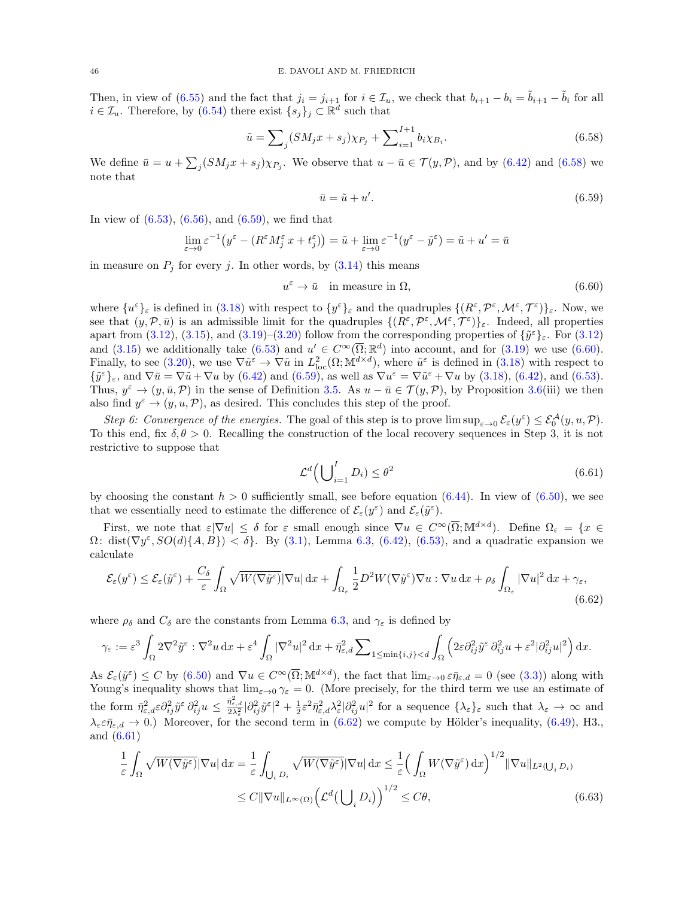Then, in view of [\(6.55\)](#page-44-4) and the fact that  $j_i = j_{i+1}$  for  $i \in \mathcal{I}_u$ , we check that  $b_{i+1} - b_i = b_{i+1} - b_i$  for all  $i \in \mathcal{I}_u$ . Therefore, by [\(6.54\)](#page-44-5) there exist  $\{s_j\}_j \subset \mathbb{R}^d$  such that

$$
\tilde{u} = \sum_{j} (SM_j x + s_j) \chi_{P_j} + \sum_{i=1}^{I+1} b_i \chi_{B_i}.
$$
\n(6.58)

We define  $\bar{u} = u + \sum_j (SM_jx + s_j)\chi_{P_j}$ . We observe that  $u - \bar{u} \in \mathcal{T}(y, \mathcal{P})$ , and by  $(6.42)$  and  $(6.58)$  we note that

<span id="page-45-2"></span><span id="page-45-1"></span><span id="page-45-0"></span>
$$
\bar{u} = \tilde{u} + u'.\tag{6.59}
$$

In view of  $(6.53)$ ,  $(6.56)$ , and  $(6.59)$ , we find that

$$
\lim_{\varepsilon \to 0} \varepsilon^{-1} \big( y^{\varepsilon} - (R^{\varepsilon} M^{\varepsilon}_j x + t^{\varepsilon}_j) \big) = \tilde{u} + \lim_{\varepsilon \to 0} \varepsilon^{-1} (y^{\varepsilon} - \tilde{y}^{\varepsilon}) = \tilde{u} + u' = \bar{u}
$$

in measure on  $P_i$  for every j. In other words, by  $(3.14)$  this means

$$
u^{\varepsilon} \to \bar{u} \quad \text{in measure in } \Omega,\tag{6.60}
$$

where  $\{u^{\varepsilon}\}_{\varepsilon}$  is defined in [\(3.18\)](#page-14-10) with respect to  $\{y^{\varepsilon}\}_{\varepsilon}$  and the quadruples  $\{(R^{\varepsilon}, \mathcal{P}^{\varepsilon}, \mathcal{M}^{\varepsilon}, \mathcal{T}^{\varepsilon})\}_{\varepsilon}$ . Now, we see that  $(y, \mathcal{P}, \bar{u})$  is an admissible limit for the quadruples  $\{(R^{\varepsilon}, \mathcal{P}^{\varepsilon}, \mathcal{M}^{\varepsilon}, \mathcal{T}^{\varepsilon})\}_{\varepsilon}$ . Indeed, all properties apart from [\(3.12\)](#page-14-3), [\(3.15\)](#page-14-7), and [\(3.19\)](#page-14-11)–[\(3.20\)](#page-14-9) follow from the corresponding properties of  $\{\tilde{y}^{\varepsilon}\}_{\varepsilon}$ . For (3.12) and [\(3.15\)](#page-14-7) we additionally take  $(6.53)$  and  $u' \in C^{\infty}(\overline{\Omega}; \mathbb{R}^d)$  into account, and for [\(3.19\)](#page-14-11) we use [\(6.60\)](#page-45-2). Finally, to see [\(3.20\)](#page-14-9), we use  $\nabla \tilde{u}^{\varepsilon} \to \nabla \tilde{u}$  in  $L_{\text{loc}}^2(\Omega; \mathbb{M}^{d \times d})$ , where  $\tilde{u}^{\varepsilon}$  is defined in [\(3.18\)](#page-14-10) with respect to  $\{\tilde{y}^{\varepsilon}\}_{\varepsilon}$ , and  $\nabla \bar{u} = \nabla \tilde{u} + \nabla u$  by [\(6.42\)](#page-42-2) and [\(6.59\)](#page-45-1), as well as  $\nabla u^{\varepsilon} = \nabla \tilde{u}^{\varepsilon} + \nabla u$  by [\(3.18\)](#page-14-10), (6.42), and [\(6.53\)](#page-44-6). Thus,  $y^{\varepsilon} \to (y, \bar{u}, \mathcal{P})$  in the sense of Definition [3.5.](#page-16-2) As  $u - \bar{u} \in \mathcal{T}(y, \mathcal{P})$ , by Proposition [3.6\(](#page-16-1)iii) we then also find  $y^{\varepsilon} \to (y, u, \mathcal{P})$ , as desired. This concludes this step of the proof.

Step 6: Convergence of the energies. The goal of this step is to prove  $\limsup_{\varepsilon\to 0} \mathcal{E}_{\varepsilon}(y^{\varepsilon}) \leq \mathcal{E}_{0}^{\mathcal{A}}(y, u, \mathcal{P})$ . To this end, fix  $\delta, \theta > 0$ . Recalling the construction of the local recovery sequences in Step 3, it is not restrictive to suppose that

<span id="page-45-5"></span><span id="page-45-4"></span><span id="page-45-3"></span>
$$
\mathcal{L}^d \Big(\bigcup\nolimits_{i=1}^I D_i) \le \theta^2 \tag{6.61}
$$

by choosing the constant  $h > 0$  sufficiently small, see before equation [\(6.44\)](#page-43-0). In view of [\(6.50\)](#page-44-0), we see that we essentially need to estimate the difference of  $\mathcal{E}_{\varepsilon}(y^{\varepsilon})$  and  $\mathcal{E}_{\varepsilon}(\tilde{y}^{\varepsilon})$ .

First, we note that  $\varepsilon |\nabla u| \leq \delta$  for  $\varepsilon$  small enough since  $\nabla u \in C^{\infty}(\overline{\Omega}; \mathbb{M}^{d \times d})$ . Define  $\Omega_{\varepsilon} = \{x \in$  $\Omega: dist(\nabla y^{\varepsilon}, SO(d)\{A, B\}) < \delta\}.$  By [\(3.1\)](#page-11-3), Lemma [6.3,](#page-40-6) [\(6.42\)](#page-42-2), [\(6.53\)](#page-44-6), and a quadratic expansion we calculate

$$
\mathcal{E}_{\varepsilon}(y^{\varepsilon}) \leq \mathcal{E}_{\varepsilon}(\tilde{y}^{\varepsilon}) + \frac{C_{\delta}}{\varepsilon} \int_{\Omega} \sqrt{W(\nabla \tilde{y}^{\varepsilon})} |\nabla u| \, \mathrm{d}x + \int_{\Omega_{\varepsilon}} \frac{1}{2} D^2 W(\nabla \tilde{y}^{\varepsilon}) \nabla u : \nabla u \, \mathrm{d}x + \rho_{\delta} \int_{\Omega_{\varepsilon}} |\nabla u|^2 \, \mathrm{d}x + \gamma_{\varepsilon},\tag{6.62}
$$

where  $\rho_{\delta}$  and  $C_{\delta}$  are the constants from Lemma [6.3,](#page-40-6) and  $\gamma_{\epsilon}$  is defined by

$$
\gamma_{\varepsilon} := \varepsilon^3 \int_{\Omega} 2\nabla^2 \tilde{y}^{\varepsilon} : \nabla^2 u \, dx + \varepsilon^4 \int_{\Omega} |\nabla^2 u|^2 \, dx + \bar{\eta}_{\varepsilon,d}^2 \sum_{1 \le \min\{i,j\} < d} \int_{\Omega} \left( 2\varepsilon \partial_{ij}^2 \tilde{y}^{\varepsilon} \, \partial_{ij}^2 u + \varepsilon^2 |\partial_{ij}^2 u|^2 \right) dx.
$$

As  $\mathcal{E}_{\varepsilon}(\tilde{y}^{\varepsilon}) \leq C$  by  $(6.50)$  and  $\nabla u \in C^{\infty}(\overline{\Omega}; \mathbb{M}^{d \times d})$ , the fact that  $\lim_{\varepsilon \to 0} \varepsilon \bar{\eta}_{\varepsilon,d} = 0$  (see [\(3.3\)](#page-12-3)) along with Young's inequality shows that  $\lim_{\varepsilon\to 0} \gamma_{\varepsilon} = 0$ . (More precisely, for the third term we use an estimate of the form  $\bar{\eta}^2_{\varepsilon,\varepsilon} \partial_{ij}^2 \tilde{y}^{\varepsilon} \partial_{ij}^2 u \leq \frac{\bar{\eta}^2_{\varepsilon,d}}{2\lambda_{\varepsilon}^2} |\partial_{ij}^2 \tilde{y}^{\varepsilon}|^2 + \frac{1}{2} \varepsilon^2 \bar{\eta}^2_{\varepsilon,d} \lambda_{\varepsilon}^2 |\partial_{ij}^2 u|^2$  for a sequence  $\{\lambda_{\varepsilon}\}_\varepsilon$  such that  $\lambda_{\varepsilon} \to \infty$  and  $\lambda_{\varepsilon} \varepsilon \bar{\eta}_{\varepsilon,d} \to 0$ .) Moreover, for the second term in [\(6.62\)](#page-45-3) we compute by Hölder's inequality, [\(6.49\)](#page-43-3), H3., and [\(6.61\)](#page-45-4)

$$
\frac{1}{\varepsilon} \int_{\Omega} \sqrt{W(\nabla \tilde{y}^{\varepsilon})} |\nabla u| \, \mathrm{d}x = \frac{1}{\varepsilon} \int_{\bigcup_{i} D_{i}} \sqrt{W(\nabla \tilde{y}^{\varepsilon})} |\nabla u| \, \mathrm{d}x \le \frac{1}{\varepsilon} \Big( \int_{\Omega} W(\nabla \tilde{y}^{\varepsilon}) \, \mathrm{d}x \Big)^{1/2} \|\nabla u\|_{L^{2}(\bigcup_{i} D_{i})} \le C \|\nabla u\|_{L^{\infty}(\Omega)} \Big( \mathcal{L}^{d}(\bigcup_{i} D_{i}) \Big)^{1/2} \le C \theta,
$$
\n(6.63)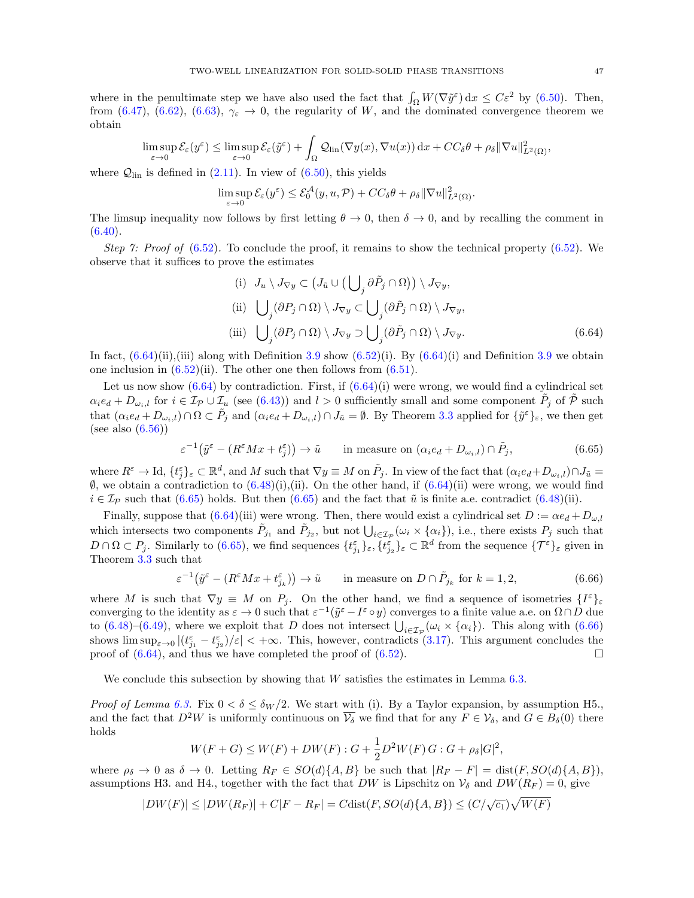where in the penultimate step we have also used the fact that  $\int_{\Omega} W(\nabla \tilde{y}^{\varepsilon}) dx \leq C \varepsilon^2$  by [\(6.50\)](#page-44-0). Then, from [\(6.47\)](#page-43-4), [\(6.62\)](#page-45-3), [\(6.63\)](#page-45-5),  $\gamma_{\varepsilon} \to 0$ , the regularity of W, and the dominated convergence theorem we obtain

$$
\limsup_{\varepsilon \to 0} \mathcal{E}_{\varepsilon}(y^{\varepsilon}) \leq \limsup_{\varepsilon \to 0} \mathcal{E}_{\varepsilon}(\tilde{y}^{\varepsilon}) + \int_{\Omega} \mathcal{Q}_{lin}(\nabla y(x), \nabla u(x)) dx + CC_{\delta}\theta + \rho_{\delta} ||\nabla u||_{L^{2}(\Omega)}^{2},
$$

where  $Q_{lin}$  is defined in [\(2.11\)](#page-9-4). In view of [\(6.50\)](#page-44-0), this yields

$$
\limsup_{\varepsilon \to 0} \mathcal{E}_{\varepsilon}(y^{\varepsilon}) \leq \mathcal{E}_{0}^{\mathcal{A}}(y, u, \mathcal{P}) + CC_{\delta}\theta + \rho_{\delta} \|\nabla u\|_{L^{2}(\Omega)}^{2}.
$$

The limsup inequality now follows by first letting  $\theta \to 0$ , then  $\delta \to 0$ , and by recalling the comment in  $(6.40).$  $(6.40).$ 

Step 7: Proof of  $(6.52)$ . To conclude the proof, it remains to show the technical property  $(6.52)$ . We observe that it suffices to prove the estimates

<span id="page-46-1"></span><span id="page-46-0"></span>(i) 
$$
J_u \setminus J_{\nabla y} \subset (J_{\tilde{u}} \cup (\bigcup_j \partial \tilde{P}_j \cap \Omega)) \setminus J_{\nabla y},
$$
  
\n(ii)  $\bigcup_j (\partial P_j \cap \Omega) \setminus J_{\nabla y} \subset \bigcup_j (\partial \tilde{P}_j \cap \Omega) \setminus J_{\nabla y},$   
\n(iii)  $\bigcup_j (\partial P_j \cap \Omega) \setminus J_{\nabla y} \supset \bigcup_j (\partial \tilde{P}_j \cap \Omega) \setminus J_{\nabla y}.$  (6.64)

In fact,  $(6.64)(ii),(iii)$  along with Definition [3.9](#page-17-3) show  $(6.52)(i)$ . By  $(6.64)(i)$  and Definition 3.9 we obtain one inclusion in  $(6.52)(ii)$ . The other one then follows from  $(6.51)$ .

Let us now show  $(6.64)$  by contradiction. First, if  $(6.64)(i)$  were wrong, we would find a cylindrical set  $\alpha_i e_d + D_{\omega_i, l}$  for  $i \in I_{\mathcal{P}} \cup I_u$  (see [\(6.43\)](#page-42-3)) and  $l > 0$  sufficiently small and some component  $\tilde{P}_j$  of  $\tilde{\mathcal{P}}$  such that  $(\alpha_i e_d + D_{\omega_i, l}) \cap \Omega \subset \tilde{P}_j$  and  $(\alpha_i e_d + D_{\omega_i, l}) \cap J_{\tilde{u}} = \emptyset$ . By Theorem [3.3](#page-14-0) applied for  $\{\tilde{y}^{\varepsilon}\}_{\varepsilon}$ , we then get (see also  $(6.56)$ )

$$
\varepsilon^{-1}(\tilde{y}^{\varepsilon} - (R^{\varepsilon}Mx + t_j^{\varepsilon})) \to \tilde{u} \qquad \text{in measure on } (\alpha_i e_d + D_{\omega_i, l}) \cap \tilde{P}_j,
$$
(6.65)

where  $R^{\varepsilon} \to \mathrm{Id}$ ,  $\{t_j^{\varepsilon}\}_\varepsilon \subset \mathbb{R}^d$ , and M such that  $\nabla y \equiv M$  on  $\tilde{P}_j$ . In view of the fact that  $(\alpha_i e_d + D_{\omega_i,l}) \cap J_{\tilde{u}} =$  $\emptyset$ , we obtain a contradiction to  $(6.48)(i)$ , (ii). On the other hand, if  $(6.64)(ii)$  were wrong, we would find  $i \in \mathcal{I}_{\mathcal{P}}$  such that [\(6.65\)](#page-46-1) holds. But then (6.65) and the fact that  $\tilde{u}$  is finite a.e. contradict [\(6.48\)](#page-43-5)(ii).

Finally, suppose that [\(6.64\)](#page-46-0)(iii) were wrong. Then, there would exist a cylindrical set  $D := \alpha e_d + D_{\omega, l}$ which intersects two components  $\tilde{P}_{j_1}$  and  $\tilde{P}_{j_2}$ , but not  $\bigcup_{i\in\mathcal{I}_{\mathcal{P}}}(\omega_i\times\{\alpha_i\})$ , i.e., there exists  $P_j$  such that  $D \cap \Omega \subset P_j$ . Similarly to [\(6.65\)](#page-46-1), we find sequences  $\{t_{j_1}^{\varepsilon}\}_{\varepsilon}, \{t_{j_2}^{\varepsilon}\}_{\varepsilon} \subset \mathbb{R}^d$  from the sequence  $\{\mathcal{T}^{\varepsilon}\}_{\varepsilon}$  given in Theorem [3.3](#page-14-0) such that

<span id="page-46-2"></span>
$$
\varepsilon^{-1}(\tilde{y}^{\varepsilon} - (R^{\varepsilon} M x + t_{j_k}^{\varepsilon})) \to \tilde{u} \qquad \text{in measure on } D \cap \tilde{P}_{j_k} \text{ for } k = 1, 2,
$$
 (6.66)

where M is such that  $\nabla y \equiv M$  on  $P_j$ . On the other hand, we find a sequence of isometries  $\{I^{\varepsilon}\}_{\varepsilon}$ converging to the identity as  $\varepsilon \to 0$  such that  $\varepsilon^{-1}(\tilde{y}^{\varepsilon} - I^{\varepsilon} \circ y)$  converges to a finite value a.e. on  $\Omega \cap D$  due to  $(6.48)$ – $(6.49)$ , where we exploit that D does not intersect  $\bigcup_{i\in\mathcal{I}_{\mathcal{P}}}(\omega_i\times\{\alpha_i\})$ . This along with  $(6.66)$ shows  $\limsup_{\varepsilon\to 0} |(t_{j_1}^{\varepsilon}-t_{j_2}^{\varepsilon})/\varepsilon|<+\infty$ . This, however, contradicts [\(3.17\)](#page-14-1). This argument concludes the proof of  $(6.64)$ , and thus we have completed the proof of  $(6.52)$ .

We conclude this subsection by showing that  $W$  satisfies the estimates in Lemma [6.3.](#page-40-6)

*Proof of Lemma [6.3.](#page-40-6)* Fix  $0 < \delta \le \delta_W/2$ . We start with (i). By a Taylor expansion, by assumption H5., and the fact that  $D^2W$  is uniformly continuous on  $\overline{\mathcal{V}_\delta}$  we find that for any  $F \in \mathcal{V}_\delta$ , and  $G \in B_\delta(0)$  there holds

$$
W(F+G) \le W(F) + DW(F) : G + \frac{1}{2}D^2W(F) \cdot G : G + \rho_{\delta}|G|^2,
$$

where  $\rho_{\delta} \to 0$  as  $\delta \to 0$ . Letting  $R_F \in SO(d)\{A, B\}$  be such that  $|R_F - F| = \text{dist}(F, SO(d)\{A, B\}),$ assumptions H3. and H4., together with the fact that DW is Lipschitz on  $\mathcal{V}_{\delta}$  and  $DW(R_F) = 0$ , give

$$
|DW(F)| \le |DW(R_F)| + C|F - R_F| = C \text{dist}(F, SO(d)\{A, B\}) \le (C/\sqrt{c_1})\sqrt{W(F)}
$$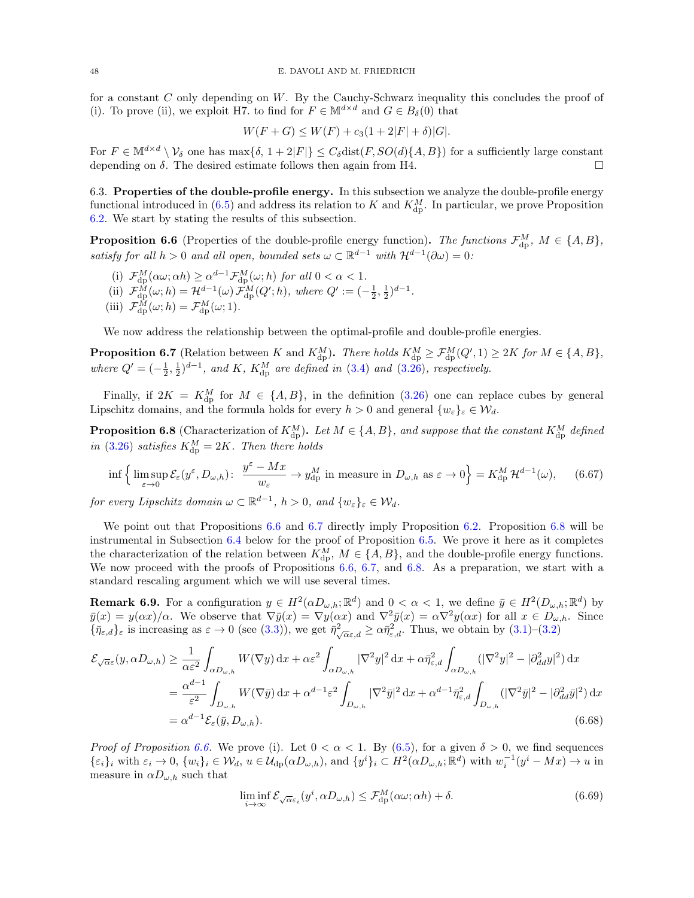for a constant  $C$  only depending on  $W$ . By the Cauchy-Schwarz inequality this concludes the proof of (i). To prove (ii), we exploit H7. to find for  $F \in M^{d \times d}$  and  $G \in B_\delta(0)$  that

$$
W(F+G) \le W(F) + c_3(1+2|F|+\delta)|G|.
$$

For  $F \in \mathbb{M}^{d \times d} \setminus \mathcal{V}_{\delta}$  one has  $\max{\delta, 1 + 2|F|} \leq C_{\delta} \text{dist}(F, SO(d) \{A, B\})$  for a sufficiently large constant depending on  $\delta$ . The desired estimate follows then again from H4.

<span id="page-47-0"></span>6.3. Properties of the double-profile energy. In this subsection we analyze the double-profile energy functional introduced in  $(6.5)$  and address its relation to K and  $K_{\text{dp}}^M$ . In particular, we prove Proposition [6.2.](#page-36-0) We start by stating the results of this subsection.

<span id="page-47-1"></span>**Proposition 6.6** (Properties of the double-profile energy function). The functions  $\mathcal{F}_{dp}^M$ ,  $M \in \{A, B\}$ , satisfy for all  $h > 0$  and all open, bounded sets  $\omega \subset \mathbb{R}^{d-1}$  with  $\mathcal{H}^{d-1}(\partial \omega) = 0$ :

- (i)  $\mathcal{F}_{dp}^{M}(\alpha\omega;\alpha h) \geq \alpha^{d-1} \mathcal{F}_{dp}^{M}(\omega; h)$  for all  $0 < \alpha < 1$ .
- (ii)  $\mathcal{F}_{dp}^{M}(\omega; h) = \mathcal{H}^{d-1}(\omega) \mathcal{F}_{dp}^{M}(Q'; h)$ , where  $Q' := (-\frac{1}{2}, \frac{1}{2})^{d-1}$ .
- (iii)  $\mathcal{F}_{\text{dp}}^{M}(\omega; h) = \mathcal{F}_{\text{dp}}^{M}(\omega; 1)$ .

We now address the relationship between the optimal-profile and double-profile energies.

<span id="page-47-2"></span>**Proposition 6.7** (Relation between K and  $K_{dp}^M$ ). There holds  $K_{dp}^M \geq \mathcal{F}_{dp}^M(Q', 1) \geq 2K$  for  $M \in \{A, B\}$ , where  $Q' = (-\frac{1}{2}, \frac{1}{2})^{d-1}$ , and K,  $K_{dp}^M$  are defined in [\(3.4\)](#page-12-0) and [\(3.26\)](#page-19-0), respectively.

Finally, if  $2K = K_{dp}^M$  for  $M \in \{A, B\}$ , in the definition [\(3.26\)](#page-19-0) one can replace cubes by general Lipschitz domains, and the formula holds for every  $h > 0$  and general  $\{w_{\varepsilon}\}_\varepsilon \in \mathcal{W}_d$ .

<span id="page-47-3"></span>**Proposition 6.8** (Characterization of  $K_{dp}^M$ ). Let  $M \in \{A, B\}$ , and suppose that the constant  $K_{dp}^M$  defined in [\(3.26\)](#page-19-0) satisfies  $K_{dp}^M = 2K$ . Then there holds

<span id="page-47-6"></span>
$$
\inf \left\{ \limsup_{\varepsilon \to 0} \mathcal{E}_{\varepsilon}(y^{\varepsilon}, D_{\omega, h}) : \ \frac{y^{\varepsilon} - Mx}{w_{\varepsilon}} \to y_{\mathrm{dp}}^{M} \text{ in measure in } D_{\omega, h} \text{ as } \varepsilon \to 0 \right\} = K_{\mathrm{dp}}^{M} \mathcal{H}^{d-1}(\omega), \qquad (6.67)
$$

for every Lipschitz domain  $\omega \subset \mathbb{R}^{d-1}$ ,  $h > 0$ , and  $\{w_{\varepsilon}\}_{\varepsilon} \in \mathcal{W}_d$ .

We point out that Propositions [6.6](#page-47-1) and [6.7](#page-47-2) directly imply Proposition [6.2.](#page-36-0) Proposition [6.8](#page-47-3) will be instrumental in Subsection [6.4](#page-53-0) below for the proof of Proposition [6.5.](#page-41-0) We prove it here as it completes the characterization of the relation between  $K_{\text{dp}}^M$ ,  $M \in \{A, B\}$ , and the double-profile energy functions. We now proceed with the proofs of Propositions [6.6,](#page-47-1) [6.7,](#page-47-2) and [6.8.](#page-47-3) As a preparation, we start with a standard rescaling argument which we will use several times.

**Remark 6.9.** For a configuration  $y \in H^2(\alpha D_{\omega,h}; \mathbb{R}^d)$  and  $0 < \alpha < 1$ , we define  $\bar{y} \in H^2(D_{\omega,h}; \mathbb{R}^d)$  by  $\bar{y}(x) = y(\alpha x)/\alpha$ . We observe that  $\nabla \bar{y}(x) = \nabla y(\alpha x)$  and  $\nabla^2 \bar{y}(x) = \alpha \nabla^2 y(\alpha x)$  for all  $x \in D_{\omega,h}$ . Since  $\{\bar{\eta}_{\varepsilon,d}\}_\varepsilon$  is increasing as  $\varepsilon \to 0$  (see [\(3.3\)](#page-12-3)), we get  $\bar{\eta}^2_{\sqrt{\alpha}\varepsilon,d} \geq \alpha \bar{\eta}^2_{\varepsilon,d}$ . Thus, we obtain by [\(3.1\)](#page-11-3)–[\(3.2\)](#page-12-4)

$$
\mathcal{E}_{\sqrt{\alpha}\varepsilon}(y,\alpha D_{\omega,h}) \geq \frac{1}{\alpha\varepsilon^2} \int_{\alpha D_{\omega,h}} W(\nabla y) dx + \alpha\varepsilon^2 \int_{\alpha D_{\omega,h}} |\nabla^2 y|^2 dx + \alpha \bar{\eta}_{\varepsilon,d}^2 \int_{\alpha D_{\omega,h}} (|\nabla^2 y|^2 - |\partial^2_{dd} y|^2) dx
$$
  
\n
$$
= \frac{\alpha^{d-1}}{\varepsilon^2} \int_{D_{\omega,h}} W(\nabla \bar{y}) dx + \alpha^{d-1} \varepsilon^2 \int_{D_{\omega,h}} |\nabla^2 \bar{y}|^2 dx + \alpha^{d-1} \bar{\eta}_{\varepsilon,d}^2 \int_{D_{\omega,h}} (|\nabla^2 \bar{y}|^2 - |\partial^2_{dd} \bar{y}|^2) dx
$$
  
\n
$$
= \alpha^{d-1} \mathcal{E}_{\varepsilon}(\bar{y}, D_{\omega,h}). \tag{6.68}
$$

*Proof of Proposition [6.6.](#page-47-1)* We prove (i). Let  $0 < \alpha < 1$ . By [\(6.5\)](#page-36-1), for a given  $\delta > 0$ , we find sequences  $\{\varepsilon_i\}_i$  with  $\varepsilon_i \to 0$ ,  $\{w_i\}_i \in \mathcal{W}_d$ ,  $u \in \mathcal{U}_{dp}(\alpha D_{\omega,h})$ , and  $\{y^i\}_i \subset H^2(\alpha D_{\omega,h}; \mathbb{R}^d)$  with  $w_i^{-1}(y^i - Mx) \to u$  in measure in  $\alpha D_{\omega,h}$  such that

<span id="page-47-5"></span><span id="page-47-4"></span>
$$
\liminf_{i \to \infty} \mathcal{E}_{\sqrt{\alpha}\varepsilon_i}(y^i, \alpha D_{\omega, h}) \le \mathcal{F}_{\text{dp}}^M(\alpha \omega; \alpha h) + \delta. \tag{6.69}
$$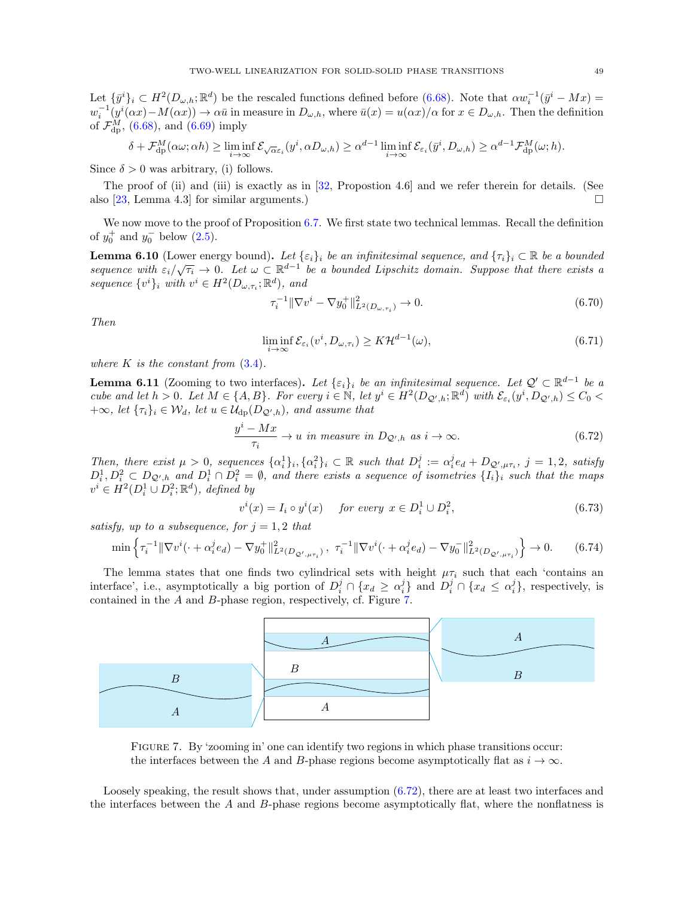Let  $\{\bar{y}^i\}_i \subset H^2(D_{\omega,h};\mathbb{R}^d)$  be the rescaled functions defined before [\(6.68\)](#page-47-4). Note that  $\alpha w_i^{-1}(\bar{y}^i - Mx) =$  $w_i^{-1}(y^i(\alpha x) - M(\alpha x)) \to \alpha \bar{u}$  in measure in  $D_{\omega,h}$ , where  $\bar{u}(x) = u(\alpha x)/\alpha$  for  $x \in D_{\omega,h}$ . Then the definition of  $\mathcal{F}_{\text{dp}}^{M}$ , [\(6.68\)](#page-47-4), and [\(6.69\)](#page-47-5) imply

$$
\delta + \mathcal{F}_{\mathrm{dp}}^M(\alpha \omega; \alpha h) \ge \liminf_{i \to \infty} \mathcal{E}_{\sqrt{\alpha} \varepsilon_i}(y^i, \alpha D_{\omega, h}) \ge \alpha^{d-1} \liminf_{i \to \infty} \mathcal{E}_{\varepsilon_i}(\bar{y}^i, D_{\omega, h}) \ge \alpha^{d-1} \mathcal{F}_{\mathrm{dp}}^M(\omega; h).
$$

Since  $\delta > 0$  was arbitrary, (i) follows.

The proof of (ii) and (iii) is exactly as in [\[32,](#page-62-0) Propostion 4.6] and we refer therein for details. (See also [\[23,](#page-61-10) Lemma 4.3] for similar arguments.)

We now move to the proof of Proposition [6.7.](#page-47-2) We first state two technical lemmas. Recall the definition of  $y_0^+$  and  $y_0^-$  below  $(2.5)$ .

<span id="page-48-4"></span>**Lemma 6.10** (Lower energy bound). Let  $\{\varepsilon_i\}_i$  be an infinitesimal sequence, and  $\{\tau_i\}_i \subset \mathbb{R}$  be a bounded **Definite 6.10** (Lower energy bound). Let  $\{e_i\}_i$  be an infinitesimal sequence, and  $\{i\}_i$   $\in \mathbb{R}$  be a bounded sequence with  $\varepsilon_i/\sqrt{\tau_i} \to 0$ . Let  $\omega \subset \mathbb{R}^{d-1}$  be a bounded Lipschitz domain. Suppose that ther sequence  $\{v^i\}_i$  with  $v^i \in H^2(D_{\omega, \tau_i}; \mathbb{R}^d)$ , and

<span id="page-48-6"></span><span id="page-48-5"></span>
$$
\tau_i^{-1} \|\nabla v^i - \nabla y_0^+\|_{L^2(D_{\omega,\tau_i})}^2 \to 0. \tag{6.70}
$$

Then

<span id="page-48-1"></span>
$$
\liminf_{i \to \infty} \mathcal{E}_{\varepsilon_i}(v^i, D_{\omega, \tau_i}) \geq K \mathcal{H}^{d-1}(\omega),\tag{6.71}
$$

where  $K$  is the constant from  $(3.4)$ .

<span id="page-48-2"></span>**Lemma 6.11** (Zooming to two interfaces). Let  $\{\varepsilon_i\}_i$  be an infinitesimal sequence. Let  $\mathcal{Q}' \subset \mathbb{R}^{d-1}$  be a cube and let  $h > 0$ . Let  $M \in \{A, B\}$ . For every  $i \in \mathbb{N}$ , let  $y^i \in H^2(D_{\mathcal{Q}',h}; \mathbb{R}^d)$  with  $\mathcal{E}_{\varepsilon_i}(y^i, D_{\mathcal{Q}',h}) \leq C_0$  $+\infty$ , let  $\{\tau_i\}_i \in \mathcal{W}_d$ , let  $u \in \mathcal{U}_{dp}(D_{\mathcal{Q}',h})$ , and assume that

$$
\frac{y^{i} - Mx}{\tau_{i}} \to u \text{ in measure in } D_{\mathcal{Q}',h} \text{ as } i \to \infty.
$$
 (6.72)

Then, there exist  $\mu > 0$ , sequences  $\{\alpha_i^1\}_i, \{\alpha_i^2\}_i \subset \mathbb{R}$  such that  $D_i^j := \alpha_i^j e_d + D_{\mathcal{Q}',\mu\tau_i}$ ,  $j = 1,2$ , satisfy  $D_i^1, D_i^2 \subset D_{\mathcal{Q}',h}$  and  $D_i^1 \cap D_i^2 = \emptyset$ , and there exists a sequence of isometries  $\{I_i\}_i$  such that the maps  $v^i \in H^2(D_i^1 \cup D_i^2; \mathbb{R}^d)$ , defined by

<span id="page-48-7"></span><span id="page-48-3"></span>
$$
v^{i}(x) = I_{i} \circ y^{i}(x) \quad \text{for every } x \in D_{i}^{1} \cup D_{i}^{2}, \tag{6.73}
$$

satisfy, up to a subsequence, for  $j = 1, 2$  that

$$
\min \left\{ \tau_i^{-1} \|\nabla v^i(\cdot + \alpha_i^j e_d) - \nabla y_0^+\|_{L^2(D_{\mathcal{Q}',\mu\tau_i})}^2, \ \tau_i^{-1} \|\nabla v^i(\cdot + \alpha_i^j e_d) - \nabla y_0^-\|_{L^2(D_{\mathcal{Q}',\mu\tau_i})}^2 \right\} \to 0. \tag{6.74}
$$

The lemma states that one finds two cylindrical sets with height  $\mu\tau_i$  such that each 'contains an interface', i.e., asymptotically a big portion of  $D_i^j \cap \{x_d \geq \alpha_i^j\}$  and  $D_i^j \cap \{x_d \leq \alpha_i^j\}$ , respectively, is contained in the A and B-phase region, respectively, cf. Figure [7.](#page-48-0)

<span id="page-48-0"></span>

Figure 7. By 'zooming in' one can identify two regions in which phase transitions occur: the interfaces between the A and B-phase regions become asymptotically flat as  $i \to \infty$ .

Loosely speaking, the result shows that, under assumption [\(6.72\)](#page-48-1), there are at least two interfaces and the interfaces between the A and B-phase regions become asymptotically flat, where the nonflatness is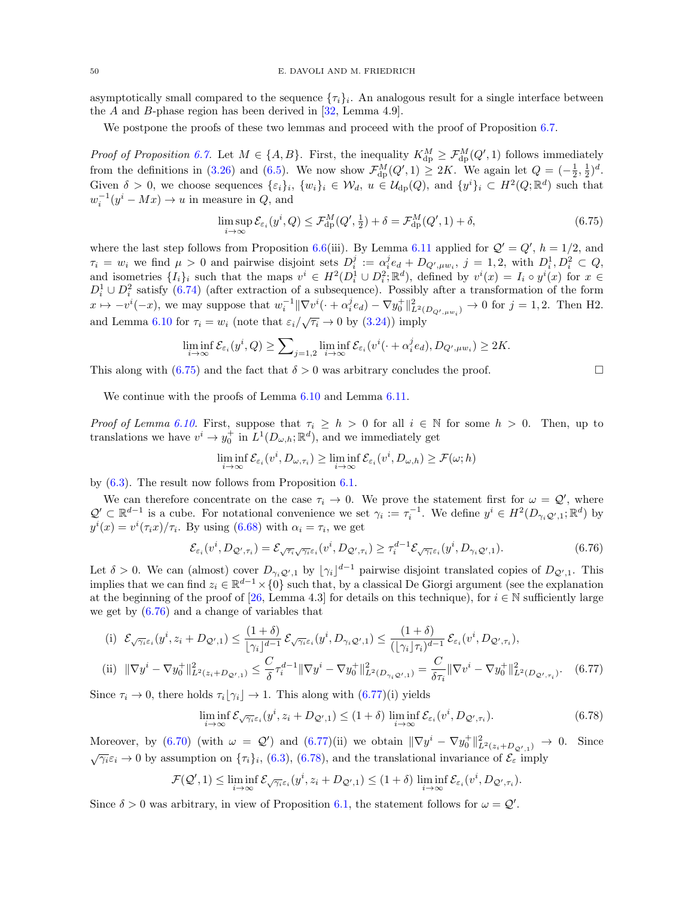asymptotically small compared to the sequence  $\{\tau_i\}_i$ . An analogous result for a single interface between the A and B-phase region has been derived in  $[32, \text{Lemma } 4.9].$ 

We postpone the proofs of these two lemmas and proceed with the proof of Proposition [6.7.](#page-47-2)

*Proof of Proposition [6.7.](#page-47-2)* Let  $M \in \{A, B\}$ . First, the inequality  $K_{dp}^M \geq \mathcal{F}_{dp}^M(Q', 1)$  follows immediately from the definitions in [\(3.26\)](#page-19-0) and [\(6.5\)](#page-36-1). We now show  $\mathcal{F}_{dp}^{M}(Q', 1) \geq 2K$ . We again let  $Q = \left(-\frac{1}{2}, \frac{1}{2}\right)^{d}$ . Given  $\delta > 0$ , we choose sequences  $\{\varepsilon_i\}_i$ ,  $\{w_i\}_i \in \mathcal{W}_d$ ,  $u \in \mathcal{U}_{dp}(Q)$ , and  $\{y^i\}_i \subset H^2(Q;\mathbb{R}^d)$  such that  $w_i^{-1}(y^i - Mx) \to u$  in measure in  $Q$ , and

$$
\limsup_{i \to \infty} \mathcal{E}_{\varepsilon_i}(y^i, Q) \le \mathcal{F}_{\mathrm{dp}}^M(Q', \tfrac{1}{2}) + \delta = \mathcal{F}_{\mathrm{dp}}^M(Q', 1) + \delta,\tag{6.75}
$$

where the last step follows from Proposition [6.6\(](#page-47-1)iii). By Lemma [6.11](#page-48-2) applied for  $Q' = Q'$ ,  $h = 1/2$ , and  $\tau_i = w_i$  we find  $\mu > 0$  and pairwise disjoint sets  $D_i^j := \alpha_i^j e_d + D_{Q',\mu w_i}, j = 1,2$ , with  $D_i^1, D_i^2 \subset Q$ , and isometries  $\{I_i\}_i$  such that the maps  $v^i \in H^2(D_i^1 \cup D_i^2; \mathbb{R}^d)$ , defined by  $v^i(x) = I_i \circ y^i(x)$  for  $x \in$  $D_i^1 \cup D_i^2$  satisfy [\(6.74\)](#page-48-3) (after extraction of a subsequence). Possibly after a transformation of the form  $x \mapsto -v^{i}(-x)$ , we may suppose that  $w_i^{-1} \|\nabla v^{i}(\cdot + \alpha_i^j e_d) - \nabla y_0^+\|_{L^2(D_{Q',\mu w_i})}^2 \to 0$  for  $j = 1,2$ . Then H2. and Lemma [6.10](#page-48-4) for  $\tau_i = w_i$  (note that  $\varepsilon_i / \sqrt{\tau_i} \to 0$  by [\(3.24\)](#page-19-4)) imply

$$
\liminf_{i \to \infty} \mathcal{E}_{\varepsilon_i}(y^i, Q) \ge \sum_{j=1,2} \liminf_{i \to \infty} \mathcal{E}_{\varepsilon_i}(v^i(\cdot + \alpha_i^j e_d), D_{Q',\mu w_i}) \ge 2K.
$$

This along with [\(6.75\)](#page-49-0) and the fact that  $\delta > 0$  was arbitrary concludes the proof.

We continue with the proofs of Lemma  $6.10$  and Lemma  $6.11$ .

Proof of Lemma [6.10.](#page-48-4) First, suppose that  $\tau_i \geq h > 0$  for all  $i \in \mathbb{N}$  for some  $h > 0$ . Then, up to translations we have  $v^i \to y_0^+$  in  $L^1(D_{\omega,h}; \mathbb{R}^d)$ , and we immediately get

$$
\liminf_{i \to \infty} \mathcal{E}_{\varepsilon_i}(v^i, D_{\omega, \tau_i}) \ge \liminf_{i \to \infty} \mathcal{E}_{\varepsilon_i}(v^i, D_{\omega, h}) \ge \mathcal{F}(\omega; h)
$$

by [\(6.3\)](#page-35-2). The result now follows from Proposition [6.1.](#page-35-3)

We can therefore concentrate on the case  $\tau_i \to 0$ . We prove the statement first for  $\omega = \mathcal{Q}'$ , where  $\mathcal{Q}' \subset \mathbb{R}^{d-1}$  is a cube. For notational convenience we set  $\gamma_i := \tau_i^{-1}$ . We define  $y^i \in H^2(D_{\gamma_i} \mathcal{Q}', 1; \mathbb{R}^d)$  by  $y^{i}(x) = v^{i}(\tau_{i}x)/\tau_{i}$ . By using [\(6.68\)](#page-47-4) with  $\alpha_{i} = \tau_{i}$ , we get

$$
\mathcal{E}_{\varepsilon_i}(v^i, D_{\mathcal{Q}', \tau_i}) = \mathcal{E}_{\sqrt{\tau_i} \sqrt{\gamma_i} \varepsilon_i}(v^i, D_{\mathcal{Q}', \tau_i}) \geq \tau_i^{d-1} \mathcal{E}_{\sqrt{\gamma_i} \varepsilon_i}(y^i, D_{\gamma_i \mathcal{Q}', 1}). \tag{6.76}
$$

Let  $\delta > 0$ . We can (almost) cover  $D_{\gamma_i Q',1}$  by  $[\gamma_i]^{d-1}$  pairwise disjoint translated copies of  $D_{Q',1}$ . This implies that we can find  $z_i \in \mathbb{R}^{d-1} \times \{0\}$  such that, by a classical De Giorgi argument (see the explanation at the beginning of the proof of [\[26,](#page-61-11) Lemma 4.3] for details on this technique), for  $i \in \mathbb{N}$  sufficiently large we get by  $(6.76)$  and a change of variables that

(i) 
$$
\mathcal{E}_{\sqrt{\gamma_i}\varepsilon_i}(y^i, z_i + D_{\mathcal{Q}',1}) \leq \frac{(1+\delta)}{[\gamma_i]^{d-1}} \mathcal{E}_{\sqrt{\gamma_i}\varepsilon_i}(y^i, D_{\gamma_i}\mathcal{Q}',1) \leq \frac{(1+\delta)}{([\gamma_i] \tau_i)^{d-1}} \mathcal{E}_{\varepsilon_i}(v^i, D_{\mathcal{Q}',\tau_i}),
$$
\n
$$
\cdots \quad \text{or} \quad \tau_{\varepsilon_i} \quad \nabla \tau_{\varepsilon_i} \quad \nabla \tau_{\varepsilon_i} \quad \nabla \tau_{\varepsilon_i} \quad \nabla \tau_{\varepsilon_i} \quad \nabla \tau_{\varepsilon_i} \quad \nabla \tau_{\varepsilon_i} \quad \nabla \tau_{\varepsilon_i} \quad \nabla \tau_{\varepsilon_i} \quad \nabla \tau_{\varepsilon_i} \quad \nabla \tau_{\varepsilon_i} \quad \nabla \tau_{\varepsilon_i} \quad \nabla \tau_{\varepsilon_i} \quad \nabla \tau_{\varepsilon_i} \quad \nabla \tau_{\varepsilon_i} \quad \nabla \tau_{\varepsilon_i} \quad \nabla \tau_{\varepsilon_i} \quad \nabla \tau_{\varepsilon_i} \quad \nabla \tau_{\varepsilon_i} \quad \nabla \tau_{\varepsilon_i} \quad \nabla \tau_{\varepsilon_i} \quad \nabla \tau_{\varepsilon_i} \quad \nabla \tau_{\varepsilon_i} \quad \nabla \tau_{\varepsilon_i} \quad \nabla \tau_{\varepsilon_i} \quad \nabla \tau_{\varepsilon_i} \quad \nabla \tau_{\varepsilon_i} \quad \nabla \tau_{\varepsilon_i} \quad \nabla \tau_{\varepsilon_i} \quad \nabla \tau_{\varepsilon_i} \quad \nabla \tau_{\varepsilon_i} \quad \nabla \tau_{\varepsilon_i} \quad \nabla \tau_{\varepsilon_i} \quad \nabla \tau_{\varepsilon_i} \quad \nabla \tau_{\varepsilon_i} \quad \nabla \tau_{\varepsilon_i} \quad \nabla \tau_{\varepsilon_i} \quad \nabla \tau_{\varepsilon_i} \quad \nabla \tau_{\varepsilon_i} \quad \nabla \tau_{\varepsilon_i} \quad \
$$

(ii) 
$$
\|\nabla y^{i} - \nabla y_{0}^{+}\|_{L^{2}(z_{i}+D_{\mathcal{Q}',1})}^{2} \leq \frac{C}{\delta}\tau_{i}^{d-1}\|\nabla y^{i} - \nabla y_{0}^{+}\|_{L^{2}(D_{\gamma_{i}\mathcal{Q}',1})}^{2} = \frac{C}{\delta\tau_{i}}\|\nabla v^{i} - \nabla y_{0}^{+}\|_{L^{2}(D_{\mathcal{Q}',\tau_{i})}^{2}}^{2}.
$$
 (6.77)

Since  $\tau_i \to 0$ , there holds  $\tau_i[\gamma_i] \to 1$ . This along with  $(6.77)(i)$  yields

$$
\liminf_{i \to \infty} \mathcal{E}_{\sqrt{\gamma_i} \varepsilon_i}(y^i, z_i + D_{\mathcal{Q}',1}) \le (1+\delta) \liminf_{i \to \infty} \mathcal{E}_{\varepsilon_i}(v^i, D_{\mathcal{Q}',\tau_i}).
$$
\n(6.78)

Moreover, by [\(6.70\)](#page-48-5) (with  $\omega = Q'$ ) and [\(6.77\)](#page-49-2)(ii) we obtain  $\|\nabla y^i - \nabla y_0^+\|_{L^2(z_i+D_{Q',1})}^2 \to 0$ . Since  $\sqrt{\gamma_i \varepsilon_i} \to 0$  by assumption on  $\{\tau_i\}_i$ , [\(6.3\)](#page-35-2), [\(6.78\)](#page-49-3), and the translational invariance of  $\mathcal{E}_{\varepsilon}$  imply

$$
\mathcal{F}(\mathcal{Q}', 1) \leq \liminf_{i \to \infty} \mathcal{E}_{\sqrt{\gamma_i} \varepsilon_i}(y^i, z_i + D_{\mathcal{Q}', 1}) \leq (1 + \delta) \liminf_{i \to \infty} \mathcal{E}_{\varepsilon_i}(v^i, D_{\mathcal{Q}', \tau_i}).
$$

Since  $\delta > 0$  was arbitrary, in view of Proposition [6.1,](#page-35-3) the statement follows for  $\omega = \mathcal{Q}'$ .

<span id="page-49-3"></span><span id="page-49-2"></span><span id="page-49-1"></span><span id="page-49-0"></span>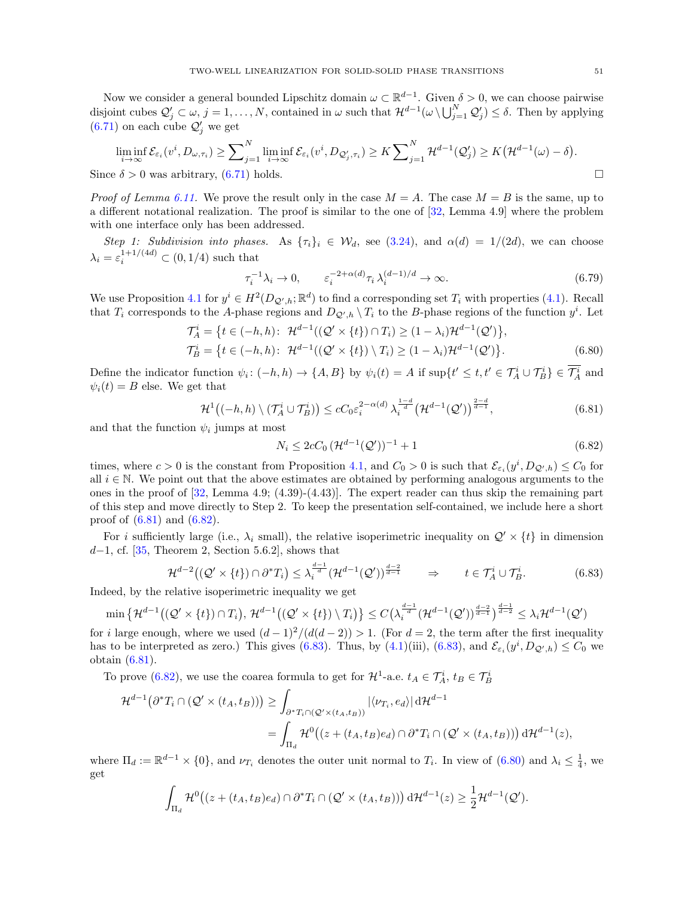Now we consider a general bounded Lipschitz domain  $\omega \subset \mathbb{R}^{d-1}$ . Given  $\delta > 0$ , we can choose pairwise disjoint cubes  $\mathcal{Q}'_j \subset \omega$ ,  $j = 1, \ldots, N$ , contained in  $\omega$  such that  $\mathcal{H}^{d-1}(\omega \setminus \bigcup_{j=1}^N \mathcal{Q}'_j) \leq \delta$ . Then by applying  $(6.71)$  on each cube  $\mathcal{Q}'_j$  we get

$$
\liminf_{i \to \infty} \mathcal{E}_{\varepsilon_i}(v^i, D_{\omega, \tau_i}) \ge \sum_{j=1}^N \liminf_{i \to \infty} \mathcal{E}_{\varepsilon_i}(v^i, D_{\mathcal{Q}'_j, \tau_i}) \ge K \sum_{j=1}^N \mathcal{H}^{d-1}(\mathcal{Q}'_j) \ge K(\mathcal{H}^{d-1}(\omega) - \delta).
$$

Since  $\delta > 0$  was arbitrary, [\(6.71\)](#page-48-6) holds.

*Proof of Lemma [6.11.](#page-48-2)* We prove the result only in the case  $M = A$ . The case  $M = B$  is the same, up to a different notational realization. The proof is similar to the one of [\[32,](#page-62-0) Lemma 4.9] where the problem with one interface only has been addressed.

Step 1: Subdivision into phases. As  $\{\tau_i\}_i \in \mathcal{W}_d$ , see [\(3.24\)](#page-19-4), and  $\alpha(d) = 1/(2d)$ , we can choose  $\lambda_i = \varepsilon_i^{1+1/(4d)} \subset (0,1/4)$  such that

<span id="page-50-4"></span>
$$
\tau_i^{-1} \lambda_i \to 0, \qquad \varepsilon_i^{-2 + \alpha(d)} \tau_i \lambda_i^{(d-1)/d} \to \infty.
$$
\n(6.79)

We use Proposition [4.1](#page-21-1) for  $y^i \in H^2(D_{\mathcal{Q}',h};\mathbb{R}^d)$  to find a corresponding set  $T_i$  with properties [\(4.1\)](#page-21-3). Recall that  $T_i$  corresponds to the A-phase regions and  $D_{\mathcal{Q}',h} \setminus T_i$  to the B-phase regions of the function  $y^i$ . Let

$$
\mathcal{T}_A^i = \{ t \in (-h, h) : \mathcal{H}^{d-1}((\mathcal{Q}' \times \{t\}) \cap T_i) \ge (1 - \lambda_i) \mathcal{H}^{d-1}(\mathcal{Q}') \}, \n\mathcal{T}_B^i = \{ t \in (-h, h) : \mathcal{H}^{d-1}((\mathcal{Q}' \times \{t\}) \setminus T_i) \ge (1 - \lambda_i) \mathcal{H}^{d-1}(\mathcal{Q}') \}. \tag{6.80}
$$

Define the indicator function  $\psi_i: (-h, h) \to \{A, B\}$  by  $\psi_i(t) = A$  if  $\sup\{t' \le t, t' \in \mathcal{T}_A^i \cup \mathcal{T}_B^i\} \in \overline{\mathcal{T}_A^i}$  and  $\psi_i(t) = B$  else. We get that

$$
\mathcal{H}^1\big((-h,h)\setminus(\mathcal{T}_A^i\cup\mathcal{T}_B^i)\big)\leq cC_0\varepsilon_i^{2-\alpha(d)}\,\lambda_i^{\frac{1-d}{d}}\big(\mathcal{H}^{d-1}(\mathcal{Q}')\big)^{\frac{2-d}{d-1}},\tag{6.81}
$$

and that the function  $\psi_i$  jumps at most

<span id="page-50-3"></span><span id="page-50-2"></span><span id="page-50-1"></span><span id="page-50-0"></span>
$$
N_i \le 2cC_0 \left(\mathcal{H}^{d-1}(\mathcal{Q}')\right)^{-1} + 1\tag{6.82}
$$

times, where  $c > 0$  is the constant from Proposition [4.1,](#page-21-1) and  $C_0 > 0$  is such that  $\mathcal{E}_{\varepsilon_i}(y^i, D_{\mathcal{Q}',h}) \leq C_0$  for all  $i \in \mathbb{N}$ . We point out that the above estimates are obtained by performing analogous arguments to the ones in the proof of  $[32, \text{Lemma } 4.9; (4.39)-(4.43)]$ . The expert reader can thus skip the remaining part of this step and move directly to Step 2. To keep the presentation self-contained, we include here a short proof of [\(6.81\)](#page-50-0) and [\(6.82\)](#page-50-1).

For i sufficiently large (i.e.,  $\lambda_i$  small), the relative isoperimetric inequality on  $\mathcal{Q}' \times \{t\}$  in dimension  $d-1$ , cf. [\[35,](#page-62-30) Theorem 2, Section 5.6.2], shows that

$$
\mathcal{H}^{d-2}\big((\mathcal{Q}' \times \{t\}) \cap \partial^* T_i\big) \leq \lambda_i^{\frac{d-1}{d}} (\mathcal{H}^{d-1}(\mathcal{Q}'))^{\frac{d-2}{d-1}} \qquad \Rightarrow \qquad t \in \mathcal{T}_A^i \cup \mathcal{T}_B^i. \tag{6.83}
$$

Indeed, by the relative isoperimetric inequality we get

$$
\min\left\{\mathcal{H}^{d-1}\big((\mathcal{Q}'\times\{t\})\cap T_i\big),\,\mathcal{H}^{d-1}\big((\mathcal{Q}'\times\{t\})\setminus T_i\big)\right\}\leq C\big(\lambda_i^{\frac{d-1}{d}}(\mathcal{H}^{d-1}(\mathcal{Q}')\big)^{\frac{d-2}{d-1}}\big)^{\frac{d-1}{d-2}}\leq \lambda_i\mathcal{H}^{d-1}(\mathcal{Q}')
$$

for i large enough, where we used  $(d-1)^2/(d(d-2)) > 1$ . (For  $d = 2$ , the term after the first inequality has to be interpreted as zero.) This gives [\(6.83\)](#page-50-2). Thus, by [\(4.1\)](#page-21-3)(iii), (6.83), and  $\mathcal{E}_{\varepsilon_i}(y^i, D_{\mathcal{Q}',h}) \leq C_0$  we obtain [\(6.81\)](#page-50-0).

To prove [\(6.82\)](#page-50-1), we use the coarea formula to get for  $\mathcal{H}^1$ -a.e.  $t_A \in \mathcal{T}_A^i$ ,  $t_B \in \mathcal{T}_B^i$ 

$$
\mathcal{H}^{d-1}(\partial^* T_i \cap (\mathcal{Q}' \times (t_A, t_B))) \geq \int_{\partial^* T_i \cap (\mathcal{Q}' \times (t_A, t_B))} |\langle \nu_{T_i}, e_d \rangle| d\mathcal{H}^{d-1}
$$
  
= 
$$
\int_{\Pi_d} \mathcal{H}^0((z + (t_A, t_B)e_d) \cap \partial^* T_i \cap (\mathcal{Q}' \times (t_A, t_B))) d\mathcal{H}^{d-1}(z),
$$

where  $\Pi_d := \mathbb{R}^{d-1} \times \{0\}$ , and  $\nu_{T_i}$  denotes the outer unit normal to  $T_i$ . In view of  $(6.80)$  and  $\lambda_i \leq \frac{1}{4}$ , we get

$$
\int_{\Pi_d} \mathcal{H}^0((z+(t_A,t_B)e_d)\cap \partial^* T_i \cap (\mathcal{Q}'\times (t_A,t_B))) d\mathcal{H}^{d-1}(z) \geq \frac{1}{2}\mathcal{H}^{d-1}(\mathcal{Q}').
$$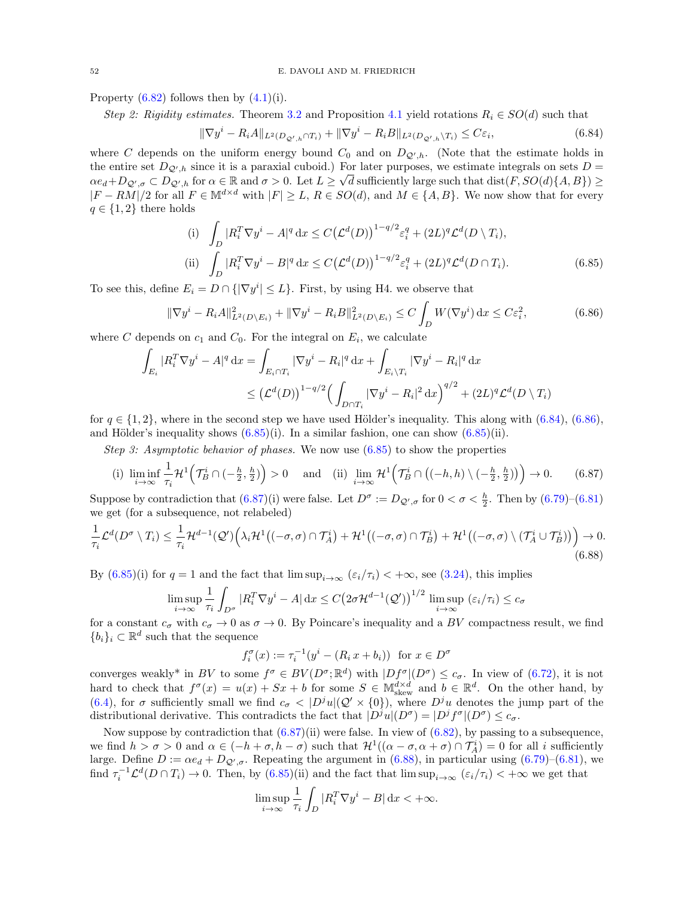Property  $(6.82)$  follows then by  $(4.1)(i)$ .

Step 2: Rigidity estimates. Theorem [3.2](#page-12-1) and Proposition [4.1](#page-21-1) yield rotations  $R_i \in SO(d)$  such that

<span id="page-51-0"></span>
$$
\|\nabla y^i - R_i A\|_{L^2(D_{\mathcal{Q}',h} \cap T_i)} + \|\nabla y^i - R_i B\|_{L^2(D_{\mathcal{Q}',h} \backslash T_i)} \le C\varepsilon_i,
$$
\n(6.84)

where C depends on the uniform energy bound  $C_0$  and on  $D_{\mathcal{Q}',h}$ . (Note that the estimate holds in the entire set  $D_{\mathcal{Q}',h}$  since it is a paraxial cuboid.) For later purposes, we estimate integrals on sets  $D =$  $\alpha e_d + D_{\mathcal{Q}',\sigma} \subset D_{\mathcal{Q}',h}$  for  $\alpha \in \mathbb{R}$  and  $\sigma > 0$ . Let  $L \geq \sqrt{d}$  sufficiently large such that  $dist(F, SO(d)\{A, B\}) \geq$  $|F - RM|/2$  for all  $F \in M^{d \times d}$  with  $|F| \ge L$ ,  $R \in SO(d)$ , and  $M \in \{A, B\}$ . We now show that for every  $q \in \{1,2\}$  there holds

<span id="page-51-2"></span><span id="page-51-1"></span>(i) 
$$
\int_{D} |R_{i}^{T} \nabla y^{i} - A|^{q} dx \leq C \big( \mathcal{L}^{d}(D) \big)^{1 - q/2} \varepsilon_{i}^{q} + (2L)^{q} \mathcal{L}^{d}(D \setminus T_{i}),
$$
  
\n(ii) 
$$
\int_{D} |R_{i}^{T} \nabla y^{i} - B|^{q} dx \leq C \big( \mathcal{L}^{d}(D) \big)^{1 - q/2} \varepsilon_{i}^{q} + (2L)^{q} \mathcal{L}^{d}(D \cap T_{i}).
$$
\n(6.85)

To see this, define  $E_i = D \cap {\{\nabla y^i | \le L\}}$ . First, by using H4. we observe that

$$
\|\nabla y^{i} - R_{i}A\|_{L^{2}(D \setminus E_{i})}^{2} + \|\nabla y^{i} - R_{i}B\|_{L^{2}(D \setminus E_{i})}^{2} \le C \int_{D} W(\nabla y^{i}) dx \le C \varepsilon_{i}^{2},
$$
\n(6.86)

where C depends on  $c_1$  and  $C_0$ . For the integral on  $E_i$ , we calculate

$$
\int_{E_i} |R_i^T \nabla y^i - A|^q \, \mathrm{d}x = \int_{E_i \cap T_i} |\nabla y^i - R_i|^q \, \mathrm{d}x + \int_{E_i \backslash T_i} |\nabla y^i - R_i|^q \, \mathrm{d}x
$$
\n
$$
\leq \left(\mathcal{L}^d(D)\right)^{1-q/2} \left(\int_{D \cap T_i} |\nabla y^i - R_i|^2 \, \mathrm{d}x\right)^{q/2} + (2L)^q \mathcal{L}^d(D \setminus T_i)
$$

for  $q \in \{1,2\}$ , where in the second step we have used Hölder's inequality. This along with  $(6.84)$ ,  $(6.86)$ , and Hölder's inequality shows  $(6.85)(i)$ . In a similar fashion, one can show  $(6.85)(ii)$ .

Step 3: Asymptotic behavior of phases. We now use  $(6.85)$  to show the properties

(i) 
$$
\liminf_{i \to \infty} \frac{1}{\tau_i} \mathcal{H}^1(\mathcal{T}_B^i \cap (-\frac{h}{2}, \frac{h}{2})) > 0
$$
 and (ii)  $\lim_{i \to \infty} \mathcal{H}^1(\mathcal{T}_B^i \cap ((-h, h) \setminus (-\frac{h}{2}, \frac{h}{2}))) \to 0.$  (6.87)

Suppose by contradiction that  $(6.87)(i)$  were false. Let  $D^{\sigma} := D_{\mathcal{Q}', \sigma}$  for  $0 < \sigma < \frac{h}{2}$ . Then by  $(6.79)-(6.81)$  $(6.79)-(6.81)$ we get (for a subsequence, not relabeled)

$$
\frac{1}{\tau_i} \mathcal{L}^d(D^{\sigma} \setminus T_i) \leq \frac{1}{\tau_i} \mathcal{H}^{d-1}(\mathcal{Q}') \Big( \lambda_i \mathcal{H}^1((-\sigma,\sigma) \cap \mathcal{T}_A^i) + \mathcal{H}^1((-\sigma,\sigma) \cap \mathcal{T}_B^i) + \mathcal{H}^1((-\sigma,\sigma) \setminus (\mathcal{T}_A^i \cup \mathcal{T}_B^i)) \Big) \to 0. \tag{6.88}
$$

By  $(6.85)(i)$  for  $q = 1$  and the fact that  $\limsup_{i \to \infty} (\varepsilon_i/\tau_i) < +\infty$ , see [\(3.24\)](#page-19-4), this implies

$$
\limsup_{i \to \infty} \frac{1}{\tau_i} \int_{D^{\sigma}} |R_i^T \nabla y^i - A| \, dx \le C \big( 2\sigma \mathcal{H}^{d-1}(\mathcal{Q}') \big)^{1/2} \limsup_{i \to \infty} (\varepsilon_i / \tau_i) \le c_{\sigma}
$$

for a constant  $c_{\sigma}$  with  $c_{\sigma} \to 0$  as  $\sigma \to 0$ . By Poincare's inequality and a BV compactness result, we find  ${b_i}_i \subset \mathbb{R}^d$  such that the sequence

<span id="page-51-4"></span><span id="page-51-3"></span>
$$
f_i^{\sigma}(x) := \tau_i^{-1}(y^i - (R_i x + b_i))
$$
 for  $x \in D^{\sigma}$ 

converges weakly<sup>\*</sup> in BV to some  $f^{\sigma} \in BV(D^{\sigma}; \mathbb{R}^d)$  with  $|Df^{\sigma}|(D^{\sigma}) \leq c_{\sigma}$ . In view of [\(6.72\)](#page-48-1), it is not hard to check that  $f^{\sigma}(x) = u(x) + Sx + b$  for some  $S \in M_{\text{skew}}^{d \times d}$  and  $b \in \mathbb{R}^d$ . On the other hand, by [\(6.4\)](#page-35-7), for  $\sigma$  sufficiently small we find  $c_{\sigma} < |D^{j}u|(\mathcal{Q}' \times \{0\})$ , where  $D^{j}u$  denotes the jump part of the distributional derivative. This contradicts the fact that  $|D^j u|(D^{\sigma}) = |D^j f^{\sigma}|(D^{\sigma}) \leq c_{\sigma}$ .

Now suppose by contradiction that  $(6.87)(ii)$  were false. In view of  $(6.82)$ , by passing to a subsequence, we find  $h > \sigma > 0$  and  $\alpha \in (-h + \sigma, h - \sigma)$  such that  $\mathcal{H}^1((\alpha - \sigma, \alpha + \sigma) \cap \mathcal{T}_A^i) = 0$  for all i sufficiently large. Define  $D := \alpha e_d + D_{\mathcal{Q}',\sigma}$ . Repeating the argument in [\(6.88\)](#page-51-4), in particular using [\(6.79\)](#page-50-4)–[\(6.81\)](#page-50-0), we find  $\tau_i^{-1} \mathcal{L}^d(D \cap T_i) \to 0$ . Then, by  $(6.85)(ii)$  and the fact that  $\limsup_{i \to \infty} (\varepsilon_i/\tau_i) < +\infty$  we get that

$$
\limsup_{i \to \infty} \frac{1}{\tau_i} \int_D |R_i^T \nabla y^i - B| \, \mathrm{d}x < +\infty.
$$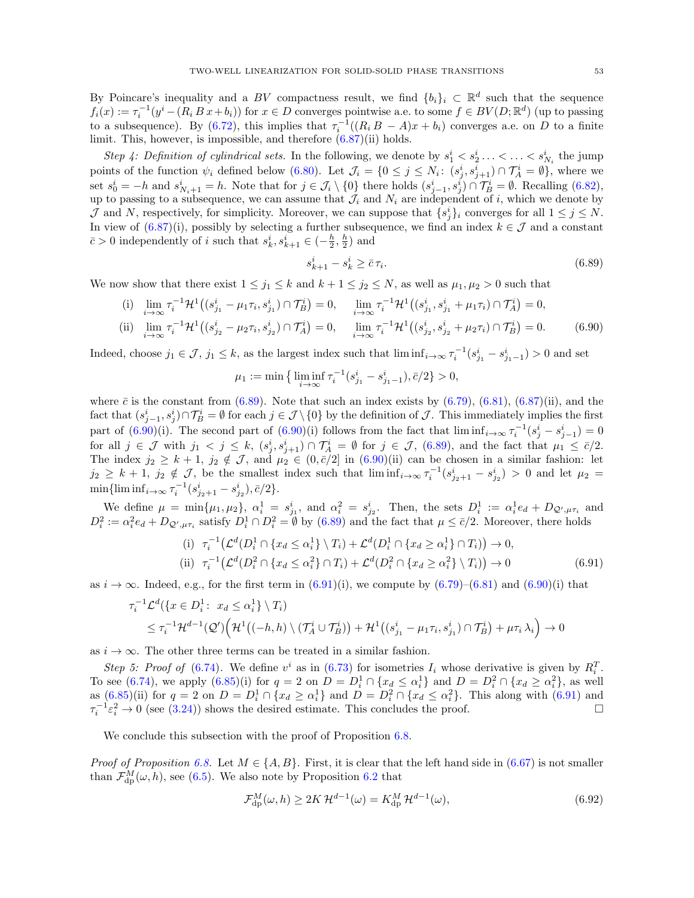By Poincare's inequality and a BV compactness result, we find  $\{b_i\}_i \subset \mathbb{R}^d$  such that the sequence  $f_i(x) := \tau_i^{-1}(y^i - (R_i B x + b_i))$  for  $x \in D$  converges pointwise a.e. to some  $f \in BV(D; \mathbb{R}^d)$  (up to passing to a subsequence). By [\(6.72\)](#page-48-1), this implies that  $\tau_i^{-1}((R_i B - A)x + b_i)$  converges a.e. on D to a finite limit. This, however, is impossible, and therefore [\(6.87\)](#page-51-3)(ii) holds.

Step 4: Definition of cylindrical sets. In the following, we denote by  $s_1^i < s_2^i \ldots < \ldots < s_{N_i}^i$  the jump points of the function  $\psi_i$  defined below [\(6.80\)](#page-50-3). Let  $\mathcal{J}_i = \{0 \leq j \leq N_i : (s_j^i, s_{j+1}^i) \cap \mathcal{T}_A^i = \emptyset\}$ , where we set  $s_0^i = -h$  and  $s_{N_i+1}^i = h$ . Note that for  $j \in \mathcal{J}_i \setminus \{0\}$  there holds  $(s_{j-1}^i, s_j^i) \cap \mathcal{T}_B^i = \emptyset$ . Recalling  $(6.82)$ , up to passing to a subsequence, we can assume that  $\mathcal{J}_i$  and  $N_i$  are independent of i, which we denote by J and N, respectively, for simplicity. Moreover, we can suppose that  $\{s_j^i\}_i$  converges for all  $1 \leq j \leq N$ . In view of  $(6.87)(i)$ , possibly by selecting a further subsequence, we find an index  $k \in \mathcal{J}$  and a constant  $\bar{c} > 0$  independently of *i* such that  $s_k^i, s_{k+1}^i \in \left(-\frac{h}{2}, \frac{h}{2}\right)$  and

<span id="page-52-1"></span><span id="page-52-0"></span>
$$
s_{k+1}^i - s_k^i \ge \bar{c}\,\tau_i. \tag{6.89}
$$

We now show that there exist  $1 \leq j_1 \leq k$  and  $k+1 \leq j_2 \leq N$ , as well as  $\mu_1, \mu_2 > 0$  such that

(i) 
$$
\lim_{i \to \infty} \tau_i^{-1} \mathcal{H}^1((s_{j_1}^i - \mu_1 \tau_i, s_{j_1}^i) \cap \mathcal{T}_B^i) = 0, \quad \lim_{i \to \infty} \tau_i^{-1} \mathcal{H}^1((s_{j_1}^i, s_{j_1}^i + \mu_1 \tau_i) \cap \mathcal{T}_A^i) = 0,
$$
  
\n(ii) 
$$
\lim_{i \to \infty} \tau_i^{-1} \mathcal{H}^1((s_{j_2}^i - \mu_2 \tau_i, s_{j_2}^i) \cap \mathcal{T}_A^i) = 0, \quad \lim_{i \to \infty} \tau_i^{-1} \mathcal{H}^1((s_{j_2}^i, s_{j_2}^i + \mu_2 \tau_i) \cap \mathcal{T}_B^i) = 0.
$$
 (6.90)

Indeed, choose  $j_1 \in \mathcal{J}$ ,  $j_1 \leq k$ , as the largest index such that  $\liminf_{i \to \infty} \tau_i^{-1}(s_{j_1}^i - s_{j_1-1}^i) > 0$  and set

<span id="page-52-2"></span>
$$
\mu_1 := \min \left\{ \liminf_{i \to \infty} \tau_i^{-1} (s_{j_1}^i - s_{j_1-1}^i), \bar{c}/2 \right\} > 0,
$$

where  $\bar{c}$  is the constant from [\(6.89\)](#page-52-0). Note that such an index exists by [\(6.79\)](#page-50-4), [\(6.81\)](#page-50-0), [\(6.87\)](#page-51-3)(ii), and the fact that  $(s_{j-1}^i, s_j^i) \cap \mathcal{T}_B^i = \emptyset$  for each  $j \in \mathcal{J} \setminus \{0\}$  by the definition of  $\mathcal{J}$ . This immediately implies the first part of  $(6.90)(i)$ . The second part of  $(6.90)(i)$  follows from the fact that  $\liminf_{i\to\infty} \tau_i^{-1}(s_j^i - s_{j-1}^i) = 0$ for all  $j \in \mathcal{J}$  with  $j_1 < j \leq k$ ,  $(s_j^i, s_{j+1}^i) \cap \mathcal{T}_A^i = \emptyset$  for  $j \in \mathcal{J}$ , [\(6.89\)](#page-52-0), and the fact that  $\mu_1 \leq \overline{c}/2$ . The index  $j_2 \geq k+1$ ,  $j_2 \notin \mathcal{J}$ , and  $\mu_2 \in (0,\bar{c}/2]$  in  $(6.90)(ii)$  can be chosen in a similar fashion: let  $j_2 \geq k+1$ ,  $j_2 \notin \mathcal{J}$ , be the smallest index such that  $\liminf_{i\to\infty} \tau_i^{-1}(s_{j_2+1}^i-s_{j_2}^i) > 0$  and let  $\mu_2 =$  $\min\{\liminf_{i\to\infty} \tau_i^{-1}(s_{j_2+1}^i-s_{j_2}^i), \bar{c}/2\}.$ 

We define  $\mu = \min\{\mu_1, \mu_2\}, \ \alpha_i^1 = s_{j_1}^i$ , and  $\alpha_i^2 = s_{j_2}^i$ . Then, the sets  $D_i^1 := \alpha_i^1 e_d + D_{\mathcal{Q}',\mu\tau_i}$  and  $D_i^2 := \alpha_i^2 e_d + D_{\mathcal{Q}',\mu\tau_i}$  satisfy  $D_i^1 \cap D_i^2 = \emptyset$  by  $(6.89)$  and the fact that  $\mu \leq \bar{c}/2$ . Moreover, there holds

$$
\begin{aligned}\n\text{(i)} \quad & \tau_i^{-1} \left( \mathcal{L}^d(D_i^1 \cap \{x_d \le \alpha_i^1\} \setminus T_i) + \mathcal{L}^d(D_i^1 \cap \{x_d \ge \alpha_i^1\} \cap T_i) \right) \to 0, \\
\text{(ii)} \quad & \tau_i^{-1} \left( \mathcal{L}^d(D_i^2 \cap \{x_d \le \alpha_i^2\} \cap T_i) + \mathcal{L}^d(D_i^2 \cap \{x_d \ge \alpha_i^2\} \setminus T_i) \right) \to 0\n\end{aligned}\n\tag{6.91}
$$

as  $i \to \infty$ . Indeed, e.g., for the first term in  $(6.91)(i)$ , we compute by  $(6.79)-(6.81)$  $(6.79)-(6.81)$  and  $(6.90)(i)$  that

$$
\tau_i^{-1} \mathcal{L}^d(\lbrace x \in D_i^1: x_d \leq \alpha_i^1 \rbrace \setminus T_i)
$$
  
 
$$
\leq \tau_i^{-1} \mathcal{H}^{d-1}(\mathcal{Q}') \Big( \mathcal{H}^1((-h,h) \setminus (\mathcal{T}_A^i \cup \mathcal{T}_B^i)) + \mathcal{H}^1((s_{j_1}^i - \mu_1 \tau_i, s_{j_1}^i) \cap \mathcal{T}_B^i) + \mu \tau_i \lambda_i \Big) \to 0
$$

as  $i \to \infty$ . The other three terms can be treated in a similar fashion.

Step 5: Proof of [\(6.74\)](#page-48-3). We define  $v^i$  as in [\(6.73\)](#page-48-7) for isometries  $I_i$  whose derivative is given by  $R_i^T$ . To see [\(6.74\)](#page-48-3), we apply [\(6.85\)](#page-51-2)(i) for  $q = 2$  on  $D = D_i^1 \cap \{x_d \le \alpha_i^1\}$  and  $D = D_i^2 \cap \{x_d \ge \alpha_i^2\}$ , as well as  $(6.85)(ii)$  for  $q = 2$  on  $D = D_i^1 \cap \{x_d \ge \alpha_i^1\}$  and  $D = D_i^2 \cap \{x_d \le \alpha_i^2\}$ . This along with  $(6.91)$  and  $\tau_i^{-1} \varepsilon_i^2 \to 0$  (see [\(3.24\)](#page-19-4)) shows the desired estimate. This concludes the proof.

We conclude this subsection with the proof of Proposition [6.8.](#page-47-3)

*Proof of Proposition [6.8.](#page-47-3)* Let  $M \in \{A, B\}$ . First, it is clear that the left hand side in [\(6.67\)](#page-47-6) is not smaller than  $\mathcal{F}_{dp}^{M}(\omega, h)$ , see [\(6.5\)](#page-36-1). We also note by Proposition [6.2](#page-36-0) that

<span id="page-52-3"></span>
$$
\mathcal{F}_{\rm dp}^{M}(\omega, h) \ge 2K \mathcal{H}^{d-1}(\omega) = K_{\rm dp}^{M} \mathcal{H}^{d-1}(\omega),\tag{6.92}
$$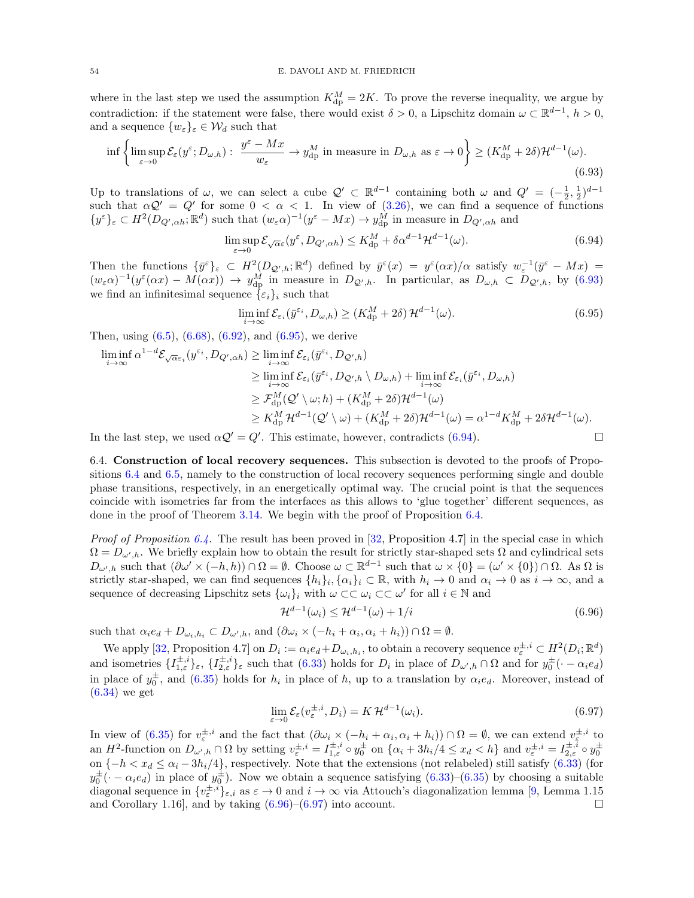where in the last step we used the assumption  $K_{dp}^M = 2K$ . To prove the reverse inequality, we argue by contradiction: if the statement were false, there would exist  $\delta > 0$ , a Lipschitz domain  $\omega \subset \mathbb{R}^{d-1}$ ,  $h > 0$ , and a sequence  $\{w_{\varepsilon}\}_{\varepsilon} \in \mathcal{W}_d$  such that

$$
\inf \left\{ \limsup_{\varepsilon \to 0} \mathcal{E}_{\varepsilon}(y^{\varepsilon}; D_{\omega, h}) : \frac{y^{\varepsilon} - Mx}{w_{\varepsilon}} \to y_{\mathrm{dp}}^{M} \text{ in measure in } D_{\omega, h} \text{ as } \varepsilon \to 0 \right\} \ge (K_{\mathrm{dp}}^{M} + 2\delta) \mathcal{H}^{d-1}(\omega). \tag{6.93}
$$

Up to translations of  $\omega$ , we can select a cube  $\mathcal{Q}' \subset \mathbb{R}^{d-1}$  containing both  $\omega$  and  $Q' = (-\frac{1}{2}, \frac{1}{2})^{d-1}$  $\alpha Q' = Q'$  for some  $0 < \alpha < 1$ . In view of [\(3.26\)](#page-19-0), we can find a sequence of functions  $\{y^{\varepsilon}\}_{\varepsilon} \subset H^2(D_{Q',\alpha h}; \mathbb{R}^d)$  such that  $(w_{\varepsilon} \alpha)^{-1}(y^{\varepsilon} - Mx) \to y_{\text{dp}}^M$  in measure in  $D_{Q',\alpha h}$  and

<span id="page-53-1"></span>
$$
\limsup_{\varepsilon \to 0} \mathcal{E}_{\sqrt{\alpha}\varepsilon}(y^{\varepsilon}, D_{Q',\alpha h}) \le K_{\mathrm{dp}}^M + \delta \alpha^{d-1} \mathcal{H}^{d-1}(\omega). \tag{6.94}
$$

Then the functions  $\{\bar{y}^{\varepsilon}\}_{\varepsilon} \subset H^2(D_{\mathcal{Q}',h};\mathbb{R}^d)$  defined by  $\bar{y}^{\varepsilon}(x) = y^{\varepsilon}(\alpha x)/\alpha$  satisfy  $w_{\varepsilon}^{-1}(\bar{y}^{\varepsilon} - Mx) =$  $(w_{\varepsilon}\alpha)^{-1}(y^{\varepsilon}(\alpha x)-M(\alpha x)) \rightarrow y_{\text{dp}}^{M}$  in measure in  $D_{\mathcal{Q}',h}$ . In particular, as  $D_{\omega,h} \subset D_{\mathcal{Q}',h}$ , by [\(6.93\)](#page-53-1) we find an infinitesimal sequence  $\{\varepsilon_i\}_i$  such that

<span id="page-53-3"></span><span id="page-53-2"></span>
$$
\liminf_{i \to \infty} \mathcal{E}_{\varepsilon_i}(\bar{y}^{\varepsilon_i}, D_{\omega, h}) \ge (K_{\mathrm{dp}}^M + 2\delta) \mathcal{H}^{d-1}(\omega). \tag{6.95}
$$

Then, using  $(6.5)$ ,  $(6.68)$ ,  $(6.92)$ , and  $(6.95)$ , we derive

$$
\liminf_{i \to \infty} \alpha^{1-d} \mathcal{E}_{\sqrt{\alpha} \varepsilon_i}(y^{\varepsilon_i}, D_{Q',\alpha h}) \ge \liminf_{i \to \infty} \mathcal{E}_{\varepsilon_i}(\bar{y}^{\varepsilon_i}, D_{Q',h})
$$
\n
$$
\ge \liminf_{i \to \infty} \mathcal{E}_{\varepsilon_i}(\bar{y}^{\varepsilon_i}, D_{Q',h} \setminus D_{\omega,h}) + \liminf_{i \to \infty} \mathcal{E}_{\varepsilon_i}(\bar{y}^{\varepsilon_i}, D_{\omega,h})
$$
\n
$$
\ge \mathcal{F}_{dp}^M(\mathcal{Q}' \setminus \omega; h) + (K_{dp}^M + 2\delta) \mathcal{H}^{d-1}(\omega)
$$
\n
$$
\ge K_{dp}^M \mathcal{H}^{d-1}(\mathcal{Q}' \setminus \omega) + (K_{dp}^M + 2\delta) \mathcal{H}^{d-1}(\omega) = \alpha^{1-d} K_{dp}^M + 2\delta \mathcal{H}^{d-1}(\omega).
$$

In the last step, we used  $\alpha \mathcal{Q}' = Q'$ . This estimate, however, contradicts [\(6.94\)](#page-53-3).

<span id="page-53-0"></span>6.4. Construction of local recovery sequences. This subsection is devoted to the proofs of Propositions [6.4](#page-40-0) and [6.5,](#page-41-0) namely to the construction of local recovery sequences performing single and double phase transitions, respectively, in an energetically optimal way. The crucial point is that the sequences coincide with isometries far from the interfaces as this allows to 'glue together' different sequences, as done in the proof of Theorem [3.14.](#page-19-2) We begin with the proof of Proposition [6.4.](#page-40-0)

*Proof of Proposition [6.4.](#page-40-0)* The result has been proved in [\[32,](#page-62-0) Proposition 4.7] in the special case in which  $\Omega = D_{\omega',h}$ . We briefly explain how to obtain the result for strictly star-shaped sets  $\Omega$  and cylindrical sets  $D_{\omega',h}$  such that  $(\partial \omega' \times (-h,h)) \cap \Omega = \emptyset$ . Choose  $\omega \subset \mathbb{R}^{d-1}$  such that  $\omega \times \{0\} = (\omega' \times \{0\}) \cap \Omega$ . As  $\Omega$  is strictly star-shaped, we can find sequences  $\{h_i\}_i, \{\alpha_i\}_i \subset \mathbb{R}$ , with  $h_i \to 0$  and  $\alpha_i \to 0$  as  $i \to \infty$ , and a sequence of decreasing Lipschitz sets  $\{\omega_i\}_i$  with  $\omega \subset \subset \omega_i \subset \subset \omega'$  for all  $i \in \mathbb{N}$  and

<span id="page-53-4"></span>
$$
\mathcal{H}^{d-1}(\omega_i) \le \mathcal{H}^{d-1}(\omega) + 1/i \tag{6.96}
$$

such that  $\alpha_i e_d + D_{\omega_i, h_i} \subset D_{\omega', h}$ , and  $(\partial \omega_i \times (-h_i + \alpha_i, \alpha_i + h_i)) \cap \Omega = \emptyset$ .

We apply [\[32,](#page-62-0) Proposition 4.7] on  $D_i := \alpha_i e_d + D_{\omega_i, h_i}$ , to obtain a recovery sequence  $v_{\varepsilon}^{\pm, i} \subset H^2(D_i; \mathbb{R}^d)$ and isometries  $\{I_{1,\varepsilon}^{\pm,i}\}_\varepsilon$ ,  $\{I_{2,\varepsilon}^{\pm,i}\}_\varepsilon$  such that  $(6.33)$  holds for  $D_i$  in place of  $D_{\omega',h}\cap\Omega$  and for  $y_0^{\pm}(\cdot-\alpha_ie_d)$ in place of  $y_0^{\pm}$ , and [\(6.35\)](#page-40-5) holds for  $h_i$  in place of h, up to a translation by  $\alpha_i e_d$ . Moreover, instead of [\(6.34\)](#page-40-4) we get

<span id="page-53-5"></span>
$$
\lim_{\varepsilon \to 0} \mathcal{E}_{\varepsilon}(v_{\varepsilon}^{\pm, i}, D_i) = K \mathcal{H}^{d-1}(\omega_i). \tag{6.97}
$$

In view of [\(6.35\)](#page-40-5) for  $v_{\varepsilon}^{\pm,i}$  and the fact that  $(\partial \omega_i \times (-h_i + \alpha_i, \alpha_i + h_i)) \cap \Omega = \emptyset$ , we can extend  $v_{\varepsilon}^{\pm,i}$  to an  $H^2$ -function on  $D_{\omega',h} \cap \Omega$  by setting  $v_{\varepsilon}^{\pm,i} = I_{1,\varepsilon}^{\pm,i} \circ y_0^{\pm}$  on  $\{\alpha_i + 3h_i/4 \leq x_d < h\}$  and  $v_{\varepsilon}^{\pm,i} = I_{2,\varepsilon}^{\pm,i} \circ y_0^{\pm}$ on  $\{-h < x_d \leq \alpha_i - 3h_i/4\}$ , respectively. Note that the extensions (not relabeled) still satisfy [\(6.33\)](#page-40-3) (for  $y_0^{\pm}$  ( $-\alpha_i e_d$ ) in place of  $y_0^{\pm}$ ). Now we obtain a sequence satisfying  $(6.33)-(6.35)$  $(6.33)-(6.35)$  by choosing a suitable diagonal sequence in  $\{v_{\varepsilon}^{\pm,i}\}_{\varepsilon,i}$  as  $\varepsilon \to 0$  and  $i \to \infty$  via Attouch's diagonalization lemma [\[9,](#page-61-25) Lemma 1.15 and Corollary 1.16, and by taking  $(6.96)$ – $(6.97)$  into account.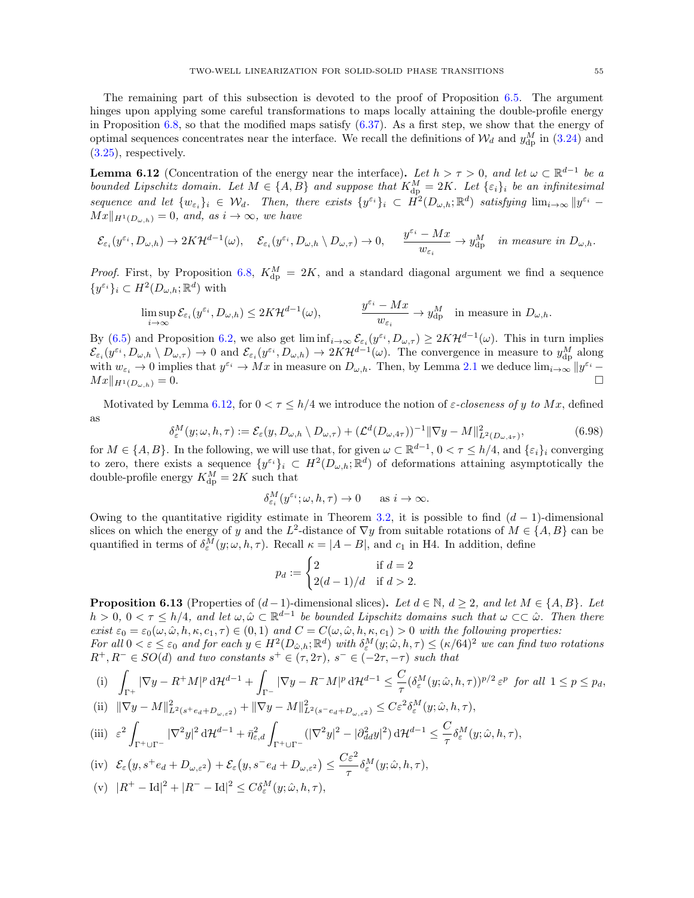The remaining part of this subsection is devoted to the proof of Proposition [6.5.](#page-41-0) The argument hinges upon applying some careful transformations to maps locally attaining the double-profile energy in Proposition [6.8,](#page-47-3) so that the modified maps satisfy  $(6.37)$ . As a first step, we show that the energy of optimal sequences concentrates near the interface. We recall the definitions of  $\mathcal{W}_d$  and  $y_{\rm dp}^M$  in [\(3.24\)](#page-19-4) and [\(3.25\)](#page-19-6), respectively.

<span id="page-54-1"></span>**Lemma 6.12** (Concentration of the energy near the interface). Let  $h > \tau > 0$ , and let  $\omega \subset \mathbb{R}^{d-1}$  be a bounded Lipschitz domain. Let  $M \in \{A, B\}$  and suppose that  $K_{dp}^M = 2K$ . Let  $\{\varepsilon_i\}_i$  be an infinitesimal sequence and let  $\{w_{\varepsilon_i}\}_i \in \mathcal{W}_d$ . Then, there exists  $\{y^{\varepsilon_i}\}_i \subset \hat{H}^2(D_{\omega,h};\mathbb{R}^d)$  satisfying  $\lim_{i\to\infty} ||y^{\varepsilon_i} Mx\|_{H^1(D_{\omega,h})}=0$ , and, as  $i\to\infty$ , we have

$$
\mathcal{E}_{\varepsilon_i}(y^{\varepsilon_i},D_{\omega,h})\to 2K\mathcal{H}^{d-1}(\omega),\quad \mathcal{E}_{\varepsilon_i}(y^{\varepsilon_i},D_{\omega,h}\setminus D_{\omega,\tau})\to 0,\quad \ \ \frac{y^{\varepsilon_i}-Mx}{w_{\varepsilon_i}}\to y^M_{\mathrm{dp}}\quad \textit{in measure in } D_{\omega,h}.
$$

*Proof.* First, by Proposition [6.8,](#page-47-3)  $K_{dp}^M = 2K$ , and a standard diagonal argument we find a sequence  $\{y^{\varepsilon_i}\}_i \subset H^2(D_{\omega,h};\mathbb{R}^d)$  with

$$
\limsup_{i \to \infty} \mathcal{E}_{\varepsilon_i}(y^{\varepsilon_i}, D_{\omega, h}) \le 2K \mathcal{H}^{d-1}(\omega), \qquad \qquad \frac{y^{\varepsilon_i} - Mx}{w_{\varepsilon_i}} \to y^M_{\mathrm{dp}} \quad \text{in measure in } D_{\omega, h}.
$$

By [\(6.5\)](#page-36-1) and Proposition [6.2,](#page-36-0) we also get  $\liminf_{i\to\infty} \mathcal{E}_{\varepsilon_i}(y^{\varepsilon_i}, D_{\omega,\tau}) \geq 2K\mathcal{H}^{d-1}(\omega)$ . This in turn implies  $\mathcal{E}_{\varepsilon_i}(y^{\varepsilon_i},D_{\omega,h}\setminus D_{\omega,\tau})\to 0$  and  $\mathcal{E}_{\varepsilon_i}(y^{\varepsilon_i},D_{\omega,h})\to 2K\mathcal{H}^{d-1}(\omega)$ . The convergence in measure to  $y_{\rm dp}^M$  along with  $w_{\varepsilon_i} \to 0$  implies that  $y^{\varepsilon_i} \to Mx$  in measure on  $D_{\omega,h}$ . Then, by Lemma [2.1](#page-7-1) we deduce  $\lim_{i \to \infty} ||y^{\varepsilon_i} Mx\|_{H^1(D_{\omega,h})}=0.$ 

Motivated by Lemma [6.12,](#page-54-1) for  $0 < \tau \le h/4$  we introduce the notion of  $\varepsilon$ -closeness of y to Mx, defined as

<span id="page-54-2"></span>
$$
\delta_{\varepsilon}^{M}(y;\omega,h,\tau) := \mathcal{E}_{\varepsilon}(y,D_{\omega,h}\setminus D_{\omega,\tau}) + (\mathcal{L}^{d}(D_{\omega,4\tau}))^{-1} \|\nabla y - M\|_{L^{2}(D_{\omega,4\tau})}^{2},\tag{6.98}
$$

for  $M \in \{A, B\}$ . In the following, we will use that, for given  $\omega \subset \mathbb{R}^{d-1}$ ,  $0 < \tau \leq h/4$ , and  $\{\varepsilon_i\}_i$  converging to zero, there exists a sequence  $\{y^{\varepsilon_i}\}_i \subset H^2(D_{\omega,h};\mathbb{R}^d)$  of deformations attaining asymptotically the double-profile energy  $K_{\text{dp}}^M = 2K$  such that

$$
\delta_{\varepsilon_i}^M(y^{\varepsilon_i}; \omega, h, \tau) \to 0 \quad \text{as } i \to \infty.
$$

Owing to the quantitative rigidity estimate in Theorem [3.2,](#page-12-1) it is possible to find  $(d-1)$ -dimensional slices on which the energy of y and the L<sup>2</sup>-distance of  $\nabla y$  from suitable rotations of  $M \in \{A, B\}$  can be quantified in terms of  $\delta_{\varepsilon}^{M}(y;\omega,h,\tau)$ . Recall  $\kappa = |A-B|$ , and  $c_1$  in H4. In addition, define

$$
p_d := \begin{cases} 2 & \text{if } d = 2 \\ 2(d-1)/d & \text{if } d > 2. \end{cases}
$$

<span id="page-54-0"></span>**Proposition 6.13** (Properties of  $(d-1)$ -dimensional slices). Let  $d \in \mathbb{N}$ ,  $d \geq 2$ , and let  $M \in \{A, B\}$ . Let  $h > 0, 0 < \tau \le h/4$ , and let  $\omega, \hat{\omega} \subset \mathbb{R}^{d-1}$  be bounded Lipschitz domains such that  $\omega \subset\subset \hat{\omega}$ . Then there exist  $\varepsilon_0 = \varepsilon_0(\omega, \hat{\omega}, h, \kappa, c_1, \tau) \in (0, 1)$  and  $C = C(\omega, \hat{\omega}, h, \kappa, c_1) > 0$  with the following properties:

For all  $0 < \varepsilon \leq \varepsilon_0$  and for each  $y \in H^2(D_{\hat{\omega},h}; \mathbb{R}^d)$  with  $\delta_{\varepsilon}^M(y; \hat{\omega}, h, \tau) \leq (\kappa/64)^2$  we can find two rotations  $R^+, R^- \in SO(d)$  and two constants  $s^+ \in (\tau, 2\tau), s^- \in (-2\tau, -\tau)$  such that

(i) 
$$
\int_{\Gamma^+} |\nabla y - R^+ M|^p \, d\mathcal{H}^{d-1} + \int_{\Gamma^-} |\nabla y - R^- M|^p \, d\mathcal{H}^{d-1} \leq \frac{C}{\tau} (\delta^M_{\varepsilon}(y; \hat{\omega}, h, \tau))^{p/2} \, \varepsilon^p \text{ for all } 1 \leq p \leq p_d,
$$
  
\n(ii) 
$$
\|\nabla y - M\|^2_{\varepsilon} \leq \int_{\Gamma^+} |\nabla y - M|^2 \, d\mathcal{H}^{d-1} + \int_{\Gamma^-} |\nabla y - R^- M|^p \, d\mathcal{H}^{d-1} \leq \int_{\Gamma^+} (\delta^M_{\varepsilon}(y; \hat{\omega}, h, \tau))^{p/2} \, \varepsilon^p \text{ for all } 1 \leq p \leq p_d,
$$

(ii) 
$$
\|\nabla y - M\|_{L^2(s^+ e_d + D_{\omega,\varepsilon^2})}^2 + \|\nabla y - M\|_{L^2(s^- e_d + D_{\omega,\varepsilon^2})}^2 \leq C\varepsilon^2 \delta_{\varepsilon}^M(y; \hat{\omega}, h, \tau),
$$
  
\n(iii) 
$$
\varepsilon^2 \int_{s^2} |\nabla^2 \psi|^2 d\mu \, d\mu \, d\mu = 2 \int_{s^2} |\nabla^2 \psi|^2 d\mu \, d\mu \, d\mu = 2 \int_{s^2} |\nabla^2 \psi|^2 d\mu \, d\mu \, d\mu = 2 \int_{s^2} |\nabla^2 \psi|^2 d\mu \, d\mu
$$

$$
\text{(iii)} \quad \varepsilon^2 \int_{\Gamma^+ \cup \Gamma^-} |\nabla^2 y|^2 \, \mathrm{d} \mathcal{H}^{d-1} + \bar{\eta}_{\varepsilon,d}^2 \int_{\Gamma^+ \cup \Gamma^-} (|\nabla^2 y|^2 - |\partial^2_{dd} y|^2) \, \mathrm{d} \mathcal{H}^{d-1} \leq \frac{C}{\tau} \delta^M_{\varepsilon}(y; \hat{\omega}, h, \tau),
$$

$$
(iv) \ \mathcal{E}_{\varepsilon}\big(y, s^+e_d + D_{\omega,\varepsilon^2}\big) + \mathcal{E}_{\varepsilon}\big(y, s^-e_d + D_{\omega,\varepsilon^2}\big) \leq \frac{C\varepsilon^2}{\tau} \delta^M_{\varepsilon}(y; \hat{\omega}, h, \tau),
$$

(v) 
$$
|R^+ - \text{Id}|^2 + |R^- - \text{Id}|^2 \leq C \delta_{\varepsilon}^M(y; \hat{\omega}, h, \tau),
$$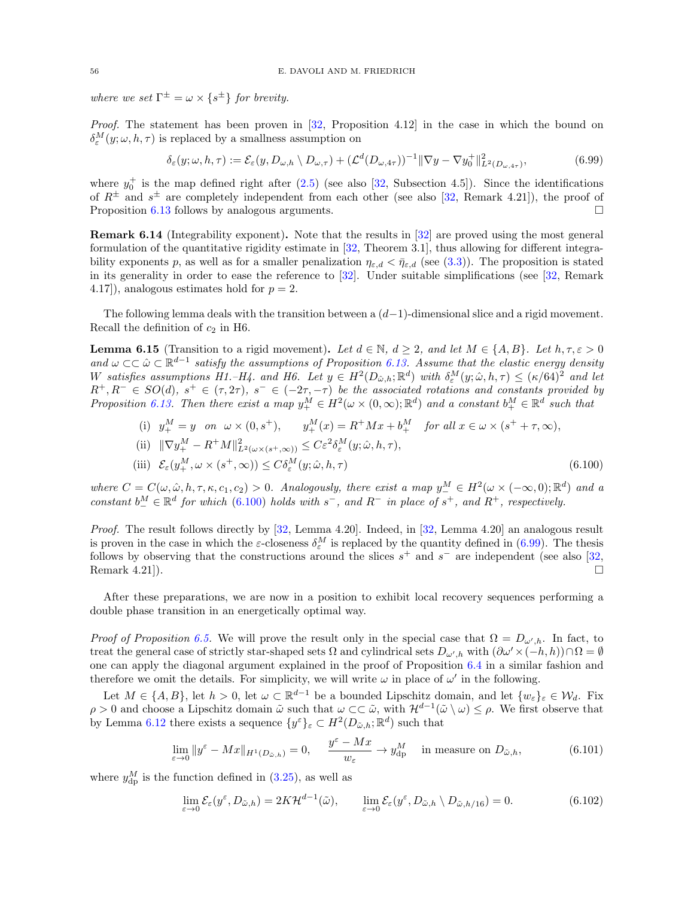where we set  $\Gamma^{\pm} = \omega \times \{s^{\pm}\}\$  for brevity.

Proof. The statement has been proven in [\[32,](#page-62-0) Proposition 4.12] in the case in which the bound on  $\delta_{\varepsilon}^{M}(y;\omega,h,\tau)$  is replaced by a smallness assumption on

<span id="page-55-1"></span>
$$
\delta_{\varepsilon}(y;\omega,h,\tau) := \mathcal{E}_{\varepsilon}(y,D_{\omega,h} \setminus D_{\omega,\tau}) + (\mathcal{L}^d(D_{\omega,4\tau}))^{-1} \|\nabla y - \nabla y_0^+\|_{L^2(D_{\omega,4\tau})}^2, \tag{6.99}
$$

where  $y_0^+$  is the map defined right after [\(2.5\)](#page-7-2) (see also [\[32,](#page-62-0) Subsection 4.5]). Since the identifications of  $R^{\pm}$  and  $s^{\pm}$  are completely independent from each other (see also [\[32,](#page-62-0) Remark 4.21]), the proof of Proposition [6.13](#page-54-0) follows by analogous arguments.

Remark 6.14 (Integrability exponent). Note that the results in [\[32\]](#page-62-0) are proved using the most general formulation of the quantitative rigidity estimate in [\[32,](#page-62-0) Theorem 3.1], thus allowing for different integrability exponents p, as well as for a smaller penalization  $\eta_{\varepsilon,d} < \bar{\eta}_{\varepsilon,d}$  (see [\(3.3\)](#page-12-3)). The proposition is stated in its generality in order to ease the reference to [\[32\]](#page-62-0). Under suitable simplifications (see [\[32,](#page-62-0) Remark 4.17), analogous estimates hold for  $p = 2$ .

The following lemma deals with the transition between a  $(d-1)$ -dimensional slice and a rigid movement. Recall the definition of  $c_2$  in H6.

<span id="page-55-4"></span>**Lemma 6.15** (Transition to a rigid movement). Let  $d \in \mathbb{N}$ ,  $d \geq 2$ , and let  $M \in \{A, B\}$ . Let  $h, \tau, \varepsilon > 0$ and  $\omega \subset \subset \hat{\omega} \subset \mathbb{R}^{d-1}$  satisfy the assumptions of Proposition [6.13.](#page-54-0) Assume that the elastic energy density W satisfies assumptions H1.–H4. and H6. Let  $y oldsymbol{\in} H^2(D_{\hat{\omega},h}; \mathbb{R}^d)$  with  $\delta_{\varepsilon}^M(y; \hat{\omega}, h, \tau) \leq (\kappa/64)^2$  and let  $R^+, R^- \in SO(d), s^+ \in (\tau, 2\tau), s^- \in (-2\tau, -\tau)$  be the associated rotations and constants provided by Proposition [6.13.](#page-54-0) Then there exist a map  $y_+^M \in H^2(\omega \times (0,\infty);\mathbb{R}^d)$  and a constant  $b_+^M \in \mathbb{R}^d$  such that

<span id="page-55-0"></span>(i) 
$$
y_+^M = y
$$
 on  $\omega \times (0, s^+),$   $y_+^M(x) = R^+ M x + b_+^M$  for all  $x \in \omega \times (s^+ + \tau, \infty)$ ,  
\n(ii)  $\|\nabla y_+^M - R^+ M\|_{L^2(\omega \times (s^+, \infty))}^2 \leq C \varepsilon^2 \delta_\varepsilon^M(y; \hat{\omega}, h, \tau)$ ,  
\n(iii)  $\mathcal{E}_\varepsilon(y_+^M, \omega \times (s^+, \infty)) \leq C \delta_\varepsilon^M(y; \hat{\omega}, h, \tau)$  (6.100)

where  $C = C(\omega, \hat{\omega}, h, \tau, \kappa, c_1, c_2) > 0$ . Analogously, there exist a map  $y_{-}^M \in H^2(\omega \times (-\infty, 0); \mathbb{R}^d)$  and a constant  $b^M_-\in \mathbb{R}^d$  for which [\(6.100\)](#page-55-0) holds with  $s^-$ , and  $R^-$  in place of  $s^+$ , and  $R^+$ , respectively.

Proof. The result follows directly by [\[32,](#page-62-0) Lemma 4.20]. Indeed, in [\[32,](#page-62-0) Lemma 4.20] an analogous result is proven in the case in which the  $\varepsilon$ -closeness  $\delta_{\varepsilon}^M$  is replaced by the quantity defined in [\(6.99\)](#page-55-1). The thesis follows by observing that the constructions around the slices  $s^+$  and  $s^-$  are independent (see also [\[32,](#page-62-0) Remark 4.21]).

After these preparations, we are now in a position to exhibit local recovery sequences performing a double phase transition in an energetically optimal way.

*Proof of Proposition [6.5.](#page-41-0)* We will prove the result only in the special case that  $\Omega = D_{\omega',h}$ . In fact, to treat the general case of strictly star-shaped sets  $\Omega$  and cylindrical sets  $D_{\omega',h}$  with  $(\partial \omega' \times (-h, h)) \cap \Omega = \emptyset$ one can apply the diagonal argument explained in the proof of Proposition [6.4](#page-40-0) in a similar fashion and therefore we omit the details. For simplicity, we will write  $\omega$  in place of  $\omega'$  in the following.

Let  $M \in \{A, B\}$ , let  $h > 0$ , let  $\omega \subset \mathbb{R}^{d-1}$  be a bounded Lipschitz domain, and let  $\{w_{\varepsilon}\}_{\varepsilon} \in \mathcal{W}_{d}$ . Fix  $\rho > 0$  and choose a Lipschitz domain  $\tilde{\omega}$  such that  $\omega \subset \tilde{\omega}$ , with  $\mathcal{H}^{d-1}(\tilde{\omega} \setminus \omega) \leq \rho$ . We first observe that by Lemma [6.12](#page-54-1) there exists a sequence  $\{y^{\varepsilon}\}_{\varepsilon} \subset H^2(D_{\tilde{\omega},h}; \mathbb{R}^d)$  such that

<span id="page-55-2"></span>
$$
\lim_{\varepsilon \to 0} \|y^{\varepsilon} - Mx\|_{H^1(D_{\tilde{\omega},h})} = 0, \quad \frac{y^{\varepsilon} - Mx}{w_{\varepsilon}} \to y^M_{\mathrm{dp}} \quad \text{in measure on } D_{\tilde{\omega},h}, \tag{6.101}
$$

where  $y_{\rm dp}^M$  is the function defined in [\(3.25\)](#page-19-6), as well as

<span id="page-55-3"></span>
$$
\lim_{\varepsilon \to 0} \mathcal{E}_{\varepsilon}(y^{\varepsilon}, D_{\tilde{\omega},h}) = 2K \mathcal{H}^{d-1}(\tilde{\omega}), \qquad \lim_{\varepsilon \to 0} \mathcal{E}_{\varepsilon}(y^{\varepsilon}, D_{\tilde{\omega},h} \setminus D_{\tilde{\omega},h/16}) = 0.
$$
\n(6.102)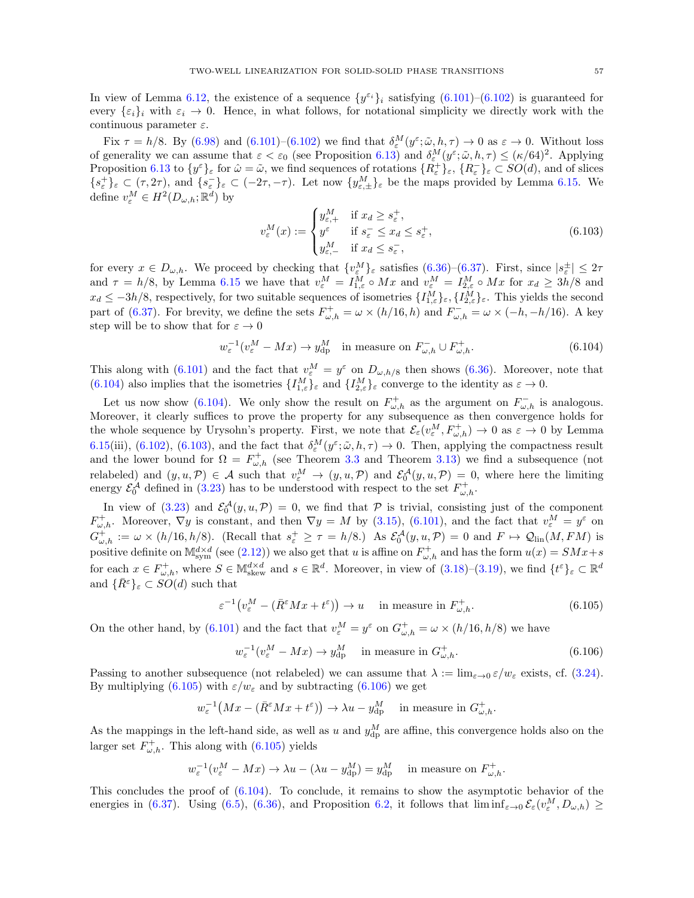In view of Lemma [6.12,](#page-54-1) the existence of a sequence  $\{y^{\varepsilon_i}\}_i$  satisfying  $(6.101)-(6.102)$  $(6.101)-(6.102)$  is guaranteed for every  $\{\varepsilon_i\}_i$  with  $\varepsilon_i \to 0$ . Hence, in what follows, for notational simplicity we directly work with the continuous parameter  $\varepsilon$ .

Fix  $\tau = h/8$ . By [\(6.98\)](#page-54-2) and [\(6.101\)](#page-55-2)–[\(6.102\)](#page-55-3) we find that  $\delta_{\varepsilon}^{M}(y^{\varepsilon}; \tilde{\omega}, h, \tau) \to 0$  as  $\varepsilon \to 0$ . Without loss of generality we can assume that  $\varepsilon < \varepsilon_0$  (see Proposition [6.13\)](#page-54-0) and  $\delta_{\varepsilon}^M(y^{\varepsilon}; \tilde{\omega}, h, \tau) \leq (\kappa/64)^2$ . Applying Proposition [6.13](#page-54-0) to  $\{y^{\varepsilon}\}_{\varepsilon}$  for  $\hat{\omega} = \tilde{\omega}$ , we find sequences of rotations  $\{R_{\varepsilon}^+\}_{\varepsilon}, \{R_{\varepsilon}^-\}_{\varepsilon} \subset SO(d)$ , and of slices  $\{s_{\varepsilon}^+\}_{\varepsilon} \subset (\tau, 2\tau)$ , and  $\{s_{\varepsilon}^-\}_{\varepsilon} \subset (-2\tau, -\tau)$ . Let now  $\{y_{\varepsilon,\pm}^M\}_{\varepsilon}$  be the maps provided by Lemma [6.15.](#page-55-4) We define  $v_{\varepsilon}^M \in H^2(D_{\omega,h}; \mathbb{R}^d)$  by

<span id="page-56-1"></span><span id="page-56-0"></span>
$$
v_{\varepsilon}^{M}(x) := \begin{cases} y_{\varepsilon,+}^{M} & \text{if } x_{d} \ge s_{\varepsilon}^{+}, \\ y^{\varepsilon} & \text{if } s_{\varepsilon}^{-} \le x_{d} \le s_{\varepsilon}^{+}, \\ y_{\varepsilon,-}^{M} & \text{if } x_{d} \le s_{\varepsilon}^{-}, \end{cases}
$$
(6.103)

for every  $x \in D_{\omega,h}$ . We proceed by checking that  $\{v_{\varepsilon}^M\}_{\varepsilon}$  satisfies  $(6.36)-(6.37)$  $(6.36)-(6.37)$ . First, since  $|s_{\varepsilon}^{\pm}| \leq 2\tau$ and  $\tau = h/8$ , by Lemma [6.15](#page-55-4) we have that  $v_{\varepsilon}^M = I_{1,\varepsilon}^M \circ Mx$  and  $v_{\varepsilon}^M = I_{2,\varepsilon}^M \circ Mx$  for  $x_d \geq 3h/8$  and  $x_d \leq -3h/8$ , respectively, for two suitable sequences of isometries  $\{I_{1,\varepsilon}^M\}_{\varepsilon}, \{I_{2,\varepsilon}^M\}_{\varepsilon}$ . This yields the second part of [\(6.37\)](#page-41-4). For brevity, we define the sets  $F_{\omega,h}^+ = \omega \times (h/16,h)$  and  $F_{\omega,h}^- = \omega \times (-h,-h/16)$ . A key step will be to show that for  $\varepsilon \to 0$ 

$$
w_{\varepsilon}^{-1}(v_{\varepsilon}^M - Mx) \to y_{\rm dp}^M \quad \text{in measure on } F_{\omega,h}^- \cup F_{\omega,h}^+.
$$
 (6.104)

This along with [\(6.101\)](#page-55-2) and the fact that  $v_{\varepsilon}^M = y^{\varepsilon}$  on  $D_{\omega,h/8}$  then shows [\(6.36\)](#page-41-3). Moreover, note that [\(6.104\)](#page-56-0) also implies that the isometries  $\{I_{1,\varepsilon}^M\}_{\varepsilon}$  and  $\{I_{2,\varepsilon}^M\}_{\varepsilon}$  converge to the identity as  $\varepsilon \to 0$ .

Let us now show [\(6.104\)](#page-56-0). We only show the result on  $F_{\omega,h}^+$  as the argument on  $F_{\omega,h}^-$  is analogous. Moreover, it clearly suffices to prove the property for any subsequence as then convergence holds for the whole sequence by Urysohn's property. First, we note that  $\mathcal{E}_{\varepsilon}(v_{\varepsilon}^M, F_{\omega,h}^+) \to 0$  as  $\varepsilon \to 0$  by Lemma [6.15\(](#page-55-4)iii), [\(6.102\)](#page-55-3), [\(6.103\)](#page-56-1), and the fact that  $\delta_{\varepsilon}^M(y^{\varepsilon}; \tilde{\omega}, h, \tau) \to 0$ . Then, applying the compactness result and the lower bound for  $\Omega = F_{\omega,h}^+$  (see Theorem [3.3](#page-14-0) and Theorem [3.13\)](#page-19-1) we find a subsequence (not relabeled) and  $(y, u, \mathcal{P}) \in \mathcal{A}$  such that  $v_{\varepsilon}^M \to (y, u, \mathcal{P})$  and  $\mathcal{E}_0^{\mathcal{A}}(y, u, \mathcal{P}) = 0$ , where here the limiting energy  $\mathcal{E}_0^{\mathcal{A}}$  defined in [\(3.23\)](#page-18-2) has to be understood with respect to the set  $F_{\omega,h}^+$ .

In view of [\(3.23\)](#page-18-2) and  $\mathcal{E}_0^{\mathcal{A}}(y, u, \mathcal{P}) = 0$ , we find that  $\mathcal P$  is trivial, consisting just of the component  $F_{\omega,h}^+$ . Moreover,  $\nabla y$  is constant, and then  $\nabla y = M$  by [\(3.15\)](#page-14-7), [\(6.101\)](#page-55-2), and the fact that  $v_\varepsilon^M = y^\varepsilon$  on  $G_{\omega,h}^+ := \omega \times (h/16,h/8)$ . (Recall that  $s_{\varepsilon}^+ \geq \tau = h/8$ .) As  $\mathcal{E}_0^{\mathcal{A}}(y,u,\mathcal{P}) = 0$  and  $F \mapsto \mathcal{Q}_{\text{lin}}(M,FM)$  is positive definite on  $M_{sym}^{d \times d}$  (see [\(2.12\)](#page-9-5)) we also get that u is affine on  $F_{\omega,h}^+$  and has the form  $u(x) = SMx + s$ for each  $x \in F_{\omega,h}^+$ , where  $S \in \mathbb{M}^{d \times d}_{skew}$  and  $s \in \mathbb{R}^d$ . Moreover, in view of  $(3.18)-(3.19)$  $(3.18)-(3.19)$ , we find  $\{t^{\varepsilon}\}_{\varepsilon} \subset \mathbb{R}^d$ and  $\{\bar{R}^{\varepsilon}\}_\varepsilon \subset SO(d)$  such that

$$
\varepsilon^{-1}\left(v_{\varepsilon}^M - (\bar{R}^{\varepsilon} M x + t^{\varepsilon})\right) \to u \quad \text{ in measure in } F_{\omega,h}^+.
$$
\n(6.105)

On the other hand, by [\(6.101\)](#page-55-2) and the fact that  $v_{\varepsilon}^M = y^{\varepsilon}$  on  $G_{\omega,h}^+ = \omega \times (h/16, h/8)$  we have

<span id="page-56-3"></span><span id="page-56-2"></span>
$$
w_{\varepsilon}^{-1}(v_{\varepsilon}^M - Mx) \to y_{\rm dp}^M \quad \text{in measure in } G_{\omega,h}^+.
$$
 (6.106)

Passing to another subsequence (not relabeled) we can assume that  $\lambda := \lim_{\varepsilon \to 0} \varepsilon/w_{\varepsilon}$  exists, cf. [\(3.24\)](#page-19-4). By multiplying [\(6.105\)](#page-56-2) with  $\varepsilon/w_{\varepsilon}$  and by subtracting [\(6.106\)](#page-56-3) we get

$$
w_{\varepsilon}^{-1}(Mx - (\bar{R}^{\varepsilon} Mx + t^{\varepsilon})) \to \lambda u - y_{\mathrm{dp}}^{M} \quad \text{ in measure in } G_{\omega, h}^{+}.
$$

As the mappings in the left-hand side, as well as u and  $y_{dp}^M$  are affine, this convergence holds also on the larger set  $F_{\omega,h}^+$ . This along with [\(6.105\)](#page-56-2) yields

$$
w_{\varepsilon}^{-1}(v_{\varepsilon}^M - Mx) \to \lambda u - (\lambda u - y_{\rm dp}^M) = y_{\rm dp}^M \quad \text{ in measure on } F_{\omega, h}^+.
$$

This concludes the proof of  $(6.104)$ . To conclude, it remains to show the asymptotic behavior of the energies in [\(6.37\)](#page-41-4). Using [\(6.5\)](#page-36-1), [\(6.36\)](#page-41-3), and Proposition [6.2,](#page-36-0) it follows that  $\liminf_{\varepsilon\to 0} \mathcal{E}_{\varepsilon}(v_{\varepsilon}^M, D_{\omega,h}) \ge$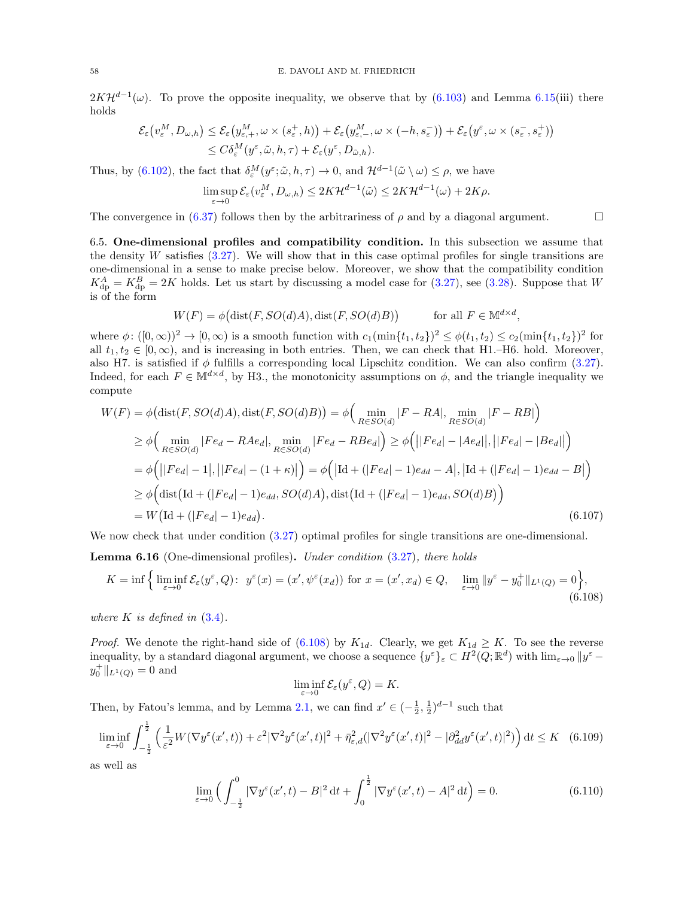$2K\mathcal{H}^{d-1}(\omega)$ . To prove the opposite inequality, we observe that by [\(6.103\)](#page-56-1) and Lemma [6.15\(](#page-55-4)iii) there holds

$$
\mathcal{E}_{\varepsilon}\big(v_{\varepsilon}^M, D_{\omega,h}\big) \leq \mathcal{E}_{\varepsilon}\big(y_{\varepsilon,+}^M, \omega \times (s_{\varepsilon}^+, h)\big) + \mathcal{E}_{\varepsilon}\big(y_{\varepsilon,-}^M, \omega \times (-h, s_{\varepsilon}^-)\big) + \mathcal{E}_{\varepsilon}\big(y^{\varepsilon}, \omega \times (s_{\varepsilon}^-, s_{\varepsilon}^+)\big) \leq C\delta_{\varepsilon}^M(y^{\varepsilon}, \tilde{\omega}, h, \tau) + \mathcal{E}_{\varepsilon}(y^{\varepsilon}, D_{\tilde{\omega},h}).
$$

Thus, by [\(6.102\)](#page-55-3), the fact that  $\delta_{\varepsilon}^M(y^{\varepsilon}; \tilde{\omega}, h, \tau) \to 0$ , and  $\mathcal{H}^{d-1}(\tilde{\omega} \setminus \omega) \leq \rho$ , we have

$$
\limsup_{\varepsilon \to 0} \mathcal{E}_{\varepsilon}(v_{\varepsilon}^M, D_{\omega, h}) \le 2K \mathcal{H}^{d-1}(\tilde{\omega}) \le 2K \mathcal{H}^{d-1}(\omega) + 2K\rho.
$$

The convergence in [\(6.37\)](#page-41-4) follows then by the arbitrariness of  $\rho$  and by a diagonal argument.

<span id="page-57-0"></span>6.5. One-dimensional profiles and compatibility condition. In this subsection we assume that the density W satisfies  $(3.27)$ . We will show that in this case optimal profiles for single transitions are one-dimensional in a sense to make precise below. Moreover, we show that the compatibility condition  $K_{\text{dp}}^{A} = K_{\text{dp}}^{B} = 2K$  holds. Let us start by discussing a model case for [\(3.27\)](#page-20-0), see [\(3.28\)](#page-20-1). Suppose that W is of the form

$$
W(F) = \phi(\text{dist}(F, SO(d)A), \text{dist}(F, SO(d)B)) \quad \text{for all } F \in \mathbb{M}^{d \times d},
$$

where  $\phi: ([0, \infty))^2 \to [0, \infty)$  is a smooth function with  $c_1(\min\{t_1, t_2\})^2 \leq \phi(t_1, t_2) \leq c_2(\min\{t_1, t_2\})^2$  for all  $t_1, t_2 \in [0, \infty)$ , and is increasing in both entries. Then, we can check that H1.–H6. hold. Moreover, also H7. is satisfied if  $\phi$  fulfills a corresponding local Lipschitz condition. We can also confirm [\(3.27\)](#page-20-0). Indeed, for each  $F \in \mathbb{M}^{d \times d}$ , by H3., the monotonicity assumptions on  $\phi$ , and the triangle inequality we compute

$$
W(F) = \phi\big(\text{dist}(F, SO(d)A), \text{dist}(F, SO(d)B)\big) = \phi\Big(\min_{R \in SO(d)} |F - RA|, \min_{R \in SO(d)} |F - RB|\Big)
$$
  
\n
$$
\geq \phi\Big(\min_{R \in SO(d)} |Fe_d - RAe_d|, \min_{R \in SO(d)} |Fe_d - RBe_d|\Big) \geq \phi\Big(||Fe_d| - |Ae_d||, ||Fe_d| - |Be_d||\Big)
$$
  
\n
$$
= \phi\Big(||Fe_d| - 1|, ||Fe_d| - (1 + \kappa)|\Big) = \phi\Big(|\text{Id} + (|Fe_d| - 1)e_{dd} - A|, |\text{Id} + (|Fe_d| - 1)e_{dd} - B|\Big)
$$
  
\n
$$
\geq \phi\Big(\text{dist}\big(\text{Id} + (|Fe_d| - 1)e_{dd}, SO(d)A\big), \text{dist}\big(\text{Id} + (|Fe_d| - 1)e_{dd}, SO(d)B\big)\Big)
$$
  
\n
$$
= W\big(\text{Id} + (|Fe_d| - 1)e_{dd}\big).
$$
\n(6.107)

We now check that under condition  $(3.27)$  optimal profiles for single transitions are one-dimensional.

<span id="page-57-1"></span>Lemma 6.16 (One-dimensional profiles). Under condition [\(3.27\)](#page-20-0), there holds

$$
K = \inf \left\{ \liminf_{\varepsilon \to 0} \mathcal{E}_{\varepsilon}(y^{\varepsilon}, Q) : \ y^{\varepsilon}(x) = (x', \psi^{\varepsilon}(x_d)) \text{ for } x = (x', x_d) \in Q, \quad \lim_{\varepsilon \to 0} \|y^{\varepsilon} - y_0^+\|_{L^1(Q)} = 0 \right\},\tag{6.108}
$$

where  $K$  is defined in  $(3.4)$ .

*Proof.* We denote the right-hand side of [\(6.108\)](#page-57-3) by  $K_{1d}$ . Clearly, we get  $K_{1d} \geq K$ . To see the reverse inequality, by a standard diagonal argument, we choose a sequence  $\{y^{\varepsilon}\}_{\varepsilon} \subset H^2(Q;\mathbb{R}^d)$  with  $\lim_{\varepsilon \to 0} \|y^{\varepsilon}$  $y_0^+$ ||<sub>L<sup>1</sup>(*Q*)</sub> = 0 and

<span id="page-57-5"></span><span id="page-57-4"></span><span id="page-57-3"></span><span id="page-57-2"></span>
$$
\liminf_{\varepsilon \to 0} \mathcal{E}_{\varepsilon}(y^{\varepsilon}, Q) = K.
$$

Then, by Fatou's lemma, and by Lemma [2.1,](#page-7-1) we can find  $x' \in (-\frac{1}{2}, \frac{1}{2})^{d-1}$  such that

$$
\liminf_{\varepsilon \to 0} \int_{-\frac{1}{2}}^{\frac{1}{2}} \left( \frac{1}{\varepsilon^2} W(\nabla y^{\varepsilon}(x',t)) + \varepsilon^2 |\nabla^2 y^{\varepsilon}(x',t)|^2 + \bar{\eta}_{\varepsilon,d}^2 (|\nabla^2 y^{\varepsilon}(x',t)|^2 - |\partial^2_{dd} y^{\varepsilon}(x',t)|^2) \right) dt \le K \quad (6.109)
$$

as well as

$$
\lim_{\varepsilon \to 0} \left( \int_{-\frac{1}{2}}^0 |\nabla y^{\varepsilon}(x', t) - B|^2 dt + \int_0^{\frac{1}{2}} |\nabla y^{\varepsilon}(x', t) - A|^2 dt \right) = 0.
$$
 (6.110)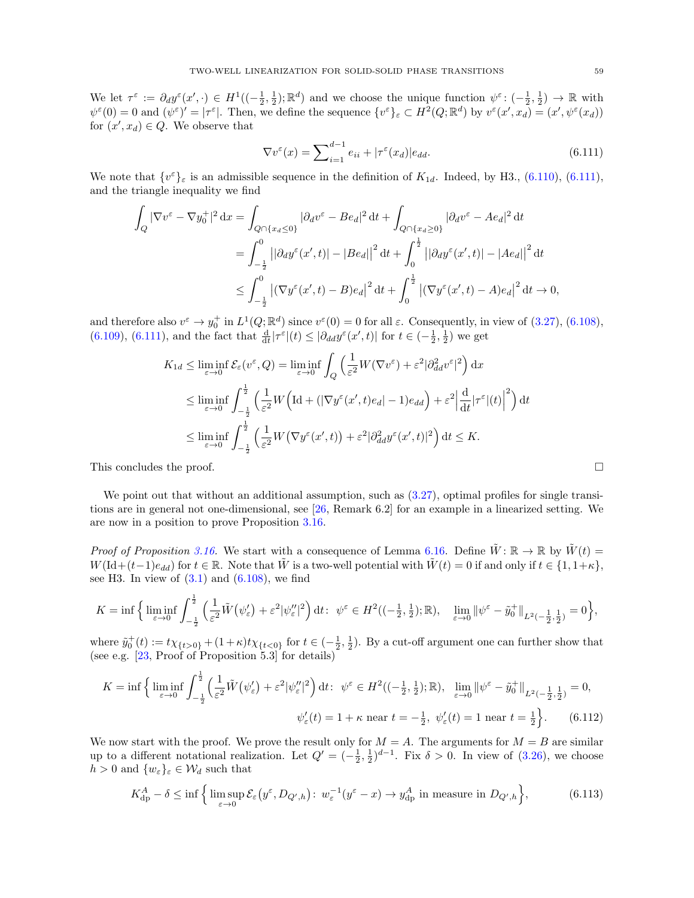We let  $\tau^{\varepsilon} := \partial_d y^{\varepsilon}(x', \cdot) \in H^1((-\frac{1}{2}, \frac{1}{2}); \mathbb{R}^d)$  and we choose the unique function  $\psi^{\varepsilon} : (-\frac{1}{2}, \frac{1}{2}) \to \mathbb{R}$  with  $\psi^{\varepsilon}(0) = 0$  and  $(\psi^{\varepsilon})' = |\tau^{\varepsilon}|$ . Then, we define the sequence  $\{v^{\varepsilon}\}_{\varepsilon} \subset H^2(Q; \mathbb{R}^d)$  by  $v^{\varepsilon}(x', x_d) = (x', \psi^{\varepsilon}(x_d))$ for  $(x', x_d) \in Q$ . We observe that

<span id="page-58-0"></span>
$$
\nabla v^{\varepsilon}(x) = \sum_{i=1}^{d-1} e_{ii} + |\tau^{\varepsilon}(x_d)| e_{dd}.
$$
\n(6.111)

We note that  $\{v^{\varepsilon}\}_{\varepsilon}$  is an admissible sequence in the definition of  $K_{1d}$ . Indeed, by H3., [\(6.110\)](#page-57-4), [\(6.111\)](#page-58-0), and the triangle inequality we find

$$
\int_{Q} |\nabla v^{\varepsilon} - \nabla y_0^+|^2 dx = \int_{Q \cap \{x_d \le 0\}} |\partial_d v^{\varepsilon} - Be_d|^2 dt + \int_{Q \cap \{x_d \ge 0\}} |\partial_d v^{\varepsilon} - Ae_d|^2 dt
$$
  
\n
$$
= \int_{-\frac{1}{2}}^0 ||\partial_d y^{\varepsilon}(x', t)| - |Be_d||^2 dt + \int_0^{\frac{1}{2}} ||\partial_d y^{\varepsilon}(x', t)| - |Ae_d||^2 dt
$$
  
\n
$$
\le \int_{-\frac{1}{2}}^0 |(\nabla y^{\varepsilon}(x', t) - B)e_d|^2 dt + \int_0^{\frac{1}{2}} |(\nabla y^{\varepsilon}(x', t) - A)e_d|^2 dt \to 0,
$$

and therefore also  $v^{\varepsilon} \to y_0^+$  in  $L^1(Q; \mathbb{R}^d)$  since  $v^{\varepsilon}(0) = 0$  for all  $\varepsilon$ . Consequently, in view of [\(3.27\)](#page-20-0), [\(6.108\)](#page-57-3), [\(6.109\)](#page-57-5), [\(6.111\)](#page-58-0), and the fact that  $\frac{d}{dt}|\tau^{\varepsilon}|(t) \leq |\partial_{dd}y^{\varepsilon}(x',t)|$  for  $t \in \left(-\frac{1}{2},\frac{1}{2}\right)$  we get

$$
K_{1d} \leq \liminf_{\varepsilon \to 0} \mathcal{E}_{\varepsilon}(v^{\varepsilon}, Q) = \liminf_{\varepsilon \to 0} \int_{Q} \left( \frac{1}{\varepsilon^{2}} W(\nabla v^{\varepsilon}) + \varepsilon^{2} |\partial_{dd}^{2} v^{\varepsilon}|^{2} \right) dx
$$
  

$$
\leq \liminf_{\varepsilon \to 0} \int_{-\frac{1}{2}}^{\frac{1}{2}} \left( \frac{1}{\varepsilon^{2}} W\Big(\text{Id} + (|\nabla y^{\varepsilon}(x', t)e_{d}| - 1)e_{dd}\Big) + \varepsilon^{2} \Big|\frac{d}{dt} |\tau^{\varepsilon}|(t)|^{2} \right) dt
$$
  

$$
\leq \liminf_{\varepsilon \to 0} \int_{-\frac{1}{2}}^{\frac{1}{2}} \left( \frac{1}{\varepsilon^{2}} W(\nabla y^{\varepsilon}(x', t)) + \varepsilon^{2} |\partial_{dd}^{2} y^{\varepsilon}(x', t)|^{2} \right) dt \leq K.
$$

This concludes the proof.  $\square$ 

We point out that without an additional assumption, such as  $(3.27)$ , optimal profiles for single transitions are in general not one-dimensional, see [\[26,](#page-61-11) Remark 6.2] for an example in a linearized setting. We are now in a position to prove Proposition [3.16.](#page-20-2)

*Proof of Proposition [3.16.](#page-20-2)* We start with a consequence of Lemma [6.16.](#page-57-1) Define  $\tilde{W}$ :  $\mathbb{R} \to \mathbb{R}$  by  $\tilde{W}(t)$  =  $W(\mathrm{Id}+(t-1)e_{dd})$  for  $t \in \mathbb{R}$ . Note that  $\tilde{W}$  is a two-well potential with  $\tilde{W}(t) = 0$  if and only if  $t \in \{1, 1+\kappa\}$ , see H3. In view of  $(3.1)$  and  $(6.108)$ , we find

$$
K = \inf \Big\{ \liminf_{\varepsilon \to 0} \int_{-\frac{1}{2}}^{\frac{1}{2}} \left( \frac{1}{\varepsilon^2} \tilde{W} \big( \psi_{\varepsilon}' \big) + \varepsilon^2 |\psi_{\varepsilon}''|^2 \right) dt \colon \psi^{\varepsilon} \in H^2 \big( (-\frac{1}{2}, \frac{1}{2}); \mathbb{R} \big), \quad \lim_{\varepsilon \to 0} \|\psi^{\varepsilon} - \tilde{y}_0^+\|_{L^2 \left( -\frac{1}{2}, \frac{1}{2} \right)} = 0 \Big\},
$$

where  $\tilde{y}_0^+(t) := t \chi_{\{t>0\}} + (1+\kappa)t \chi_{\{t<0\}}$  for  $t \in (-\frac{1}{2},\frac{1}{2})$ . By a cut-off argument one can further show that (see e.g. [\[23,](#page-61-10) Proof of Proposition 5.3] for details)

$$
K = \inf \left\{ \liminf_{\varepsilon \to 0} \int_{-\frac{1}{2}}^{\frac{1}{2}} \left( \frac{1}{\varepsilon^2} \tilde{W}(\psi_{\varepsilon}') + \varepsilon^2 |\psi_{\varepsilon}'|^2 \right) dt : \ \psi^{\varepsilon} \in H^2((-\frac{1}{2}, \frac{1}{2}); \mathbb{R}), \ \lim_{\varepsilon \to 0} \|\psi^{\varepsilon} - \tilde{y}_0^+\|_{L^2(-\frac{1}{2}, \frac{1}{2})} = 0,
$$
  

$$
\psi_{\varepsilon}'(t) = 1 + \kappa \text{ near } t = -\frac{1}{2}, \ \psi_{\varepsilon}'(t) = 1 \text{ near } t = \frac{1}{2} \right\}.
$$
 (6.112)

We now start with the proof. We prove the result only for  $M = A$ . The arguments for  $M = B$  are similar up to a different notational realization. Let  $Q' = (-\frac{1}{2}, \frac{1}{2})^{d-1}$ . Fix  $\delta > 0$ . In view of [\(3.26\)](#page-19-0), we choose  $h > 0$  and  $\{w_{\varepsilon}\}_{\varepsilon} \in \mathcal{W}_d$  such that

<span id="page-58-2"></span><span id="page-58-1"></span>
$$
K_{\mathrm{dp}}^{A} - \delta \leq \inf \left\{ \limsup_{\varepsilon \to 0} \mathcal{E}_{\varepsilon} \left( y^{\varepsilon}, D_{Q',h} \right) : w_{\varepsilon}^{-1} \left( y^{\varepsilon} - x \right) \to y_{\mathrm{dp}}^{A} \text{ in measure in } D_{Q',h} \right\},\tag{6.113}
$$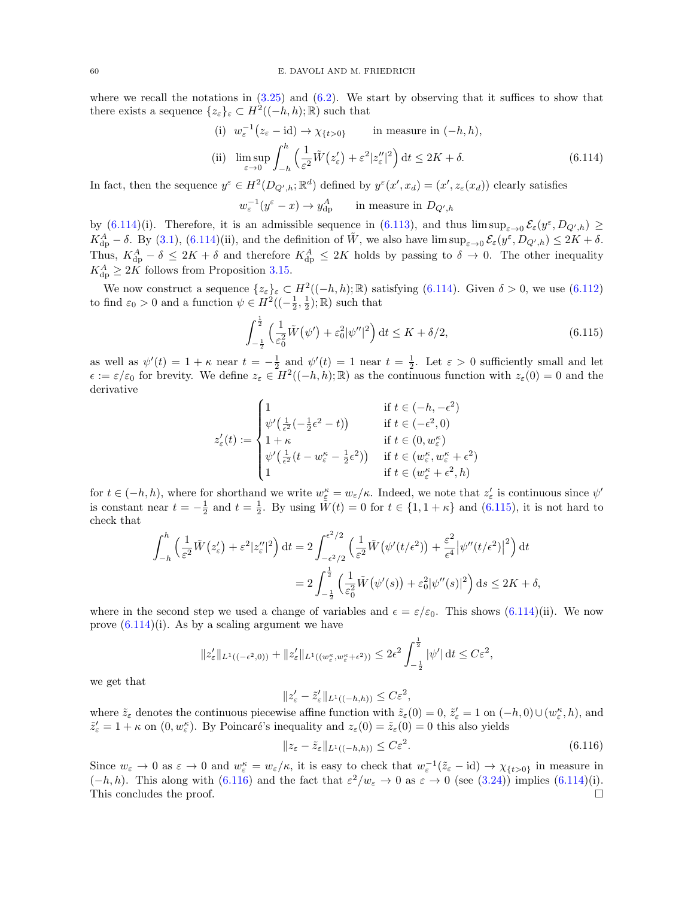where we recall the notations in  $(3.25)$  and  $(6.2)$ . We start by observing that it suffices to show that there exists a sequence  $\{z_{\varepsilon}\}_{\varepsilon} \subset H^2((-h,h);\mathbb{R})$  such that

(i) 
$$
w_{\varepsilon}^{-1}(z_{\varepsilon} - id) \to \chi_{\{t > 0\}}
$$
 in measure in  $(-h, h)$ ,  
\n(ii)  $\limsup_{\varepsilon \to 0} \int_{-h}^{h} \left(\frac{1}{\varepsilon^2} \tilde{W}(z_{\varepsilon}') + \varepsilon^2 |z_{\varepsilon}'|^2\right) dt \le 2K + \delta.$  (6.114)

In fact, then the sequence  $y^{\varepsilon} \in H^2(D_{Q',h}; \mathbb{R}^d)$  defined by  $y^{\varepsilon}(x', x_d) = (x', z_{\varepsilon}(x_d))$  clearly satisfies

<span id="page-59-0"></span> $w_{\varepsilon}^{-1}(y^{\varepsilon}-x)\to y_{\mathrm{dip}}^A$  $d_{\rm dp}^A$  in measure in  $D_{Q',h}$ 

by [\(6.114\)](#page-59-0)(i). Therefore, it is an admissible sequence in [\(6.113\)](#page-58-1), and thus  $\limsup_{\varepsilon\to 0} \mathcal{E}_{\varepsilon}(y^{\varepsilon}, D_{Q',h}) \ge$  $K_{\text{dp}}^A - \delta$ . By [\(3.1\)](#page-11-3), [\(6.114\)](#page-59-0)(ii), and the definition of  $\tilde{W}$ , we also have  $\limsup_{\varepsilon \to 0} \mathcal{E}_{\varepsilon}(y^{\varepsilon}, D_{Q',h}) \leq 2K + \delta$ . Thus,  $K_{\text{dp}}^{A} - \delta \leq 2K + \delta$  and therefore  $K_{\text{dp}}^{A} \leq 2K$  holds by passing to  $\delta \to 0$ . The other inequality  $K_{\text{dp}}^A \geq 2K$  follows from Proposition [3.15.](#page-20-3)

We now construct a sequence  $\{z_{\varepsilon}\}_{\varepsilon} \subset H^2((-h,h); \mathbb{R})$  satisfying  $(6.114)$ . Given  $\delta > 0$ , we use  $(6.112)$ to find  $\varepsilon_0 > 0$  and a function  $\psi \in H^2((-\frac{1}{2}, \frac{1}{2}); \mathbb{R})$  such that

<span id="page-59-1"></span>
$$
\int_{-\frac{1}{2}}^{\frac{1}{2}} \left( \frac{1}{\varepsilon_0^2} \tilde{W}(\psi') + \varepsilon_0^2 |\psi''|^2 \right) dt \le K + \delta/2, \tag{6.115}
$$

as well as  $\psi'(t) = 1 + \kappa$  near  $t = -\frac{1}{2}$  and  $\psi'(t) = 1$  near  $t = \frac{1}{2}$ . Let  $\varepsilon > 0$  sufficiently small and let  $\epsilon := \varepsilon/\varepsilon_0$  for brevity. We define  $z_\varepsilon \in H^2((-h,h);\mathbb{R})$  as the continuous function with  $z_\varepsilon(0) = 0$  and the derivative

$$
z'_{\varepsilon}(t):=\begin{cases} 1 & \text{if } t\in(-h,-\epsilon^2) \\ \psi'\big(\frac{1}{\epsilon^2}(-\frac{1}{2}\epsilon^2-t)\big) & \text{if } t\in(-\epsilon^2,0) \\ 1+\kappa & \text{if } t\in(0,w_{\varepsilon}^\kappa) \\ \psi'\big(\frac{1}{\epsilon^2}(t-w_{\varepsilon}^\kappa-\frac{1}{2}\epsilon^2)\big) & \text{if } t\in(w_{\varepsilon}^\kappa,w_{\varepsilon}^\kappa+\epsilon^2) \\ 1 & \text{if } t\in(w_{\varepsilon}^\kappa+\epsilon^2,h) \end{cases}
$$

for  $t \in (-h, h)$ , where for shorthand we write  $w_{\varepsilon}^{\kappa} = w_{\varepsilon}/\kappa$ . Indeed, we note that  $z_{\varepsilon}'$  is continuous since  $\psi'$ is constant near  $t = -\frac{1}{2}$  and  $t = \frac{1}{2}$ . By using  $\tilde{W}(t) = 0$  for  $t \in \{1, 1 + \kappa\}$  and  $(6.115)$ , it is not hard to check that

$$
\int_{-h}^{h} \left(\frac{1}{\varepsilon^2} \tilde{W}(z_{\varepsilon}') + \varepsilon^2 |z_{\varepsilon}'|^2\right) dt = 2 \int_{-\varepsilon^2/2}^{\varepsilon^2/2} \left(\frac{1}{\varepsilon^2} \tilde{W}(\psi'(t/\varepsilon^2)) + \frac{\varepsilon^2}{\varepsilon^4} |\psi''(t/\varepsilon^2)|^2\right) dt
$$
  
= 
$$
2 \int_{-\frac{1}{2}}^{\frac{1}{2}} \left(\frac{1}{\varepsilon_0^2} \tilde{W}(\psi'(s)) + \varepsilon_0^2 |\psi''(s)|^2\right) ds \le 2K + \delta,
$$

where in the second step we used a change of variables and  $\epsilon = \epsilon/\epsilon_0$ . This shows [\(6.114\)](#page-59-0)(ii). We now prove  $(6.114)(i)$ . As by a scaling argument we have

$$
||z'_{\varepsilon}||_{L^{1}((-\epsilon^2,0))}+||z'_{\varepsilon}||_{L^{1}((w_{\varepsilon}^{\kappa},w_{\varepsilon}^{\kappa}+\epsilon^2))}\leq 2\epsilon^2\int_{-\frac{1}{2}}^{\frac{1}{2}}|\psi'|\,d\epsilon\leq C\varepsilon^2,
$$

we get that

$$
||z'_{\varepsilon}-\tilde{z}'_{\varepsilon}||_{L^1((-h,h))} \leq C\varepsilon^2,
$$

where  $\tilde{z}_{\varepsilon}$  denotes the continuous piecewise affine function with  $\tilde{z}_{\varepsilon}(0) = 0$ ,  $\tilde{z}'_{\varepsilon} = 1$  on  $(-h, 0) \cup (w_{\varepsilon}^{\kappa}, h)$ , and  $\tilde{z}'_{\varepsilon} = 1 + \kappa$  on  $(0, w_{\varepsilon}^{\kappa})$ . By Poincaré's inequality and  $z_{\varepsilon}(0) = \tilde{z}_{\varepsilon}(0) = 0$  this also yields

<span id="page-59-2"></span>
$$
||z_{\varepsilon} - \tilde{z}_{\varepsilon}||_{L^{1}((-h,h))} \leq C\varepsilon^{2}.
$$
\n(6.116)

Since  $w_{\varepsilon} \to 0$  as  $\varepsilon \to 0$  and  $w_{\varepsilon}^{\kappa} = w_{\varepsilon}/\kappa$ , it is easy to check that  $w_{\varepsilon}^{-1}(\tilde{z}_{\varepsilon} - id) \to \chi_{\{t > 0\}}$  in measure in  $(-h, h)$ . This along with [\(6.116\)](#page-59-2) and the fact that  $\varepsilon^2/w_{\varepsilon} \to 0$  as  $\varepsilon \to 0$  (see [\(3.24\)](#page-19-4)) implies [\(6.114\)](#page-59-0)(i). This concludes the proof.  $\Box$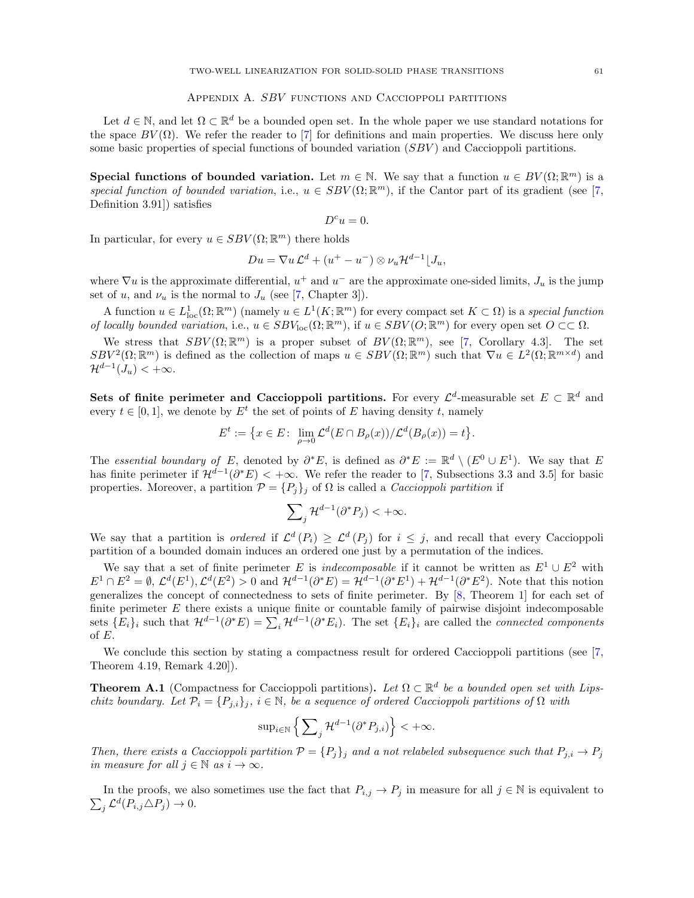## APPENDIX A. SBV FUNCTIONS AND CACCIOPPOLI PARTITIONS

<span id="page-60-0"></span>Let  $d \in \mathbb{N}$ , and let  $\Omega \subset \mathbb{R}^d$  be a bounded open set. In the whole paper we use standard notations for the space  $BV(\Omega)$ . We refer the reader to [\[7\]](#page-61-19) for definitions and main properties. We discuss here only some basic properties of special functions of bounded variation (SBV) and Caccioppoli partitions.

Special functions of bounded variation. Let  $m \in \mathbb{N}$ . We say that a function  $u \in BV(\Omega;\mathbb{R}^m)$  is a special function of bounded variation, i.e.,  $u \in SBV(\Omega;\mathbb{R}^m)$ , if the Cantor part of its gradient (see [\[7,](#page-61-19) Definition 3.91]) satisfies

$$
D^c u = 0.
$$

In particular, for every  $u \in SBV(\Omega;\mathbb{R}^m)$  there holds

$$
Du = \nabla u \mathcal{L}^d + (u^+ - u^-) \otimes \nu_u \mathcal{H}^{d-1} \lfloor J_u,
$$

where  $\nabla u$  is the approximate differential,  $u^+$  and  $u^-$  are the approximate one-sided limits,  $J_u$  is the jump set of u, and  $\nu_u$  is the normal to  $J_u$  (see [\[7,](#page-61-19) Chapter 3]).

A function  $u \in L^1_{loc}(\Omega;\mathbb{R}^m)$  (namely  $u \in L^1(K;\mathbb{R}^m)$  for every compact set  $K \subset \Omega$ ) is a special function of locally bounded variation, i.e.,  $u \in SBV_{loc}(\Omega; \mathbb{R}^m)$ , if  $u \in SBV(O; \mathbb{R}^m)$  for every open set  $O \subset\subset \Omega$ .

We stress that  $SBV(\Omega;\mathbb{R}^m)$  is a proper subset of  $BV(\Omega;\mathbb{R}^m)$ , see [\[7,](#page-61-19) Corollary 4.3]. The set  $SBV^2(\Omega;\mathbb{R}^m)$  is defined as the collection of maps  $u \in SBV(\Omega;\mathbb{R}^m)$  such that  $\nabla u \in L^2(\Omega;\mathbb{R}^{m\times d})$  and  $\mathcal{H}^{d-1}(J_u) < +\infty.$ 

<span id="page-60-2"></span>Sets of finite perimeter and Caccioppoli partitions. For every  $\mathcal{L}^d$ -measurable set  $E \subset \mathbb{R}^d$  and every  $t \in [0, 1]$ , we denote by  $E^t$  the set of points of E having density t, namely

$$
E^t := \big\{ x \in E \colon \lim_{\rho \to 0} \mathcal{L}^d(E \cap B_{\rho}(x)) / \mathcal{L}^d(B_{\rho}(x)) = t \big\}.
$$

The essential boundary of E, denoted by  $\partial^* E$ , is defined as  $\partial^* E := \mathbb{R}^d \setminus (E^0 \cup E^1)$ . We say that E has finite perimeter if  $\mathcal{H}^{d-1}(\partial^*E) < +\infty$ . We refer the reader to [\[7,](#page-61-19) Subsections 3.3 and 3.5] for basic properties. Moreover, a partition  $\mathcal{P} = \{P_j\}_j$  of  $\Omega$  is called a *Caccioppoli partition* if

$$
\sum\nolimits_j\mathcal{H}^{d-1}(\partial^*P_j)<+\infty.
$$

We say that a partition is *ordered* if  $\mathcal{L}^d(P_i) \geq \mathcal{L}^d(P_j)$  for  $i \leq j$ , and recall that every Caccioppoli partition of a bounded domain induces an ordered one just by a permutation of the indices.

We say that a set of finite perimeter E is *indecomposable* if it cannot be written as  $E^1 \cup E^2$  with  $E^1 \cap E^2 = \emptyset$ ,  $\mathcal{L}^d(E^1), \mathcal{L}^d(E^2) > 0$  and  $\mathcal{H}^{d-1}(\partial^* E) = \mathcal{H}^{d-1}(\partial^* E^1) + \mathcal{H}^{d-1}(\partial^* E^2)$ . Note that this notion generalizes the concept of connectedness to sets of finite perimeter. By [\[8,](#page-61-23) Theorem 1] for each set of finite perimeter  $E$  there exists a unique finite or countable family of pairwise disjoint indecomposable sets  ${E_i}_i$  such that  $\mathcal{H}^{d-1}(\partial^* E) = \sum_i \mathcal{H}^{d-1}(\partial^* E_i)$ . The set  ${E_i}_i$  are called the *connected components* of E.

We conclude this section by stating a compactness result for ordered Caccioppoli partitions (see [\[7,](#page-61-19) Theorem 4.19, Remark 4.20]).

<span id="page-60-1"></span>**Theorem A.1** (Compactness for Caccioppoli partitions). Let  $\Omega \subset \mathbb{R}^d$  be a bounded open set with Lipschitz boundary. Let  $\mathcal{P}_i = \{P_{j,i}\}_j, i \in \mathbb{N}$ , be a sequence of ordered Caccioppoli partitions of  $\Omega$  with

$$
\sup\nolimits_{i \in \mathbb{N}} \left\{ \sum\nolimits_{j} \mathcal{H}^{d-1}(\partial^* P_{j,i}) \right\} < +\infty.
$$

Then, there exists a Caccioppoli partition  $\mathcal{P} = \{P_j\}_j$  and a not relabeled subsequence such that  $P_{j,i} \to P_j$ in measure for all  $j \in \mathbb{N}$  as  $i \to \infty$ .

 $\sum_j \mathcal{L}^d(P_{i,j} \triangle P_j) \to 0.$ In the proofs, we also sometimes use the fact that  $P_{i,j} \to P_j$  in measure for all  $j \in \mathbb{N}$  is equivalent to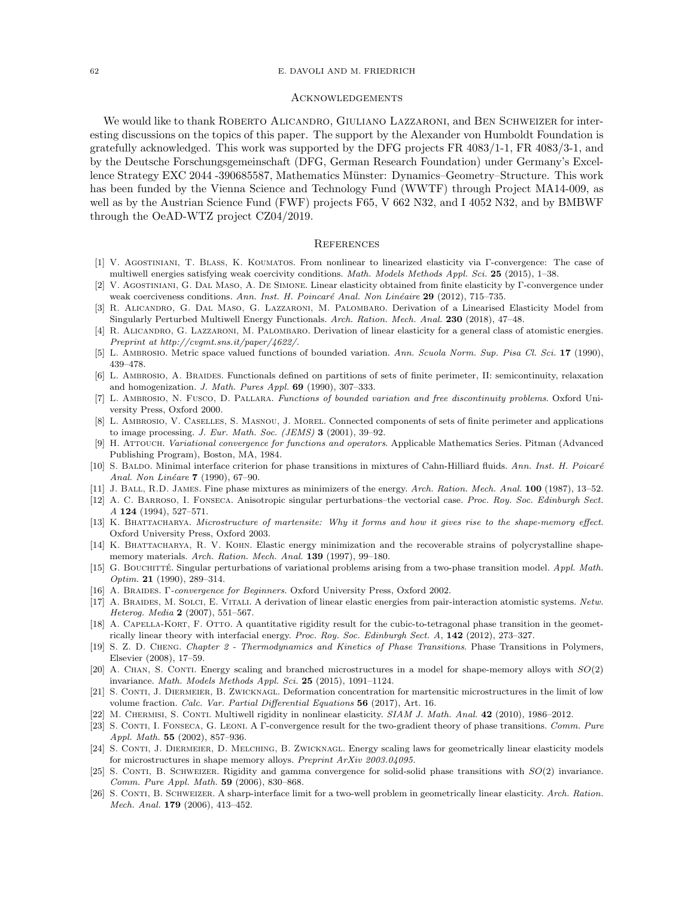#### 62 E. DAVOLI AND M. FRIEDRICH

### Acknowledgements

We would like to thank ROBERTO ALICANDRO, GIULIANO LAZZARONI, and BEN SCHWEIZER for interesting discussions on the topics of this paper. The support by the Alexander von Humboldt Foundation is gratefully acknowledged. This work was supported by the DFG projects FR 4083/1-1, FR 4083/3-1, and by the Deutsche Forschungsgemeinschaft (DFG, German Research Foundation) under Germany's Excellence Strategy EXC 2044 -390685587, Mathematics Münster: Dynamics–Geometry–Structure. This work has been funded by the Vienna Science and Technology Fund (WWTF) through Project MA14-009, as well as by the Austrian Science Fund (FWF) projects F65, V 662 N32, and I 4052 N32, and by BMBWF through the OeAD-WTZ project CZ04/2019.

### **REFERENCES**

- <span id="page-61-16"></span>[1] V. Agostiniani, T. Blass, K. Koumatos. From nonlinear to linearized elasticity via Γ-convergence: The case of multiwell energies satisfying weak coercivity conditions. Math. Models Methods Appl. Sci. 25 (2015), 1–38.
- <span id="page-61-14"></span>[2] V. Agostiniani, G. Dal Maso, A. De Simone. Linear elasticity obtained from finite elasticity by Γ-convergence under weak coerciveness conditions. Ann. Inst. H. Poincaré Anal. Non Linéaire 29 (2012), 715–735.
- <span id="page-61-17"></span>[3] R. Alicandro, G. Dal Maso, G. Lazzaroni, M. Palombaro. Derivation of a Linearised Elasticity Model from Singularly Perturbed Multiwell Energy Functionals. Arch. Ration. Mech. Anal. 230 (2018), 47–48.
- <span id="page-61-18"></span>[4] R. ALICANDRO, G. LAZZARONI, M. PALOMBARO. Derivation of linear elasticity for a general class of atomistic energies. Preprint at http://cvgmt.sns.it/paper/4622/.
- <span id="page-61-8"></span>[5] L. Ambrosio. Metric space valued functions of bounded variation. Ann. Scuola Norm. Sup. Pisa Cl. Sci. 17 (1990), 439–478.
- <span id="page-61-24"></span>[6] L. AMBROSIO, A. BRAIDES. Functionals defined on partitions of sets of finite perimeter, II: semicontinuity, relaxation and homogenization. J. Math. Pures Appl. 69 (1990), 307–333.
- <span id="page-61-19"></span>[7] L. Ambrosio, N. Fusco, D. Pallara. Functions of bounded variation and free discontinuity problems. Oxford University Press, Oxford 2000.
- <span id="page-61-23"></span>[8] L. Ambrosio, V. Caselles, S. Masnou, J. Morel. Connected components of sets of finite perimeter and applications to image processing. J. Eur. Math. Soc. (JEMS)  $3$  (2001), 39–92.
- <span id="page-61-25"></span>[9] H. Attouch. Variational convergence for functions and operators. Applicable Mathematics Series. Pitman (Advanced Publishing Program), Boston, MA, 1984.
- <span id="page-61-9"></span>[10] S. BALDO. Minimal interface criterion for phase transitions in mixtures of Cahn-Hilliard fluids. Ann. Inst. H. Poicaré Anal. Non Linéare **7** (1990), 67-90.
- <span id="page-61-2"></span>[11] J. Ball, R.D. James. Fine phase mixtures as minimizers of the energy. Arch. Ration. Mech. Anal. 100 (1987), 13–52.
- <span id="page-61-6"></span>[12] A. C. Barroso, I. Fonseca. Anisotropic singular perturbations–the vectorial case. Proc. Roy. Soc. Edinburgh Sect. A 124 (1994), 527–571.
- <span id="page-61-3"></span>[13] K. BHATTACHARYA. Microstructure of martensite: Why it forms and how it gives rise to the shape-memory effect. Oxford University Press, Oxford 2003.
- <span id="page-61-0"></span>[14] K. BHATTACHARYA, R. V. KOHN. Elastic energy minimization and the recoverable strains of polycrystalline shapememory materials. Arch. Ration. Mech. Anal. 139 (1997), 99–180.
- <span id="page-61-7"></span>[15] G. BOUCHITTÉ. Singular perturbations of variational problems arising from a two-phase transition model. Appl. Math. Optim. **21** (1990), 289-314.
- <span id="page-61-5"></span>[16] A. BRAIDES. Γ-convergence for Beginners. Oxford University Press, Oxford 2002.
- <span id="page-61-15"></span>[17] A. Braides, M. Solci, E. Vitali. A derivation of linear elastic energies from pair-interaction atomistic systems. Netw. Heterog. Media 2 (2007), 551–567.
- <span id="page-61-4"></span>[18] A. CAPELLA-KORT, F. OTTO. A quantitative rigidity result for the cubic-to-tetragonal phase transition in the geometrically linear theory with interfacial energy. Proc. Roy. Soc. Edinburgh Sect. A, 142 (2012), 273–327.
- <span id="page-61-1"></span>[19] S. Z. D. CHENG. Chapter 2 - Thermodynamics and Kinetics of Phase Transitions. Phase Transitions in Polymers, Elsevier (2008), 17–59.
- <span id="page-61-20"></span>[20] A. CHAN, S. CONTI. Energy scaling and branched microstructures in a model for shape-memory alloys with  $SO(2)$ invariance. Math. Models Methods Appl. Sci. 25 (2015), 1091–1124.
- <span id="page-61-21"></span>[21] S. CONTI, J. DIERMEIER, B. ZWICKNAGL. Deformation concentration for martensitic microstructures in the limit of low volume fraction. Calc. Var. Partial Differential Equations 56 (2017), Art. 16.
- <span id="page-61-13"></span>[22] M. CHERMISI, S. CONTI. Multiwell rigidity in nonlinear elasticity. SIAM J. Math. Anal. 42 (2010), 1986–2012.
- <span id="page-61-10"></span>[23] S. CONTI, I. FONSECA, G. LEONI. A Γ-convergence result for the two-gradient theory of phase transitions. Comm. Pure Appl. Math. 55 (2002), 857–936.
- <span id="page-61-22"></span>[24] S. CONTI, J. DIERMEIER, D. MELCHING, B. ZWICKNAGL. Energy scaling laws for geometrically linear elasticity models for microstructures in shape memory alloys. Preprint ArXiv 2003.04095.
- <span id="page-61-12"></span>[25] S. CONTI, B. SCHWEIZER. Rigidity and gamma convergence for solid-solid phase transitions with  $SO(2)$  invariance. Comm. Pure Appl. Math. 59 (2006), 830–868.
- <span id="page-61-11"></span>[26] S. CONTI, B. SCHWEIZER. A sharp-interface limit for a two-well problem in geometrically linear elasticity. Arch. Ration. Mech. Anal. 179 (2006), 413–452.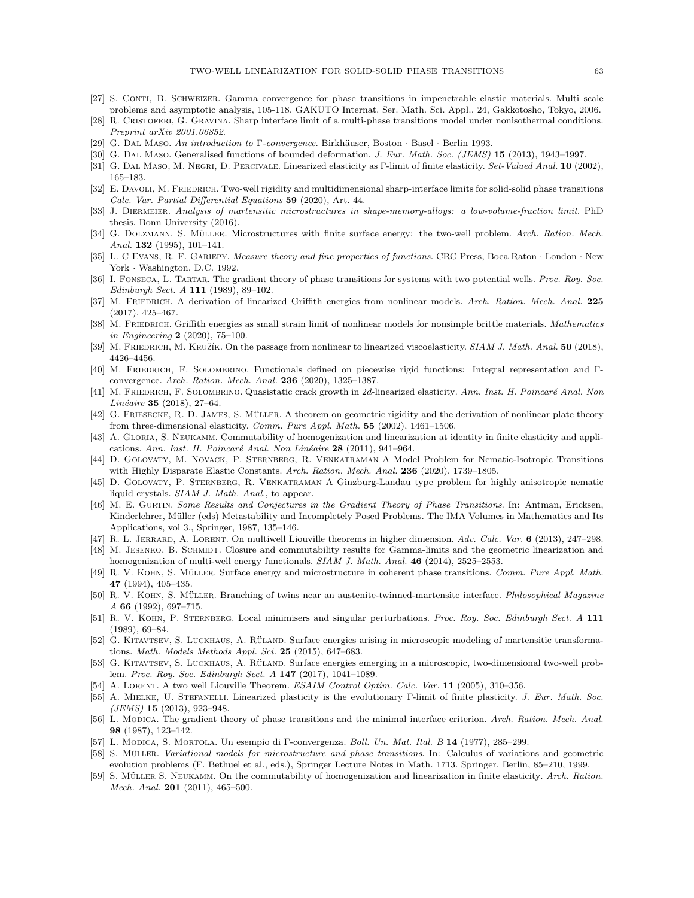- <span id="page-62-10"></span>[27] S. Conti, B. Schweizer. Gamma convergence for phase transitions in impenetrable elastic materials. Multi scale problems and asymptotic analysis, 105-118, GAKUTO Internat. Ser. Math. Sci. Appl., 24, Gakkotosho, Tokyo, 2006.
- <span id="page-62-9"></span>[28] R. Cristoferi, G. Gravina. Sharp interface limit of a multi-phase transitions model under nonisothermal conditions. Preprint arXiv 2001.06852.
- <span id="page-62-6"></span>[29] G. DAL MASO. An introduction to Γ-convergence. Birkhäuser, Boston · Basel · Berlin 1993.
- <span id="page-62-28"></span>[30] G. DAL MASO. Generalised functions of bounded deformation. J. Eur. Math. Soc. (JEMS) 15 (2013), 1943–1997.
- <span id="page-62-20"></span>[31] G. DAL MASO, M. NEGRI, D. PERCIVALE. Linearized elasticity as Γ-limit of finite elasticity. Set-Valued Anal. 10 (2002), 165–183.
- <span id="page-62-0"></span>[32] E. DAVOLI, M. FRIEDRICH. Two-well rigidity and multidimensional sharp-interface limits for solid-solid phase transitions Calc. Var. Partial Differential Equations 59 (2020), Art. 44.
- <span id="page-62-29"></span>[33] J. Diermeier. Analysis of martensitic microstructures in shape-memory-alloys: a low-volume-fraction limit. PhD thesis. Bonn University (2016).
- <span id="page-62-16"></span>[34] G. DOLZMANN, S. MÜLLER. Microstructures with finite surface energy: the two-well problem. Arch. Ration. Mech. Anal. 132 (1995), 101-141.
- <span id="page-62-30"></span>[35] L. C EVANS, R. F. GARIEPY. Measure theory and fine properties of functions. CRC Press, Boca Raton · London · New York · Washington, D.C. 1992.
- <span id="page-62-7"></span>[36] I. FONSECA, L. TARTAR. The gradient theory of phase transitions for systems with two potential wells. Proc. Roy. Soc. Edinburgh Sect. A 111 (1989), 89–102.
- <span id="page-62-25"></span>[37] M. FRIEDRICH. A derivation of linearized Griffith energies from nonlinear models. Arch. Ration. Mech. Anal. 225 (2017), 425–467.
- <span id="page-62-26"></span>[38] M. FRIEDRICH. Griffith energies as small strain limit of nonlinear models for nonsimple brittle materials. Mathematics in Engineering 2 (2020), 75–100.
- <span id="page-62-23"></span>[39] M. FRIEDRICH, M. KRUŽÍK. On the passage from nonlinear to linearized viscoelasticity. SIAM J. Math. Anal. 50 (2018). 4426–4456.
- <span id="page-62-31"></span>[40] M. Friedrich, F. Solombrino. Functionals defined on piecewise rigid functions: Integral representation and Γconvergence. Arch. Ration. Mech. Anal. 236 (2020), 1325–1387.
- <span id="page-62-32"></span>[41] M. FRIEDRICH, F. SOLOMBRINO. Quasistatic crack growth in 2d-linearized elasticity. Ann. Inst. H. Poincaré Anal. Non Linéaire 35 (2018), 27–64.
- <span id="page-62-19"></span>[42] G. FRIESECKE, R. D. JAMES, S. MÜLLER. A theorem on geometric rigidity and the derivation of nonlinear plate theory from three-dimensional elasticity. Comm. Pure Appl. Math. 55 (2002), 1461–1506.
- <span id="page-62-21"></span>[43] A. GLORIA, S. NEUKAMM. Commutability of homogenization and linearization at identity in finite elasticity and applications. Ann. Inst. H. Poincaré Anal. Non Linéaire 28 (2011), 941–964.
- <span id="page-62-13"></span>[44] D. Golovaty, M. Novack, P. Sternberg, R. Venkatraman A Model Problem for Nematic-Isotropic Transitions with Highly Disparate Elastic Constants. Arch. Ration. Mech. Anal. 236 (2020), 1739–1805.
- <span id="page-62-14"></span>[45] D. Golovaty, P. Sternberg, R. Venkatraman A Ginzburg-Landau type problem for highly anisotropic nematic liquid crystals. SIAM J. Math. Anal., to appear.
- <span id="page-62-3"></span>[46] M. E. Gurtin. Some Results and Conjectures in the Gradient Theory of Phase Transitions. In: Antman, Ericksen, Kinderlehrer, Müller (eds) Metastability and Incompletely Posed Problems. The IMA Volumes in Mathematics and Its Applications, vol 3., Springer, 1987, 135–146.
- <span id="page-62-17"></span>R. L. JERRARD, A. LORENT. On multiwell Liouville theorems in higher dimension. Adv. Calc. Var. 6 (2013), 247–298.
- <span id="page-62-27"></span>[48] M. JESENKO, B. SCHMIDT. Closure and commutability results for Gamma-limits and the geometric linearization and homogenization of multi-well energy functionals. SIAM J. Math. Anal. 46 (2014), 2525–2553.
- <span id="page-62-15"></span>[49] R. V. KOHN, S. MÜLLER. Surface energy and microstructure in coherent phase transitions. Comm. Pure Appl. Math. 47 (1994), 405–435.
- <span id="page-62-1"></span>[50] R. V. KOHN, S. MÜLLER. Branching of twins near an austenite-twinned-martensite interface. *Philosophical Magazine* A 66 (1992), 697–715.
- <span id="page-62-8"></span>[51] R. V. KOHN, P. STERNBERG. Local minimisers and singular perturbations. Proc. Roy. Soc. Edinburgh Sect. A 111 (1989), 69–84.
- <span id="page-62-11"></span>G. KITAVTSEV, S. LUCKHAUS, A. RÜLAND. Surface energies arising in microscopic modeling of martensitic transformations. Math. Models Methods Appl. Sci. 25 (2015), 647–683.
- <span id="page-62-12"></span>[53] G. KITAVTSEV, S. LUCKHAUS, A. RÜLAND. Surface energies emerging in a microscopic, two-dimensional two-well problem. Proc. Roy. Soc. Edinburgh Sect. A 147 (2017), 1041–1089.
- <span id="page-62-18"></span>[54] A. LORENT. A two well Liouville Theorem. ESAIM Control Optim. Calc. Var. 11 (2005), 310–356.
- <span id="page-62-24"></span>[55] A. MIELKE, U. STEFANELLI. Linearized plasticity is the evolutionary Γ-limit of finite plasticity. J. Eur. Math. Soc.  $(JEMS)$  15 (2013), 923-948.
- <span id="page-62-4"></span>[56] L. MODICA. The gradient theory of phase transitions and the minimal interface criterion. Arch. Ration. Mech. Anal. 98 (1987), 123–142.
- <span id="page-62-5"></span>[57] L. Modica, S. Mortola. Un esempio di Γ-convergenza. Boll. Un. Mat. Ital. B 14 (1977), 285–299.
- <span id="page-62-2"></span>[58] S. MÜLLER. Variational models for microstructure and phase transitions. In: Calculus of variations and geometric evolution problems (F. Bethuel et al., eds.), Springer Lecture Notes in Math. 1713. Springer, Berlin, 85–210, 1999.
- <span id="page-62-22"></span>[59] S. MÜLLER S. NEUKAMM. On the commutability of homogenization and linearization in finite elasticity. Arch. Ration. Mech. Anal. 201 (2011), 465–500.